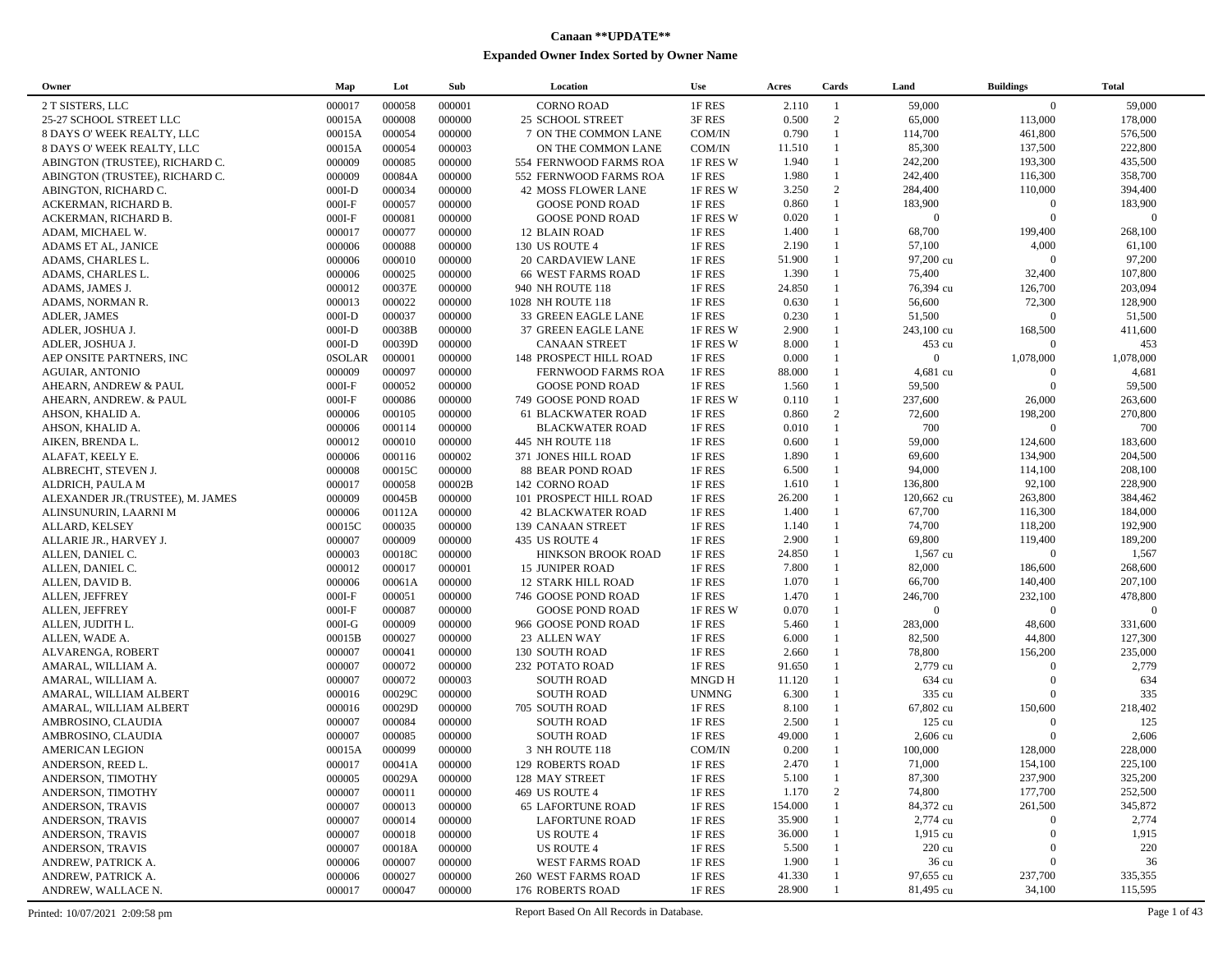## **Canaan \*\*UPDATE\*\* Expanded Owner Index Sorted by Owner Name**

| Owner                            | Map           | Lot    | Sub    | Location                  | <b>Use</b>                  | Acres   | Cards        | Land             | <b>Buildings</b> | <b>Total</b>   |
|----------------------------------|---------------|--------|--------|---------------------------|-----------------------------|---------|--------------|------------------|------------------|----------------|
| 2 T SISTERS, LLC                 | 000017        | 000058 | 000001 | <b>CORNO ROAD</b>         | 1F RES                      | 2.110   | -1           | 59,000           | $\overline{0}$   | 59,000         |
| 25-27 SCHOOL STREET LLC          | 00015A        | 000008 | 000000 | 25 SCHOOL STREET          | 3F RES                      | 0.500   | 2            | 65,000           | 113,000          | 178,000        |
| 8 DAYS O' WEEK REALTY, LLC       | 00015A        | 000054 | 000000 | 7 ON THE COMMON LANE      | COM/IN                      | 0.790   | $\mathbf{1}$ | 114,700          | 461,800          | 576,500        |
| 8 DAYS O' WEEK REALTY, LLC       | 00015A        | 000054 | 000003 | ON THE COMMON LANE        | COM/IN                      | 11.510  | $\mathbf{1}$ | 85,300           | 137,500          | 222,800        |
| ABINGTON (TRUSTEE), RICHARD C.   | 000009        | 000085 | 000000 | 554 FERNWOOD FARMS ROA    | 1F RES W                    | 1.940   | $\mathbf{1}$ | 242,200          | 193,300          | 435,500        |
| ABINGTON (TRUSTEE), RICHARD C.   | 000009        | 00084A | 000000 | 552 FERNWOOD FARMS ROA    | 1F RES                      | 1.980   | $\mathbf{1}$ | 242,400          | 116,300          | 358,700        |
| ABINGTON, RICHARD C.             | $000I-D$      | 000034 | 000000 | 42 MOSS FLOWER LANE       | 1F RES W                    | 3.250   | 2            | 284,400          | 110,000          | 394,400        |
| ACKERMAN, RICHARD B.             | $000I-F$      | 000057 | 000000 | <b>GOOSE POND ROAD</b>    | 1F RES                      | 0.860   | $\mathbf{1}$ | 183,900          | $\mathbf{0}$     | 183,900        |
| ACKERMAN, RICHARD B.             | $000I-F$      | 000081 | 000000 | <b>GOOSE POND ROAD</b>    | 1F RES W                    | 0.020   | $\mathbf{1}$ | $\mathbf{0}$     | $\overline{0}$   | $\overline{0}$ |
| ADAM, MICHAEL W.                 | 000017        | 000077 | 000000 | 12 BLAIN ROAD             | 1F RES                      | 1.400   | $\mathbf{1}$ | 68,700           | 199,400          | 268,100        |
| ADAMS ET AL, JANICE              | 000006        | 000088 | 000000 | 130 US ROUTE 4            | 1F RES                      | 2.190   | $\mathbf{1}$ | 57,100           | 4,000            | 61,100         |
| ADAMS, CHARLES L.                | 000006        | 000010 | 000000 | 20 CARDAVIEW LANE         | 1F RES                      | 51.900  | $\mathbf{1}$ | 97,200 cu        | $\Omega$         | 97,200         |
| ADAMS, CHARLES L.                | 000006        | 000025 | 000000 | <b>66 WEST FARMS ROAD</b> | 1F RES                      | 1.390   | $\mathbf{1}$ | 75,400           | 32,400           | 107,800        |
| ADAMS, JAMES J.                  | 000012        | 00037E | 000000 | 940 NH ROUTE 118          | 1F RES                      | 24.850  | $\mathbf{1}$ | 76,394 cu        | 126,700          | 203,094        |
| ADAMS, NORMAN R.                 | 000013        | 000022 | 000000 | 1028 NH ROUTE 118         | 1F RES                      | 0.630   | $\mathbf{1}$ | 56,600           | 72,300           | 128,900        |
| ADLER, JAMES                     | $000I-D$      | 000037 | 000000 | 33 GREEN EAGLE LANE       | 1F RES                      | 0.230   | $\mathbf{1}$ | 51,500           | $\Omega$         | 51,500         |
| ADLER, JOSHUA J.                 | $000I-D$      | 00038B | 000000 | 37 GREEN EAGLE LANE       | 1F RES W                    | 2.900   | $\mathbf{1}$ | 243,100 cu       | 168,500          | 411,600        |
| ADLER, JOSHUA J.                 | $000I-D$      | 00039D | 000000 | <b>CANAAN STREET</b>      | 1F RES W                    | 8.000   |              | 453 cu           | $\mathbf{0}$     | 453            |
| AEP ONSITE PARTNERS, INC         | <b>OSOLAR</b> | 000001 | 000000 | 148 PROSPECT HILL ROAD    | 1F RES                      | 0.000   | $\mathbf{1}$ | $\overline{0}$   | 1,078,000        | 1,078,000      |
| <b>AGUIAR, ANTONIO</b>           | 000009        | 000097 | 000000 | FERNWOOD FARMS ROA        | 1F RES                      | 88.000  |              | 4,681 cu         | $\mathbf{0}$     | 4,681          |
| AHEARN, ANDREW & PAUL            | $000I-F$      | 000052 | 000000 | <b>GOOSE POND ROAD</b>    | 1F RES                      | 1.560   | $\mathbf{1}$ | 59,500           | $\boldsymbol{0}$ | 59,500         |
| AHEARN, ANDREW. & PAUL           | $000I-F$      | 000086 | 000000 | 749 GOOSE POND ROAD       | 1F RES W                    | 0.110   | $\mathbf{1}$ | 237,600          | 26,000           | 263,600        |
| AHSON, KHALID A.                 | 000006        | 000105 | 000000 | <b>61 BLACKWATER ROAD</b> | 1F RES                      | 0.860   | 2            | 72,600           | 198,200          | 270,800        |
| AHSON, KHALID A.                 | 000006        | 000114 | 000000 | <b>BLACKWATER ROAD</b>    | 1F RES                      | 0.010   | $\mathbf{1}$ | 700              | $\boldsymbol{0}$ | 700            |
| AIKEN, BRENDA L.                 | 000012        | 000010 | 000000 | 445 NH ROUTE 118          | 1F RES                      | 0.600   | $\mathbf{1}$ | 59,000           | 124,600          | 183,600        |
| ALAFAT, KEELY E.                 | 000006        | 000116 | 000002 | 371 JONES HILL ROAD       | 1F RES                      | 1.890   | $\mathbf{1}$ | 69,600           | 134,900          | 204,500        |
| ALBRECHT, STEVEN J.              | 000008        | 00015C | 000000 | 88 BEAR POND ROAD         | 1F RES                      | 6.500   | $\mathbf{1}$ | 94,000           | 114,100          | 208,100        |
| ALDRICH, PAULA M                 | 000017        | 000058 | 00002B | 142 CORNO ROAD            | 1F RES                      | 1.610   | $\mathbf{1}$ | 136,800          | 92,100           | 228,900        |
| ALEXANDER JR.(TRUSTEE), M. JAMES | 000009        | 00045B | 000000 | 101 PROSPECT HILL ROAD    | 1F RES                      | 26.200  | $\mathbf{1}$ | 120,662 cu       | 263,800          | 384,462        |
| ALINSUNURIN, LAARNI M            | 000006        | 00112A | 000000 | <b>42 BLACKWATER ROAD</b> | 1F RES                      | 1.400   | $\mathbf{1}$ | 67,700           | 116,300          | 184,000        |
| ALLARD, KELSEY                   | 00015C        | 000035 | 000000 | 139 CANAAN STREET         | 1F RES                      | 1.140   | $\mathbf{1}$ | 74,700           | 118,200          | 192,900        |
| ALLARIE JR., HARVEY J.           | 000007        | 000009 | 000000 | 435 US ROUTE 4            | 1F RES                      | 2.900   | $\mathbf{1}$ | 69,800           | 119,400          | 189,200        |
| ALLEN, DANIEL C.                 | 000003        | 00018C | 000000 | HINKSON BROOK ROAD        | 1F RES                      | 24.850  | $\mathbf{1}$ | 1,567 cu         | $\boldsymbol{0}$ | 1,567          |
| ALLEN, DANIEL C.                 | 000012        | 000017 | 000001 | <b>15 JUNIPER ROAD</b>    | 1F RES                      | 7.800   | $\mathbf{1}$ | 82,000           | 186,600          | 268,600        |
| ALLEN, DAVID B.                  | 000006        | 00061A | 000000 | <b>12 STARK HILL ROAD</b> | 1F RES                      | 1.070   | $\mathbf{1}$ | 66,700           | 140,400          | 207,100        |
| ALLEN, JEFFREY                   | $000I-F$      | 000051 | 000000 | 746 GOOSE POND ROAD       | 1F RES                      | 1.470   | $\mathbf{1}$ | 246,700          | 232,100          | 478,800        |
| ALLEN, JEFFREY                   | $000I-F$      | 000087 | 000000 | <b>GOOSE POND ROAD</b>    | 1F RES W                    | 0.070   | $\mathbf{1}$ | $\overline{0}$   | $\boldsymbol{0}$ | $\overline{0}$ |
| ALLEN, JUDITH L.                 | $000I-G$      | 000009 | 000000 | 966 GOOSE POND ROAD       | 1F RES                      | 5.460   | $\mathbf{1}$ | 283,000          | 48,600           | 331,600        |
| ALLEN, WADE A.                   | 00015B        | 000027 | 000000 | 23 ALLEN WAY              | 1F RES                      | 6.000   | $\mathbf{1}$ | 82,500           | 44,800           | 127,300        |
| ALVARENGA, ROBERT                | 000007        | 000041 | 000000 | 130 SOUTH ROAD            | 1F RES                      | 2.660   | $\mathbf{1}$ | 78,800           | 156,200          | 235,000        |
| AMARAL, WILLIAM A.               | 000007        | 000072 | 000000 | 232 POTATO ROAD           | 1F RES                      | 91.650  | $\mathbf{1}$ | 2,779 cu         | $\Omega$         | 2,779          |
| AMARAL, WILLIAM A.               | 000007        | 000072 | 000003 | <b>SOUTH ROAD</b>         | <b>MNGD H</b>               | 11.120  | $\mathbf{1}$ | 634 cu           | $\Omega$         | 634            |
| AMARAL, WILLIAM ALBERT           | 000016        | 00029C | 000000 | <b>SOUTH ROAD</b>         | <b>UNMNG</b>                | 6.300   | $\mathbf{1}$ | 335 cu           | $\mathbf{0}$     | 335            |
| AMARAL, WILLIAM ALBERT           | 000016        | 00029D | 000000 | 705 SOUTH ROAD            | 1F RES                      | 8.100   | $\mathbf{1}$ | 67,802 cu        | 150,600          | 218,402        |
| AMBROSINO, CLAUDIA               | 000007        | 000084 | 000000 | <b>SOUTH ROAD</b>         | 1F RES                      | 2.500   | $\mathbf{1}$ | 125 cu           | $\mathbf{0}$     | 125            |
| AMBROSINO, CLAUDIA               | 000007        | 000085 | 000000 | <b>SOUTH ROAD</b>         | 1F RES                      | 49.000  |              | 2,606 cu         | $\theta$         | 2,606          |
| <b>AMERICAN LEGION</b>           | 00015A        | 000099 | 000000 | 3 NH ROUTE 118            | COM/IN                      | 0.200   | $\mathbf{1}$ | 100,000          | 128,000          | 228,000        |
| ANDERSON, REED L.                | 000017        | 00041A | 000000 | 129 ROBERTS ROAD          | 1F RES                      | 2.470   | $\mathbf{1}$ | 71,000           | 154,100          | 225,100        |
| ANDERSON, TIMOTHY                | 000005        | 00029A | 000000 | 128 MAY STREET            | $1\mathrm{F}\,\mathrm{RES}$ | 5.100   | $\mathbf{1}$ | 87,300           | 237,900          | 325,200        |
| ANDERSON, TIMOTHY                | 000007        | 000011 | 000000 | 469 US ROUTE 4            | 1F RES                      | 1.170   | 2            | 74,800           | 177,700          | 252,500        |
| <b>ANDERSON, TRAVIS</b>          | 000007        | 000013 | 000000 | <b>65 LAFORTUNE ROAD</b>  | 1F RES                      | 154.000 |              | 84,372 cu        | 261,500          | 345,872        |
| ANDERSON, TRAVIS                 | 000007        | 000014 | 000000 | <b>LAFORTUNE ROAD</b>     | 1F RES                      | 35.900  |              | 2,774 cu         | $\bf{0}$         | 2,774          |
| ANDERSON, TRAVIS                 | 000007        | 000018 | 000000 | <b>US ROUTE 4</b>         | 1F RES                      | 36.000  |              | $1,915$ cu       | $\theta$         | 1,915          |
| ANDERSON, TRAVIS                 | 000007        | 00018A | 000000 | <b>US ROUTE 4</b>         | 1F RES                      | 5.500   |              | $220 \text{ cu}$ | $\mathbf{0}$     | 220            |
| ANDREW, PATRICK A.               | 000006        | 000007 | 000000 | WEST FARMS ROAD           | 1F RES                      | 1.900   |              | 36 cu            | $\boldsymbol{0}$ | 36             |
| ANDREW, PATRICK A.               | 000006        | 000027 | 000000 | 260 WEST FARMS ROAD       | 1F RES                      | 41.330  |              | 97,655 cu        | 237,700          | 335,355        |
| ANDREW, WALLACE N.               | 000017        | 000047 | 000000 | 176 ROBERTS ROAD          | 1F RES                      | 28.900  |              | 81,495 cu        | 34,100           | 115,595        |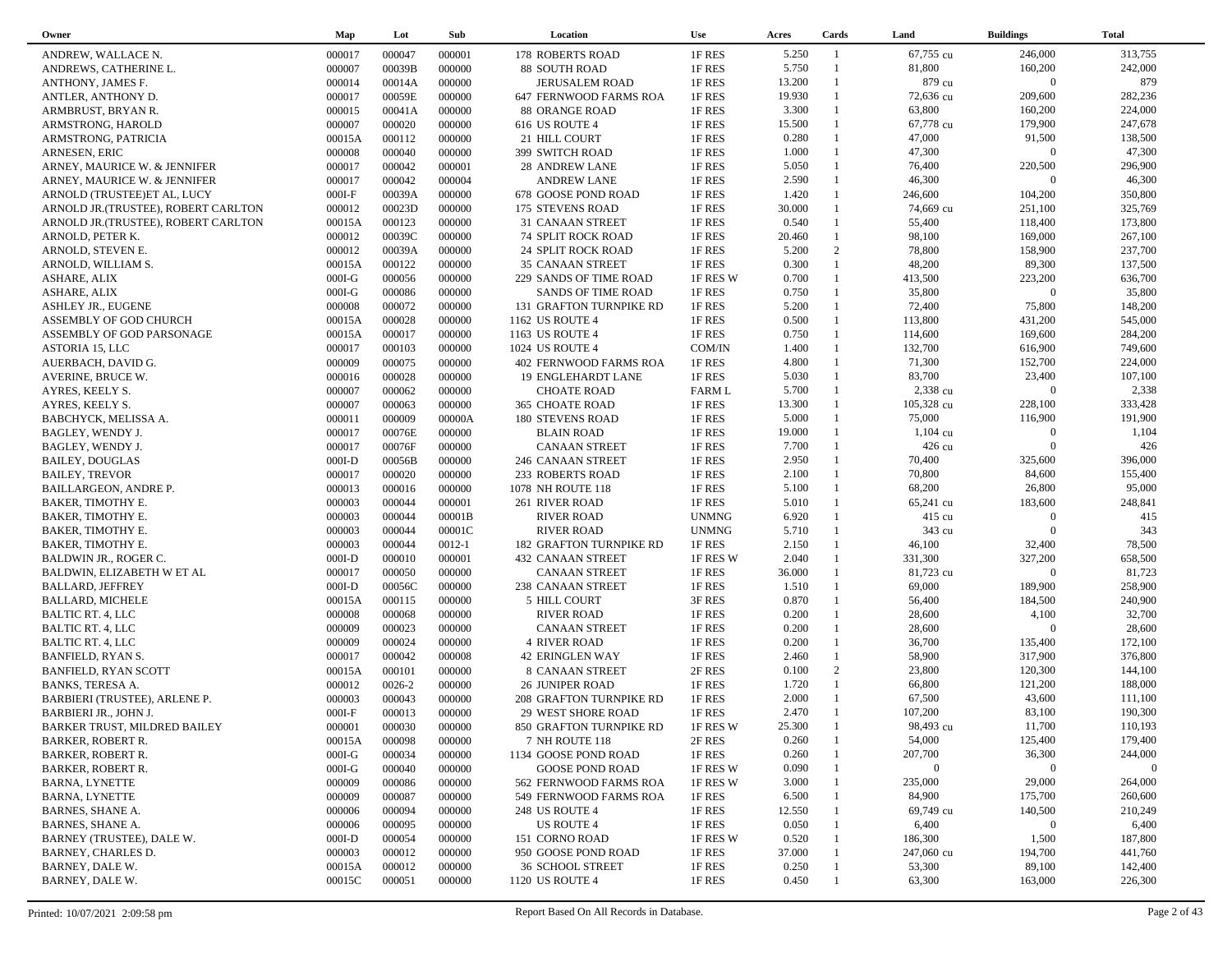| Owner                                | Map      | Lot        | Sub        | Location                       | <b>Use</b>    | Acres  | Cards          | Land               | <b>Buildings</b> | <b>Total</b>   |  |
|--------------------------------------|----------|------------|------------|--------------------------------|---------------|--------|----------------|--------------------|------------------|----------------|--|
| ANDREW, WALLACE N.                   | 000017   | 000047     | 000001     | 178 ROBERTS ROAD               | 1F RES        | 5.250  | -1             | 67,755 cu          | 246,000          | 313,755        |  |
| ANDREWS, CATHERINE L.                | 000007   | 00039B     | 000000     | 88 SOUTH ROAD                  | 1F RES        | 5.750  | $\mathbf{1}$   | 81,800             | 160,200          | 242,000        |  |
| ANTHONY, JAMES F.                    | 000014   | 00014A     | 000000     | JERUSALEM ROAD                 | 1F RES        | 13.200 | $\mathbf{1}$   | 879 cu             | $\overline{0}$   | 879            |  |
| ANTLER, ANTHONY D.                   | 000017   | 00059E     | 000000     | 647 FERNWOOD FARMS ROA         | 1F RES        | 19.930 |                | 72,636 cu          | 209,600          | 282,236        |  |
| ARMBRUST, BRYAN R.                   | 000015   | 00041A     | 000000     | <b>88 ORANGE ROAD</b>          | 1F RES        | 3.300  | $\mathbf{1}$   | 63,800             | 160,200          | 224,000        |  |
| ARMSTRONG, HAROLD                    | 000007   | 000020     | 000000     | 616 US ROUTE 4                 | 1F RES        | 15.500 |                | 67,778 cu          | 179,900          | 247,678        |  |
| ARMSTRONG, PATRICIA                  | 00015A   | 000112     | 000000     | 21 HILL COURT                  | 1F RES        | 0.280  | $\mathbf{1}$   | 47,000             | 91,500           | 138,500        |  |
| ARNESEN, ERIC                        | 000008   | 000040     | 000000     | 399 SWITCH ROAD                | 1F RES        | 1.000  | $\mathbf{1}$   | 47,300             | $\overline{0}$   | 47,300         |  |
| ARNEY, MAURICE W. & JENNIFER         | 000017   | 000042     | 000001     | 28 ANDREW LANE                 | 1F RES        | 5.050  | 1              | 76,400             | 220,500          | 296,900        |  |
| ARNEY, MAURICE W. & JENNIFER         | 000017   | 000042     | 000004     | <b>ANDREW LANE</b>             | 1F RES        | 2.590  | $\mathbf{1}$   | 46,300             | $\boldsymbol{0}$ | 46,300         |  |
| ARNOLD (TRUSTEE)ET AL, LUCY          | $000I-F$ | 00039A     | 000000     | 678 GOOSE POND ROAD            | 1F RES        | 1.420  | $\mathbf{1}$   | 246,600            | 104,200          | 350,800        |  |
| ARNOLD JR. (TRUSTEE), ROBERT CARLTON | 000012   | 00023D     | 000000     | 175 STEVENS ROAD               | 1F RES        | 30.000 | 1              | 74,669 cu          | 251,100          | 325,769        |  |
| ARNOLD JR. (TRUSTEE), ROBERT CARLTON | 00015A   | 000123     | 000000     | 31 CANAAN STREET               | 1F RES        | 0.540  | 1              | 55,400             | 118,400          | 173,800        |  |
| ARNOLD, PETER K.                     | 000012   | 00039C     | 000000     | <b>74 SPLIT ROCK ROAD</b>      | 1F RES        | 20.460 | $\mathbf{1}$   | 98,100             | 169,000          | 267,100        |  |
| ARNOLD, STEVEN E.                    | 000012   | 00039A     | 000000     | 24 SPLIT ROCK ROAD             | 1F RES        | 5.200  | 2              | 78,800             | 158,900          | 237,700        |  |
| ARNOLD, WILLIAM S.                   | 00015A   | 000122     | 000000     | <b>35 CANAAN STREET</b>        | 1F RES        | 0.300  | $\mathbf{1}$   | 48,200             | 89,300           | 137,500        |  |
|                                      |          | 000056     | 000000     |                                | 1F RES W      | 0.700  | $\mathbf{1}$   | 413,500            | 223,200          | 636,700        |  |
| ASHARE, ALIX                         | $000I-G$ | 000086     | 000000     | 229 SANDS OF TIME ROAD         |               | 0.750  | $\mathbf{1}$   | 35,800             | $\boldsymbol{0}$ | 35,800         |  |
| ASHARE, ALIX                         | $000I-G$ |            |            | SANDS OF TIME ROAD             | 1F RES        |        | $\mathbf{1}$   |                    |                  |                |  |
| <b>ASHLEY JR., EUGENE</b>            | 000008   | 000072     | 000000     | 131 GRAFTON TURNPIKE RD        | 1F RES        | 5.200  | $\mathbf{1}$   | 72,400             | 75,800           | 148,200        |  |
| ASSEMBLY OF GOD CHURCH               | 00015A   | 000028     | 000000     | 1162 US ROUTE 4                | 1F RES        | 0.500  | $\mathbf{1}$   | 113,800            | 431,200          | 545,000        |  |
| ASSEMBLY OF GOD PARSONAGE            | 00015A   | 000017     | 000000     | 1163 US ROUTE 4                | 1F RES        | 0.750  | $\mathbf{1}$   | 114,600            | 169,600          | 284,200        |  |
| ASTORIA 15, LLC                      | 000017   | 000103     | 000000     | 1024 US ROUTE 4                | COM/IN        | 1.400  | $\mathbf{1}$   | 132,700            | 616,900          | 749,600        |  |
| AUERBACH, DAVID G.                   | 000009   | 000075     | 000000     | 402 FERNWOOD FARMS ROA         | 1F RES        | 4.800  |                | 71,300             | 152,700          | 224,000        |  |
| AVERINE, BRUCE W.                    | 000016   | 000028     | 000000     | <b>19 ENGLEHARDT LANE</b>      | 1F RES        | 5.030  | $\mathbf{1}$   | 83,700             | 23,400           | 107,100        |  |
| AYRES, KEELY S.                      | 000007   | 000062     | 000000     | <b>CHOATE ROAD</b>             | <b>FARM L</b> | 5.700  | $\mathbf{1}$   | 2,338 cu           | $\mathbf{0}$     | 2,338          |  |
| AYRES, KEELY S.                      | 000007   | 000063     | 000000     | 365 CHOATE ROAD                | 1F RES        | 13.300 | $\mathbf{1}$   | 105,328 cu         | 228,100          | 333,428        |  |
| BABCHYCK, MELISSA A.                 | 000011   | 000009     | 00000A     | <b>180 STEVENS ROAD</b>        | 1F RES        | 5.000  | 1              | 75,000             | 116,900          | 191,900        |  |
| BAGLEY, WENDY J.                     | 000017   | 00076E     | 000000     | <b>BLAIN ROAD</b>              | 1F RES        | 19.000 | 1              | $1,104 \text{ cu}$ | $\overline{0}$   | 1,104          |  |
| BAGLEY, WENDY J.                     | 000017   | 00076F     | 000000     | <b>CANAAN STREET</b>           | 1F RES        | 7.700  |                | 426 cu             | $\Omega$         | 426            |  |
| <b>BAILEY, DOUGLAS</b>               | $000I-D$ | 00056B     | 000000     | 246 CANAAN STREET              | 1F RES        | 2.950  | 1              | 70,400             | 325,600          | 396,000        |  |
| <b>BAILEY, TREVOR</b>                | 000017   | 000020     | 000000     | 233 ROBERTS ROAD               | 1F RES        | 2.100  | $\mathbf{1}$   | 70,800             | 84,600           | 155,400        |  |
| <b>BAILLARGEON, ANDRE P.</b>         | 000013   | 000016     | 000000     | 1078 NH ROUTE 118              | 1F RES        | 5.100  | $\mathbf{1}$   | 68,200             | 26,800           | 95,000         |  |
| BAKER, TIMOTHY E.                    | 000003   | 000044     | 000001     | 261 RIVER ROAD                 | 1F RES        | 5.010  | $\mathbf{1}$   | 65,241 cu          | 183,600          | 248,841        |  |
| BAKER, TIMOTHY E.                    | 000003   | 000044     | 00001B     | <b>RIVER ROAD</b>              | <b>UNMNG</b>  | 6.920  |                | 415 cu             | $\theta$         | 415            |  |
| BAKER, TIMOTHY E.                    | 000003   | 000044     | 00001C     | <b>RIVER ROAD</b>              | <b>UNMNG</b>  | 5.710  | $\mathbf{1}$   | 343 cu             | $\Omega$         | 343            |  |
| BAKER, TIMOTHY E.                    | 000003   | 000044     | $0012 - 1$ | <b>182 GRAFTON TURNPIKE RD</b> | 1F RES        | 2.150  | $\mathbf{1}$   | 46,100             | 32,400           | 78,500         |  |
| BALDWIN JR., ROGER C.                | $000I-D$ | 000010     | 000001     | <b>432 CANAAN STREET</b>       | 1F RES W      | 2.040  | $\mathbf{1}$   | 331,300            | 327,200          | 658,500        |  |
| BALDWIN, ELIZABETH W ET AL           | 000017   | 000050     | 000000     | <b>CANAAN STREET</b>           | 1F RES        | 36.000 |                | 81,723 cu          | $\boldsymbol{0}$ | 81,723         |  |
| <b>BALLARD, JEFFREY</b>              | $000I-D$ | 00056C     | 000000     | 238 CANAAN STREET              | 1F RES        | 1.510  | $\mathbf{1}$   | 69,000             | 189,900          | 258,900        |  |
| <b>BALLARD, MICHELE</b>              | 00015A   | 000115     | 000000     | 5 HILL COURT                   | 3F RES        | 0.870  | $\mathbf{1}$   | 56,400             | 184,500          | 240,900        |  |
| BALTIC RT. 4, LLC                    | 000008   | 000068     | 000000     | <b>RIVER ROAD</b>              | 1F RES        | 0.200  | $\mathbf{1}$   | 28,600             | 4,100            | 32,700         |  |
| BALTIC RT. 4, LLC                    | 000009   | 000023     | 000000     | <b>CANAAN STREET</b>           | 1F RES        | 0.200  | $\mathbf{1}$   | 28,600             | $\Omega$         | 28,600         |  |
| BALTIC RT. 4, LLC                    | 000009   | 000024     | 000000     | <b>4 RIVER ROAD</b>            | 1F RES        | 0.200  | $\mathbf{1}$   | 36,700             | 135,400          | 172,100        |  |
| <b>BANFIELD, RYAN S.</b>             | 000017   | 000042     | 000008     | <b>42 ERINGLEN WAY</b>         | 1F RES        | 2.460  | $\mathbf{1}$   | 58,900             | 317,900          | 376,800        |  |
| <b>BANFIELD, RYAN SCOTT</b>          | 00015A   | 000101     | 000000     | 8 CANAAN STREET                | 2F RES        | 0.100  | 2              | 23,800             | 120,300          | 144,100        |  |
| <b>BANKS, TERESA A.</b>              | 000012   | $0026 - 2$ | 000000     | <b>26 JUNIPER ROAD</b>         | 1F RES        | 1.720  | $\mathbf{1}$   | 66,800             | 121,200          | 188,000        |  |
| BARBIERI (TRUSTEE), ARLENE P.        | 000003   | 000043     | 000000     | 208 GRAFTON TURNPIKE RD        | 1F RES        | 2.000  |                | 67,500             | 43,600           | 111,100        |  |
| BARBIERI JR., JOHN J.                | $000I-F$ | 000013     | 000000     | <b>29 WEST SHORE ROAD</b>      | 1F RES        | 2.470  | $\overline{1}$ | 107,200            | 83,100           | 190,300        |  |
| BARKER TRUST, MILDRED BAILEY         | 000001   | 000030     | 000000     | 850 GRAFTON TURNPIKE RD        | 1F RES W      | 25.300 | $\overline{1}$ | 98,493 cu          | 11,700           | 110,193        |  |
| BARKER, ROBERT R.                    | 00015A   | 000098     | 000000     | 7 NH ROUTE 118                 | 2F RES        | 0.260  |                | 54,000             | 125,400          | 179,400        |  |
| <b>BARKER, ROBERT R.</b>             | $000I-G$ | 000034     | 000000     | 1134 GOOSE POND ROAD           | 1F RES        | 0.260  |                | 207,700            | 36,300           | 244,000        |  |
| <b>BARKER, ROBERT R.</b>             | $000I-G$ | 000040     | 000000     | <b>GOOSE POND ROAD</b>         | 1F RES W      | 0.090  |                | $\bf{0}$           | $\mathbf{0}$     | $\overline{0}$ |  |
| <b>BARNA, LYNETTE</b>                | 000009   | 000086     | 000000     | 562 FERNWOOD FARMS ROA         | 1F RES W      | 3.000  |                | 235,000            | 29,000           | 264,000        |  |
| <b>BARNA, LYNETTE</b>                | 000009   | 000087     | 000000     | 549 FERNWOOD FARMS ROA         | 1F RES        | 6.500  |                | 84,900             | 175,700          | 260,600        |  |
| BARNES, SHANE A.                     | 000006   | 000094     | 000000     | <b>248 US ROUTE 4</b>          | 1F RES        | 12.550 |                | 69,749 cu          | 140,500          | 210,249        |  |
| BARNES, SHANE A.                     | 000006   | 000095     | 000000     | <b>US ROUTE 4</b>              | 1F RES        | 0.050  |                | 6,400              | $\mathbf{0}$     | 6,400          |  |
| BARNEY (TRUSTEE), DALE W.            | $000I-D$ | 000054     | 000000     | 151 CORNO ROAD                 | 1F RES W      | 0.520  |                | 186,300            | 1,500            | 187,800        |  |
| BARNEY, CHARLES D.                   | 000003   | 000012     | 000000     | 950 GOOSE POND ROAD            | 1F RES        | 37.000 |                | 247,060 cu         | 194,700          | 441,760        |  |
| BARNEY, DALE W.                      | 00015A   | 000012     | 000000     | <b>36 SCHOOL STREET</b>        | 1F RES        | 0.250  |                | 53,300             | 89,100           | 142,400        |  |
| BARNEY, DALE W.                      | 00015C   | 000051     | 000000     | 1120 US ROUTE 4                | 1F RES        | 0.450  |                | 63,300             | 163,000          | 226,300        |  |
|                                      |          |            |            |                                |               |        |                |                    |                  |                |  |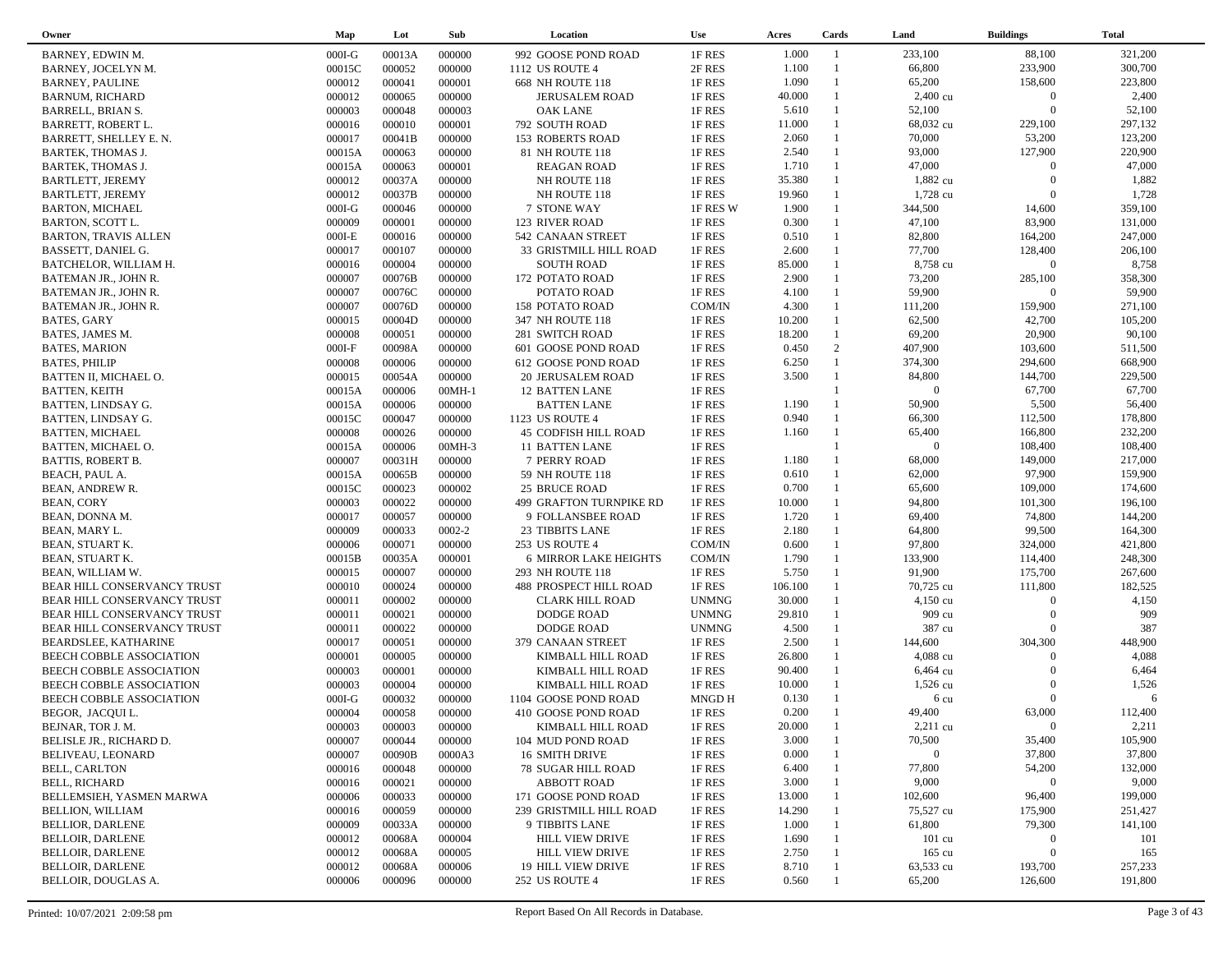| Owner                       | Map      | Lot    | Sub        | Location                     | <b>Use</b>   | Acres   | Cards        | Land               | <b>Buildings</b>        | <b>Total</b> |  |
|-----------------------------|----------|--------|------------|------------------------------|--------------|---------|--------------|--------------------|-------------------------|--------------|--|
| BARNEY, EDWIN M.            | $000I-G$ | 00013A | 000000     | 992 GOOSE POND ROAD          | 1F RES       | 1.000   | -1           | 233,100            | 88,100                  | 321,200      |  |
| BARNEY, JOCELYN M.          | 00015C   | 000052 | 000000     | 1112 US ROUTE 4              | 2F RES       | 1.100   |              | 66,800             | 233,900                 | 300,700      |  |
| <b>BARNEY, PAULINE</b>      | 000012   | 000041 | 000001     | 668 NH ROUTE 118             | 1F RES       | 1.090   | $\mathbf{1}$ | 65,200             | 158,600                 | 223,800      |  |
| <b>BARNUM, RICHARD</b>      | 000012   | 000065 | 000000     | <b>JERUSALEM ROAD</b>        | 1F RES       | 40.000  |              | $2,400 \text{ cu}$ | $\overline{0}$          | 2,400        |  |
| <b>BARRELL, BRIAN S.</b>    | 000003   | 000048 | 000003     | <b>OAK LANE</b>              | 1F RES       | 5.610   | $\mathbf{1}$ | 52,100             | $\Omega$                | 52,100       |  |
| BARRETT, ROBERT L.          | 000016   | 000010 | 000001     | 792 SOUTH ROAD               | 1F RES       | 11.000  |              | 68,032 cu          | 229,100                 | 297,132      |  |
| BARRETT, SHELLEY E. N.      | 000017   | 00041B | 000000     | <b>153 ROBERTS ROAD</b>      | 1F RES       | 2.060   | 1            | 70,000             | 53,200                  | 123,200      |  |
| <b>BARTEK, THOMAS J.</b>    | 00015A   | 000063 | 000000     | 81 NH ROUTE 118              | 1F RES       | 2.540   | $\mathbf{1}$ | 93,000             | 127,900                 | 220,900      |  |
| <b>BARTEK, THOMAS J.</b>    | 00015A   | 000063 | 000001     | <b>REAGAN ROAD</b>           | 1F RES       | 1.710   | $\mathbf{1}$ | 47,000             | $\Omega$                | 47,000       |  |
| <b>BARTLETT, JEREMY</b>     | 000012   | 00037A | 000000     | NH ROUTE 118                 | 1F RES       | 35.380  |              | 1,882 cu           | $\Omega$                | 1,882        |  |
| <b>BARTLETT, JEREMY</b>     | 000012   | 00037B | 000000     | NH ROUTE 118                 | 1F RES       | 19.960  |              | 1,728 cu           | $\Omega$                | 1,728        |  |
| <b>BARTON, MICHAEL</b>      | $000I-G$ | 000046 | 000000     | 7 STONE WAY                  | 1F RES W     | 1.900   | $\mathbf{1}$ | 344,500            | 14,600                  | 359,100      |  |
| BARTON, SCOTT L.            | 000009   | 000001 | 000000     | 123 RIVER ROAD               | 1F RES       | 0.300   | 1            | 47,100             | 83,900                  | 131,000      |  |
| <b>BARTON, TRAVIS ALLEN</b> | $000I-E$ | 000016 | 000000     | 542 CANAAN STREET            | 1F RES       | 0.510   | $\mathbf{1}$ | 82,800             | 164,200                 | 247,000      |  |
| BASSETT, DANIEL G.          | 000017   | 000107 | 000000     | 33 GRISTMILL HILL ROAD       | 1F RES       | 2.600   | $\mathbf{1}$ | 77,700             | 128,400                 | 206,100      |  |
|                             |          | 000004 | 000000     |                              |              | 85.000  |              | 8,758 cu           | $\boldsymbol{0}$        | 8,758        |  |
| BATCHELOR, WILLIAM H.       | 000016   |        |            | <b>SOUTH ROAD</b>            | 1F RES       |         | 1            |                    |                         |              |  |
| BATEMAN JR., JOHN R.        | 000007   | 00076B | 000000     | 172 POTATO ROAD              | 1F RES       | 2.900   |              | 73,200             | 285,100<br>$\mathbf{0}$ | 358,300      |  |
| BATEMAN JR., JOHN R.        | 000007   | 00076C | 000000     | POTATO ROAD                  | 1F RES       | 4.100   | $\mathbf{1}$ | 59,900             |                         | 59,900       |  |
| BATEMAN JR., JOHN R.        | 000007   | 00076D | 000000     | <b>158 POTATO ROAD</b>       | COM/IN       | 4.300   |              | 111,200            | 159,900                 | 271,100      |  |
| <b>BATES, GARY</b>          | 000015   | 00004D | 000000     | 347 NH ROUTE 118             | 1F RES       | 10.200  |              | 62,500             | 42,700                  | 105,200      |  |
| BATES, JAMES M.             | 000008   | 000051 | 000000     | 281 SWITCH ROAD              | 1F RES       | 18.200  | $\mathbf{1}$ | 69,200             | 20,900                  | 90,100       |  |
| <b>BATES, MARION</b>        | $000I-F$ | 00098A | 000000     | 601 GOOSE POND ROAD          | 1F RES       | 0.450   | 2            | 407,900            | 103,600                 | 511,500      |  |
| <b>BATES, PHILIP</b>        | 000008   | 000006 | 000000     | 612 GOOSE POND ROAD          | 1F RES       | 6.250   | $\mathbf{1}$ | 374,300            | 294,600                 | 668,900      |  |
| BATTEN II, MICHAEL O.       | 000015   | 00054A | 000000     | 20 JERUSALEM ROAD            | 1F RES       | 3.500   |              | 84,800             | 144,700                 | 229,500      |  |
| <b>BATTEN, KEITH</b>        | 00015A   | 000006 | $00MH-1$   | <b>12 BATTEN LANE</b>        | 1F RES       |         |              | $\overline{0}$     | 67,700                  | 67,700       |  |
| BATTEN, LINDSAY G.          | 00015A   | 000006 | 000000     | <b>BATTEN LANE</b>           | 1F RES       | 1.190   |              | 50,900             | 5,500                   | 56,400       |  |
| BATTEN, LINDSAY G.          | 00015C   | 000047 | 000000     | 1123 US ROUTE 4              | 1F RES       | 0.940   |              | 66,300             | 112,500                 | 178,800      |  |
| <b>BATTEN, MICHAEL</b>      | 000008   | 000026 | 000000     | <b>45 CODFISH HILL ROAD</b>  | 1F RES       | 1.160   |              | 65,400             | 166,800                 | 232,200      |  |
| BATTEN, MICHAEL O.          | 00015A   | 000006 | 00MH-3     | <b>11 BATTEN LANE</b>        | 1F RES       |         |              | $\overline{0}$     | 108,400                 | 108,400      |  |
| <b>BATTIS, ROBERT B.</b>    | 000007   | 00031H | 000000     | 7 PERRY ROAD                 | 1F RES       | 1.180   |              | 68,000             | 149,000                 | 217,000      |  |
| BEACH, PAUL A.              | 00015A   | 00065B | 000000     | 59 NH ROUTE 118              | 1F RES       | 0.610   | $\mathbf{1}$ | 62,000             | 97,900                  | 159,900      |  |
| BEAN, ANDREW R.             | 00015C   | 000023 | 000002     | <b>25 BRUCE ROAD</b>         | 1F RES       | 0.700   | $\mathbf{1}$ | 65,600             | 109,000                 | 174,600      |  |
| <b>BEAN, CORY</b>           | 000003   | 000022 | 000000     | 499 GRAFTON TURNPIKE RD      | 1F RES       | 10.000  |              | 94,800             | 101,300                 | 196,100      |  |
| BEAN, DONNA M.              | 000017   | 000057 | 000000     | 9 FOLLANSBEE ROAD            | 1F RES       | 1.720   |              | 69,400             | 74,800                  | 144,200      |  |
| BEAN, MARY L.               | 000009   | 000033 | $0002 - 2$ | 23 TIBBITS LANE              | 1F RES       | 2.180   | $\mathbf{1}$ | 64,800             | 99,500                  | 164,300      |  |
| BEAN, STUART K.             | 000006   | 000071 | 000000     | 253 US ROUTE 4               | COM/IN       | 0.600   |              | 97,800             | 324,000                 | 421,800      |  |
| BEAN, STUART K.             | 00015B   | 00035A | 000001     | <b>6 MIRROR LAKE HEIGHTS</b> | COM/IN       | 1.790   | $\mathbf{1}$ | 133,900            | 114,400                 | 248,300      |  |
| BEAN, WILLIAM W.            | 000015   | 000007 | 000000     | 293 NH ROUTE 118             | 1F RES       | 5.750   |              | 91,900             | 175,700                 | 267,600      |  |
| BEAR HILL CONSERVANCY TRUST | 000010   | 000024 | 000000     | 488 PROSPECT HILL ROAD       | 1F RES       | 106.100 | 1            | 70,725 cu          | 111,800                 | 182,525      |  |
| BEAR HILL CONSERVANCY TRUST | 000011   | 000002 | 000000     | <b>CLARK HILL ROAD</b>       | <b>UNMNG</b> | 30.000  |              | $4,150 \text{ cu}$ | $\Omega$                | 4,150        |  |
| BEAR HILL CONSERVANCY TRUST | 000011   | 000021 | 000000     | <b>DODGE ROAD</b>            | <b>UNMNG</b> | 29.810  |              | 909 cu             | $\Omega$                | 909          |  |
| BEAR HILL CONSERVANCY TRUST | 000011   | 000022 | 000000     | <b>DODGE ROAD</b>            | <b>UNMNG</b> | 4.500   |              | 387 cu             | $\Omega$                | 387          |  |
| <b>BEARDSLEE, KATHARINE</b> | 000017   | 000051 | 000000     | 379 CANAAN STREET            | 1F RES       | 2.500   |              | 144,600            | 304,300                 | 448,900      |  |
| BEECH COBBLE ASSOCIATION    | 000001   | 000005 | 000000     | KIMBALL HILL ROAD            | 1F RES       | 26.800  |              | 4,088 cu           | $\Omega$                | 4,088        |  |
| BEECH COBBLE ASSOCIATION    | 000003   | 000001 | 000000     | KIMBALL HILL ROAD            | 1F RES       | 90.400  |              | 6,464 cu           | $\Omega$                | 6,464        |  |
| BEECH COBBLE ASSOCIATION    | 000003   | 000004 | 000000     | KIMBALL HILL ROAD            | 1F RES       | 10.000  |              | $1,526$ cu         | $\Omega$                | 1,526        |  |
| BEECH COBBLE ASSOCIATION    | $000I-G$ | 000032 | 000000     | 1104 GOOSE POND ROAD         | MNGD H       | 0.130   |              | 6 cu               | $\Omega$                | 6            |  |
| BEGOR, JACQUI L.            | 000004   | 000058 | 000000     | 410 GOOSE POND ROAD          | 1F RES       | 0.200   | $\mathbf{1}$ | 49,400             | 63,000                  | 112,400      |  |
| BEJNAR, TOR J. M.           | 000003   | 000003 | 000000     | KIMBALL HILL ROAD            | $1F$ RES     | 20.000  |              | $2,211$ cu         | $\overline{0}$          | 2,211        |  |
| BELISLE JR., RICHARD D.     | 000007   | 000044 | 000000     | 104 MUD POND ROAD            | 1F RES       | 3.000   |              | 70,500             | 35,400                  | 105,900      |  |
| BELIVEAU, LEONARD           | 000007   | 00090B | 0000A3     | <b>16 SMITH DRIVE</b>        | 1F RES       | 0.000   |              | $\overline{0}$     | 37,800                  | 37,800       |  |
| <b>BELL, CARLTON</b>        | 000016   | 000048 | 000000     | <b>78 SUGAR HILL ROAD</b>    | 1F RES       | 6.400   |              | 77,800             | 54,200                  | 132,000      |  |
| <b>BELL, RICHARD</b>        | 000016   | 000021 | 000000     | <b>ABBOTT ROAD</b>           | 1F RES       | 3.000   |              | 9,000              | $\mathbf{0}$            | 9,000        |  |
| BELLEMSIEH, YASMEN MARWA    | 000006   | 000033 | 000000     | 171 GOOSE POND ROAD          | 1F RES       | 13.000  |              | 102,600            | 96,400                  | 199,000      |  |
| <b>BELLION, WILLIAM</b>     | 000016   | 000059 | 000000     | 239 GRISTMILL HILL ROAD      | 1F RES       | 14.290  |              | 75,527 cu          | 175,900                 | 251,427      |  |
| <b>BELLIOR, DARLENE</b>     | 000009   | 00033A | 000000     | 9 TIBBITS LANE               | 1F RES       | 1.000   |              | 61,800             | 79,300                  | 141,100      |  |
| <b>BELLOIR, DARLENE</b>     | 000012   | 00068A | 000004     | <b>HILL VIEW DRIVE</b>       | 1F RES       | 1.690   |              | $101 \text{ cu}$   | $\mathbf{0}$            | 101          |  |
| <b>BELLOIR, DARLENE</b>     | 000012   | 00068A | 000005     | <b>HILL VIEW DRIVE</b>       | 1F RES       | 2.750   |              | $165 \text{ cu}$   | $\boldsymbol{0}$        | 165          |  |
| <b>BELLOIR, DARLENE</b>     | 000012   | 00068A | 000006     | <b>19 HILL VIEW DRIVE</b>    | 1F RES       | 8.710   |              | 63,533 cu          | 193,700                 | 257,233      |  |
| BELLOIR, DOUGLAS A.         | 000006   | 000096 | 000000     | 252 US ROUTE 4               | 1F RES       | 0.560   |              | 65,200             | 126,600                 | 191,800      |  |
|                             |          |        |            |                              |              |         |              |                    |                         |              |  |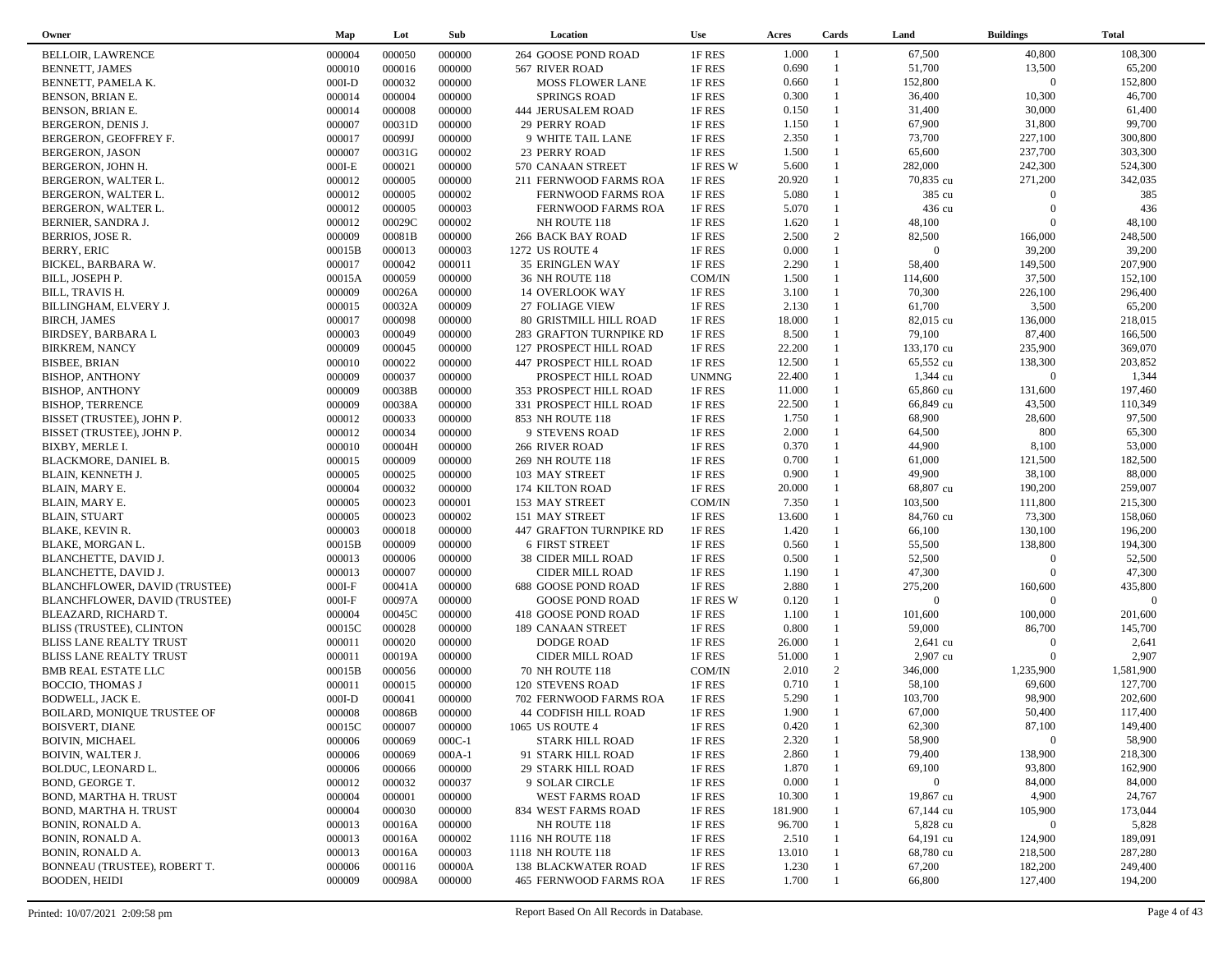| Owner                          | Map      | Lot    | Sub      | Location                    | <b>Use</b>   | Acres   | Cards        | Land           | <b>Buildings</b> | <b>Total</b> |  |
|--------------------------------|----------|--------|----------|-----------------------------|--------------|---------|--------------|----------------|------------------|--------------|--|
| <b>BELLOIR, LAWRENCE</b>       | 000004   | 000050 | 000000   | 264 GOOSE POND ROAD         | 1F RES       | 1.000   | -1           | 67,500         | 40,800           | 108,300      |  |
| BENNETT, JAMES                 | 000010   | 000016 | 000000   | 567 RIVER ROAD              | 1F RES       | 0.690   | $\mathbf{1}$ | 51,700         | 13,500           | 65,200       |  |
| BENNETT, PAMELA K.             | $000I-D$ | 000032 | 000000   | <b>MOSS FLOWER LANE</b>     | 1F RES       | 0.660   | $\mathbf{1}$ | 152,800        | $\overline{0}$   | 152,800      |  |
| BENSON, BRIAN E.               | 000014   | 000004 | 000000   | <b>SPRINGS ROAD</b>         | 1F RES       | 0.300   | $\mathbf{1}$ | 36,400         | 10,300           | 46,700       |  |
| BENSON, BRIAN E.               | 000014   | 000008 | 000000   | <b>444 JERUSALEM ROAD</b>   | 1F RES       | 0.150   | $\mathbf{1}$ | 31,400         | 30,000           | 61,400       |  |
| BERGERON, DENIS J.             | 000007   | 00031D | 000000   | 29 PERRY ROAD               | 1F RES       | 1.150   | $\mathbf{1}$ | 67,900         | 31,800           | 99,700       |  |
| BERGERON, GEOFFREY F.          | 000017   | 00099J | 000000   | 9 WHITE TAIL LANE           | 1F RES       | 2.350   | $\mathbf{1}$ | 73,700         | 227,100          | 300,800      |  |
| <b>BERGERON, JASON</b>         | 000007   | 00031G | 000002   | 23 PERRY ROAD               | 1F RES       | 1.500   | $\mathbf{1}$ | 65,600         | 237,700          | 303,300      |  |
| BERGERON, JOHN H.              | $000I-E$ | 000021 | 000000   | 570 CANAAN STREET           | 1F RES W     | 5.600   | $\mathbf{1}$ | 282,000        | 242,300          | 524,300      |  |
| BERGERON, WALTER L.            | 000012   | 000005 | 000000   | 211 FERNWOOD FARMS ROA      | 1F RES       | 20.920  |              | 70,835 cu      | 271,200          | 342,035      |  |
| BERGERON, WALTER L.            | 000012   | 000005 | 000002   | FERNWOOD FARMS ROA          | 1F RES       | 5.080   |              | 385 cu         | $\overline{0}$   | 385          |  |
| BERGERON, WALTER L.            | 000012   | 000005 | 000003   | FERNWOOD FARMS ROA          | 1F RES       | 5.070   | 1            | 436 cu         | $\Omega$         | 436          |  |
| BERNIER, SANDRA J.             | 000012   | 00029C | 000002   | NH ROUTE 118                | 1F RES       | 1.620   | $\mathbf{1}$ | 48,100         | $\Omega$         | 48,100       |  |
| BERRIOS, JOSE R.               | 000009   | 00081B | 000000   | 266 BACK BAY ROAD           | 1F RES       | 2.500   | 2            | 82,500         | 166,000          | 248,500      |  |
| <b>BERRY, ERIC</b>             | 00015B   | 000013 | 000003   | 1272 US ROUTE 4             | 1F RES       | 0.000   | $\mathbf{1}$ | $\overline{0}$ | 39,200           | 39,200       |  |
| BICKEL, BARBARA W.             | 000017   | 000042 | 000011   | 35 ERINGLEN WAY             | 1F RES       | 2.290   | $\mathbf{1}$ | 58,400         | 149,500          | 207,900      |  |
| BILL, JOSEPH P.                | 00015A   | 000059 | 000000   | 36 NH ROUTE 118             | COM/IN       | 1.500   | $\mathbf{1}$ | 114,600        | 37,500           | 152,100      |  |
| BILL, TRAVIS H.                | 000009   | 00026A | 000000   | <b>14 OVERLOOK WAY</b>      | 1F RES       | 3.100   | $\mathbf{1}$ | 70,300         | 226,100          | 296,400      |  |
| BILLINGHAM, ELVERY J.          | 000015   | 00032A | 000009   | 27 FOLIAGE VIEW             | 1F RES       | 2.130   | $\mathbf{1}$ | 61,700         | 3,500            | 65,200       |  |
| BIRCH, JAMES                   | 000017   | 000098 | 000000   | 80 GRISTMILL HILL ROAD      | 1F RES       | 18.000  |              | 82,015 cu      | 136,000          | 218,015      |  |
| <b>BIRDSEY, BARBARA L</b>      | 000003   | 000049 | 000000   | 283 GRAFTON TURNPIKE RD     | 1F RES       | 8.500   | $\mathbf{1}$ | 79,100         | 87,400           | 166,500      |  |
| <b>BIRKREM, NANCY</b>          | 000009   | 000045 | 000000   | 127 PROSPECT HILL ROAD      | 1F RES       | 22.200  |              | 133,170 cu     | 235,900          | 369,070      |  |
| <b>BISBEE, BRIAN</b>           | 000010   | 000022 | 000000   | 447 PROSPECT HILL ROAD      | 1F RES       | 12.500  | $\mathbf{1}$ | 65,552 cu      | 138,300          | 203,852      |  |
| <b>BISHOP, ANTHONY</b>         | 000009   | 000037 | 000000   | PROSPECT HILL ROAD          | <b>UNMNG</b> | 22.400  | 1            | 1,344 cu       | $\overline{0}$   | 1,344        |  |
| <b>BISHOP, ANTHONY</b>         | 000009   | 00038B | 000000   | 353 PROSPECT HILL ROAD      | 1F RES       | 11.000  |              | 65,860 cu      | 131,600          | 197,460      |  |
| <b>BISHOP, TERRENCE</b>        | 000009   | 00038A | 000000   | 331 PROSPECT HILL ROAD      | 1F RES       | 22.500  |              | 66,849 cu      | 43,500           | 110,349      |  |
| BISSET (TRUSTEE), JOHN P.      | 000012   | 000033 | 000000   | 853 NH ROUTE 118            | 1F RES       | 1.750   | 1            | 68,900         | 28,600           | 97,500       |  |
| BISSET (TRUSTEE), JOHN P.      | 000012   | 000034 | 000000   | 9 STEVENS ROAD              | 1F RES       | 2.000   | $\mathbf{1}$ | 64,500         | 800              | 65,300       |  |
| BIXBY, MERLE I.                | 000010   | 00004H | 000000   | 266 RIVER ROAD              | 1F RES       | 0.370   | 1            | 44,900         | 8,100            | 53,000       |  |
| BLACKMORE, DANIEL B.           | 000015   | 000009 | 000000   | 269 NH ROUTE 118            | 1F RES       | 0.700   | $\mathbf{1}$ | 61,000         | 121,500          | 182,500      |  |
| BLAIN, KENNETH J.              | 000005   | 000025 | 000000   | 103 MAY STREET              | 1F RES       | 0.900   | $\mathbf{1}$ | 49,900         | 38,100           | 88,000       |  |
| BLAIN, MARY E.                 | 000004   | 000032 | 000000   | 174 KILTON ROAD             | 1F RES       | 20.000  | $\mathbf{1}$ | 68,807 cu      | 190,200          | 259,007      |  |
| BLAIN, MARY E.                 | 000005   | 000023 | 000001   | 153 MAY STREET              | COM/IN       | 7.350   | $\mathbf{1}$ | 103,500        | 111,800          | 215,300      |  |
| <b>BLAIN, STUART</b>           | 000005   | 000023 | 000002   | 151 MAY STREET              | 1F RES       | 13.600  |              | 84,760 cu      | 73,300           | 158,060      |  |
| <b>BLAKE, KEVIN R.</b>         | 000003   | 000018 | 000000   | 447 GRAFTON TURNPIKE RD     | 1F RES       | 1.420   | $\mathbf{1}$ | 66,100         | 130,100          | 196,200      |  |
| BLAKE, MORGAN L.               | 00015B   | 000009 | 000000   | <b>6 FIRST STREET</b>       | 1F RES       | 0.560   | $\mathbf{1}$ | 55,500         | 138,800          | 194,300      |  |
| BLANCHETTE, DAVID J.           | 000013   | 000006 | 000000   | <b>38 CIDER MILL ROAD</b>   | 1F RES       | 0.500   | $\mathbf{1}$ | 52,500         | $\overline{0}$   | 52,500       |  |
| BLANCHETTE, DAVID J.           | 000013   | 000007 | 000000   | CIDER MILL ROAD             | 1F RES       | 1.190   | $\mathbf{1}$ | 47,300         | $\Omega$         | 47,300       |  |
| BLANCHFLOWER, DAVID (TRUSTEE)  | $000I-F$ | 00041A | 000000   | 688 GOOSE POND ROAD         | 1F RES       | 2.880   | $\mathbf{1}$ | 275,200        | 160,600          | 435,800      |  |
| BLANCHFLOWER, DAVID (TRUSTEE)  | $000I-F$ | 00097A | 000000   | <b>GOOSE POND ROAD</b>      | 1F RES W     | 0.120   | $\mathbf{1}$ | $\overline{0}$ | $\Omega$         | $\Omega$     |  |
| BLEAZARD, RICHARD T.           | 000004   | 00045C | 000000   | 418 GOOSE POND ROAD         | 1F RES       | 1.100   | $\mathbf{1}$ | 101,600        | 100,000          | 201,600      |  |
| BLISS (TRUSTEE), CLINTON       | 00015C   | 000028 | 000000   | 189 CANAAN STREET           | 1F RES       | 0.800   | $\mathbf{1}$ | 59,000         | 86,700           | 145,700      |  |
| <b>BLISS LANE REALTY TRUST</b> | 000011   | 000020 | 000000   | <b>DODGE ROAD</b>           | 1F RES       | 26.000  |              | $2,641$ cu     | $\Omega$         | 2,641        |  |
| <b>BLISS LANE REALTY TRUST</b> | 000011   | 00019A | 000000   | CIDER MILL ROAD             | 1F RES       | 51.000  | $\mathbf{1}$ | 2,907 cu       | $\Omega$         | 2,907        |  |
| <b>BMB REAL ESTATE LLC</b>     | 00015B   | 000056 | 000000   | 70 NH ROUTE 118             | COM/IN       | 2.010   | 2            | 346,000        | 1,235,900        | 1,581,900    |  |
| <b>BOCCIO, THOMAS J</b>        | 000011   | 000015 | 000000   | <b>120 STEVENS ROAD</b>     | 1F RES       | 0.710   | $\mathbf{1}$ | 58,100         | 69,600           | 127,700      |  |
| BODWELL, JACK E.               | $000I-D$ | 000041 | 000000   | 702 FERNWOOD FARMS ROA      | 1F RES       | 5.290   |              | 103,700        | 98,900           | 202,600      |  |
| BOILARD, MONIQUE TRUSTEE OF    | 000008   | 00086B | 000000   | <b>44 CODFISH HILL ROAD</b> | 1F RES       | 1.900   | $\mathbf{1}$ | 67,000         | 50,400           | 117,400      |  |
| BOISVERT, DIANE                | 00015C   | 000007 | 000000   | 1065 US ROUTE 4             | 1F RES       | 0.420   |              | 62,300         | 87,100           | 149,400      |  |
| <b>BOIVIN, MICHAEL</b>         | 000006   | 000069 | $000C-1$ | <b>STARK HILL ROAD</b>      | 1F RES       | 2.320   |              | 58,900         | $\bf{0}$         | 58,900       |  |
| <b>BOIVIN, WALTER J.</b>       | 000006   | 000069 | $000A-1$ | 91 STARK HILL ROAD          | 1F RES       | 2.860   |              | 79,400         | 138,900          | 218,300      |  |
| BOLDUC, LEONARD L.             | 000006   | 000066 | 000000   | <b>29 STARK HILL ROAD</b>   | 1F RES       | 1.870   |              | 69,100         | 93,800           | 162,900      |  |
| BOND, GEORGE T.                | 000012   | 000032 | 000037   | 9 SOLAR CIRCLE              | 1F RES       | 0.000   |              | $\overline{0}$ | 84,000           | 84,000       |  |
| BOND, MARTHA H. TRUST          | 000004   | 000001 | 000000   | WEST FARMS ROAD             | 1F RES       | 10.300  |              | 19,867 cu      | 4,900            | 24,767       |  |
|                                |          | 000030 |          |                             |              | 181.900 |              |                | 105,900          | 173,044      |  |
| BOND, MARTHA H. TRUST          | 000004   |        | 000000   | 834 WEST FARMS ROAD         | 1F RES       |         |              | 67,144 cu      |                  |              |  |
| BONIN, RONALD A.               | 000013   | 00016A | 000000   | NH ROUTE 118                | 1F RES       | 96.700  |              | 5,828 cu       | $\boldsymbol{0}$ | 5,828        |  |
| BONIN, RONALD A.               | 000013   | 00016A | 000002   | 1116 NH ROUTE 118           | 1F RES       | 2.510   |              | 64,191 cu      | 124,900          | 189,091      |  |
| BONIN, RONALD A.               | 000013   | 00016A | 000003   | 1118 NH ROUTE 118           | 1F RES       | 13.010  |              | 68,780 cu      | 218,500          | 287,280      |  |
| BONNEAU (TRUSTEE), ROBERT T.   | 000006   | 000116 | 00000A   | <b>138 BLACKWATER ROAD</b>  | 1F RES       | 1.230   |              | 67,200         | 182,200          | 249,400      |  |
| <b>BOODEN, HEIDI</b>           | 000009   | 00098A | 000000   | 465 FERNWOOD FARMS ROA      | 1F RES       | 1.700   |              | 66,800         | 127,400          | 194,200      |  |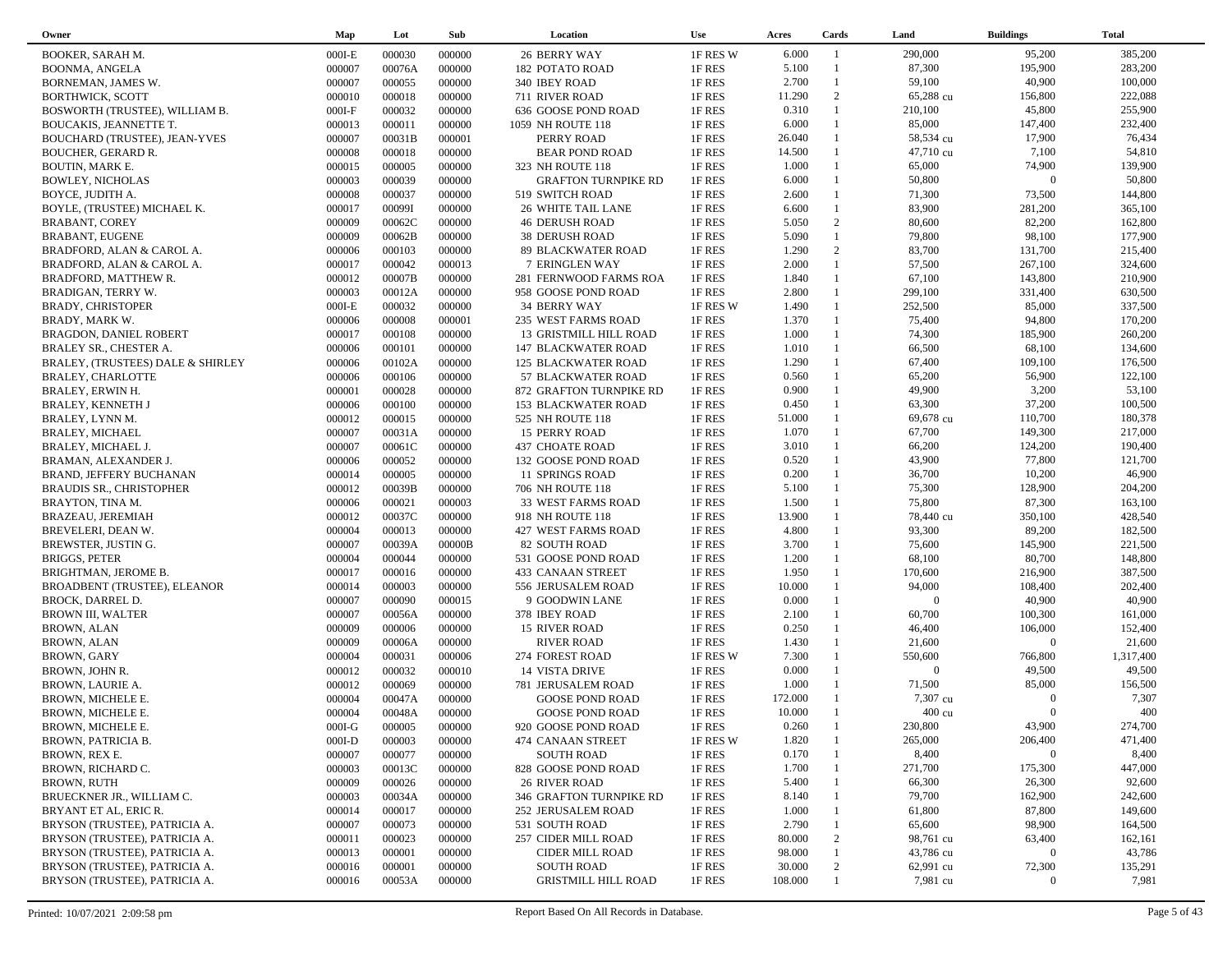| Owner                             | Map              | Lot              | Sub              | Location                               | <b>Use</b>         | Acres          | Cards          | Land               | <b>Buildings</b>          | <b>Total</b>       |
|-----------------------------------|------------------|------------------|------------------|----------------------------------------|--------------------|----------------|----------------|--------------------|---------------------------|--------------------|
| BOOKER, SARAH M.                  | $000I-E$         | 000030           | 000000           | <b>26 BERRY WAY</b>                    | 1F RES W           | 6.000          | $\overline{1}$ | 290,000            | 95,200                    | 385,200            |
| <b>BOONMA, ANGELA</b>             | 000007           | 00076A           | 000000           | <b>182 POTATO ROAD</b>                 | 1F RES             | 5.100          | $\overline{1}$ | 87,300             | 195,900                   | 283,200            |
| BORNEMAN, JAMES W.                | 000007           | 000055           | 000000           | 340 IBEY ROAD                          | 1F RES             | 2.700          | $\mathbf{1}$   | 59,100             | 40,900                    | 100,000            |
| <b>BORTHWICK, SCOTT</b>           | 000010           | 000018           | 000000           | 711 RIVER ROAD                         | 1F RES             | 11.290         | 2              | 65,288 cu          | 156,800                   | 222,088            |
| BOSWORTH (TRUSTEE), WILLIAM B.    | $000I-F$         | 000032           | 000000           | 636 GOOSE POND ROAD                    | 1F RES             | 0.310          | $\mathbf{1}$   | 210,100            | 45,800                    | 255,900            |
| <b>BOUCAKIS, JEANNETTE T.</b>     | 000013           | 000011           | 000000           | 1059 NH ROUTE 118                      | 1F RES             | 6.000          | $\mathbf{1}$   | 85,000             | 147,400                   | 232,400            |
| BOUCHARD (TRUSTEE), JEAN-YVES     | 000007           | 00031B           | 000001           | PERRY ROAD                             | 1F RES             | 26.040         | $\mathbf{1}$   | 58,534 cu          | 17,900                    | 76,434             |
| <b>BOUCHER, GERARD R.</b>         | 000008           | 000018           | 000000           | <b>BEAR POND ROAD</b>                  | 1F RES             | 14.500         | $\mathbf{1}$   | 47,710 cu          | 7,100                     | 54,810             |
| BOUTIN, MARK E.                   | 000015           | 000005           | 000000           | 323 NH ROUTE 118                       | 1F RES             | 1.000          | $\mathbf{1}$   | 65,000             | 74,900                    | 139,900            |
| <b>BOWLEY, NICHOLAS</b>           | 000003           | 000039           | 000000           | <b>GRAFTON TURNPIKE RD</b>             | 1F RES             | 6.000          | $\mathbf{1}$   | 50,800             | $\overline{0}$            | 50,800             |
| BOYCE, JUDITH A.                  | 000008           | 000037           | 000000           | 519 SWITCH ROAD                        | 1F RES             | 2.600          | $\mathbf{1}$   | 71,300             | 73,500                    | 144,800            |
| BOYLE, (TRUSTEE) MICHAEL K.       | 000017           | 00099I           | 000000           | <b>26 WHITE TAIL LANE</b>              | 1F RES             | 6.600          | $\mathbf{1}$   | 83,900             | 281,200                   | 365,100            |
| <b>BRABANT, COREY</b>             | 000009           | 00062C           | 000000           | <b>46 DERUSH ROAD</b>                  | 1F RES             | 5.050          | 2              | 80,600             | 82,200                    | 162,800            |
| BRABANT, EUGENE                   | 000009           | 00062B           | 000000           | <b>38 DERUSH ROAD</b>                  | 1F RES             | 5.090          | $\mathbf{1}$   | 79,800             | 98,100                    | 177,900            |
| BRADFORD, ALAN & CAROL A.         | 000006           | 000103           | 000000           | 89 BLACKWATER ROAD                     | 1F RES             | 1.290          | 2              | 83,700             | 131,700                   | 215,400            |
| BRADFORD, ALAN & CAROL A.         | 000017           | 000042           | 000013           | 7 ERINGLEN WAY                         | 1F RES             | 2.000          | $\mathbf{1}$   | 57,500             | 267,100                   | 324,600            |
| BRADFORD, MATTHEW R.              | 000012           | 00007B           | 000000           | 281 FERNWOOD FARMS ROA                 | 1F RES             | 1.840          | $\mathbf{1}$   | 67,100             | 143,800                   | 210,900            |
| BRADIGAN, TERRY W.                | 000003           | 00012A           | 000000           | 958 GOOSE POND ROAD                    | 1F RES             | 2.800          | $\mathbf{1}$   | 299,100            | 331,400                   | 630,500            |
| <b>BRADY, CHRISTOPER</b>          | $000I-E$         | 000032           | 000000           | <b>34 BERRY WAY</b>                    | 1F RES W           | 1.490          | $\mathbf{1}$   | 252,500            | 85,000                    | 337,500            |
| BRADY, MARK W.                    | 000006           | 000008           | 000001           | 235 WEST FARMS ROAD                    | 1F RES             | 1.370          | $\mathbf{1}$   | 75,400             | 94,800                    | 170,200            |
| <b>BRAGDON, DANIEL ROBERT</b>     | 000017           | 000108           | 000000           | 13 GRISTMILL HILL ROAD                 | 1F RES             | 1.000          | $\mathbf{1}$   | 74,300             | 185,900                   | 260,200            |
| BRALEY SR., CHESTER A.            | 000006           | 000101           | 000000           | 147 BLACKWATER ROAD                    | 1F RES             | 1.010          | $\mathbf{1}$   | 66,500             | 68,100                    | 134,600            |
| BRALEY, (TRUSTEES) DALE & SHIRLEY | 000006           | 00102A           | 000000           | <b>125 BLACKWATER ROAD</b>             | 1F RES             | 1.290          | $\mathbf{1}$   | 67,400             | 109,100                   | 176,500            |
| BRALEY, CHARLOTTE                 | 000006           | 000106           | 000000           | 57 BLACKWATER ROAD                     | 1F RES             | 0.560          | $\mathbf{1}$   | 65,200             | 56,900                    | 122,100            |
| BRALEY, ERWIN H.                  | 000001           | 000028           | 000000           | 872 GRAFTON TURNPIKE RD                | 1F RES             | 0.900          | $\mathbf{1}$   | 49,900             | 3,200                     | 53,100             |
| <b>BRALEY, KENNETH J</b>          | 000006           | 000100           | 000000           | <b>153 BLACKWATER ROAD</b>             | 1F RES             | 0.450          | $\mathbf{1}$   | 63,300             | 37,200                    | 100,500            |
| BRALEY, LYNN M.                   | 000012           | 000015           | 000000           | 525 NH ROUTE 118                       | 1F RES             | 51.000         | $\mathbf{1}$   | 69,678 cu          | 110,700                   | 180,378            |
| <b>BRALEY, MICHAEL</b>            | 000007           | 00031A           | 000000           | <b>15 PERRY ROAD</b>                   | 1F RES             | 1.070          | $\mathbf{1}$   | 67,700             | 149,300                   | 217,000            |
| <b>BRALEY, MICHAEL J.</b>         | 000007           | 00061C           | 000000           | 437 CHOATE ROAD                        | 1F RES             | 3.010          | $\mathbf{1}$   | 66,200             | 124,200                   | 190,400            |
| BRAMAN, ALEXANDER J.              | 000006           | 000052           | 000000           | 132 GOOSE POND ROAD                    | 1F RES             | 0.520          | $\mathbf{1}$   | 43,900             | 77,800                    | 121,700            |
|                                   | 000014           | 000005           | 000000           |                                        | 1F RES             | 0.200          | $\mathbf{1}$   | 36,700             | 10,200                    | 46,900             |
| BRAND, JEFFERY BUCHANAN           | 000012           | 00039B           | 000000           | 11 SPRINGS ROAD                        | 1F RES             | 5.100          | $\mathbf{1}$   | 75,300             | 128,900                   | 204,200            |
| <b>BRAUDIS SR., CHRISTOPHER</b>   | 000006           | 000021           | 000003           | 706 NH ROUTE 118<br>33 WEST FARMS ROAD | 1F RES             | 1.500          | $\mathbf{1}$   | 75,800             | 87,300                    | 163,100            |
| BRAYTON, TINA M.                  |                  | 00037C           | 000000           |                                        |                    | 13.900         | $\mathbf{1}$   | 78,440 cu          | 350,100                   | 428,540            |
| BRAZEAU, JEREMIAH                 | 000012<br>000004 | 000013           | 000000           | 918 NH ROUTE 118                       | 1F RES<br>1F RES   | 4.800          | $\mathbf{1}$   | 93,300             | 89,200                    | 182,500            |
| BREVELERI, DEAN W.                |                  | 00039A           | 00000B           | 427 WEST FARMS ROAD                    |                    | 3.700          | $\mathbf{1}$   | 75,600             | 145,900                   | 221,500            |
| BREWSTER, JUSTIN G.               | 000007           | 000044           |                  | 82 SOUTH ROAD                          | 1F RES             | 1.200          | $\mathbf{1}$   | 68,100             | 80,700                    | 148,800            |
| <b>BRIGGS, PETER</b>              | 000004           |                  | 000000           | 531 GOOSE POND ROAD                    | 1F RES             | 1.950          | $\mathbf{1}$   | 170,600            | 216,900                   | 387,500            |
| BRIGHTMAN, JEROME B.              | 000017           | 000016<br>000003 | 000000           | 433 CANAAN STREET                      | 1F RES             | 10.000         | $\mathbf{1}$   | 94,000             | 108,400                   | 202,400            |
| BROADBENT (TRUSTEE), ELEANOR      | 000014<br>000007 | 000090           | 000000           | 556 JERUSALEM ROAD                     | 1F RES             | 0.000          | $\mathbf{1}$   | $\overline{0}$     | 40,900                    | 40,900             |
| BROCK, DARREL D.                  |                  |                  | 000015           | 9 GOODWIN LANE                         | 1F RES             |                | $\mathbf{1}$   |                    |                           |                    |
| <b>BROWN III, WALTER</b>          | 000007<br>000009 | 00056A<br>000006 | 000000           | 378 IBEY ROAD                          | 1F RES             | 2.100<br>0.250 | $\mathbf{1}$   | 60,700             | 100,300<br>106,000        | 161,000<br>152,400 |
| <b>BROWN, ALAN</b>                |                  |                  | 000000           | 15 RIVER ROAD                          | 1F RES             | 1.430          | $\mathbf{1}$   | 46,400<br>21,600   | $\Omega$                  | 21,600             |
| <b>BROWN, ALAN</b>                | 000009           | 00006A<br>000031 | 000000<br>000006 | <b>RIVER ROAD</b>                      | 1F RES<br>1F RES W | 7.300          | $\mathbf{1}$   | 550,600            | 766,800                   | 1,317,400          |
| BROWN, GARY                       | 000004           | 000032           | 000010           | 274 FOREST ROAD<br>14 VISTA DRIVE      |                    | 0.000          | $\mathbf{1}$   | $\overline{0}$     | 49,500                    | 49,500             |
| BROWN, JOHN R.                    | 000012           | 000069           | 000000           | 781 JERUSALEM ROAD                     | 1F RES             | 1.000          | $\mathbf{1}$   | 71,500             | 85,000                    | 156,500            |
| BROWN, LAURIE A.                  | 000012           |                  |                  |                                        | 1F RES             | 172.000        |                | 7,307 cu           | $\Omega$                  | 7,307              |
| BROWN, MICHELE E.                 | 000004<br>000004 | 00047A<br>00048A | 000000           | <b>GOOSE POND ROAD</b>                 | 1F RES             | 10.000         |                | 400 cu             | $\overline{0}$            | 400                |
| BROWN, MICHELE E.                 | $000I-G$         | 000005           | 000000           | <b>GOOSE POND ROAD</b>                 | 1F RES             | 0.260          |                |                    |                           |                    |
| BROWN, MICHELE E.                 |                  |                  | 000000           | 920 GOOSE POND ROAD                    | 1F RES             | 1.820          |                | 230,800<br>265,000 | 43,900                    | 274,700            |
| BROWN, PATRICIA B.                | $000I-D$         | 000003           | 000000           | 474 CANAAN STREET                      | 1F RES W           |                |                |                    | 206,400<br>$\overline{0}$ | 471,400            |
| BROWN, REX E.                     | 000007           | 000077           | 000000           | SOUTH ROAD                             | 1F RES             | 0.170          |                | 8,400              |                           | 8,400              |
| BROWN, RICHARD C.                 | 000003           | 00013C           | 000000           | 828 GOOSE POND ROAD                    | 1F RES             | 1.700          |                | 271,700            | 175,300                   | 447,000            |
| <b>BROWN, RUTH</b>                | 000009           | 000026           | 000000           | <b>26 RIVER ROAD</b>                   | 1F RES             | 5.400          |                | 66,300             | 26,300                    | 92,600             |
| BRUECKNER JR., WILLIAM C.         | 000003           | 00034A           | 000000           | 346 GRAFTON TURNPIKE RD                | 1F RES             | 8.140          |                | 79,700             | 162,900                   | 242,600            |
| BRYANT ET AL, ERIC R.             | 000014           | 000017           | 000000           | 252 JERUSALEM ROAD                     | 1F RES             | 1.000          |                | 61,800             | 87,800                    | 149,600            |
| BRYSON (TRUSTEE), PATRICIA A.     | 000007           | 000073           | 000000           | 531 SOUTH ROAD                         | 1F RES             | 2.790          |                | 65,600             | 98,900                    | 164,500            |
| BRYSON (TRUSTEE), PATRICIA A.     | 000011           | 000023           | 000000           | 257 CIDER MILL ROAD                    | 1F RES             | 80.000         | $\overline{c}$ | 98,761 cu          | 63,400                    | 162,161            |
| BRYSON (TRUSTEE), PATRICIA A.     | 000013           | 000001           | 000000           | CIDER MILL ROAD                        | 1F RES             | 98.000         |                | 43,786 cu          | $\mathbf{0}$              | 43,786             |
| BRYSON (TRUSTEE), PATRICIA A.     | 000016           | 000001           | 000000           | SOUTH ROAD                             | 1F RES             | 30.000         | $\overline{c}$ | 62,991 cu          | 72,300                    | 135,291            |
| BRYSON (TRUSTEE), PATRICIA A.     | 000016           | 00053A           | 000000           | <b>GRISTMILL HILL ROAD</b>             | 1F RES             | 108.000        |                | 7,981 cu           | $\bf{0}$                  | 7,981              |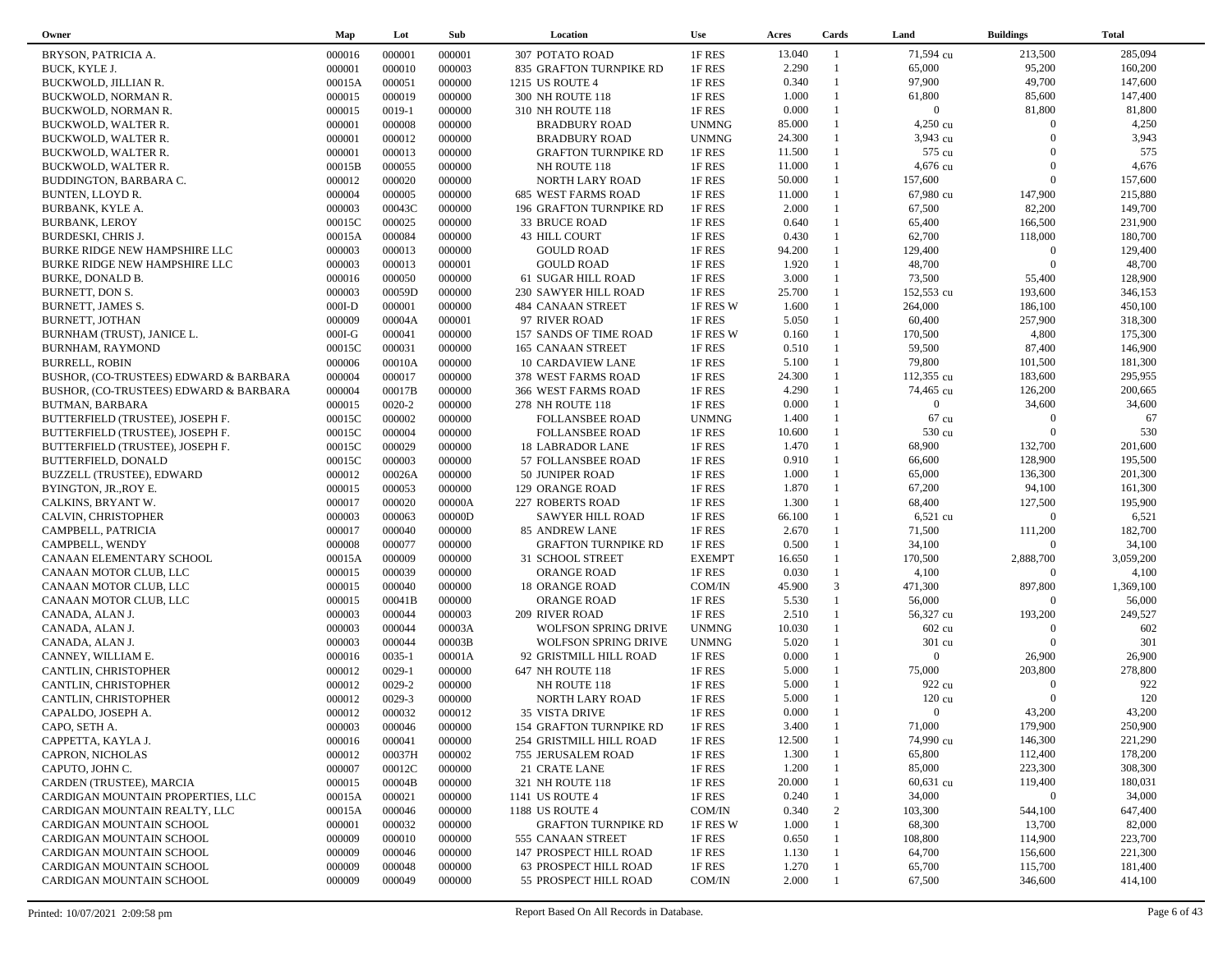| Owner                                  | Map      | Lot        | Sub    | Location                    | <b>Use</b>    | Acres  | Cards                        | Land             | <b>Buildings</b> | <b>Total</b> |  |
|----------------------------------------|----------|------------|--------|-----------------------------|---------------|--------|------------------------------|------------------|------------------|--------------|--|
| BRYSON, PATRICIA A.                    | 000016   | 000001     | 000001 | <b>307 POTATO ROAD</b>      | 1F RES        | 13.040 | $\overline{1}$               | 71,594 cu        | 213,500          | 285,094      |  |
| BUCK, KYLE J.                          | 000001   | 000010     | 000003 | 835 GRAFTON TURNPIKE RD     | 1F RES        | 2.290  | $\mathbf{1}$                 | 65,000           | 95,200           | 160,200      |  |
| BUCKWOLD, JILLIAN R.                   | 00015A   | 000051     | 000000 | 1215 US ROUTE 4             | 1F RES        | 0.340  | $\mathbf{1}$                 | 97,900           | 49,700           | 147,600      |  |
| BUCKWOLD, NORMAN R.                    | 000015   | 000019     | 000000 | 300 NH ROUTE 118            | 1F RES        | 1.000  | $\mathbf{1}$                 | 61,800           | 85,600           | 147,400      |  |
| BUCKWOLD, NORMAN R.                    | 000015   | $0019-1$   | 000000 | 310 NH ROUTE 118            | 1F RES        | 0.000  |                              | $\overline{0}$   | 81,800           | 81,800       |  |
| <b>BUCKWOLD, WALTER R.</b>             | 000001   | 000008     | 000000 | <b>BRADBURY ROAD</b>        | <b>UNMNG</b>  | 85.000 | $\mathbf{1}$                 | 4,250 cu         | $\Omega$         | 4,250        |  |
| BUCKWOLD, WALTER R.                    | 000001   | 000012     | 000000 | <b>BRADBURY ROAD</b>        | <b>UNMNG</b>  | 24.300 |                              | 3,943 cu         | $\Omega$         | 3,943        |  |
|                                        | 000001   | 000013     | 000000 |                             | 1F RES        | 11.500 | $\mathbf{1}$                 | 575 cu           | $\Omega$         | 575          |  |
| BUCKWOLD, WALTER R.                    |          |            |        | <b>GRAFTON TURNPIKE RD</b>  |               | 11.000 |                              | 4,676 cu         | $\Omega$         | 4,676        |  |
| BUCKWOLD, WALTER R.                    | 00015B   | 000055     | 000000 | NH ROUTE 118                | 1F RES        |        | $\mathbf{1}$                 |                  | $\overline{0}$   |              |  |
| BUDDINGTON, BARBARA C.                 | 000012   | 000020     | 000000 | NORTH LARY ROAD             | 1F RES        | 50.000 |                              | 157,600          |                  | 157,600      |  |
| BUNTEN, LLOYD R.                       | 000004   | 000005     | 000000 | 685 WEST FARMS ROAD         | 1F RES        | 11.000 | $\mathbf{1}$<br>$\mathbf{1}$ | 67,980 cu        | 147,900          | 215,880      |  |
| BURBANK, KYLE A.                       | 000003   | 00043C     | 000000 | 196 GRAFTON TURNPIKE RD     | 1F RES        | 2.000  |                              | 67,500           | 82,200           | 149,700      |  |
| <b>BURBANK, LEROY</b>                  | 00015C   | 000025     | 000000 | 33 BRUCE ROAD               | 1F RES        | 0.640  | $\mathbf{1}$                 | 65,400           | 166,500          | 231,900      |  |
| BURDESKI, CHRIS J.                     | 00015A   | 000084     | 000000 | 43 HILL COURT               | 1F RES        | 0.430  | $\mathbf{1}$                 | 62,700           | 118,000          | 180,700      |  |
| BURKE RIDGE NEW HAMPSHIRE LLC          | 000003   | 000013     | 000000 | <b>GOULD ROAD</b>           | 1F RES        | 94.200 | $\mathbf{1}$                 | 129,400          | $\overline{0}$   | 129,400      |  |
| BURKE RIDGE NEW HAMPSHIRE LLC          | 000003   | 000013     | 000001 | <b>GOULD ROAD</b>           | 1F RES        | 1.920  | $\mathbf{1}$                 | 48,700           | $\overline{0}$   | 48,700       |  |
| <b>BURKE, DONALD B.</b>                | 000016   | 000050     | 000000 | 61 SUGAR HILL ROAD          | 1F RES        | 3.000  | $\mathbf{1}$                 | 73,500           | 55,400           | 128,900      |  |
| BURNETT, DON S.                        | 000003   | 00059D     | 000000 | 230 SAWYER HILL ROAD        | 1F RES        | 25.700 | $\mathbf{1}$                 | 152,553 cu       | 193,600          | 346,153      |  |
| <b>BURNETT, JAMES S.</b>               | $000I-D$ | 000001     | 000000 | 484 CANAAN STREET           | 1F RES W      | 1.600  | $\mathbf{1}$                 | 264,000          | 186,100          | 450,100      |  |
| BURNETT, JOTHAN                        | 000009   | 00004A     | 000001 | 97 RIVER ROAD               | 1F RES        | 5.050  | $\mathbf{1}$                 | 60,400           | 257,900          | 318,300      |  |
| BURNHAM (TRUST), JANICE L.             | $000I-G$ | 000041     | 000000 | 157 SANDS OF TIME ROAD      | 1F RES W      | 0.160  | $\mathbf{1}$                 | 170,500          | 4,800            | 175,300      |  |
| <b>BURNHAM, RAYMOND</b>                | 00015C   | 000031     | 000000 | 165 CANAAN STREET           | 1F RES        | 0.510  | $\mathbf{1}$                 | 59,500           | 87,400           | 146,900      |  |
| <b>BURRELL, ROBIN</b>                  | 000006   | 00010A     | 000000 | 10 CARDAVIEW LANE           | 1F RES        | 5.100  | $\mathbf{1}$                 | 79,800           | 101,500          | 181,300      |  |
| BUSHOR, (CO-TRUSTEES) EDWARD & BARBARA | 000004   | 000017     | 000000 | 378 WEST FARMS ROAD         | 1F RES        | 24.300 | $\mathbf{1}$                 | 112,355 cu       | 183,600          | 295,955      |  |
| BUSHOR, (CO-TRUSTEES) EDWARD & BARBARA | 000004   | 00017B     | 000000 | 366 WEST FARMS ROAD         | 1F RES        | 4.290  | $\mathbf{1}$                 | 74,465 cu        | 126,200          | 200,665      |  |
| BUTMAN, BARBARA                        | 000015   | 0020-2     | 000000 | 278 NH ROUTE 118            | 1F RES        | 0.000  | $\mathbf{1}$                 | $\mathbf{0}$     | 34,600           | 34,600       |  |
| BUTTERFIELD (TRUSTEE), JOSEPH F.       | 00015C   | 000002     | 000000 | <b>FOLLANSBEE ROAD</b>      | <b>UNMNG</b>  | 1.400  | $\mathbf{1}$                 | 67 cu            | $\Omega$         | 67           |  |
| BUTTERFIELD (TRUSTEE), JOSEPH F.       | 00015C   | 000004     | 000000 | <b>FOLLANSBEE ROAD</b>      | 1F RES        | 10.600 |                              | 530 cu           | $\Omega$         | 530          |  |
| BUTTERFIELD (TRUSTEE), JOSEPH F.       | 00015C   | 000029     | 000000 | <b>18 LABRADOR LANE</b>     | 1F RES        | 1.470  | $\mathbf{1}$                 | 68,900           | 132,700          | 201,600      |  |
| <b>BUTTERFIELD, DONALD</b>             | 00015C   | 000003     | 000000 | 57 FOLLANSBEE ROAD          | 1F RES        | 0.910  | $\mathbf{1}$                 | 66,600           | 128,900          | 195,500      |  |
| BUZZELL (TRUSTEE), EDWARD              | 000012   | 00026A     | 000000 | 50 JUNIPER ROAD             | 1F RES        | 1.000  | $\mathbf{1}$                 | 65,000           | 136,300          | 201,300      |  |
| BYINGTON, JR., ROY E.                  | 000015   | 000053     | 000000 | 129 ORANGE ROAD             | 1F RES        | 1.870  | $\mathbf{1}$                 | 67,200           | 94,100           | 161,300      |  |
| CALKINS, BRYANT W.                     | 000017   | 000020     | 00000A | <b>227 ROBERTS ROAD</b>     | 1F RES        | 1.300  | $\mathbf{1}$                 | 68,400           | 127,500          | 195,900      |  |
| CALVIN, CHRISTOPHER                    | 000003   | 000063     | 00000D | <b>SAWYER HILL ROAD</b>     | 1F RES        | 66.100 | 1                            | 6,521 cu         | $\overline{0}$   | 6,521        |  |
| CAMPBELL, PATRICIA                     | 000017   | 000040     | 000000 | 85 ANDREW LANE              | 1F RES        | 2.670  | $\mathbf{1}$                 | 71,500           | 111,200          | 182,700      |  |
| CAMPBELL, WENDY                        | 000008   | 000077     | 000000 | <b>GRAFTON TURNPIKE RD</b>  | 1F RES        | 0.500  | $\mathbf{1}$                 | 34,100           | $\overline{0}$   | 34,100       |  |
| CANAAN ELEMENTARY SCHOOL               | 00015A   | 000009     | 000000 | 31 SCHOOL STREET            | <b>EXEMPT</b> | 16.650 | $\mathbf{1}$                 | 170,500          | 2,888,700        | 3,059,200    |  |
| CANAAN MOTOR CLUB, LLC                 | 000015   | 000039     | 000000 | ORANGE ROAD                 | 1F RES        | 0.030  | $\mathbf{1}$                 | 4,100            | $\overline{0}$   | 4,100        |  |
| CANAAN MOTOR CLUB, LLC                 | 000015   | 000040     | 000000 | 18 ORANGE ROAD              | COM/IN        | 45.900 | $\mathfrak{Z}$               | 471,300          | 897,800          | 1,369,100    |  |
|                                        | 000015   | 00041B     | 000000 |                             | 1F RES        | 5.530  | $\mathbf{1}$                 | 56,000           | $\overline{0}$   | 56,000       |  |
| CANAAN MOTOR CLUB, LLC                 |          | 000044     |        | ORANGE ROAD                 |               | 2.510  | $\mathbf{1}$                 | 56,327 cu        | 193,200          | 249,527      |  |
| CANADA, ALAN J.                        | 000003   |            | 000003 | 209 RIVER ROAD              | 1F RES        |        | $\mathbf{1}$                 |                  | $\Omega$         | 602          |  |
| CANADA, ALAN J.                        | 000003   | 000044     | 00003A | <b>WOLFSON SPRING DRIVE</b> | <b>UNMNG</b>  | 10.030 | 1                            | 602 cu           | $\Omega$         |              |  |
| CANADA, ALAN J.                        | 000003   | 000044     | 00003B | <b>WOLFSON SPRING DRIVE</b> | <b>UNMNG</b>  | 5.020  | $\mathbf{1}$                 | 301 cu           |                  | 301          |  |
| CANNEY, WILLIAM E.                     | 000016   | $0035 - 1$ | 00001A | 92 GRISTMILL HILL ROAD      | 1F RES        | 0.000  |                              | $\overline{0}$   | 26,900           | 26,900       |  |
| CANTLIN, CHRISTOPHER                   | 000012   | $0029 - 1$ | 000000 | 647 NH ROUTE 118            | 1F RES        | 5.000  | $\mathbf{1}$                 | 75,000           | 203,800          | 278,800      |  |
| CANTLIN, CHRISTOPHER                   | 000012   | 0029-2     | 000000 | NH ROUTE 118                | 1F RES        | 5.000  |                              | 922 cu           | $\Omega$         | 922          |  |
| CANTLIN, CHRISTOPHER                   | 000012   | 0029-3     | 000000 | NORTH LARY ROAD             | 1F RES        | 5.000  |                              | $120 \text{ cu}$ | $\Omega$         | 120          |  |
| CAPALDO, JOSEPH A.                     | 000012   | 000032     | 000012 | 35 VISTA DRIVE              | 1F RES        | 0.000  | $\mathbf{1}$                 | $\overline{0}$   | 43,200           | 43,200       |  |
| CAPO, SETH A.                          | 000003   | 000046     | 000000 | 154 GRAFTON TURNPIKE RD     | 1F RES        | 3.400  |                              | 71,000           | 179,900          | 250,900      |  |
| CAPPETTA, KAYLA J.                     | 000016   | 000041     | 000000 | 254 GRISTMILL HILL ROAD     | 1F RES        | 12.500 |                              | 74,990 cu        | 146,300          | 221,290      |  |
| CAPRON, NICHOLAS                       | 000012   | 00037H     | 000002 | 755 JERUSALEM ROAD          | 1F RES        | 1.300  |                              | 65,800           | 112,400          | 178,200      |  |
| CAPUTO, JOHN C.                        | 000007   | 00012C     | 000000 | 21 CRATE LANE               | 1F RES        | 1.200  |                              | 85,000           | 223,300          | 308,300      |  |
| CARDEN (TRUSTEE), MARCIA               | 000015   | 00004B     | 000000 | 321 NH ROUTE 118            | 1F RES        | 20.000 |                              | 60,631 cu        | 119,400          | 180,031      |  |
| CARDIGAN MOUNTAIN PROPERTIES, LLC      | 00015A   | 000021     | 000000 | 1141 US ROUTE 4             | 1F RES        | 0.240  |                              | 34,000           | $\overline{0}$   | 34,000       |  |
| CARDIGAN MOUNTAIN REALTY, LLC          | 00015A   | 000046     | 000000 | 1188 US ROUTE 4             | COM/IN        | 0.340  | $\overline{c}$               | 103,300          | 544,100          | 647,400      |  |
| CARDIGAN MOUNTAIN SCHOOL               | 000001   | 000032     | 000000 | <b>GRAFTON TURNPIKE RD</b>  | 1F RES W      | 1.000  | -1                           | 68,300           | 13,700           | 82,000       |  |
| CARDIGAN MOUNTAIN SCHOOL               | 000009   | 000010     | 000000 | 555 CANAAN STREET           | 1F RES        | 0.650  |                              | 108,800          | 114,900          | 223,700      |  |
| CARDIGAN MOUNTAIN SCHOOL               | 000009   | 000046     | 000000 | 147 PROSPECT HILL ROAD      | 1F RES        | 1.130  |                              | 64,700           | 156,600          | 221,300      |  |
| CARDIGAN MOUNTAIN SCHOOL               | 000009   | 000048     | 000000 | 63 PROSPECT HILL ROAD       | 1F RES        | 1.270  |                              | 65,700           | 115,700          | 181,400      |  |
| CARDIGAN MOUNTAIN SCHOOL               | 000009   | 000049     | 000000 | 55 PROSPECT HILL ROAD       | COM/IN        | 2.000  |                              | 67,500           | 346,600          | 414,100      |  |
|                                        |          |            |        |                             |               |        |                              |                  |                  |              |  |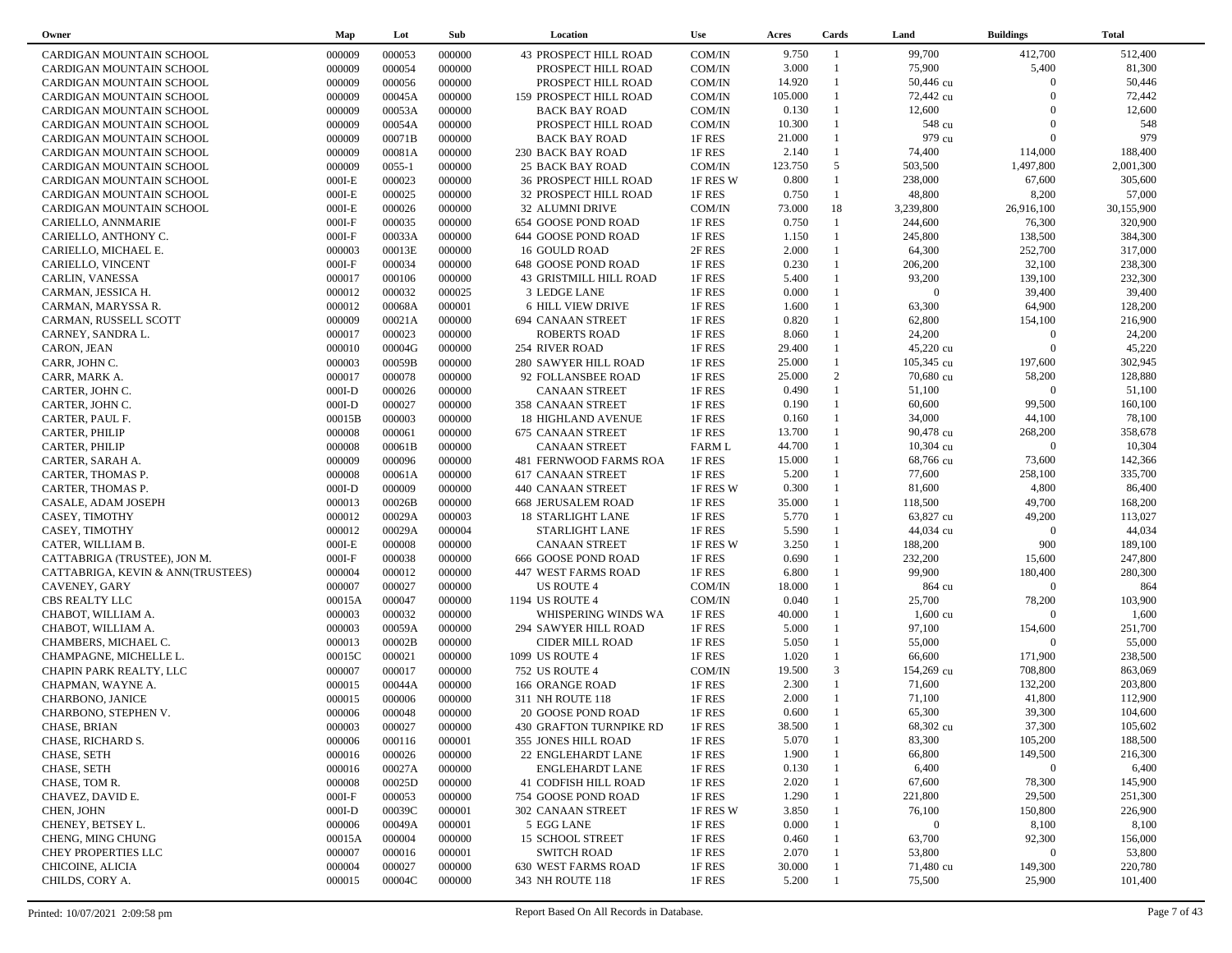| Owner                             | Map      | Lot        | Sub    | Location                    | <b>Use</b>    | Acres   | Cards        | Land               | <b>Buildings</b>    | <b>Total</b> |  |
|-----------------------------------|----------|------------|--------|-----------------------------|---------------|---------|--------------|--------------------|---------------------|--------------|--|
| CARDIGAN MOUNTAIN SCHOOL          | 000009   | 000053     | 000000 | 43 PROSPECT HILL ROAD       | COM/IN        | 9.750   | -1           | 99,700             | 412,700             | 512,400      |  |
| CARDIGAN MOUNTAIN SCHOOL          | 000009   | 000054     | 000000 | PROSPECT HILL ROAD          | COM/IN        | 3.000   |              | 75,900             | 5,400               | 81,300       |  |
| CARDIGAN MOUNTAIN SCHOOL          | 000009   | 000056     | 000000 | PROSPECT HILL ROAD          | COM/IN        | 14.920  | $\mathbf{1}$ | 50,446 cu          | $\Omega$            | 50,446       |  |
| CARDIGAN MOUNTAIN SCHOOL          | 000009   | 00045A     | 000000 | 159 PROSPECT HILL ROAD      | COM/IN        | 105.000 |              | 72,442 cu          | $\Omega$            | 72,442       |  |
| CARDIGAN MOUNTAIN SCHOOL          | 000009   | 00053A     | 000000 | <b>BACK BAY ROAD</b>        | COM/IN        | 0.130   | $\mathbf{1}$ | 12,600             | $\Omega$            | 12,600       |  |
| CARDIGAN MOUNTAIN SCHOOL          | 000009   | 00054A     | 000000 | PROSPECT HILL ROAD          | COM/IN        | 10.300  |              | 548 cu             | $\Omega$            | 548          |  |
| CARDIGAN MOUNTAIN SCHOOL          | 000009   | 00071B     | 000000 | <b>BACK BAY ROAD</b>        | 1F RES        | 21.000  | $\mathbf{1}$ | 979 cu             | $\Omega$            | 979          |  |
| CARDIGAN MOUNTAIN SCHOOL          | 000009   | 00081A     | 000000 | 230 BACK BAY ROAD           | 1F RES        | 2.140   | $\mathbf{1}$ | 74,400             | 114,000             | 188,400      |  |
| CARDIGAN MOUNTAIN SCHOOL          | 000009   | $0055 - 1$ | 000000 | <b>25 BACK BAY ROAD</b>     | COM/IN        | 123.750 | 5            | 503,500            | 1,497,800           | 2,001,300    |  |
|                                   |          | 000023     | 000000 |                             | 1F RES W      | 0.800   | $\mathbf{1}$ | 238,000            | 67,600              | 305,600      |  |
| CARDIGAN MOUNTAIN SCHOOL          | $000I-E$ |            |        | 36 PROSPECT HILL ROAD       |               |         | $\mathbf{1}$ |                    |                     |              |  |
| CARDIGAN MOUNTAIN SCHOOL          | $000I-E$ | 000025     | 000000 | 32 PROSPECT HILL ROAD       | 1F RES        | 0.750   |              | 48,800             | 8,200               | 57,000       |  |
| CARDIGAN MOUNTAIN SCHOOL          | $000I-E$ | 000026     | 000000 | 32 ALUMNI DRIVE             | COM/IN        | 73.000  | 18           | 3,239,800          | 26,916,100          | 30,155,900   |  |
| CARIELLO, ANNMARIE                | $000I-F$ | 000035     | 000000 | 654 GOOSE POND ROAD         | 1F RES        | 0.750   | $\mathbf{1}$ | 244,600            | 76,300              | 320,900      |  |
| CARIELLO, ANTHONY C.              | $000I-F$ | 00033A     | 000000 | 644 GOOSE POND ROAD         | 1F RES        | 1.150   | $\mathbf{1}$ | 245,800            | 138,500             | 384,300      |  |
| CARIELLO, MICHAEL E.              | 000003   | 00013E     | 000000 | <b>16 GOULD ROAD</b>        | 2F RES        | 2.000   | $\mathbf{1}$ | 64,300             | 252,700             | 317,000      |  |
| CARIELLO, VINCENT                 | $000I-F$ | 000034     | 000000 | 648 GOOSE POND ROAD         | 1F RES        | 0.230   | $\mathbf{1}$ | 206,200            | 32,100              | 238,300      |  |
| CARLIN, VANESSA                   | 000017   | 000106     | 000000 | 43 GRISTMILL HILL ROAD      | 1F RES        | 5.400   | $\mathbf{1}$ | 93,200             | 139,100             | 232,300      |  |
| CARMAN, JESSICA H.                | 000012   | 000032     | 000025 | 3 LEDGE LANE                | 1F RES        | 0.000   | 1            | $\overline{0}$     | 39,400              | 39,400       |  |
| CARMAN, MARYSSA R.                | 000012   | 00068A     | 000001 | <b>6 HILL VIEW DRIVE</b>    | 1F RES        | 1.600   | $\mathbf{1}$ | 63,300             | 64,900              | 128,200      |  |
| CARMAN, RUSSELL SCOTT             | 000009   | 00021A     | 000000 | <b>694 CANAAN STREET</b>    | 1F RES        | 0.820   |              | 62,800             | 154,100             | 216,900      |  |
| CARNEY, SANDRA L.                 | 000017   | 000023     | 000000 | <b>ROBERTS ROAD</b>         | 1F RES        | 8.060   | $\mathbf{1}$ | 24,200             | $\overline{0}$      | 24,200       |  |
| CARON, JEAN                       | 000010   | 00004G     | 000000 | 254 RIVER ROAD              | 1F RES        | 29.400  |              | 45,220 cu          | $\Omega$            | 45,220       |  |
| CARR, JOHN C.                     | 000003   | 00059B     | 000000 | <b>280 SAWYER HILL ROAD</b> | 1F RES        | 25.000  | $\mathbf{1}$ | 105,345 cu         | 197,600             | 302,945      |  |
| CARR, MARK A.                     | 000017   | 000078     | 000000 | 92 FOLLANSBEE ROAD          | 1F RES        | 25.000  | 2            | 70,680 cu          | 58,200              | 128,880      |  |
| CARTER, JOHN C.                   | $000I-D$ | 000026     | 000000 | <b>CANAAN STREET</b>        | 1F RES        | 0.490   | $\mathbf{1}$ | 51,100             | $\overline{0}$      | 51,100       |  |
| CARTER, JOHN C.                   | $000I-D$ | 000027     | 000000 | 358 CANAAN STREET           | 1F RES        | 0.190   | $\mathbf{1}$ | 60,600             | 99,500              | 160,100      |  |
| CARTER, PAUL F.                   | 00015B   | 000003     | 000000 | <b>18 HIGHLAND AVENUE</b>   | 1F RES        | 0.160   | 1            | 34,000             | 44,100              | 78,100       |  |
| CARTER, PHILIP                    | 000008   | 000061     | 000000 | <b>675 CANAAN STREET</b>    | 1F RES        | 13.700  | 1            | 90,478 cu          | 268,200             | 358,678      |  |
| CARTER, PHILIP                    | 000008   | 00061B     | 000000 | <b>CANAAN STREET</b>        | <b>FARM L</b> | 44.700  |              | $10,304$ cu        | $\overline{0}$      | 10,304       |  |
| CARTER, SARAH A.                  | 000009   | 000096     | 000000 | 481 FERNWOOD FARMS ROA      | 1F RES        | 15.000  | 1            | 68,766 cu          | 73,600              | 142,366      |  |
| CARTER, THOMAS P.                 | 000008   | 00061A     | 000000 | <b>617 CANAAN STREET</b>    | 1F RES        | 5.200   | $\mathbf{1}$ | 77,600             | 258,100             | 335,700      |  |
| CARTER, THOMAS P.                 | $000I-D$ | 000009     | 000000 | 440 CANAAN STREET           | 1F RES W      | 0.300   | $\mathbf{1}$ | 81,600             | 4,800               | 86,400       |  |
| CASALE, ADAM JOSEPH               | 000013   | 00026B     | 000000 | <b>668 JERUSALEM ROAD</b>   | 1F RES        | 35.000  | $\mathbf{1}$ | 118,500            | 49,700              | 168,200      |  |
| CASEY, TIMOTHY                    | 000012   | 00029A     | 000003 | <b>18 STARLIGHT LANE</b>    | 1F RES        | 5.770   | $\mathbf{1}$ | 63,827 cu          | 49,200              | 113,027      |  |
| CASEY, TIMOTHY                    | 000012   | 00029A     | 000004 | STARLIGHT LANE              | 1F RES        | 5.590   | $\mathbf{1}$ | 44,034 cu          | $\Omega$            | 44,034       |  |
| CATER, WILLIAM B.                 | $000I-E$ | 000008     | 000000 | <b>CANAAN STREET</b>        | 1F RES W      | 3.250   | $\mathbf{1}$ | 188,200            | 900                 | 189,100      |  |
| CATTABRIGA (TRUSTEE), JON M.      | $000I-F$ | 000038     | 000000 | 666 GOOSE POND ROAD         | 1F RES        | 0.690   | $\mathbf{1}$ | 232,200            | 15,600              | 247,800      |  |
| CATTABRIGA, KEVIN & ANN(TRUSTEES) | 000004   | 000012     | 000000 | 447 WEST FARMS ROAD         | 1F RES        | 6.800   |              | 99,900             | 180,400             | 280,300      |  |
| <b>CAVENEY, GARY</b>              | 000007   | 000027     | 000000 | US ROUTE 4                  | COM/IN        | 18.000  | $\mathbf{1}$ | 864 cu             | $\Omega$            | 864          |  |
| CBS REALTY LLC                    | 00015A   | 000047     | 000000 | 1194 US ROUTE 4             | COM/IN        | 0.040   |              | 25,700             | 78,200              | 103,900      |  |
|                                   | 000003   | 000032     | 000000 | WHISPERING WINDS WA         | 1F RES        | 40.000  |              | $1,600 \text{ cu}$ | $\Omega$            | 1,600        |  |
| CHABOT, WILLIAM A.                |          |            |        |                             |               | 5.000   |              |                    |                     |              |  |
| CHABOT, WILLIAM A.                | 000003   | 00059A     | 000000 | 294 SAWYER HILL ROAD        | 1F RES        |         | $\mathbf{1}$ | 97,100             | 154,600<br>$\Omega$ | 251,700      |  |
| CHAMBERS, MICHAEL C.              | 000013   | 00002B     | 000000 | <b>CIDER MILL ROAD</b>      | 1F RES        | 5.050   | $\mathbf{1}$ | 55,000             |                     | 55,000       |  |
| CHAMPAGNE, MICHELLE L.            | 00015C   | 000021     | 000000 | 1099 US ROUTE 4             | 1F RES        | 1.020   |              | 66,600             | 171,900             | 238,500      |  |
| CHAPIN PARK REALTY, LLC           | 000007   | 000017     | 000000 | <b>752 US ROUTE 4</b>       | COM/IN        | 19.500  | 3            | 154,269 cu         | 708,800             | 863,069      |  |
| CHAPMAN, WAYNE A.                 | 000015   | 00044A     | 000000 | 166 ORANGE ROAD             | 1F RES        | 2.300   | $\mathbf{1}$ | 71,600             | 132,200             | 203,800      |  |
| CHARBONO, JANICE                  | 000015   | 000006     | 000000 | 311 NH ROUTE 118            | 1F RES        | 2.000   |              | 71,100             | 41,800              | 112,900      |  |
| CHARBONO, STEPHEN V.              | 000006   | 000048     | 000000 | 20 GOOSE POND ROAD          | 1F RES        | 0.600   | $\mathbf{1}$ | 65,300             | 39,300              | 104,600      |  |
| CHASE, BRIAN                      | 000003   | 000027     | 000000 | 430 GRAFTON TURNPIKE RD     | 1F RES        | 38.500  |              | 68,302 cu          | 37,300              | 105,602      |  |
| CHASE, RICHARD S.                 | 000006   | 000116     | 000001 | 355 JONES HILL ROAD         | 1F RES        | 5.070   |              | 83,300             | 105,200             | 188,500      |  |
| CHASE, SETH                       | 000016   | 000026     | 000000 | 22 ENGLEHARDT LANE          | 1F RES        | 1.900   |              | 66,800             | 149,500             | 216,300      |  |
| CHASE, SETH                       | 000016   | 00027A     | 000000 | <b>ENGLEHARDT LANE</b>      | 1F RES        | 0.130   |              | 6,400              | $\bf{0}$            | 6,400        |  |
| CHASE, TOM R.                     | 000008   | 00025D     | 000000 | 41 CODFISH HILL ROAD        | 1F RES        | 2.020   |              | 67,600             | 78,300              | 145,900      |  |
| CHAVEZ, DAVID E.                  | $000I-F$ | 000053     | 000000 | 754 GOOSE POND ROAD         | 1F RES        | 1.290   |              | 221,800            | 29,500              | 251,300      |  |
| CHEN, JOHN                        | $000I-D$ | 00039C     | 000001 | 302 CANAAN STREET           | 1F RES W      | 3.850   |              | 76,100             | 150,800             | 226,900      |  |
| CHENEY, BETSEY L.                 | 000006   | 00049A     | 000001 | 5 EGG LANE                  | 1F RES        | 0.000   |              | $\bf{0}$           | 8,100               | 8,100        |  |
| CHENG, MING CHUNG                 | 00015A   | 000004     | 000000 | <b>15 SCHOOL STREET</b>     | 1F RES        | 0.460   |              | 63,700             | 92,300              | 156,000      |  |
| CHEY PROPERTIES LLC               | 000007   | 000016     | 000001 | <b>SWITCH ROAD</b>          | 1F RES        | 2.070   |              | 53,800             | $\mathbf{0}$        | 53,800       |  |
| CHICOINE, ALICIA                  | 000004   | 000027     | 000000 | 630 WEST FARMS ROAD         | 1F RES        | 30.000  |              | 71,480 cu          | 149,300             | 220,780      |  |
| CHILDS, CORY A.                   | 000015   | 00004C     | 000000 | 343 NH ROUTE 118            | 1F RES        | 5.200   |              | 75,500             | 25,900              | 101,400      |  |
|                                   |          |            |        |                             |               |         |              |                    |                     |              |  |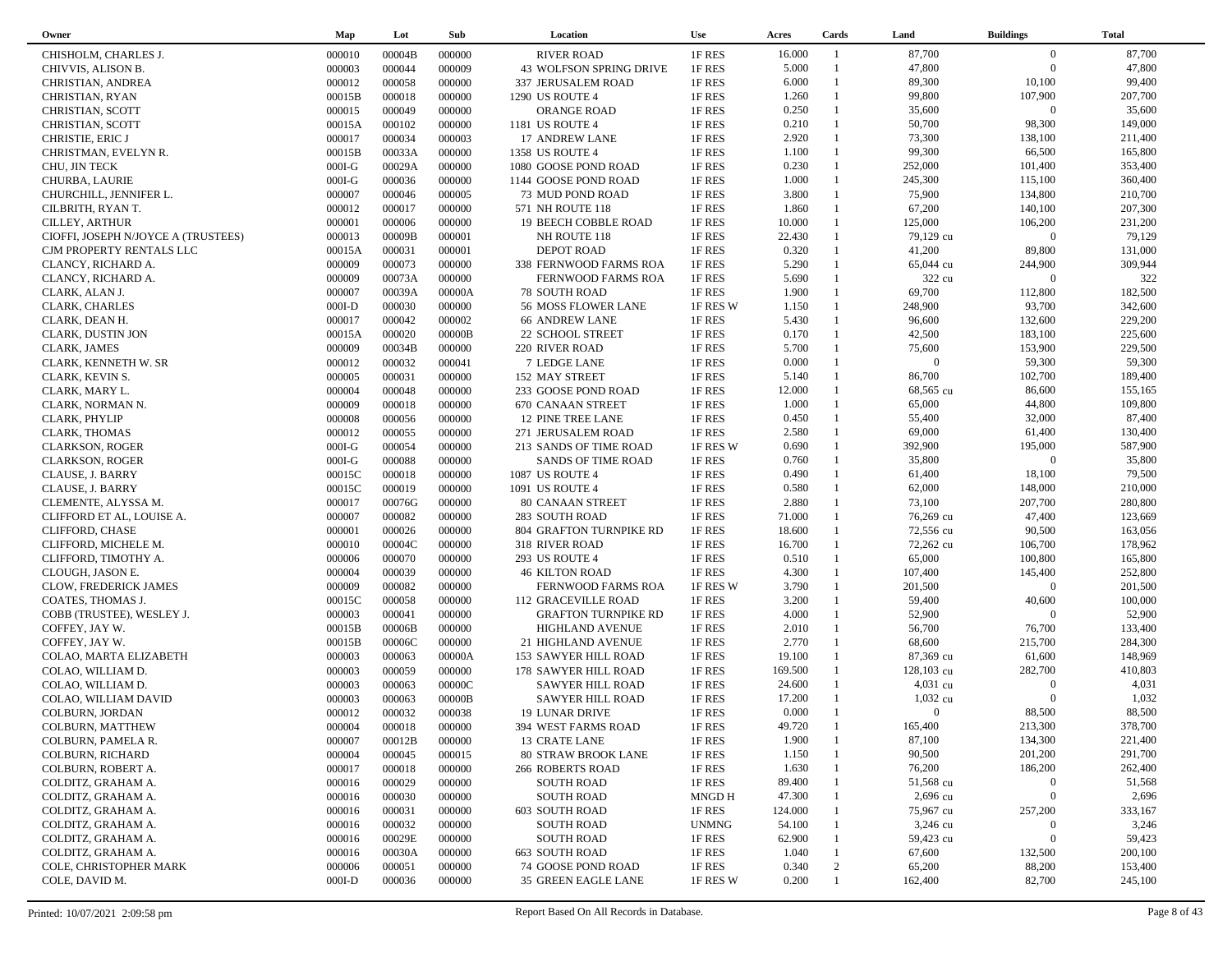| Owner                               | Map      | Lot    | Sub    | Location                       | Use          | Acres   | Cards        | Land           | <b>Buildings</b> | <b>Total</b> |
|-------------------------------------|----------|--------|--------|--------------------------------|--------------|---------|--------------|----------------|------------------|--------------|
| CHISHOLM, CHARLES J.                | 000010   | 00004B | 000000 | <b>RIVER ROAD</b>              | 1F RES       | 16.000  | -1           | 87,700         | $\overline{0}$   | 87,700       |
| CHIVVIS, ALISON B.                  | 000003   | 000044 | 000009 | <b>43 WOLFSON SPRING DRIVE</b> | 1F RES       | 5.000   |              | 47,800         | $\overline{0}$   | 47,800       |
| CHRISTIAN, ANDREA                   | 000012   | 000058 | 000000 | 337 JERUSALEM ROAD             | 1F RES       | 6.000   | $\mathbf{1}$ | 89,300         | 10,100           | 99,400       |
| CHRISTIAN, RYAN                     | 00015B   | 000018 | 000000 | 1290 US ROUTE 4                | 1F RES       | 1.260   | $\mathbf{1}$ | 99,800         | 107,900          | 207,700      |
| CHRISTIAN, SCOTT                    | 000015   | 000049 | 000000 | <b>ORANGE ROAD</b>             | 1F RES       | 0.250   | $\mathbf{1}$ | 35,600         | $\boldsymbol{0}$ | 35,600       |
| CHRISTIAN, SCOTT                    | 00015A   | 000102 | 000000 | 1181 US ROUTE 4                | 1F RES       | 0.210   | $\mathbf{1}$ | 50,700         | 98,300           | 149,000      |
| CHRISTIE, ERIC J                    | 000017   | 000034 | 000003 | 17 ANDREW LANE                 | 1F RES       | 2.920   | $\mathbf{1}$ | 73,300         | 138,100          | 211,400      |
|                                     |          | 00033A | 000000 |                                |              | 1.100   | $\mathbf{1}$ | 99,300         | 66,500           | 165,800      |
| CHRISTMAN, EVELYN R.                | 00015B   |        |        | 1358 US ROUTE 4                | 1F RES       |         | $\mathbf{1}$ |                |                  |              |
| CHU, JIN TECK                       | $000I-G$ | 00029A | 000000 | 1080 GOOSE POND ROAD           | 1F RES       | 0.230   | $\mathbf{1}$ | 252,000        | 101,400          | 353,400      |
| <b>CHURBA, LAURIE</b>               | $000I-G$ | 000036 | 000000 | 1144 GOOSE POND ROAD           | 1F RES       | 1.000   |              | 245,300        | 115,100          | 360,400      |
| CHURCHILL, JENNIFER L.              | 000007   | 000046 | 000005 | 73 MUD POND ROAD               | 1F RES       | 3.800   | $\mathbf{1}$ | 75,900         | 134,800          | 210,700      |
| CILBRITH, RYAN T.                   | 000012   | 000017 | 000000 | 571 NH ROUTE 118               | 1F RES       | 1.860   | $\mathbf{1}$ | 67,200         | 140,100          | 207,300      |
| <b>CILLEY, ARTHUR</b>               | 000001   | 000006 | 000000 | 19 BEECH COBBLE ROAD           | 1F RES       | 10.000  | $\mathbf{1}$ | 125,000        | 106,200          | 231,200      |
| CIOFFI, JOSEPH N/JOYCE A (TRUSTEES) | 000013   | 00009B | 000001 | NH ROUTE 118                   | 1F RES       | 22.430  | $\mathbf{1}$ | 79,129 cu      | $\overline{0}$   | 79,129       |
| CJM PROPERTY RENTALS LLC            | 00015A   | 000031 | 000001 | <b>DEPOT ROAD</b>              | 1F RES       | 0.320   | $\mathbf{1}$ | 41,200         | 89,800           | 131,000      |
| CLANCY, RICHARD A.                  | 000009   | 000073 | 000000 | 338 FERNWOOD FARMS ROA         | 1F RES       | 5.290   | $\mathbf{1}$ | 65,044 cu      | 244,900          | 309,944      |
| CLANCY, RICHARD A.                  | 000009   | 00073A | 000000 | FERNWOOD FARMS ROA             | 1F RES       | 5.690   | $\mathbf{1}$ | 322 cu         | $\Omega$         | 322          |
| CLARK, ALAN J.                      | 000007   | 00039A | 00000A | <b>78 SOUTH ROAD</b>           | 1F RES       | 1.900   | $\mathbf{1}$ | 69,700         | 112,800          | 182,500      |
| CLARK, CHARLES                      | $000I-D$ | 000030 | 000000 | 56 MOSS FLOWER LANE            | 1F RES W     | 1.150   | $\mathbf{1}$ | 248,900        | 93,700           | 342,600      |
| CLARK, DEAN H.                      | 000017   | 000042 | 000002 | <b>66 ANDREW LANE</b>          | 1F RES       | 5.430   | $\mathbf{1}$ | 96,600         | 132,600          | 229,200      |
| CLARK, DUSTIN JON                   | 00015A   | 000020 | 00000B | 22 SCHOOL STREET               | 1F RES       | 0.170   | $\mathbf{1}$ | 42,500         | 183,100          | 225,600      |
| CLARK, JAMES                        | 000009   | 00034B | 000000 | 220 RIVER ROAD                 | 1F RES       | 5.700   | $\mathbf{1}$ | 75,600         | 153,900          | 229,500      |
| CLARK, KENNETH W. SR                | 000012   | 000032 | 000041 | 7 LEDGE LANE                   | 1F RES       | 0.000   | $\mathbf{1}$ | $\overline{0}$ | 59,300           | 59,300       |
| CLARK, KEVIN S.                     | 000005   | 000031 | 000000 | 152 MAY STREET                 | 1F RES       | 5.140   | $\mathbf{1}$ | 86,700         | 102,700          | 189,400      |
| CLARK, MARY L.                      | 000004   | 000048 | 000000 | 233 GOOSE POND ROAD            | 1F RES       | 12.000  |              | 68,565 cu      | 86,600           | 155,165      |
| CLARK, NORMAN N.                    | 000009   | 000018 | 000000 | <b>670 CANAAN STREET</b>       | 1F RES       | 1.000   | $\mathbf{1}$ | 65,000         | 44,800           | 109,800      |
| CLARK, PHYLIP                       | 000008   | 000056 | 000000 | 12 PINE TREE LANE              | 1F RES       | 0.450   | $\mathbf{1}$ | 55,400         | 32,000           | 87,400       |
| <b>CLARK, THOMAS</b>                | 000012   | 000055 | 000000 | 271 JERUSALEM ROAD             | 1F RES       | 2.580   | $\mathbf{1}$ | 69,000         | 61,400           | 130,400      |
| <b>CLARKSON, ROGER</b>              | $000I-G$ | 000054 | 000000 | 213 SANDS OF TIME ROAD         | 1F RES W     | 0.690   | $\mathbf{1}$ | 392,900        | 195,000          | 587,900      |
| <b>CLARKSON, ROGER</b>              | $000I-G$ | 000088 | 000000 | SANDS OF TIME ROAD             | 1F RES       | 0.760   | $\mathbf{1}$ | 35,800         | $\boldsymbol{0}$ | 35,800       |
| CLAUSE, J. BARRY                    | 00015C   | 000018 | 000000 | <b>1087 US ROUTE 4</b>         | 1F RES       | 0.490   | $\mathbf{1}$ | 61,400         | 18,100           | 79,500       |
| CLAUSE, J. BARRY                    | 00015C   | 000019 | 000000 | 1091 US ROUTE 4                | 1F RES       | 0.580   | $\mathbf{1}$ | 62,000         | 148,000          | 210,000      |
| CLEMENTE, ALYSSA M.                 | 000017   | 00076G | 000000 | 80 CANAAN STREET               | 1F RES       | 2.880   | $\mathbf{1}$ | 73,100         | 207,700          | 280,800      |
| CLIFFORD ET AL, LOUISE A.           | 000007   | 000082 | 000000 | 283 SOUTH ROAD                 | 1F RES       | 71.000  | $\mathbf{1}$ | 76,269 cu      | 47,400           | 123,669      |
| CLIFFORD, CHASE                     | 000001   | 000026 | 000000 | 804 GRAFTON TURNPIKE RD        | 1F RES       | 18.600  | $\mathbf{1}$ | 72,556 cu      | 90,500           | 163,056      |
| CLIFFORD, MICHELE M.                | 000010   | 00004C | 000000 | 318 RIVER ROAD                 | 1F RES       | 16.700  |              | 72,262 cu      | 106,700          | 178,962      |
|                                     | 000006   | 000070 | 000000 |                                | 1F RES       | 0.510   | $\mathbf{1}$ | 65,000         | 100,800          | 165,800      |
| CLIFFORD, TIMOTHY A.                |          |        |        | 293 US ROUTE 4                 |              | 4.300   | $\mathbf{1}$ |                | 145,400          | 252,800      |
| CLOUGH, JASON E.                    | 000004   | 000039 | 000000 | <b>46 KILTON ROAD</b>          | 1F RES       |         | $\mathbf{1}$ | 107,400        | $\Omega$         |              |
| CLOW, FREDERICK JAMES               | 000009   | 000082 | 000000 | FERNWOOD FARMS ROA             | 1F RES W     | 3.790   | $\mathbf{1}$ | 201,500        |                  | 201,500      |
| COATES, THOMAS J.                   | 00015C   | 000058 | 000000 | 112 GRACEVILLE ROAD            | 1F RES       | 3.200   |              | 59,400         | 40,600           | 100,000      |
| COBB (TRUSTEE), WESLEY J.           | 000003   | 000041 | 000000 | <b>GRAFTON TURNPIKE RD</b>     | 1F RES       | 4.000   | $\mathbf{1}$ | 52,900         | $\Omega$         | 52,900       |
| COFFEY, JAY W.                      | 00015B   | 00006B | 000000 | <b>HIGHLAND AVENUE</b>         | 1F RES       | 2.010   | $\mathbf{1}$ | 56,700         | 76,700           | 133,400      |
| COFFEY, JAY W.                      | 00015B   | 00006C | 000000 | 21 HIGHLAND AVENUE             | 1F RES       | 2.770   | $\mathbf{1}$ | 68,600         | 215,700          | 284,300      |
| COLAO, MARTA ELIZABETH              | 000003   | 000063 | 00000A | 153 SAWYER HILL ROAD           | 1F RES       | 19.100  | $\mathbf{1}$ | 87,369 cu      | 61,600           | 148,969      |
| COLAO, WILLIAM D.                   | 000003   | 000059 | 000000 | 178 SAWYER HILL ROAD           | 1F RES       | 169.500 |              | 128,103 cu     | 282,700          | 410,803      |
| COLAO, WILLIAM D.                   | 000003   | 000063 | 00000C | <b>SAWYER HILL ROAD</b>        | 1F RES       | 24.600  |              | $4,031$ cu     | $\Omega$         | 4,031        |
| COLAO, WILLIAM DAVID                | 000003   | 000063 | 00000B | <b>SAWYER HILL ROAD</b>        | 1F RES       | 17.200  |              | 1,032 cu       | $\Omega$         | 1,032        |
| COLBURN, JORDAN                     | 000012   | 000032 | 000038 | 19 LUNAR DRIVE                 | 1F RES       | 0.000   | $\mathbf{1}$ | $\overline{0}$ | 88,500           | 88,500       |
| COLBURN, MATTHEW                    | 000004   | 000018 | 000000 | 394 WEST FARMS ROAD            | 1F RES       | 49.720  |              | 165,400        | 213,300          | 378,700      |
| COLBURN, PAMELA R.                  | 000007   | 00012B | 000000 | 13 CRATE LANE                  | 1F RES       | 1.900   |              | 87,100         | 134,300          | 221,400      |
| COLBURN, RICHARD                    | 000004   | 000045 | 000015 | <b>80 STRAW BROOK LANE</b>     | 1F RES       | 1.150   |              | 90,500         | 201,200          | 291,700      |
| COLBURN, ROBERT A.                  | 000017   | 000018 | 000000 | <b>266 ROBERTS ROAD</b>        | 1F RES       | 1.630   |              | 76,200         | 186,200          | 262,400      |
| COLDITZ, GRAHAM A.                  | 000016   | 000029 | 000000 | <b>SOUTH ROAD</b>              | 1F RES       | 89.400  |              | 51,568 cu      | $\boldsymbol{0}$ | 51,568       |
| COLDITZ, GRAHAM A.                  | 000016   | 000030 | 000000 | <b>SOUTH ROAD</b>              | <b>MNGDH</b> | 47.300  |              | 2,696 cu       | $\boldsymbol{0}$ | 2,696        |
| COLDITZ, GRAHAM A.                  | 000016   | 000031 | 000000 | 603 SOUTH ROAD                 | 1F RES       | 124.000 |              | 75,967 cu      | 257,200          | 333,167      |
| COLDITZ, GRAHAM A.                  | 000016   | 000032 | 000000 | <b>SOUTH ROAD</b>              | <b>UNMNG</b> | 54.100  |              | 3,246 cu       | $\mathbf{0}$     | 3,246        |
| COLDITZ, GRAHAM A.                  | 000016   | 00029E | 000000 | <b>SOUTH ROAD</b>              | 1F RES       | 62.900  |              | 59,423 cu      | $\mathbf{0}$     | 59,423       |
| COLDITZ, GRAHAM A.                  | 000016   | 00030A | 000000 | 663 SOUTH ROAD                 | 1F RES       | 1.040   |              | 67,600         | 132,500          | 200,100      |
| COLE, CHRISTOPHER MARK              | 000006   | 000051 | 000000 | 74 GOOSE POND ROAD             | 1F RES       | 0.340   | 2            | 65,200         | 88,200           | 153,400      |
| COLE, DAVID M.                      | $000I-D$ | 000036 | 000000 | 35 GREEN EAGLE LANE            | 1F RES W     | 0.200   | $\mathbf{1}$ | 162,400        | 82,700           | 245,100      |
|                                     |          |        |        |                                |              |         |              |                |                  |              |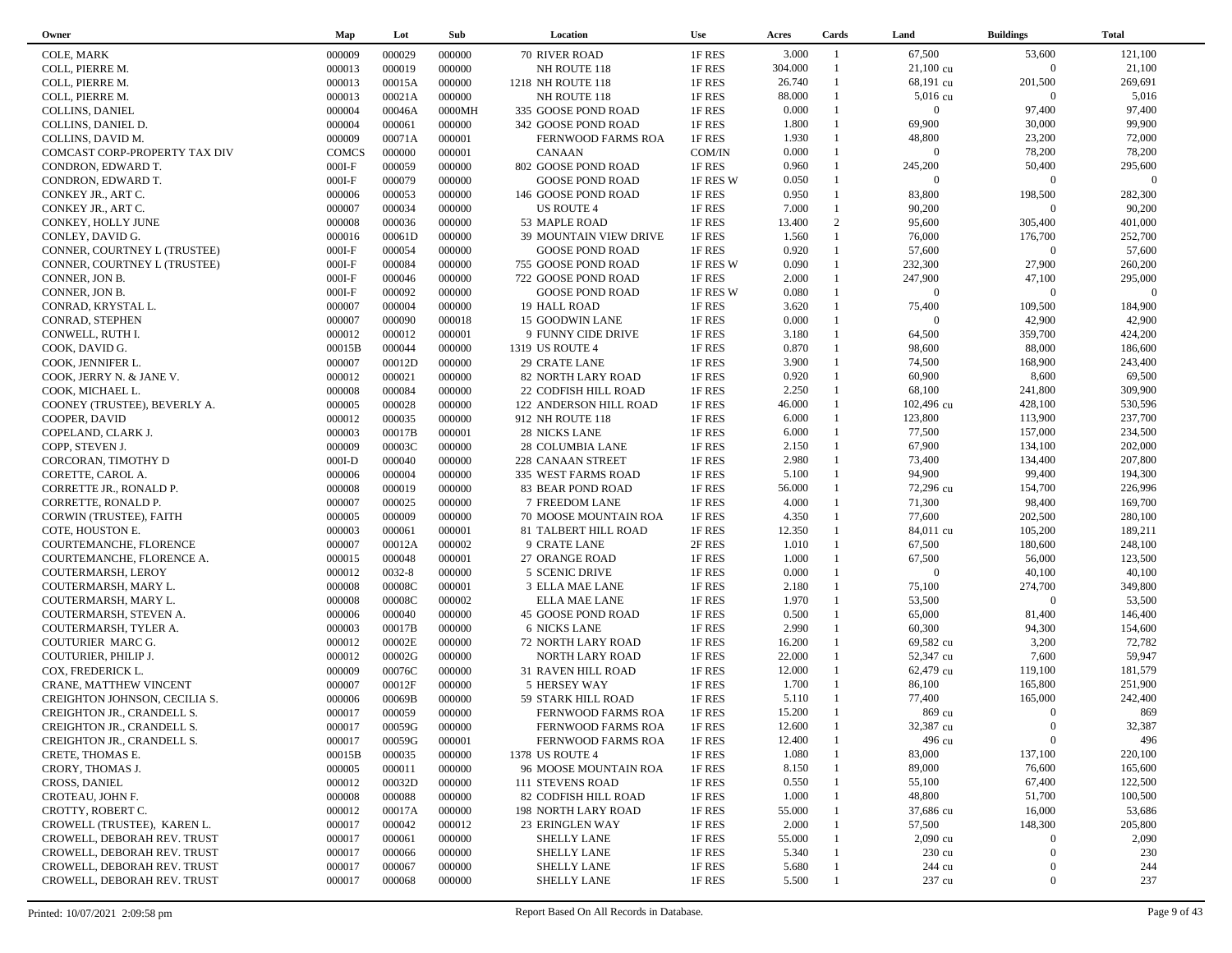| Owner                             | Map          | Lot    | Sub    | Location                                | <b>Use</b> | Acres   | Cards          | Land                | <b>Buildings</b> | <b>Total</b> |
|-----------------------------------|--------------|--------|--------|-----------------------------------------|------------|---------|----------------|---------------------|------------------|--------------|
| COLE, MARK                        | 000009       | 000029 | 000000 | 70 RIVER ROAD                           | 1F RES     | 3.000   | $\overline{1}$ | 67,500              | 53,600           | 121,100      |
| COLL, PIERRE M.                   | 000013       | 000019 | 000000 | NH ROUTE 118                            | 1F RES     | 304.000 | $\mathbf{1}$   | $21,100 \text{ cu}$ | $\overline{0}$   | 21,100       |
| COLL, PIERRE M.                   | 000013       | 00015A | 000000 | 1218 NH ROUTE 118                       | 1F RES     | 26.740  |                | 68,191 cu           | 201,500          | 269,691      |
| COLL, PIERRE M.                   | 000013       | 00021A | 000000 | NH ROUTE 118                            | 1F RES     | 88.000  | $\mathbf{1}$   | 5,016 cu            | $\overline{0}$   | 5,016        |
| COLLINS, DANIEL                   | 000004       | 00046A | 0000MH | 335 GOOSE POND ROAD                     | 1F RES     | 0.000   |                | $\Omega$            | 97,400           | 97,400       |
| COLLINS, DANIEL D.                | 000004       | 000061 | 000000 | 342 GOOSE POND ROAD                     | 1F RES     | 1.800   | $\mathbf{1}$   | 69,900              | 30,000           | 99,900       |
| COLLINS, DAVID M.                 | 000009       | 00071A | 000001 | FERNWOOD FARMS ROA                      | 1F RES     | 1.930   | $\mathbf{1}$   | 48,800              | 23,200           | 72,000       |
| COMCAST CORP-PROPERTY TAX DIV     | <b>COMCS</b> | 000000 | 000001 | <b>CANAAN</b>                           | COM/IN     | 0.000   | $\mathbf{1}$   | $\overline{0}$      | 78,200           | 78,200       |
| CONDRON, EDWARD T.                | $000I-F$     | 000059 | 000000 | 802 GOOSE POND ROAD                     | 1F RES     | 0.960   | $\mathbf{1}$   | 245,200             | 50,400           | 295,600      |
| CONDRON, EDWARD T.                | $000I-F$     | 000079 | 000000 | <b>GOOSE POND ROAD</b>                  | 1F RES W   | 0.050   | $\mathbf{1}$   | $\overline{0}$      | $\overline{0}$   | $\Omega$     |
| CONKEY JR., ART C.                | 000006       | 000053 | 000000 | 146 GOOSE POND ROAD                     | 1F RES     | 0.950   | $\mathbf{1}$   | 83,800              | 198,500          | 282,300      |
| CONKEY JR., ART C.                | 000007       | 000034 | 000000 | US ROUTE 4                              | 1F RES     | 7.000   | $\mathbf{1}$   | 90,200              | $\overline{0}$   | 90,200       |
|                                   | 000008       | 000036 | 000000 |                                         | 1F RES     | 13.400  | 2              | 95,600              | 305,400          | 401,000      |
| CONKEY, HOLLY JUNE                |              | 00061D | 000000 | 53 MAPLE ROAD<br>39 MOUNTAIN VIEW DRIVE | 1F RES     | 1.560   | $\mathbf{1}$   | 76,000              | 176,700          | 252,700      |
| CONLEY, DAVID G.                  | 000016       |        |        |                                         |            | 0.920   | $\mathbf{1}$   |                     | $\overline{0}$   |              |
| CONNER, COURTNEY L (TRUSTEE)      | $000I-F$     | 000054 | 000000 | <b>GOOSE POND ROAD</b>                  | 1F RES     |         | $\mathbf{1}$   | 57,600              |                  | 57,600       |
| CONNER, COURTNEY L (TRUSTEE)      | $000I-F$     | 000084 | 000000 | 755 GOOSE POND ROAD                     | 1F RES W   | 0.090   |                | 232,300             | 27,900           | 260,200      |
| CONNER, JON B.                    | $000I-F$     | 000046 | 000000 | 722 GOOSE POND ROAD                     | 1F RES     | 2.000   | $\mathbf{1}$   | 247,900             | 47,100           | 295,000      |
| CONNER, JON B.                    | $000I-F$     | 000092 | 000000 | <b>GOOSE POND ROAD</b>                  | 1F RES W   | 0.080   | $\mathbf{1}$   | $\overline{0}$      | $\overline{0}$   | $\Omega$     |
| CONRAD, KRYSTAL L.                | 000007       | 000004 | 000000 | 19 HALL ROAD                            | 1F RES     | 3.620   | 1              | 75,400              | 109,500          | 184,900      |
| CONRAD, STEPHEN                   | 000007       | 000090 | 000018 | 15 GOODWIN LANE                         | 1F RES     | 0.000   | $\mathbf{1}$   | $\overline{0}$      | 42,900           | 42,900       |
| CONWELL, RUTH I.                  | 000012       | 000012 | 000001 | 9 FUNNY CIDE DRIVE                      | 1F RES     | 3.180   |                | 64,500              | 359,700          | 424,200      |
| COOK, DAVID G.                    | 00015B       | 000044 | 000000 | 1319 US ROUTE 4                         | 1F RES     | 0.870   | $\mathbf{1}$   | 98,600              | 88,000           | 186,600      |
| COOK, JENNIFER L.                 | 000007       | 00012D | 000000 | 29 CRATE LANE                           | 1F RES     | 3.900   | $\mathbf{1}$   | 74,500              | 168,900          | 243,400      |
| COOK, JERRY N. & JANE V.          | 000012       | 000021 | 000000 | 82 NORTH LARY ROAD                      | 1F RES     | 0.920   | $\mathbf{1}$   | 60,900              | 8,600            | 69,500       |
| COOK, MICHAEL L.                  | 000008       | 000084 | 000000 | 22 CODFISH HILL ROAD                    | 1F RES     | 2.250   | $\mathbf{1}$   | 68,100              | 241,800          | 309,900      |
| COONEY (TRUSTEE), BEVERLY A.      | 000005       | 000028 | 000000 | 122 ANDERSON HILL ROAD                  | 1F RES     | 46.000  | $\mathbf{1}$   | 102,496 cu          | 428,100          | 530,596      |
| COOPER, DAVID                     | 000012       | 000035 | 000000 | 912 NH ROUTE 118                        | 1F RES     | 6.000   | $\mathbf{1}$   | 123,800             | 113,900          | 237,700      |
| COPELAND, CLARK J.                | 000003       | 00017B | 000001 | 28 NICKS LANE                           | 1F RES     | 6.000   | $\mathbf{1}$   | 77,500              | 157,000          | 234,500      |
| COPP, STEVEN J.                   | 000009       | 00003C | 000000 | 28 COLUMBIA LANE                        | 1F RES     | 2.150   | $\mathbf{1}$   | 67,900              | 134,100          | 202,000      |
| CORCORAN, TIMOTHY D               | $000I-D$     | 000040 | 000000 | 228 CANAAN STREET                       | 1F RES     | 2.980   | $\mathbf{1}$   | 73,400              | 134,400          | 207,800      |
| CORETTE, CAROL A.                 | 000006       | 000004 | 000000 | 335 WEST FARMS ROAD                     | 1F RES     | 5.100   | $\mathbf{1}$   | 94,900              | 99,400           | 194,300      |
| CORRETTE JR., RONALD P.           | 000008       | 000019 | 000000 | 83 BEAR POND ROAD                       | 1F RES     | 56.000  |                | 72,296 cu           | 154,700          | 226,996      |
| CORRETTE, RONALD P.               | 000007       | 000025 | 000000 | 7 FREEDOM LANE                          | 1F RES     | 4.000   | $\mathbf{1}$   | 71,300              | 98,400           | 169,700      |
| CORWIN (TRUSTEE), FAITH           | 000005       | 000009 | 000000 | 70 MOOSE MOUNTAIN ROA                   | 1F RES     | 4.350   | $\mathbf{1}$   | 77,600              | 202,500          | 280,100      |
| COTE, HOUSTON E.                  | 000003       | 000061 | 000001 | 81 TALBERT HILL ROAD                    | 1F RES     | 12.350  | $\mathbf{1}$   | 84,011 cu           | 105,200          | 189,211      |
| COURTEMANCHE, FLORENCE            | 000007       | 00012A | 000002 | 9 CRATE LANE                            | 2F RES     | 1.010   | $\mathbf{1}$   | 67,500              | 180,600          | 248,100      |
| COURTEMANCHE, FLORENCE A.         | 000015       | 000048 | 000001 | 27 ORANGE ROAD                          | 1F RES     | 1.000   | 1              | 67,500              | 56,000           | 123,500      |
| COUTERMARSH, LEROY                | 000012       | 0032-8 | 000000 | 5 SCENIC DRIVE                          | 1F RES     | 0.000   | $\mathbf{1}$   | $\overline{0}$      | 40,100           | 40,100       |
| COUTERMARSH, MARY L.              | 000008       | 00008C | 000001 | 3 ELLA MAE LANE                         | 1F RES     | 2.180   | $\mathbf{1}$   | 75,100              | 274,700          | 349,800      |
| COUTERMARSH, MARY L.              | 000008       | 00008C | 000002 | <b>ELLA MAE LANE</b>                    | 1F RES     | 1.970   | $\mathbf{1}$   | 53,500              | $\overline{0}$   | 53,500       |
| COUTERMARSH, STEVEN A.            | 000006       | 000040 | 000000 | 45 GOOSE POND ROAD                      | 1F RES     | 0.500   | $\mathbf{1}$   | 65,000              | 81,400           | 146,400      |
| COUTERMARSH, TYLER A.             | 000003       | 00017B | 000000 | <b>6 NICKS LANE</b>                     | 1F RES     | 2.990   | $\mathbf{1}$   | 60,300              | 94,300           | 154,600      |
| COUTURIER MARC G.                 | 000012       | 00002E | 000000 |                                         | 1F RES     | 16.200  | $\mathbf{1}$   | 69,582 cu           | 3,200            | 72,782       |
|                                   |              | 00002G | 000000 | 72 NORTH LARY ROAD                      |            | 22.000  | $\mathbf{1}$   | 52,347 cu           | 7,600            | 59,947       |
| COUTURIER, PHILIP J.              | 000012       |        |        | NORTH LARY ROAD                         | 1F RES     | 12.000  | $\mathbf{1}$   | 62,479 cu           | 119,100          | 181,579      |
| COX, FREDERICK L.                 | 000009       | 00076C | 000000 | 31 RAVEN HILL ROAD                      | 1F RES     |         | $\mathbf{1}$   |                     |                  |              |
| CRANE, MATTHEW VINCENT            | 000007       | 00012F | 000000 | 5 HERSEY WAY                            | 1F RES     | 1.700   | $\mathbf{1}$   | 86,100              | 165,800          | 251,900      |
| CREIGHTON JOHNSON, CECILIA S.     | 000006       | 00069B | 000000 | 59 STARK HILL ROAD                      | 1F RES     | 5.110   |                | 77,400              | 165,000          | 242,400      |
| <b>CREIGHTON JR., CRANDELL S.</b> | 000017       | 000059 | 000000 | FERNWOOD FARMS ROA                      | 1F RES     | 15.200  |                | 869 cu              | $\Omega$         | 869          |
| CREIGHTON JR., CRANDELL S.        | 000017       | 00059G | 000000 | FERNWOOD FARMS ROA                      | 1F RES     | 12.600  |                | 32,387 cu           | $\boldsymbol{0}$ | 32,387       |
| CREIGHTON JR., CRANDELL S.        | 000017       | 00059G | 000001 | FERNWOOD FARMS ROA                      | 1F RES     | 12.400  |                | 496 cu              | $\overline{0}$   | 496          |
| CRETE, THOMAS E.                  | 00015B       | 000035 | 000000 | 1378 US ROUTE 4                         | 1F RES     | 1.080   |                | 83,000              | 137,100          | 220,100      |
| CRORY, THOMAS J.                  | 000005       | 000011 | 000000 | 96 MOOSE MOUNTAIN ROA                   | 1F RES     | 8.150   |                | 89,000              | 76,600           | 165,600      |
| <b>CROSS, DANIEL</b>              | 000012       | 00032D | 000000 | 111 STEVENS ROAD                        | 1F RES     | 0.550   |                | 55,100              | 67,400           | 122,500      |
| CROTEAU, JOHN F.                  | 000008       | 000088 | 000000 | 82 CODFISH HILL ROAD                    | 1F RES     | 1.000   |                | 48,800              | 51,700           | 100,500      |
| CROTTY, ROBERT C.                 | 000012       | 00017A | 000000 | <b>198 NORTH LARY ROAD</b>              | 1F RES     | 55.000  |                | 37,686 cu           | 16,000           | 53,686       |
| CROWELL (TRUSTEE), KAREN L.       | 000017       | 000042 | 000012 | 23 ERINGLEN WAY                         | 1F RES     | 2.000   |                | 57,500              | 148,300          | 205,800      |
| CROWELL, DEBORAH REV. TRUST       | 000017       | 000061 | 000000 | SHELLY LANE                             | 1F RES     | 55.000  |                | 2,090 cu            | $\overline{0}$   | 2,090        |
| CROWELL, DEBORAH REV. TRUST       | 000017       | 000066 | 000000 | SHELLY LANE                             | 1F RES     | 5.340   |                | 230 cu              | $\mathbf{0}$     | 230          |
| CROWELL, DEBORAH REV. TRUST       | 000017       | 000067 | 000000 | <b>SHELLY LANE</b>                      | 1F RES     | 5.680   |                | 244 cu              | $\mathbf{0}$     | 244          |
| CROWELL, DEBORAH REV. TRUST       | 000017       | 000068 | 000000 | <b>SHELLY LANE</b>                      | 1F RES     | 5.500   |                | 237 cu              | $\boldsymbol{0}$ | 237          |
|                                   |              |        |        |                                         |            |         |                |                     |                  |              |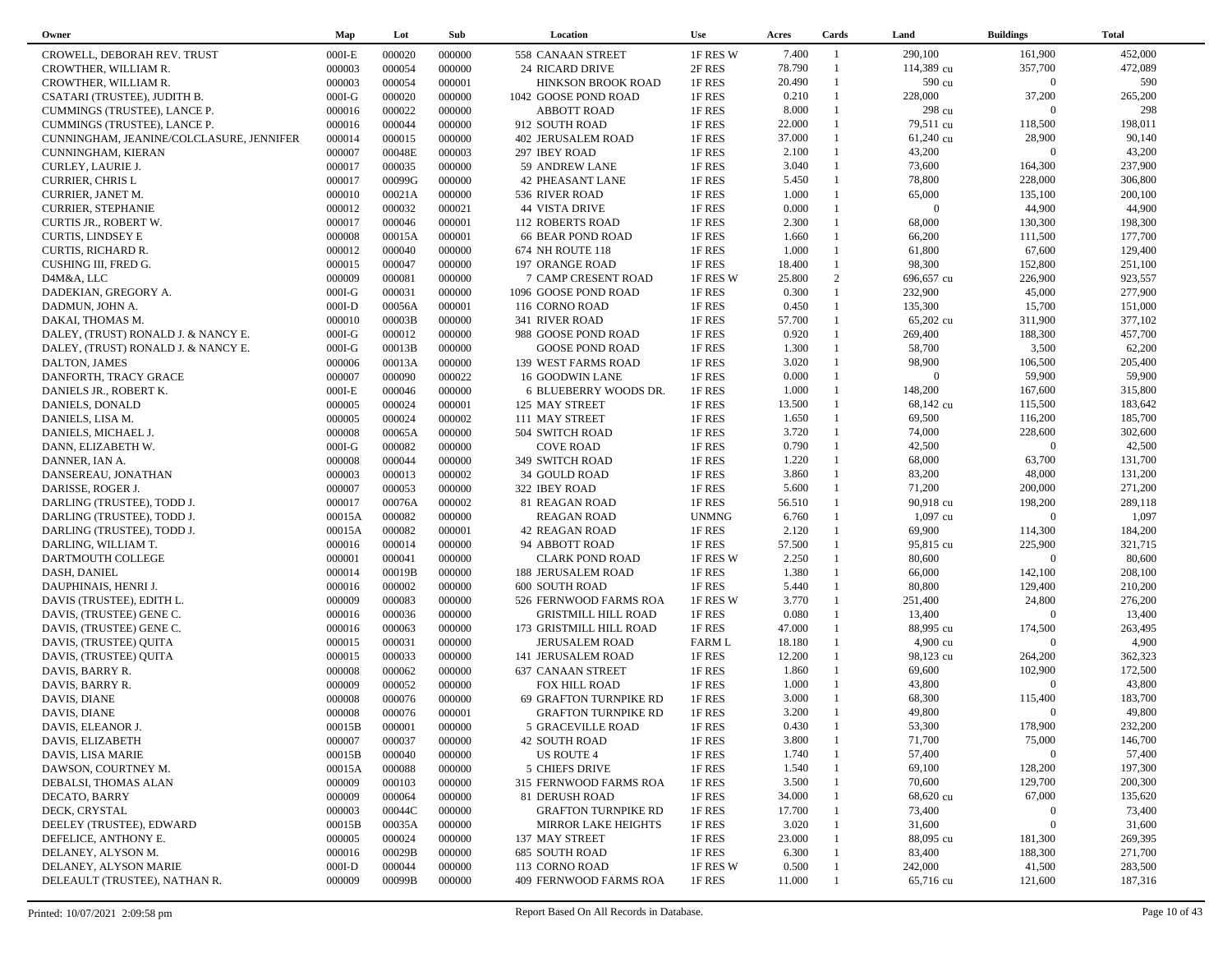| Owner                                            | Map              | Lot              | Sub              | Location                                         | <b>Use</b>              | Acres           | Cards                        | Land                  | <b>Buildings</b>          | <b>Total</b>     |
|--------------------------------------------------|------------------|------------------|------------------|--------------------------------------------------|-------------------------|-----------------|------------------------------|-----------------------|---------------------------|------------------|
| CROWELL, DEBORAH REV. TRUST                      | $000I-E$         | 000020           | 000000           | 558 CANAAN STREET                                | 1F RES W                | 7.400           | $\overline{1}$               | 290,100               | 161,900                   | 452,000          |
| CROWTHER, WILLIAM R.                             | 000003           | 000054           | 000000           | <b>24 RICARD DRIVE</b>                           | 2F RES                  | 78.790          | $\mathbf{1}$                 | 114,389 cu            | 357,700                   | 472,089          |
| CROWTHER, WILLIAM R.                             | 000003           | 000054           | 000001           | <b>HINKSON BROOK ROAD</b>                        | 1F RES                  | 20.490          | $\mathbf{1}$                 | 590 cu                | $\overline{0}$            | 590              |
| CSATARI (TRUSTEE), JUDITH B.                     | $000I-G$         | 000020           | 000000           | 1042 GOOSE POND ROAD                             | 1F RES                  | 0.210           | $\mathbf{1}$                 | 228,000               | 37,200                    | 265,200          |
| CUMMINGS (TRUSTEE), LANCE P.                     | 000016           | 000022           | 000000           | <b>ABBOTT ROAD</b>                               | 1F RES                  | 8.000           | $\mathbf{1}$                 | 298 cu                | $\Omega$                  | 298              |
| CUMMINGS (TRUSTEE), LANCE P.                     | 000016           | 000044           | 000000           | 912 SOUTH ROAD                                   | 1F RES                  | 22.000          | $\mathbf{1}$                 | 79,511 cu             | 118,500                   | 198,011          |
| CUNNINGHAM, JEANINE/COLCLASURE, JENNIFER         | 000014           | 000015           | 000000           | <b>402 JERUSALEM ROAD</b>                        | 1F RES                  | 37.000          | $\mathbf{1}$                 | 61,240 cu             | 28,900                    | 90,140           |
| CUNNINGHAM, KIERAN                               | 000007           | 00048E           | 000003           | 297 IBEY ROAD                                    | 1F RES                  | 2.100           | $\mathbf{1}$                 | 43,200                | $\overline{0}$            | 43,200           |
| CURLEY, LAURIE J.                                | 000017           | 000035           | 000000           | 59 ANDREW LANE                                   | 1F RES                  | 3.040           | $\mathbf{1}$                 | 73,600                | 164,300                   | 237,900          |
| <b>CURRIER, CHRIS L</b>                          | 000017           | 00099G           | 000000           | <b>42 PHEASANT LANE</b>                          | 1F RES                  | 5.450           | $\mathbf{1}$                 | 78,800                | 228,000                   | 306,800          |
| CURRIER, JANET M.                                | 000010           | 00021A           | 000000           | 536 RIVER ROAD                                   | 1F RES                  | 1.000           | $\mathbf{1}$                 | 65,000                | 135,100                   | 200,100          |
| <b>CURRIER, STEPHANIE</b>                        | 000012           | 000032           | 000021           | <b>44 VISTA DRIVE</b>                            | 1F RES                  | 0.000           | $\mathbf{1}$                 | $\overline{0}$        | 44,900                    | 44,900           |
| CURTIS JR., ROBERT W.                            | 000017           | 000046           | 000001           | <b>112 ROBERTS ROAD</b>                          | 1F RES                  | 2.300           |                              | 68,000                | 130,300                   | 198,300          |
| <b>CURTIS, LINDSEY E</b>                         | 000008           | 00015A           | 000001           | <b>66 BEAR POND ROAD</b>                         | 1F RES                  | 1.660           | $\mathbf{1}$                 | 66,200                | 111,500                   | 177,700          |
| <b>CURTIS, RICHARD R.</b>                        | 000012           | 000040           | 000000           | 674 NH ROUTE 118                                 | 1F RES                  | 1.000           | $\mathbf{1}$                 | 61,800                | 67,600                    | 129,400          |
| CUSHING III, FRED G.                             | 000015           | 000047           | 000000           | 197 ORANGE ROAD                                  | 1F RES                  | 18.400          | $\mathbf{1}$                 | 98,300                | 152,800                   | 251,100          |
| D4M&A, LLC                                       | 000009           | 000081           | 000000           | 7 CAMP CRESENT ROAD                              | 1F RES W                | 25.800          | 2                            | 696,657 cu            | 226,900                   | 923,557          |
| DADEKIAN, GREGORY A.                             | $000I-G$         | 000031           | 000000           | 1096 GOOSE POND ROAD                             | 1F RES                  | 0.300           | $\mathbf{1}$                 | 232,900               | 45,000                    | 277,900          |
| DADMUN, JOHN A.                                  | $000I-D$         | 00056A           | 000001           | 116 CORNO ROAD                                   | 1F RES                  | 0.450           | -1                           | 135,300               | 15,700                    | 151,000          |
| DAKAI, THOMAS M.                                 | 000010           | 00003B           | 000000           | 341 RIVER ROAD                                   | 1F RES                  | 57.700          | $\mathbf{1}$                 | 65,202 cu             | 311,900                   | 377,102          |
| DALEY, (TRUST) RONALD J. & NANCY E.              | $000I-G$         | 000012           | 000000           | 988 GOOSE POND ROAD                              | 1F RES                  | 0.920           | $\mathbf{1}$                 | 269,400               | 188,300                   | 457,700          |
| DALEY, (TRUST) RONALD J. & NANCY E.              | $000I-G$         | 00013B           | 000000           | <b>GOOSE POND ROAD</b>                           | 1F RES                  | 1.300           | $\mathbf{1}$                 | 58,700                | 3,500                     | 62,200           |
| DALTON, JAMES                                    | 000006           | 00013A           | 000000           | 139 WEST FARMS ROAD                              | 1F RES                  | 3.020           | $\mathbf{1}$                 | 98,900                | 106,500                   | 205,400          |
| DANFORTH, TRACY GRACE                            | 000007           | 000090           | 000022           | 16 GOODWIN LANE                                  | 1F RES                  | 0.000           | $\mathbf{1}$                 | $\overline{0}$        | 59,900                    | 59,900           |
| DANIELS JR., ROBERT K.                           | $000I-E$         | 000046           | 000000           | 6 BLUEBERRY WOODS DR.                            | 1F RES                  | 1.000           | $\mathbf{1}$                 | 148,200               | 167,600                   | 315,800          |
| DANIELS, DONALD                                  | 000005           | 000024           | 000001           | 125 MAY STREET                                   | 1F RES                  | 13.500          | $\mathbf{1}$                 | 68,142 cu             | 115,500                   | 183,642          |
| DANIELS, LISA M.                                 | 000005           | 000024           | 000002           | 111 MAY STREET                                   | 1F RES                  | 1.650           | $\mathbf{1}$                 | 69,500                | 116,200                   | 185,700          |
| DANIELS, MICHAEL J.                              | 000008           | 00065A           | 000000           | 504 SWITCH ROAD                                  | 1F RES                  | 3.720           | $\mathbf{1}$                 | 74,000                | 228,600                   | 302,600          |
| DANN, ELIZABETH W.                               | $000I-G$         | 000082           | 000000           | <b>COVE ROAD</b>                                 | 1F RES                  | 0.790           | $\mathbf{1}$                 | 42,500                | $\overline{0}$            | 42,500           |
| DANNER, IAN A.                                   | 000008           | 000044           | 000000           | 349 SWITCH ROAD                                  | 1F RES                  | 1.220           | $\mathbf{1}$                 | 68,000                | 63,700                    | 131,700          |
| DANSEREAU, JONATHAN                              | 000003           | 000013           | 000002           | <b>34 GOULD ROAD</b>                             | 1F RES                  | 3.860           | $\mathbf{1}$                 | 83,200                | 48,000                    | 131,200          |
| DARISSE, ROGER J.                                | 000007           | 000053           | 000000           | 322 IBEY ROAD                                    | 1F RES                  | 5.600           | $\mathbf{1}$                 | 71,200                | 200,000                   | 271,200          |
| DARLING (TRUSTEE), TODD J.                       | 000017           | 00076A           | 000002           | 81 REAGAN ROAD                                   | 1F RES                  | 56.510          | 1                            | 90,918 cu             | 198,200                   | 289,118          |
| DARLING (TRUSTEE), TODD J.                       | 00015A           | 000082           | 000000           | <b>REAGAN ROAD</b>                               | <b>UNMNG</b>            | 6.760           | 1                            | $1,097$ cu            | $\overline{0}$            | 1,097            |
| DARLING (TRUSTEE), TODD J.                       | 00015A           | 000082           | 000001           | <b>42 REAGAN ROAD</b>                            | 1F RES                  | 2.120           | $\mathbf{1}$                 | 69,900                | 114,300                   | 184,200          |
| DARLING, WILLIAM T.                              | 000016           | 000014           | 000000           | 94 ABBOTT ROAD                                   | 1F RES                  | 57.500          | $\mathbf{1}$                 | 95,815 cu             | 225,900                   | 321,715          |
| DARTMOUTH COLLEGE                                | 000001           | 000041           | 000000           | <b>CLARK POND ROAD</b>                           | 1F RES W                | 2.250           | $\mathbf{1}$<br>$\mathbf{1}$ | 80,600                | $\overline{0}$            | 80,600           |
| DASH, DANIEL                                     | 000014           | 00019B           | 000000           | <b>188 JERUSALEM ROAD</b>                        | 1F RES                  | 1.380           |                              | 66,000                | 142,100                   | 208,100          |
| DAUPHINAIS, HENRI J.                             | 000016           | 000002           | 000000           | <b>600 SOUTH ROAD</b>                            | 1F RES                  | 5.440           | $\mathbf{1}$<br>$\mathbf{1}$ | 80,800                | 129,400                   | 210,200          |
| DAVIS (TRUSTEE), EDITH L.                        | 000009           | 000083           | 000000           | 526 FERNWOOD FARMS ROA                           | 1F RES W                | 3.770           | $\mathbf{1}$                 | 251,400               | 24,800<br>$\overline{0}$  | 276,200          |
| DAVIS, (TRUSTEE) GENE C.                         | 000016           | 000036           | 000000           | <b>GRISTMILL HILL ROAD</b>                       | 1F RES                  | 0.080<br>47.000 | $\mathbf{1}$                 | 13,400                |                           | 13,400           |
| DAVIS, (TRUSTEE) GENE C.                         | 000016<br>000015 | 000063<br>000031 | 000000<br>000000 | 173 GRISTMILL HILL ROAD<br><b>JERUSALEM ROAD</b> | 1F RES<br><b>FARM L</b> | 18.180          | $\mathbf{1}$                 | 88,995 cu<br>4,900 cu | 174,500<br>$\overline{0}$ | 263,495<br>4,900 |
| DAVIS, (TRUSTEE) QUITA<br>DAVIS, (TRUSTEE) QUITA | 000015           | 000033           | 000000           | 141 JERUSALEM ROAD                               | 1F RES                  | 12.200          | $\mathbf{1}$                 | 98,123 cu             | 264,200                   | 362,323          |
| DAVIS, BARRY R.                                  | 000008           | 000062           | 000000           | 637 CANAAN STREET                                | 1F RES                  | 1.860           | $\mathbf{1}$                 | 69,600                | 102,900                   | 172,500          |
| DAVIS, BARRY R.                                  | 000009           | 000052           | 000000           | FOX HILL ROAD                                    | 1F RES                  | 1.000           | $\mathbf{1}$                 | 43,800                | $\overline{0}$            | 43,800           |
| <b>DAVIS, DIANE</b>                              | 000008           | 000076           | 000000           | <b>69 GRAFTON TURNPIKE RD</b>                    | 1F RES                  | 3.000           |                              | 68,300                | 115,400                   | 183,700          |
| DAVIS, DIANE                                     | 000008           | 000076           | 000001           | <b>GRAFTON TURNPIKE RD</b>                       | 1F RES                  | 3.200           | $\overline{1}$               | 49,800                | $\overline{0}$            | 49,800           |
| DAVIS, ELEANOR J.                                | 00015B           | 000001           | 000000           | 5 GRACEVILLE ROAD                                | 1F RES                  | 0.430           |                              | 53,300                | 178,900                   | 232,200          |
| DAVIS, ELIZABETH                                 | 000007           | 000037           | 000000           | <b>42 SOUTH ROAD</b>                             | 1F RES                  | 3.800           |                              | 71,700                | 75,000                    | 146,700          |
| DAVIS, LISA MARIE                                | 00015B           | 000040           | 000000           | US ROUTE 4                                       | 1F RES                  | 1.740           |                              | 57,400                | $\overline{0}$            | 57,400           |
| DAWSON, COURTNEY M.                              | 00015A           | 000088           | 000000           | 5 CHIEFS DRIVE                                   | 1F RES                  | 1.540           |                              | 69,100                | 128,200                   | 197,300          |
| DEBALSI, THOMAS ALAN                             | 000009           | 000103           | 000000           | 315 FERNWOOD FARMS ROA                           | 1F RES                  | 3.500           |                              | 70,600                | 129,700                   | 200,300          |
| DECATO, BARRY                                    | 000009           | 000064           | 000000           | 81 DERUSH ROAD                                   | 1F RES                  | 34.000          |                              | 68,620 cu             | 67,000                    | 135,620          |
| DECK, CRYSTAL                                    | 000003           | 00044C           | 000000           | <b>GRAFTON TURNPIKE RD</b>                       | 1F RES                  | 17.700          |                              | 73,400                | $\mathbf{0}$              | 73,400           |
| DEELEY (TRUSTEE), EDWARD                         | 00015B           | 00035A           | 000000           | MIRROR LAKE HEIGHTS                              | 1F RES                  | 3.020           |                              | 31,600                | $\mathbf{0}$              | 31,600           |
| DEFELICE, ANTHONY E.                             | 000005           | 000024           | 000000           | 137 MAY STREET                                   | 1F RES                  | 23.000          |                              | 88,095 cu             | 181,300                   | 269,395          |
| DELANEY, ALYSON M.                               | 000016           | 00029B           | 000000           | <b>685 SOUTH ROAD</b>                            | 1F RES                  | 6.300           |                              | 83,400                | 188,300                   | 271,700          |
| DELANEY, ALYSON MARIE                            | $000I-D$         | 000044           | 000000           | 113 CORNO ROAD                                   | 1F RES W                | 0.500           |                              | 242,000               | 41,500                    | 283,500          |
| DELEAULT (TRUSTEE), NATHAN R.                    | 000009           | 00099B           | 000000           | 409 FERNWOOD FARMS ROA                           | 1F RES                  | 11.000          |                              | 65,716 cu             | 121,600                   | 187,316          |
|                                                  |                  |                  |                  |                                                  |                         |                 |                              |                       |                           |                  |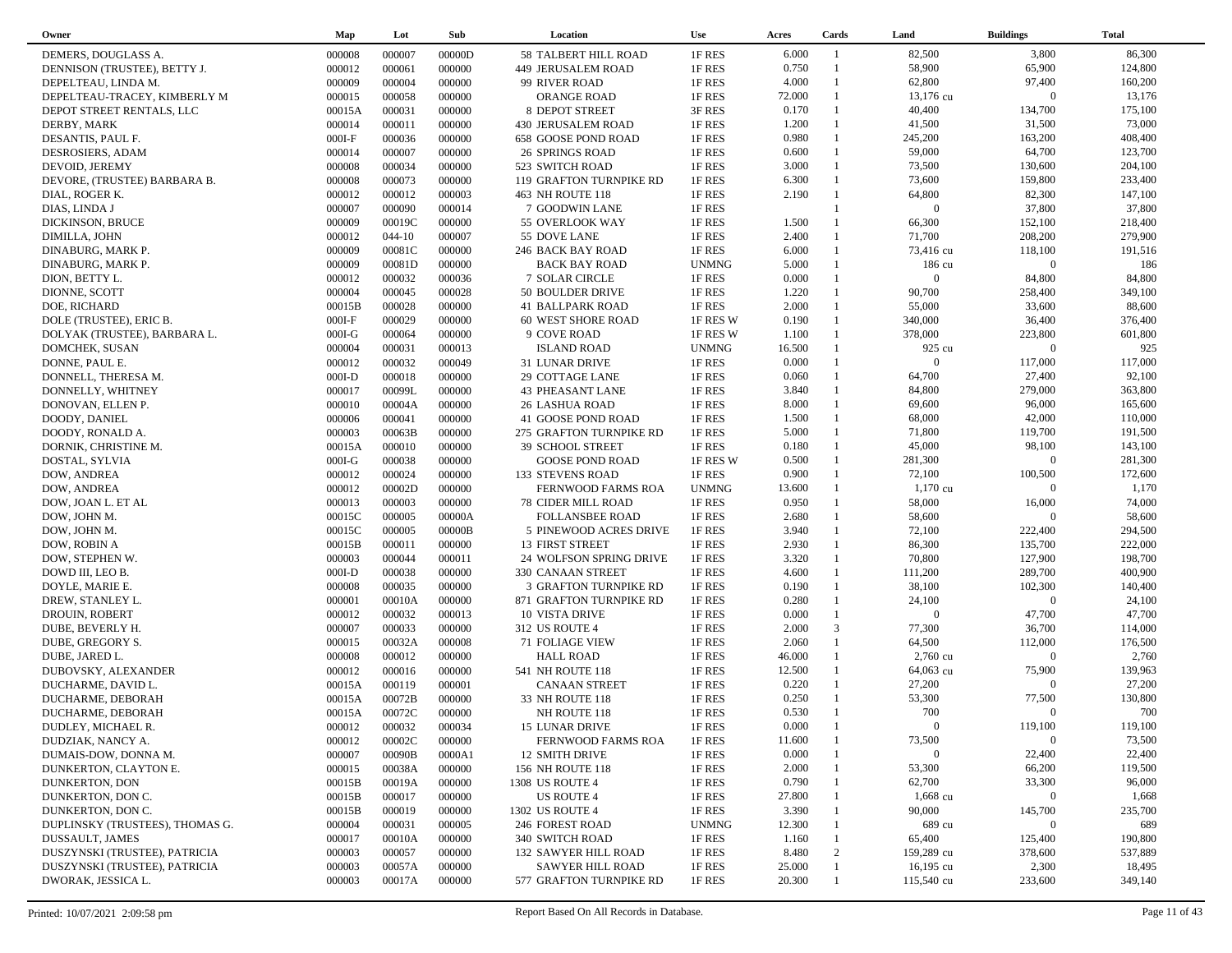| Owner                           | Map      | Lot        | Sub    | Location                  | <b>Use</b>   | Acres  | Cards          | Land           | <b>Buildings</b> | <b>Total</b> |
|---------------------------------|----------|------------|--------|---------------------------|--------------|--------|----------------|----------------|------------------|--------------|
| DEMERS, DOUGLASS A.             | 000008   | 000007     | 00000D | 58 TALBERT HILL ROAD      | 1F RES       | 6.000  | $\overline{1}$ | 82,500         | 3,800            | 86,300       |
| DENNISON (TRUSTEE), BETTY J.    | 000012   | 000061     | 000000 | 449 JERUSALEM ROAD        | 1F RES       | 0.750  | $\overline{1}$ | 58,900         | 65,900           | 124,800      |
| DEPELTEAU, LINDA M.             | 000009   | 000004     | 000000 | 99 RIVER ROAD             | 1F RES       | 4.000  | $\mathbf{1}$   | 62,800         | 97,400           | 160,200      |
| DEPELTEAU-TRACEY, KIMBERLY M    | 000015   | 000058     | 000000 | <b>ORANGE ROAD</b>        | 1F RES       | 72.000 | $\mathbf{1}$   | 13,176 cu      | $\overline{0}$   | 13,176       |
| DEPOT STREET RENTALS, LLC       | 00015A   | 000031     | 000000 | 8 DEPOT STREET            | 3F RES       | 0.170  | $\mathbf{1}$   | 40,400         | 134,700          | 175,100      |
| DERBY, MARK                     | 000014   | 000011     | 000000 | 430 JERUSALEM ROAD        | 1F RES       | 1.200  | $\mathbf{1}$   | 41,500         | 31,500           | 73,000       |
| DESANTIS, PAUL F.               | $000I-F$ | 000036     | 000000 | 658 GOOSE POND ROAD       | 1F RES       | 0.980  | $\mathbf{1}$   | 245,200        | 163,200          | 408,400      |
| DESROSIERS, ADAM                | 000014   | 000007     | 000000 | <b>26 SPRINGS ROAD</b>    | 1F RES       | 0.600  | $\mathbf{1}$   | 59,000         | 64,700           | 123,700      |
| DEVOID, JEREMY                  | 000008   | 000034     | 000000 | 523 SWITCH ROAD           | 1F RES       | 3.000  | $\mathbf{1}$   | 73,500         | 130,600          | 204,100      |
| DEVORE, (TRUSTEE) BARBARA B.    | 000008   | 000073     | 000000 | 119 GRAFTON TURNPIKE RD   | 1F RES       | 6.300  | $\mathbf{1}$   | 73,600         | 159,800          | 233,400      |
| DIAL, ROGER K.                  | 000012   | 000012     | 000003 | 463 NH ROUTE 118          | 1F RES       | 2.190  | $\mathbf{1}$   | 64,800         | 82,300           | 147,100      |
| DIAS, LINDA J                   | 000007   | 000090     | 000014 | 7 GOODWIN LANE            | 1F RES       |        |                | $\overline{0}$ | 37,800           | 37,800       |
| DICKINSON, BRUCE                | 000009   | 00019C     | 000000 | 55 OVERLOOK WAY           | 1F RES       | 1.500  |                | 66,300         | 152,100          | 218,400      |
| DIMILLA, JOHN                   | 000012   | $044 - 10$ | 000007 | 55 DOVE LANE              | 1F RES       | 2.400  |                | 71,700         | 208,200          | 279,900      |
| DINABURG, MARK P.               | 000009   | 00081C     | 000000 | 246 BACK BAY ROAD         | 1F RES       | 6.000  | $\mathbf{1}$   | 73,416 cu      | 118,100          | 191,516      |
| DINABURG, MARK P.               | 000009   | 00081D     | 000000 | <b>BACK BAY ROAD</b>      | <b>UNMNG</b> | 5.000  |                | 186 cu         | $\overline{0}$   | 186          |
| DION, BETTY L.                  | 000012   | 000032     | 000036 | 7 SOLAR CIRCLE            | 1F RES       | 0.000  |                | $\Omega$       | 84,800           | 84,800       |
| DIONNE, SCOTT                   | 000004   | 000045     | 000028 | 50 BOULDER DRIVE          | 1F RES       | 1.220  | $\mathbf{1}$   | 90,700         | 258,400          | 349,100      |
| DOE, RICHARD                    | 00015B   | 000028     | 000000 | 41 BALLPARK ROAD          | 1F RES       | 2.000  | $\mathbf{1}$   | 55,000         | 33,600           | 88,600       |
| DOLE (TRUSTEE), ERIC B.         | $000I-F$ | 000029     | 000000 | 60 WEST SHORE ROAD        | 1F RES W     | 0.190  | $\mathbf{1}$   | 340,000        | 36,400           | 376,400      |
| DOLYAK (TRUSTEE), BARBARA L.    | $000I-G$ | 000064     | 000000 | 9 COVE ROAD               | 1F RES W     | 1.100  | $\mathbf{1}$   | 378,000        | 223,800          | 601,800      |
| DOMCHEK, SUSAN                  | 000004   | 000031     | 000013 | <b>ISLAND ROAD</b>        | <b>UNMNG</b> | 16.500 | $\mathbf{1}$   | 925 cu         | $\overline{0}$   | 925          |
| DONNE, PAUL E.                  | 000012   | 000032     | 000049 | 31 LUNAR DRIVE            | 1F RES       | 0.000  |                | $\Omega$       | 117,000          | 117,000      |
| DONNELL, THERESA M.             | $000I-D$ | 000018     | 000000 | 29 COTTAGE LANE           | 1F RES       | 0.060  | $\mathbf{1}$   | 64,700         | 27,400           | 92,100       |
| DONNELLY, WHITNEY               | 000017   | 00099L     | 000000 | <b>43 PHEASANT LANE</b>   | 1F RES       | 3.840  | $\mathbf{1}$   | 84,800         | 279,000          | 363,800      |
| DONOVAN, ELLEN P.               | 000010   | 00004A     | 000000 | <b>26 LASHUA ROAD</b>     | 1F RES       | 8.000  | $\mathbf{1}$   | 69,600         | 96,000           | 165,600      |
| DOODY, DANIEL                   | 000006   | 000041     | 000000 | 41 GOOSE POND ROAD        | 1F RES       | 1.500  | $\mathbf{1}$   | 68,000         | 42,000           | 110,000      |
| DOODY, RONALD A.                | 000003   | 00063B     | 000000 | 275 GRAFTON TURNPIKE RD   | 1F RES       | 5.000  | $\mathbf{1}$   | 71,800         | 119,700          | 191,500      |
| DORNIK, CHRISTINE M.            | 00015A   | 000010     | 000000 | 39 SCHOOL STREET          | 1F RES       | 0.180  | $\mathbf{1}$   | 45,000         | 98,100           | 143,100      |
| DOSTAL, SYLVIA                  | $000I-G$ | 000038     | 000000 | <b>GOOSE POND ROAD</b>    | 1F RES W     | 0.500  | $\mathbf{1}$   | 281,300        | $\overline{0}$   | 281,300      |
| DOW, ANDREA                     | 000012   | 000024     | 000000 | 133 STEVENS ROAD          | 1F RES       | 0.900  | $\mathbf{1}$   | 72,100         | 100,500          | 172,600      |
| DOW, ANDREA                     | 000012   | 00002D     | 000000 | FERNWOOD FARMS ROA        | <b>UNMNG</b> | 13.600 | $\mathbf{1}$   | $1,170$ cu     | $\overline{0}$   | 1,170        |
| DOW, JOAN L. ET AL              | 000013   | 000003     | 000000 | <b>78 CIDER MILL ROAD</b> | 1F RES       | 0.950  | $\mathbf{1}$   | 58,000         | 16,000           | 74,000       |
| DOW, JOHN M.                    | 00015C   | 000005     | 00000A | <b>FOLLANSBEE ROAD</b>    | 1F RES       | 2.680  | $\mathbf{1}$   | 58,600         | $\overline{0}$   | 58,600       |
| DOW, JOHN M.                    | 00015C   | 000005     | 00000B | 5 PINEWOOD ACRES DRIVE    | 1F RES       | 3.940  | $\mathbf{1}$   | 72,100         | 222,400          | 294,500      |
| DOW, ROBIN A                    | 00015B   | 000011     | 000000 | 13 FIRST STREET           | 1F RES       | 2.930  | $\mathbf{1}$   | 86,300         | 135,700          | 222,000      |
| DOW, STEPHEN W.                 | 000003   | 000044     | 000011 | 24 WOLFSON SPRING DRIVE   | 1F RES       | 3.320  | $\mathbf{1}$   | 70,800         | 127,900          | 198,700      |
| DOWD III, LEO B.                | $000I-D$ | 000038     | 000000 | 330 CANAAN STREET         | 1F RES       | 4.600  | $\mathbf{1}$   | 111,200        | 289,700          | 400,900      |
| DOYLE, MARIE E.                 | 000008   | 000035     | 000000 | 3 GRAFTON TURNPIKE RD     | 1F RES       | 0.190  | $\mathbf{1}$   | 38,100         | 102,300          | 140,400      |
| DREW, STANLEY L.                | 000001   | 00010A     | 000000 | 871 GRAFTON TURNPIKE RD   | 1F RES       | 0.280  | $\mathbf{1}$   | 24,100         | $\overline{0}$   | 24,100       |
| DROUIN, ROBERT                  | 000012   | 000032     | 000013 | <b>10 VISTA DRIVE</b>     | 1F RES       | 0.000  | $\mathbf{1}$   | $\overline{0}$ | 47,700           | 47,700       |
| DUBE, BEVERLY H.                | 000007   | 000033     | 000000 | 312 US ROUTE 4            | 1F RES       | 2.000  | $\mathfrak{Z}$ | 77,300         | 36,700           | 114,000      |
| DUBE, GREGORY S.                | 000015   | 00032A     | 000008 | <b>71 FOLIAGE VIEW</b>    | 1F RES       | 2.060  | $\mathbf{1}$   | 64,500         | 112,000          | 176,500      |
| DUBE, JARED L.                  | 000008   | 000012     | 000000 | <b>HALL ROAD</b>          | 1F RES       | 46.000 | $\mathbf{1}$   | 2,760 cu       | $\overline{0}$   | 2,760        |
| DUBOVSKY, ALEXANDER             | 000012   | 000016     | 000000 | 541 NH ROUTE 118          | 1F RES       | 12.500 | $\mathbf{1}$   | 64,063 cu      | 75,900           | 139,963      |
| DUCHARME, DAVID L.              | 00015A   | 000119     | 000001 | <b>CANAAN STREET</b>      | 1F RES       | 0.220  | $\mathbf{1}$   | 27,200         | $\overline{0}$   | 27,200       |
| DUCHARME, DEBORAH               | 00015A   | 00072B     | 000000 | 33 NH ROUTE 118           | 1F RES       | 0.250  | $\mathbf{1}$   | 53,300         | 77,500           | 130,800      |
| DUCHARME, DEBORAH               | 00015A   | 00072C     | 000000 | NH ROUTE 118              | 1F RES       | 0.530  | $\mathbf{1}$   | 700            | $\overline{0}$   | 700          |
| DUDLEY, MICHAEL R.              | 000012   | 000032     | 000034 | 15 LUNAR DRIVE            | 1F RES       | 0.000  |                | $\Omega$       | 119,100          | 119,100      |
| DUDZIAK, NANCY A.               | 000012   | 00002C     | 000000 | FERNWOOD FARMS ROA        | 1F RES       | 11.600 |                | 73,500         | $\bf{0}$         | 73,500       |
| DUMAIS-DOW, DONNA M.            | 000007   | 00090B     | 0000A1 | 12 SMITH DRIVE            | 1F RES       | 0.000  |                | $\Omega$       | 22,400           | 22,400       |
| DUNKERTON, CLAYTON E.           | 000015   | 00038A     | 000000 | 156 NH ROUTE 118          | 1F RES       | 2.000  |                | 53,300         | 66,200           | 119,500      |
| DUNKERTON, DON                  | 00015B   | 00019A     | 000000 | 1308 US ROUTE 4           | 1F RES       | 0.790  |                | 62,700         | 33,300           | 96,000       |
| DUNKERTON, DON C.               | 00015B   | 000017     | 000000 | US ROUTE 4                | 1F RES       | 27.800 |                | 1,668 cu       | $\overline{0}$   | 1,668        |
| DUNKERTON, DON C.               | 00015B   | 000019     | 000000 | 1302 US ROUTE 4           | 1F RES       | 3.390  |                | 90,000         | 145,700          | 235,700      |
| DUPLINSKY (TRUSTEES), THOMAS G. | 000004   | 000031     | 000005 | 246 FOREST ROAD           | <b>UNMNG</b> | 12.300 |                | 689 cu         | $\mathbf{0}$     | 689          |
| DUSSAULT, JAMES                 | 000017   | 00010A     | 000000 | 340 SWITCH ROAD           | 1F RES       | 1.160  |                | 65,400         | 125,400          | 190,800      |
| DUSZYNSKI (TRUSTEE), PATRICIA   | 000003   | 000057     | 000000 | 132 SAWYER HILL ROAD      | 1F RES       | 8.480  | 2              | 159,289 cu     | 378,600          | 537,889      |
| DUSZYNSKI (TRUSTEE), PATRICIA   | 000003   | 00057A     | 000000 | <b>SAWYER HILL ROAD</b>   | 1F RES       | 25.000 |                | 16,195 cu      | 2,300            | 18,495       |
| DWORAK, JESSICA L.              | 000003   | 00017A     | 000000 | 577 GRAFTON TURNPIKE RD   | 1F RES       | 20.300 |                | 115,540 cu     | 233,600          | 349,140      |
|                                 |          |            |        |                           |              |        |                |                |                  |              |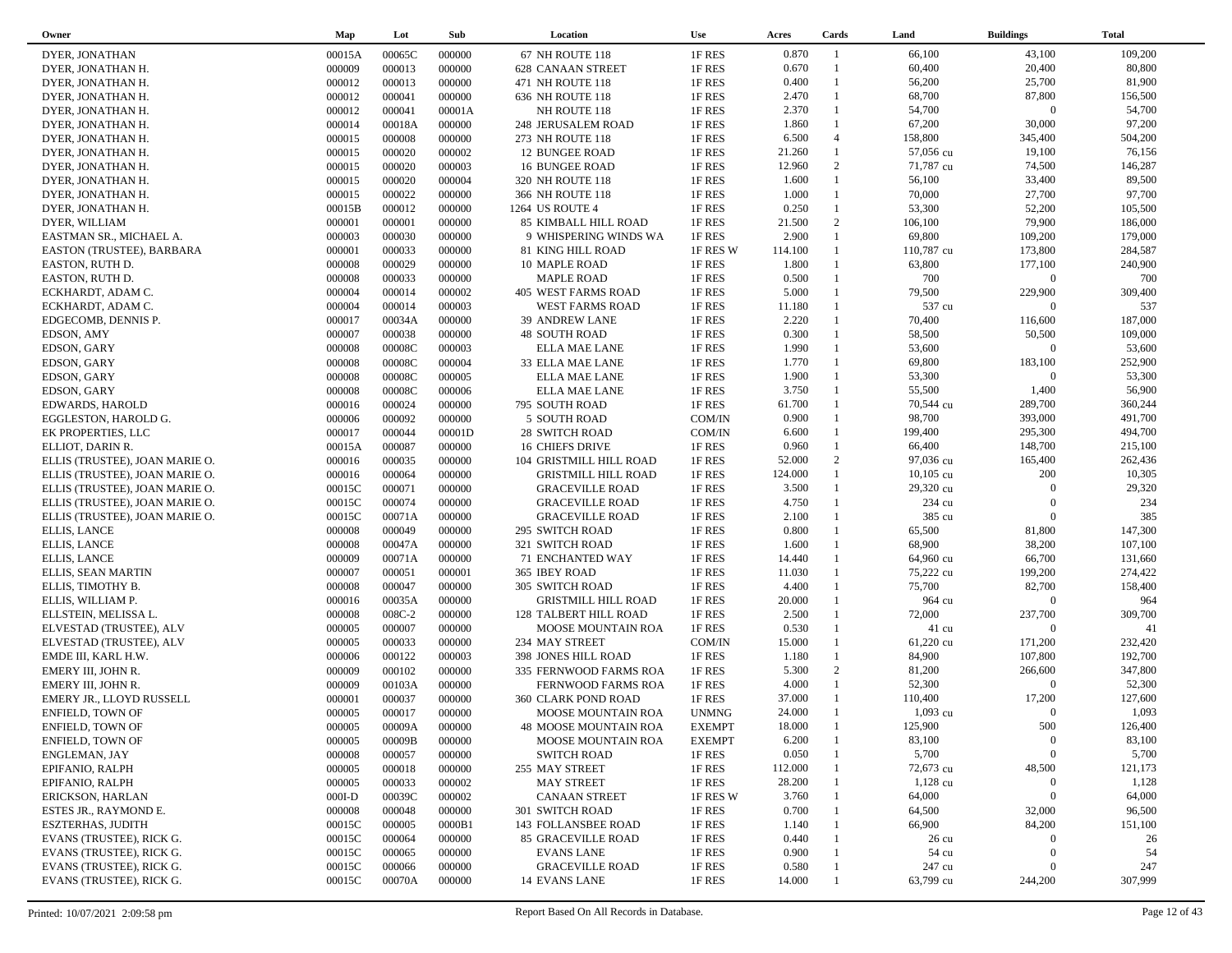| Owner                          | Map      | Lot    | Sub    | Location                   | <b>Use</b>    | Acres   | Cards          | Land            | <b>Buildings</b> | <b>Total</b> |
|--------------------------------|----------|--------|--------|----------------------------|---------------|---------|----------------|-----------------|------------------|--------------|
| DYER, JONATHAN                 | 00015A   | 00065C | 000000 | 67 NH ROUTE 118            | 1F RES        | 0.870   | -1             | 66,100          | 43,100           | 109,200      |
| DYER, JONATHAN H.              | 000009   | 000013 | 000000 | <b>628 CANAAN STREET</b>   | 1F RES        | 0.670   |                | 60,400          | 20,400           | 80,800       |
| DYER, JONATHAN H.              | 000012   | 000013 | 000000 | 471 NH ROUTE 118           | 1F RES        | 0.400   | $\mathbf{1}$   | 56,200          | 25,700           | 81,900       |
| DYER, JONATHAN H.              | 000012   | 000041 | 000000 | 636 NH ROUTE 118           | 1F RES        | 2.470   | $\mathbf{1}$   | 68,700          | 87,800           | 156,500      |
| DYER, JONATHAN H.              | 000012   | 000041 | 00001A | NH ROUTE 118               | 1F RES        | 2.370   | $\mathbf{1}$   | 54,700          | $\Omega$         | 54,700       |
|                                |          | 00018A | 000000 |                            |               | 1.860   | $\mathbf{1}$   | 67,200          | 30,000           | 97,200       |
| DYER, JONATHAN H.              | 000014   |        |        | 248 JERUSALEM ROAD         | 1F RES        |         | $\overline{4}$ |                 |                  |              |
| DYER, JONATHAN H.              | 000015   | 000008 | 000000 | 273 NH ROUTE 118           | 1F RES        | 6.500   | $\mathbf{1}$   | 158,800         | 345,400          | 504,200      |
| DYER, JONATHAN H.              | 000015   | 000020 | 000002 | <b>12 BUNGEE ROAD</b>      | 1F RES        | 21.260  |                | 57,056 cu       | 19,100           | 76,156       |
| DYER, JONATHAN H.              | 000015   | 000020 | 000003 | <b>16 BUNGEE ROAD</b>      | 1F RES        | 12.960  | 2              | 71,787 cu       | 74,500           | 146,287      |
| DYER, JONATHAN H.              | 000015   | 000020 | 000004 | 320 NH ROUTE 118           | 1F RES        | 1.600   | $\mathbf{1}$   | 56,100          | 33,400           | 89,500       |
| DYER, JONATHAN H.              | 000015   | 000022 | 000000 | 366 NH ROUTE 118           | 1F RES        | 1.000   | $\mathbf{1}$   | 70,000          | 27,700           | 97,700       |
| DYER, JONATHAN H.              | 00015B   | 000012 | 000000 | 1264 US ROUTE 4            | 1F RES        | 0.250   | $\mathbf{1}$   | 53,300          | 52,200           | 105,500      |
| DYER, WILLIAM                  | 000001   | 000001 | 000000 | 85 KIMBALL HILL ROAD       | 1F RES        | 21.500  | 2              | 106,100         | 79,900           | 186,000      |
| EASTMAN SR., MICHAEL A.        | 000003   | 000030 | 000000 | 9 WHISPERING WINDS WA      | 1F RES        | 2.900   | $\mathbf{1}$   | 69,800          | 109,200          | 179,000      |
| EASTON (TRUSTEE), BARBARA      | 000001   | 000033 | 000000 | 81 KING HILL ROAD          | 1F RES W      | 114.100 | $\mathbf{1}$   | 110,787 cu      | 173,800          | 284,587      |
| EASTON, RUTH D.                | 000008   | 000029 | 000000 | 10 MAPLE ROAD              | 1F RES        | 1.800   |                | 63,800          | 177,100          | 240,900      |
| EASTON, RUTH D.                | 000008   | 000033 | 000000 | <b>MAPLE ROAD</b>          | 1F RES        | 0.500   | $\mathbf{1}$   | 700             | $\Omega$         | 700          |
| ECKHARDT, ADAM C.              | 000004   | 000014 | 000002 | 405 WEST FARMS ROAD        | 1F RES        | 5.000   |                | 79,500          | 229,900          | 309,400      |
| ECKHARDT, ADAM C.              | 000004   | 000014 | 000003 | WEST FARMS ROAD            | 1F RES        | 11.180  |                | 537 cu          | $\Omega$         | 537          |
| EDGECOMB, DENNIS P.            | 000017   | 00034A | 000000 | 39 ANDREW LANE             | 1F RES        | 2.220   |                | 70,400          | 116,600          | 187,000      |
| EDSON, AMY                     | 000007   | 000038 | 000000 | <b>48 SOUTH ROAD</b>       | 1F RES        | 0.300   | $\mathbf{1}$   | 58,500          | 50,500           | 109,000      |
| EDSON, GARY                    | 000008   | 00008C | 000003 | <b>ELLA MAE LANE</b>       | 1F RES        | 1.990   |                | 53,600          | $\overline{0}$   | 53,600       |
| EDSON, GARY                    | 000008   | 00008C | 000004 | 33 ELLA MAE LANE           | 1F RES        | 1.770   | $\mathbf{1}$   | 69,800          | 183,100          | 252,900      |
| EDSON, GARY                    | 000008   | 00008C | 000005 | ELLA MAE LANE              | 1F RES        | 1.900   | $\mathbf{1}$   | 53,300          | $\Omega$         | 53,300       |
| EDSON, GARY                    | 000008   | 00008C | 000006 | ELLA MAE LANE              | 1F RES        | 3.750   | 1              | 55,500          | 1,400            | 56,900       |
| <b>EDWARDS, HAROLD</b>         | 000016   | 000024 | 000000 | 795 SOUTH ROAD             | 1F RES        | 61.700  |                | 70,544 cu       | 289,700          | 360,244      |
| EGGLESTON, HAROLD G.           | 000006   | 000092 | 000000 | 5 SOUTH ROAD               | COM/IN        | 0.900   |                | 98,700          | 393,000          | 491,700      |
| EK PROPERTIES, LLC             | 000017   | 000044 | 00001D | <b>28 SWITCH ROAD</b>      | COM/IN        | 6.600   | 1              | 199,400         | 295,300          | 494,700      |
| ELLIOT. DARIN R.               |          | 000087 | 000000 |                            | 1F RES        | 0.960   | $\mathbf{1}$   | 66,400          | 148,700          | 215,100      |
|                                | 00015A   |        |        | <b>16 CHIEFS DRIVE</b>     |               |         | 2              |                 |                  |              |
| ELLIS (TRUSTEE), JOAN MARIE O. | 000016   | 000035 | 000000 | 104 GRISTMILL HILL ROAD    | 1F RES        | 52.000  | $\mathbf{1}$   | 97,036 cu       | 165,400          | 262,436      |
| ELLIS (TRUSTEE), JOAN MARIE O. | 000016   | 000064 | 000000 | <b>GRISTMILL HILL ROAD</b> | 1F RES        | 124.000 | 1              | $10,105$ cu     | 200              | 10,305       |
| ELLIS (TRUSTEE), JOAN MARIE O. | 00015C   | 000071 | 000000 | <b>GRACEVILLE ROAD</b>     | 1F RES        | 3.500   |                | 29,320 cu       | $\Omega$         | 29,320       |
| ELLIS (TRUSTEE), JOAN MARIE O. | 00015C   | 000074 | 000000 | <b>GRACEVILLE ROAD</b>     | 1F RES        | 4.750   |                | 234 cu          | $\Omega$         | 234          |
| ELLIS (TRUSTEE), JOAN MARIE O. | 00015C   | 00071A | 000000 | <b>GRACEVILLE ROAD</b>     | 1F RES        | 2.100   |                | 385 cu          | $\overline{0}$   | 385          |
| <b>ELLIS, LANCE</b>            | 000008   | 000049 | 000000 | 295 SWITCH ROAD            | 1F RES        | 0.800   | $\mathbf{1}$   | 65,500          | 81,800           | 147,300      |
| <b>ELLIS, LANCE</b>            | 000008   | 00047A | 000000 | 321 SWITCH ROAD            | 1F RES        | 1.600   |                | 68,900          | 38,200           | 107,100      |
| <b>ELLIS, LANCE</b>            | 000009   | 00071A | 000000 | 71 ENCHANTED WAY           | 1F RES        | 14.440  |                | 64,960 cu       | 66,700           | 131,660      |
| ELLIS, SEAN MARTIN             | 000007   | 000051 | 000001 | 365 IBEY ROAD              | 1F RES        | 11.030  |                | 75,222 cu       | 199,200          | 274,422      |
| ELLIS, TIMOTHY B.              | 000008   | 000047 | 000000 | <b>305 SWITCH ROAD</b>     | 1F RES        | 4.400   | $\mathbf{1}$   | 75,700          | 82,700           | 158,400      |
| ELLIS, WILLIAM P.              | 000016   | 00035A | 000000 | <b>GRISTMILL HILL ROAD</b> | 1F RES        | 20.000  |                | 964 cu          | $\Omega$         | 964          |
| ELLSTEIN, MELISSA L.           | 000008   | 008C-2 | 000000 | 128 TALBERT HILL ROAD      | 1F RES        | 2.500   |                | 72,000          | 237,700          | 309,700      |
| ELVESTAD (TRUSTEE), ALV        | 000005   | 000007 | 000000 | MOOSE MOUNTAIN ROA         | 1F RES        | 0.530   |                | $41 \text{ cu}$ | $\mathbf{0}$     | 41           |
| ELVESTAD (TRUSTEE), ALV        | 000005   | 000033 | 000000 | 234 MAY STREET             | COM/IN        | 15.000  |                | 61,220 cu       | 171,200          | 232,420      |
| EMDE III, KARL H.W.            | 000006   | 000122 | 000003 | 398 JONES HILL ROAD        | 1F RES        | 1.180   | 1              | 84,900          | 107,800          | 192,700      |
| EMERY III, JOHN R.             | 000009   | 000102 | 000000 | 335 FERNWOOD FARMS ROA     | 1F RES        | 5.300   | 2              | 81,200          | 266,600          | 347,800      |
| EMERY III, JOHN R.             | 000009   | 00103A | 000000 | FERNWOOD FARMS ROA         | 1F RES        | 4.000   | $\mathbf{1}$   | 52,300          | $\Omega$         | 52,300       |
| EMERY JR., LLOYD RUSSELL       | 000001   | 000037 | 000000 | 360 CLARK POND ROAD        | 1F RES        | 37.000  |                | 110,400         | 17,200           | 127,600      |
| <b>ENFIELD, TOWN OF</b>        | 000005   | 000017 | 000000 | MOOSE MOUNTAIN ROA         | <b>UNMNG</b>  | 24.000  |                | $1,093$ cu      | $\Omega$         | 1,093        |
| ENFIELD, TOWN OF               | 000005   | 00009A | 000000 | 48 MOOSE MOUNTAIN ROA      | <b>EXEMPT</b> | 18.000  |                | 125,900         | 500              | 126,400      |
| ENFIELD, TOWN OF               | 000005   | 00009B | 000000 | MOOSE MOUNTAIN ROA         | <b>EXEMPT</b> | 6.200   |                | 83,100          | $\bf{0}$         | 83,100       |
| ENGLEMAN, JAY                  | 000008   | 000057 | 000000 | <b>SWITCH ROAD</b>         | 1F RES        | 0.050   |                | 5,700           | $\bf{0}$         | 5,700        |
| EPIFANIO, RALPH                | 000005   | 000018 | 000000 | 255 MAY STREET             | 1F RES        | 112.000 |                | 72,673 cu       | 48,500           | 121,173      |
| EPIFANIO, RALPH                | 000005   | 000033 | 000002 | <b>MAY STREET</b>          | 1F RES        | 28.200  |                | 1,128 cu        | $\bf{0}$         | 1,128        |
| ERICKSON, HARLAN               | $000I-D$ | 00039C | 000002 | <b>CANAAN STREET</b>       | 1F RES W      | 3.760   |                | 64,000          | $\boldsymbol{0}$ | 64,000       |
|                                |          |        |        |                            |               |         |                |                 |                  | 96,500       |
| ESTES JR., RAYMOND E.          | 000008   | 000048 | 000000 | 301 SWITCH ROAD            | 1F RES        | 0.700   |                | 64,500          | 32,000           |              |
| <b>ESZTERHAS, JUDITH</b>       | 00015C   | 000005 | 0000B1 | 143 FOLLANSBEE ROAD        | 1F RES        | 1.140   |                | 66,900          | 84,200           | 151,100      |
| EVANS (TRUSTEE), RICK G.       | 00015C   | 000064 | 000000 | 85 GRACEVILLE ROAD         | 1F RES        | 0.440   |                | $26 \text{ cu}$ | $\Omega$         | 26           |
| EVANS (TRUSTEE), RICK G.       | 00015C   | 000065 | 000000 | <b>EVANS LANE</b>          | 1F RES        | 0.900   |                | 54 cu           | $\mathbf{0}$     | 54           |
| EVANS (TRUSTEE), RICK G.       | 00015C   | 000066 | 000000 | <b>GRACEVILLE ROAD</b>     | 1F RES        | 0.580   |                | 247 cu          | $\theta$         | 247          |
| EVANS (TRUSTEE), RICK G.       | 00015C   | 00070A | 000000 | <b>14 EVANS LANE</b>       | 1F RES        | 14.000  |                | 63,799 cu       | 244,200          | 307,999      |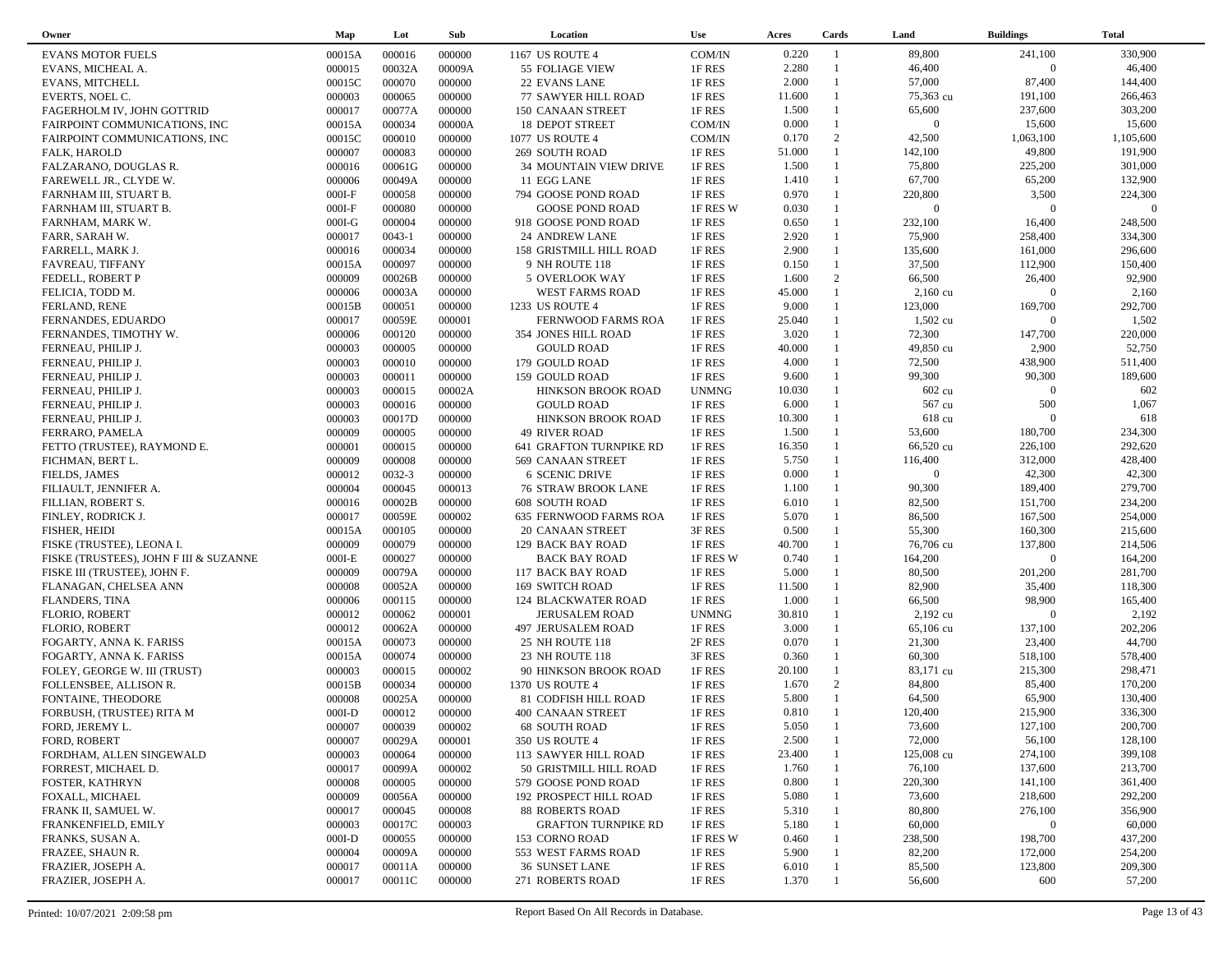| Owner                                  | Map      | Lot        | Sub    | Location                                         | <b>Use</b>   | Acres  | Cards          | Land               | <b>Buildings</b> | <b>Total</b> |  |
|----------------------------------------|----------|------------|--------|--------------------------------------------------|--------------|--------|----------------|--------------------|------------------|--------------|--|
| <b>EVANS MOTOR FUELS</b>               | 00015A   | 000016     | 000000 | 1167 US ROUTE 4                                  | COM/IN       | 0.220  | $\overline{1}$ | 89,800             | 241,100          | 330,900      |  |
| EVANS, MICHEAL A.                      | 000015   | 00032A     | 00009A | 55 FOLIAGE VIEW                                  | 1F RES       | 2.280  | $\overline{1}$ | 46,400             | $\overline{0}$   | 46,400       |  |
| <b>EVANS, MITCHELL</b>                 | 00015C   | 000070     | 000000 | 22 EVANS LANE                                    | 1F RES       | 2.000  | $\mathbf{1}$   | 57,000             | 87,400           | 144,400      |  |
| EVERTS, NOEL C.                        | 000003   | 000065     | 000000 | 77 SAWYER HILL ROAD                              | 1F RES       | 11.600 | $\mathbf{1}$   | 75,363 cu          | 191,100          | 266,463      |  |
| FAGERHOLM IV, JOHN GOTTRID             | 000017   | 00077A     | 000000 | 150 CANAAN STREET                                | 1F RES       | 1.500  |                | 65,600             | 237,600          | 303,200      |  |
| FAIRPOINT COMMUNICATIONS, INC          | 00015A   | 000034     | 00000A | 18 DEPOT STREET                                  | COM/IN       | 0.000  | $\mathbf{1}$   | $\overline{0}$     | 15,600           | 15,600       |  |
| FAIRPOINT COMMUNICATIONS, INC          | 00015C   | 000010     | 000000 | 1077 US ROUTE 4                                  | COM/IN       | 0.170  | 2              | 42,500             | 1,063,100        | 1,105,600    |  |
| FALK, HAROLD                           | 000007   | 000083     | 000000 | 269 SOUTH ROAD                                   | 1F RES       | 51.000 | $\mathbf{1}$   | 142,100            | 49,800           | 191,900      |  |
| FALZARANO, DOUGLAS R.                  | 000016   | 00061G     | 000000 | 34 MOUNTAIN VIEW DRIVE                           | 1F RES       | 1.500  | $\mathbf{1}$   | 75,800             | 225,200          | 301,000      |  |
| FAREWELL JR., CLYDE W.                 | 000006   | 00049A     | 000000 | 11 EGG LANE                                      | 1F RES       | 1.410  | $\mathbf{1}$   | 67,700             | 65,200           | 132,900      |  |
| FARNHAM III, STUART B.                 | $000I-F$ | 000058     | 000000 | 794 GOOSE POND ROAD                              | 1F RES       | 0.970  | $\mathbf{1}$   | 220,800            | 3,500            | 224,300      |  |
| FARNHAM III, STUART B.                 | $000I-F$ | 000080     | 000000 | <b>GOOSE POND ROAD</b>                           | 1F RES W     | 0.030  | $\mathbf{1}$   | $\overline{0}$     | $\overline{0}$   | $\Omega$     |  |
| FARNHAM, MARK W.                       | $000I-G$ | 000004     | 000000 | 918 GOOSE POND ROAD                              | 1F RES       | 0.650  | $\mathbf{1}$   | 232,100            | 16,400           | 248,500      |  |
| FARR, SARAH W.                         | 000017   | $0043 - 1$ | 000000 | 24 ANDREW LANE                                   | 1F RES       | 2.920  | $\mathbf{1}$   | 75,900             | 258,400          | 334,300      |  |
| FARRELL, MARK J.                       | 000016   | 000034     | 000000 | 158 GRISTMILL HILL ROAD                          | 1F RES       | 2.900  | $\mathbf{1}$   | 135,600            | 161,000          | 296,600      |  |
| <b>FAVREAU, TIFFANY</b>                | 00015A   | 000097     | 000000 | 9 NH ROUTE 118                                   | 1F RES       | 0.150  | $\mathbf{1}$   | 37,500             | 112,900          | 150,400      |  |
| FEDELL, ROBERT P                       | 000009   | 00026B     | 000000 | 5 OVERLOOK WAY                                   | 1F RES       | 1.600  | 2              | 66,500             | 26,400           | 92,900       |  |
| FELICIA, TODD M.                       | 000006   | 00003A     | 000000 | WEST FARMS ROAD                                  | 1F RES       | 45.000 | $\mathbf{1}$   | $2,160 \text{ cu}$ | $\overline{0}$   | 2,160        |  |
|                                        | 00015B   | 000051     | 000000 |                                                  | 1F RES       | 9.000  | $\mathbf{1}$   | 123,000            | 169,700          | 292,700      |  |
| FERLAND, RENE                          | 000017   | 00059E     | 000001 | 1233 US ROUTE 4                                  | 1F RES       | 25.040 | $\mathbf{1}$   | $1,502$ cu         | $\overline{0}$   | 1,502        |  |
| FERNANDES, EDUARDO                     | 000006   | 000120     | 000000 | FERNWOOD FARMS ROA<br><b>354 JONES HILL ROAD</b> | 1F RES       | 3.020  |                | 72,300             | 147,700          | 220,000      |  |
| FERNANDES, TIMOTHY W.                  |          | 000005     |        |                                                  |              | 40.000 | $\mathbf{1}$   |                    | 2,900            | 52,750       |  |
| FERNEAU, PHILIP J.                     | 000003   |            | 000000 | <b>GOULD ROAD</b>                                | 1F RES       | 4.000  | 1              | 49,850 cu          | 438,900          |              |  |
| FERNEAU, PHILIP J.                     | 000003   | 000010     | 000000 | 179 GOULD ROAD                                   | 1F RES       |        | $\mathbf{1}$   | 72,500             |                  | 511,400      |  |
| FERNEAU, PHILIP J.                     | 000003   | 000011     | 000000 | 159 GOULD ROAD                                   | 1F RES       | 9.600  |                | 99,300             | 90,300           | 189,600      |  |
| FERNEAU, PHILIP J.                     | 000003   | 000015     | 00002A | HINKSON BROOK ROAD                               | <b>UNMNG</b> | 10.030 |                | 602 cu             | $\overline{0}$   | 602          |  |
| FERNEAU, PHILIP J.                     | 000003   | 000016     | 000000 | <b>GOULD ROAD</b>                                | 1F RES       | 6.000  |                | 567 cu             | 500              | 1,067        |  |
| FERNEAU, PHILIP J.                     | 000003   | 00017D     | 000000 | HINKSON BROOK ROAD                               | 1F RES       | 10.300 | $\mathbf{1}$   | 618 cu             | $\Omega$         | 618          |  |
| FERRARO, PAMELA                        | 000009   | 000005     | 000000 | <b>49 RIVER ROAD</b>                             | 1F RES       | 1.500  |                | 53,600             | 180,700          | 234,300      |  |
| FETTO (TRUSTEE), RAYMOND E.            | 000001   | 000015     | 000000 | 641 GRAFTON TURNPIKE RD                          | 1F RES       | 16.350 | $\mathbf{1}$   | 66,520 cu          | 226,100          | 292,620      |  |
| FICHMAN, BERT L.                       | 000009   | 000008     | 000000 | 569 CANAAN STREET                                | 1F RES       | 5.750  |                | 116,400            | 312,000          | 428,400      |  |
| FIELDS, JAMES                          | 000012   | 0032-3     | 000000 | <b>6 SCENIC DRIVE</b>                            | 1F RES       | 0.000  | $\mathbf{1}$   | $\overline{0}$     | 42,300           | 42,300       |  |
| FILIAULT, JENNIFER A.                  | 000004   | 000045     | 000013 | <b>76 STRAW BROOK LANE</b>                       | 1F RES       | 1.100  | $\mathbf{1}$   | 90,300             | 189,400          | 279,700      |  |
| FILLIAN, ROBERT S.                     | 000016   | 00002B     | 000000 | <b>608 SOUTH ROAD</b>                            | 1F RES       | 6.010  | $\mathbf{1}$   | 82,500             | 151,700          | 234,200      |  |
| FINLEY, RODRICK J.                     | 000017   | 00059E     | 000002 | 635 FERNWOOD FARMS ROA                           | 1F RES       | 5.070  | $\mathbf{1}$   | 86,500             | 167,500          | 254,000      |  |
| FISHER, HEIDI                          | 00015A   | 000105     | 000000 | 20 CANAAN STREET                                 | 3F RES       | 0.500  | $\mathbf{1}$   | 55,300             | 160,300          | 215,600      |  |
| FISKE (TRUSTEE), LEONA I.              | 000009   | 000079     | 000000 | 129 BACK BAY ROAD                                | 1F RES       | 40.700 | $\mathbf{1}$   | 76,706 cu          | 137,800          | 214,506      |  |
| FISKE (TRUSTEES), JOHN F III & SUZANNE | $000I-E$ | 000027     | 000000 | <b>BACK BAY ROAD</b>                             | 1F RES W     | 0.740  | 1              | 164,200            | $\overline{0}$   | 164,200      |  |
| FISKE III (TRUSTEE), JOHN F.           | 000009   | 00079A     | 000000 | 117 BACK BAY ROAD                                | 1F RES       | 5.000  | $\mathbf{1}$   | 80,500             | 201,200          | 281,700      |  |
| FLANAGAN, CHELSEA ANN                  | 000008   | 00052A     | 000000 | 169 SWITCH ROAD                                  | 1F RES       | 11.500 |                | 82,900             | 35,400           | 118,300      |  |
| <b>FLANDERS, TINA</b>                  | 000006   | 000115     | 000000 | <b>124 BLACKWATER ROAD</b>                       | 1F RES       | 1.000  | $\mathbf{1}$   | 66,500             | 98,900           | 165,400      |  |
| <b>FLORIO, ROBERT</b>                  | 000012   | 000062     | 000001 | <b>JERUSALEM ROAD</b>                            | <b>UNMNG</b> | 30.810 | 1              | 2,192 cu           | $\Omega$         | 2,192        |  |
| <b>FLORIO, ROBERT</b>                  | 000012   | 00062A     | 000000 | 497 JERUSALEM ROAD                               | 1F RES       | 3.000  | $\mathbf{1}$   | 65,106 cu          | 137,100          | 202,206      |  |
| FOGARTY, ANNA K. FARISS                | 00015A   | 000073     | 000000 | <b>25 NH ROUTE 118</b>                           | 2F RES       | 0.070  | $\mathbf{1}$   | 21,300             | 23,400           | 44,700       |  |
| FOGARTY, ANNA K. FARISS                | 00015A   | 000074     | 000000 | 23 NH ROUTE 118                                  | 3F RES       | 0.360  | $\mathbf{1}$   | 60,300             | 518,100          | 578,400      |  |
| FOLEY, GEORGE W. III (TRUST)           | 000003   | 000015     | 000002 | 90 HINKSON BROOK ROAD                            | 1F RES       | 20.100 | $\mathbf{1}$   | 83,171 cu          | 215,300          | 298,471      |  |
| FOLLENSBEE, ALLISON R.                 | 00015B   | 000034     | 000000 | 1370 US ROUTE 4                                  | 1F RES       | 1.670  | 2              | 84,800             | 85,400           | 170,200      |  |
| FONTAINE, THEODORE                     | 000008   | 00025A     | 000000 | 81 CODFISH HILL ROAD                             | 1F RES       | 5.800  | $\mathbf{1}$   | 64,500             | 65,900           | 130,400      |  |
| FORBUSH, (TRUSTEE) RITA M              | $000I-D$ | 000012     | 000000 | <b>400 CANAAN STREET</b>                         | 1F RES       | 0.810  | $\mathbf{1}$   | 120,400            | 215,900          | 336,300      |  |
| FORD, JEREMY L.                        | 000007   | 000039     | 000002 | <b>68 SOUTH ROAD</b>                             | 1F RES       | 5.050  | $\overline{1}$ | 73,600             | 127,100          | 200,700      |  |
| FORD, ROBERT                           | 000007   | 00029A     | 000001 | <b>350 US ROUTE 4</b>                            | 1F RES       | 2.500  |                | 72,000             | 56,100           | 128,100      |  |
| FORDHAM, ALLEN SINGEWALD               | 000003   | 000064     | 000000 | 113 SAWYER HILL ROAD                             | 1F RES       | 23.400 |                | 125,008 cu         | 274,100          | 399,108      |  |
| FORREST, MICHAEL D.                    | 000017   | 00099A     | 000002 | 50 GRISTMILL HILL ROAD                           | 1F RES       | 1.760  |                | 76,100             | 137,600          | 213,700      |  |
| FOSTER, KATHRYN                        | 000008   | 000005     | 000000 | 579 GOOSE POND ROAD                              | 1F RES       | 0.800  |                | 220,300            | 141,100          | 361,400      |  |
| FOXALL, MICHAEL                        | 000009   | 00056A     | 000000 | <b>192 PROSPECT HILL ROAD</b>                    | 1F RES       | 5.080  |                | 73,600             | 218,600          | 292,200      |  |
| FRANK II, SAMUEL W.                    | 000017   | 000045     | 000008 | <b>88 ROBERTS ROAD</b>                           | 1F RES       | 5.310  |                | 80,800             | 276,100          | 356,900      |  |
| FRANKENFIELD, EMILY                    | 000003   | 00017C     | 000003 | <b>GRAFTON TURNPIKE RD</b>                       | 1F RES       | 5.180  |                | 60,000             | $\mathbf{0}$     | 60,000       |  |
| FRANKS, SUSAN A.                       | $000I-D$ | 000055     | 000000 | 153 CORNO ROAD                                   | 1F RES W     | 0.460  |                | 238,500            | 198,700          | 437,200      |  |
| FRAZEE, SHAUN R.                       | 000004   | 00009A     | 000000 | 553 WEST FARMS ROAD                              | 1F RES       | 5.900  |                | 82,200             | 172,000          | 254,200      |  |
| FRAZIER, JOSEPH A.                     | 000017   | 00011A     | 000000 | 36 SUNSET LANE                                   | 1F RES       | 6.010  |                | 85,500             | 123,800          | 209,300      |  |
| FRAZIER, JOSEPH A.                     | 000017   | 00011C     | 000000 | 271 ROBERTS ROAD                                 | 1F RES       | 1.370  |                | 56,600             | 600              | 57,200       |  |
|                                        |          |            |        |                                                  |              |        |                |                    |                  |              |  |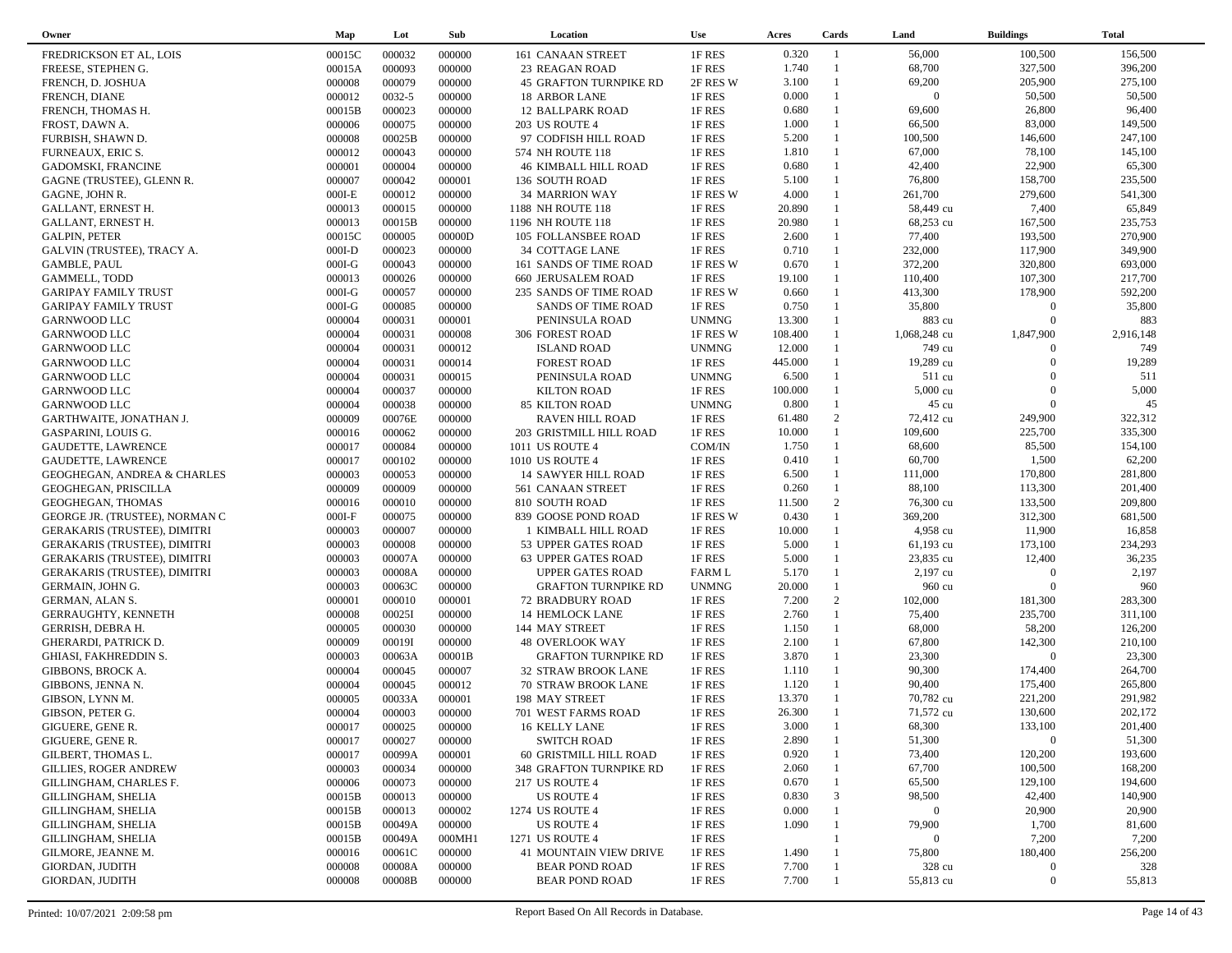| Owner                                  | Map      | Lot    | Sub    | Location                      | <b>Use</b>    | Acres   | Cards          | Land           | <b>Buildings</b> | <b>Total</b> |  |
|----------------------------------------|----------|--------|--------|-------------------------------|---------------|---------|----------------|----------------|------------------|--------------|--|
| FREDRICKSON ET AL, LOIS                | 00015C   | 000032 | 000000 | 161 CANAAN STREET             | 1F RES        | 0.320   | $\overline{1}$ | 56,000         | 100,500          | 156,500      |  |
| FREESE, STEPHEN G.                     | 00015A   | 000093 | 000000 | 23 REAGAN ROAD                | 1F RES        | 1.740   | $\overline{1}$ | 68,700         | 327,500          | 396,200      |  |
| FRENCH, D. JOSHUA                      | 000008   | 000079 | 000000 | <b>45 GRAFTON TURNPIKE RD</b> | 2F RES W      | 3.100   | $\mathbf{1}$   | 69,200         | 205,900          | 275,100      |  |
| FRENCH, DIANE                          | 000012   | 0032-5 | 000000 | 18 ARBOR LANE                 | 1F RES        | 0.000   | $\mathbf{1}$   | $\overline{0}$ | 50,500           | 50,500       |  |
| FRENCH, THOMAS H.                      | 00015B   | 000023 | 000000 | 12 BALLPARK ROAD              | 1F RES        | 0.680   | 1              | 69,600         | 26,800           | 96,400       |  |
| FROST, DAWN A.                         | 000006   | 000075 | 000000 | 203 US ROUTE 4                | 1F RES        | 1.000   | $\mathbf{1}$   | 66,500         | 83,000           | 149,500      |  |
| FURBISH, SHAWN D.                      | 000008   | 00025B | 000000 | 97 CODFISH HILL ROAD          | 1F RES        | 5.200   | $\mathbf{1}$   | 100,500        | 146,600          | 247,100      |  |
| <b>FURNEAUX, ERIC S.</b>               | 000012   | 000043 | 000000 | 574 NH ROUTE 118              | 1F RES        | 1.810   | $\mathbf{1}$   | 67,000         | 78,100           | 145,100      |  |
| GADOMSKI, FRANCINE                     | 000001   | 000004 | 000000 | 46 KIMBALL HILL ROAD          | 1F RES        | 0.680   | $\mathbf{1}$   | 42,400         | 22,900           | 65,300       |  |
| GAGNE (TRUSTEE), GLENN R.              | 000007   | 000042 | 000001 | 136 SOUTH ROAD                | 1F RES        | 5.100   | $\mathbf{1}$   | 76,800         | 158,700          | 235,500      |  |
| GAGNE, JOHN R.                         | $000I-E$ | 000012 | 000000 | 34 MARRION WAY                | 1F RES W      | 4.000   | $\mathbf{1}$   | 261,700        | 279,600          | 541,300      |  |
| GALLANT, ERNEST H.                     | 000013   | 000015 | 000000 | 1188 NH ROUTE 118             | 1F RES        | 20.890  |                | 58,449 cu      | 7,400            | 65,849       |  |
| GALLANT, ERNEST H.                     | 000013   | 00015B | 000000 | 1196 NH ROUTE 118             | 1F RES        | 20.980  | $\mathbf{1}$   | 68,253 cu      | 167,500          | 235,753      |  |
| <b>GALPIN, PETER</b>                   | 00015C   | 000005 | 00000D | 105 FOLLANSBEE ROAD           | 1F RES        | 2.600   | $\mathbf{1}$   | 77,400         | 193,500          | 270,900      |  |
| GALVIN (TRUSTEE), TRACY A.             | $000I-D$ | 000023 | 000000 | 34 COTTAGE LANE               | 1F RES        | 0.710   | $\mathbf{1}$   | 232,000        | 117,900          | 349,900      |  |
| <b>GAMBLE, PAUL</b>                    | $000I-G$ | 000043 | 000000 | 161 SANDS OF TIME ROAD        | 1F RES W      | 0.670   | $\mathbf{1}$   | 372,200        | 320,800          | 693,000      |  |
| <b>GAMMELL, TODD</b>                   | 000013   | 000026 | 000000 | <b>660 JERUSALEM ROAD</b>     | 1F RES        | 19.100  | $\mathbf{1}$   | 110,400        | 107,300          | 217,700      |  |
| <b>GARIPAY FAMILY TRUST</b>            | $000I-G$ | 000057 | 000000 | 235 SANDS OF TIME ROAD        | 1F RES W      | 0.660   | $\mathbf{1}$   | 413,300        | 178,900          | 592,200      |  |
| <b>GARIPAY FAMILY TRUST</b>            | $000I-G$ | 000085 | 000000 | <b>SANDS OF TIME ROAD</b>     | 1F RES        | 0.750   | $\mathbf{1}$   | 35,800         | $\Omega$         | 35,800       |  |
| GARNWOOD LLC                           | 000004   | 000031 | 000001 | PENINSULA ROAD                | <b>UNMNG</b>  | 13.300  | $\mathbf{1}$   | 883 cu         | $\Omega$         | 883          |  |
| <b>GARNWOOD LLC</b>                    | 000004   | 000031 | 000008 | <b>306 FOREST ROAD</b>        | 1F RES W      | 108.400 |                | 1,068,248 cu   | 1,847,900        | 2,916,148    |  |
| GARNWOOD LLC                           | 000004   | 000031 | 000012 | <b>ISLAND ROAD</b>            | <b>UNMNG</b>  | 12.000  | $\mathbf{1}$   | 749 cu         | $\Omega$         | 749          |  |
| <b>GARNWOOD LLC</b>                    | 000004   | 000031 | 000014 | <b>FOREST ROAD</b>            | 1F RES        | 445.000 |                | 19,289 cu      | $\Omega$         | 19,289       |  |
| GARNWOOD LLC                           | 000004   | 000031 | 000015 | PENINSULA ROAD                | <b>UNMNG</b>  | 6.500   | 1              | 511 cu         | $\Omega$         | 511          |  |
| <b>GARNWOOD LLC</b>                    | 000004   | 000037 | 000000 | <b>KILTON ROAD</b>            | 1F RES        | 100.000 |                | 5,000 cu       | $\Omega$         | 5,000        |  |
| <b>GARNWOOD LLC</b>                    | 000004   | 000038 | 000000 | 85 KILTON ROAD                | <b>UNMNG</b>  | 0.800   |                | 45 cu          | $\overline{0}$   | 45           |  |
| GARTHWAITE, JONATHAN J.                | 000009   | 00076E | 000000 | <b>RAVEN HILL ROAD</b>        | 1F RES        | 61.480  | 2              | 72,412 cu      | 249,900          | 322,312      |  |
| GASPARINI, LOUIS G.                    | 000016   | 000062 | 000000 | 203 GRISTMILL HILL ROAD       | 1F RES        | 10.000  | $\mathbf{1}$   | 109,600        | 225,700          | 335,300      |  |
| <b>GAUDETTE, LAWRENCE</b>              | 000017   | 000084 | 000000 | 1011 US ROUTE 4               | COM/IN        | 1.750   | $\mathbf{1}$   | 68,600         | 85,500           | 154,100      |  |
| GAUDETTE, LAWRENCE                     | 000017   | 000102 | 000000 | <b>1010 US ROUTE 4</b>        | 1F RES        | 0.410   | $\mathbf{1}$   | 60,700         | 1,500            | 62,200       |  |
| <b>GEOGHEGAN, ANDREA &amp; CHARLES</b> | 000003   | 000053 | 000000 | 14 SAWYER HILL ROAD           | 1F RES        | 6.500   | $\mathbf{1}$   | 111,000        | 170,800          | 281,800      |  |
| GEOGHEGAN, PRISCILLA                   | 000009   | 000009 | 000000 | 561 CANAAN STREET             | 1F RES        | 0.260   | $\mathbf{1}$   | 88,100         | 113,300          | 201,400      |  |
| GEOGHEGAN, THOMAS                      | 000016   | 000010 | 000000 | 810 SOUTH ROAD                | 1F RES        | 11.500  | 2              | 76,300 cu      | 133,500          | 209,800      |  |
| GEORGE JR. (TRUSTEE), NORMAN C         | $000I-F$ | 000075 | 000000 | 839 GOOSE POND ROAD           | 1F RES W      | 0.430   | $\mathbf{1}$   | 369,200        | 312,300          | 681,500      |  |
| <b>GERAKARIS (TRUSTEE), DIMITRI</b>    | 000003   | 000007 | 000000 | 1 KIMBALL HILL ROAD           | 1F RES        | 10.000  | $\mathbf{1}$   | 4,958 cu       | 11,900           | 16,858       |  |
| <b>GERAKARIS (TRUSTEE), DIMITRI</b>    | 000003   | 000008 | 000000 | 53 UPPER GATES ROAD           | 1F RES        | 5.000   | $\mathbf{1}$   | 61,193 cu      | 173,100          | 234,293      |  |
| <b>GERAKARIS (TRUSTEE), DIMITRI</b>    | 000003   | 00007A | 000000 | 63 UPPER GATES ROAD           | 1F RES        | 5.000   | $\mathbf{1}$   | 23,835 cu      | 12,400           | 36,235       |  |
| <b>GERAKARIS (TRUSTEE), DIMITRI</b>    | 000003   | 00008A | 000000 | <b>UPPER GATES ROAD</b>       | <b>FARM L</b> | 5.170   | $\mathbf{1}$   | 2,197 cu       | $\Omega$         | 2,197        |  |
| GERMAIN, JOHN G.                       | 000003   | 00063C | 000000 | <b>GRAFTON TURNPIKE RD</b>    | <b>UNMNG</b>  | 20.000  | $\mathbf{1}$   | 960 cu         | $\Omega$         | 960          |  |
| GERMAN, ALAN S.                        | 000001   | 000010 | 000001 | <b>72 BRADBURY ROAD</b>       | 1F RES        | 7.200   | 2              | 102,000        | 181,300          | 283,300      |  |
| <b>GERRAUGHTY, KENNETH</b>             | 000008   | 00025I | 000000 | 14 HEMLOCK LANE               | 1F RES        | 2.760   | $\mathbf{1}$   | 75,400         | 235,700          | 311,100      |  |
| GERRISH, DEBRA H.                      | 000005   | 000030 | 000000 | 144 MAY STREET                | 1F RES        | 1.150   | $\mathbf{1}$   | 68,000         | 58,200           | 126,200      |  |
| <b>GHERARDI, PATRICK D.</b>            | 000009   | 00019I | 000000 | <b>48 OVERLOOK WAY</b>        | 1F RES        | 2.100   | $\mathbf{1}$   | 67,800         | 142,300          | 210,100      |  |
| GHIASI, FAKHREDDIN S.                  | 000003   | 00063A | 00001B | <b>GRAFTON TURNPIKE RD</b>    | 1F RES        | 3.870   | $\mathbf{1}$   | 23,300         | $\overline{0}$   | 23,300       |  |
| <b>GIBBONS, BROCK A.</b>               | 000004   | 000045 | 000007 | 32 STRAW BROOK LANE           | 1F RES        | 1.110   | $\mathbf{1}$   | 90,300         | 174,400          | 264,700      |  |
| GIBBONS, JENNA N.                      | 000004   | 000045 | 000012 | 70 STRAW BROOK LANE           | 1F RES        | 1.120   | $\mathbf{1}$   | 90,400         | 175,400          | 265,800      |  |
| GIBSON, LYNN M.                        | 000005   | 00033A | 000001 | 198 MAY STREET                | 1F RES        | 13.370  | $\mathbf{1}$   | 70,782 cu      | 221,200          | 291,982      |  |
| GIBSON, PETER G.                       | 000004   | 000003 | 000000 | 701 WEST FARMS ROAD           | 1F RES        | 26.300  | $\mathbf{1}$   | 71,572 cu      | 130,600          | 202,172      |  |
| GIGUERE, GENE R.                       | 000017   | 000025 | 000000 | 16 KELLY LANE                 | 1F RES        | 3.000   | $\mathbf{1}$   | 68,300         | 133,100          | 201,400      |  |
| GIGUERE, GENE R.                       | 000017   | 000027 | 000000 | <b>SWITCH ROAD</b>            | 1F RES        | 2.890   |                | 51,300         | $\bf{0}$         | 51,300       |  |
| GILBERT, THOMAS L.                     | 000017   | 00099A | 000001 | 60 GRISTMILL HILL ROAD        | 1F RES        | 0.920   |                | 73,400         | 120,200          | 193,600      |  |
| <b>GILLIES, ROGER ANDREW</b>           | 000003   | 000034 | 000000 | 348 GRAFTON TURNPIKE RD       | 1F RES        | 2.060   |                | 67,700         | 100,500          | 168,200      |  |
| GILLINGHAM, CHARLES F.                 | 000006   | 000073 | 000000 | 217 US ROUTE 4                | 1F RES        | 0.670   |                | 65,500         | 129,100          | 194,600      |  |
| GILLINGHAM, SHELIA                     | 00015B   | 000013 | 000000 | US ROUTE 4                    | 1F RES        | 0.830   | 3              | 98,500         | 42,400           | 140,900      |  |
| <b>GILLINGHAM, SHELIA</b>              | 00015B   | 000013 | 000002 | 1274 US ROUTE 4               | 1F RES        | 0.000   |                | $\overline{0}$ | 20,900           | 20,900       |  |
| GILLINGHAM, SHELIA                     | 00015B   | 00049A | 000000 | <b>US ROUTE 4</b>             | 1F RES        | 1.090   |                | 79,900         | 1,700            | 81,600       |  |
| GILLINGHAM, SHELIA                     | 00015B   | 00049A | 000MH1 | 1271 US ROUTE 4               | 1F RES        |         |                | $\Omega$       | 7,200            | 7,200        |  |
| GILMORE, JEANNE M.                     | 000016   | 00061C | 000000 | 41 MOUNTAIN VIEW DRIVE        | 1F RES        | 1.490   |                | 75,800         | 180,400          | 256,200      |  |
| GIORDAN, JUDITH                        | 000008   | 00008A | 000000 | <b>BEAR POND ROAD</b>         | 1F RES        | 7.700   |                | 328 cu         | $\mathbf{0}$     | 328          |  |
| GIORDAN, JUDITH                        | 000008   | 00008B | 000000 | <b>BEAR POND ROAD</b>         | 1F RES        | 7.700   |                | 55,813 cu      | $\boldsymbol{0}$ | 55,813       |  |
|                                        |          |        |        |                               |               |         |                |                |                  |              |  |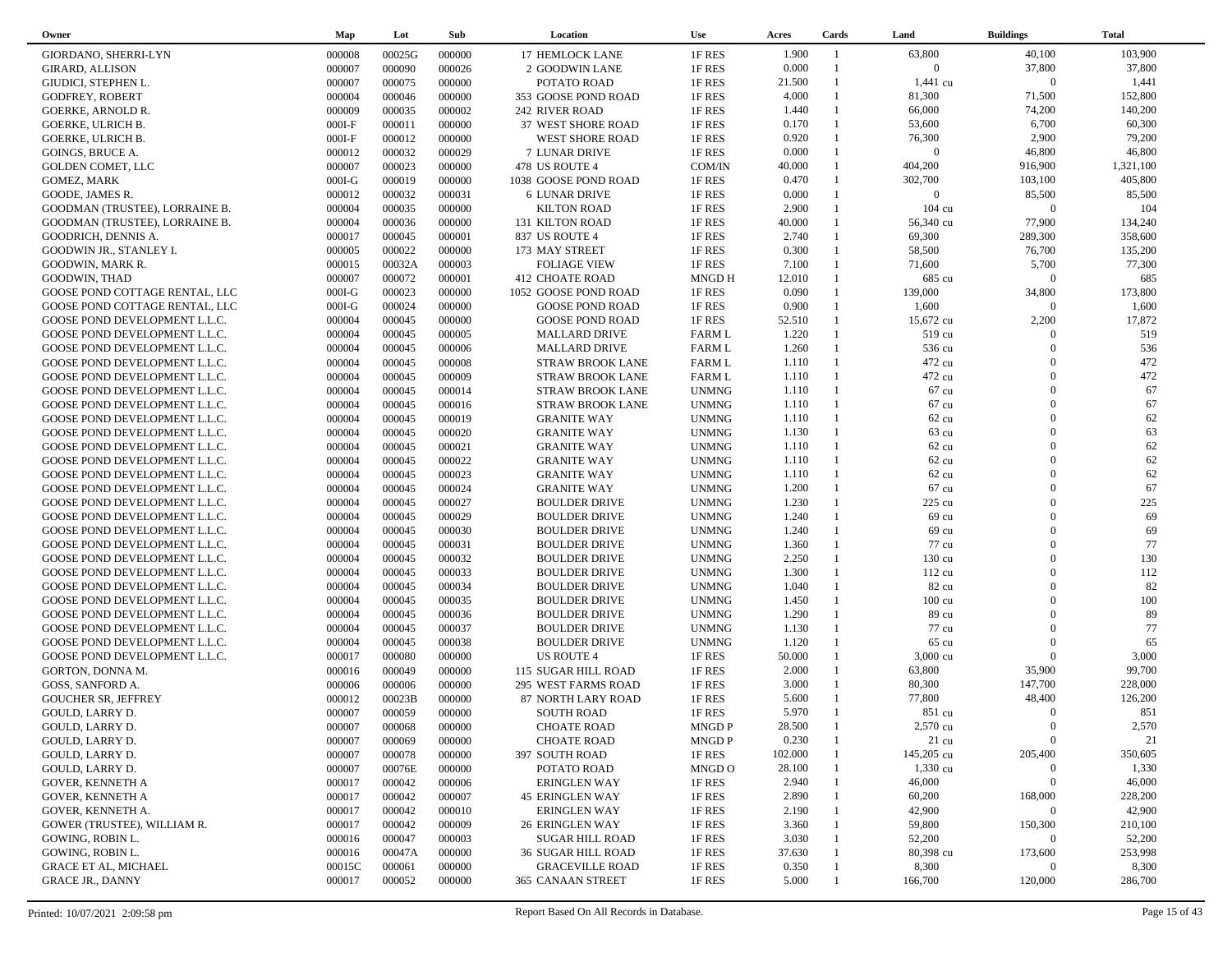| Owner                                                          | Map              | Lot              | Sub              | Location                                 | <b>Use</b>                   | Acres          | Cards        | Land               | <b>Buildings</b>  | <b>Total</b> |  |
|----------------------------------------------------------------|------------------|------------------|------------------|------------------------------------------|------------------------------|----------------|--------------|--------------------|-------------------|--------------|--|
| <b>GIORDANO, SHERRI-LYN</b>                                    | 000008           | 00025G           | 000000           | <b>17 HEMLOCK LANE</b>                   | 1F RES                       | 1.900          | -1           | 63,800             | 40,100            | 103,900      |  |
| <b>GIRARD, ALLISON</b>                                         | 000007           | 000090           | 000026           | 2 GOODWIN LANE                           | 1F RES                       | 0.000          |              | $\overline{0}$     | 37,800            | 37,800       |  |
| GIUDICI, STEPHEN L.                                            | 000007           | 000075           | 000000           | POTATO ROAD                              | 1F RES                       | 21.500         | $\mathbf{1}$ | $1,441$ cu         | $\overline{0}$    | 1,441        |  |
| <b>GODFREY, ROBERT</b>                                         | 000004           | 000046           | 000000           | 353 GOOSE POND ROAD                      | 1F RES                       | 4.000          |              | 81,300             | 71,500            | 152,800      |  |
| <b>GOERKE, ARNOLD R.</b>                                       | 000009           | 000035           | 000002           | 242 RIVER ROAD                           | 1F RES                       | 1.440          | $\mathbf{1}$ | 66,000             | 74,200            | 140,200      |  |
| <b>GOERKE, ULRICH B.</b>                                       | $000I-F$         | 000011           | 000000           | 37 WEST SHORE ROAD                       | 1F RES                       | 0.170          | $\mathbf{1}$ | 53,600             | 6,700             | 60,300       |  |
| GOERKE, ULRICH B.                                              | $000I-F$         | 000012           | 000000           | <b>WEST SHORE ROAD</b>                   | 1F RES                       | 0.920          | $\mathbf{1}$ | 76,300             | 2,900             | 79,200       |  |
| GOINGS, BRUCE A.                                               | 000012           | 000032           | 000029           | 7 LUNAR DRIVE                            | 1F RES                       | 0.000          | $\mathbf{1}$ | $\overline{0}$     | 46,800            | 46,800       |  |
| <b>GOLDEN COMET, LLC</b>                                       | 000007           | 000023           | 000000           | 478 US ROUTE 4                           | COM/IN                       | 40.000         |              | 404,200            | 916,900           | 1,321,100    |  |
| GOMEZ, MARK                                                    | $000I-G$         | 000019           | 000000           | 1038 GOOSE POND ROAD                     | 1F RES                       | 0.470          | 1            | 302,700            | 103,100           | 405,800      |  |
| GOODE, JAMES R.                                                | 000012           | 000032           | 000031           | <b>6 LUNAR DRIVE</b>                     | 1F RES                       | 0.000          |              | $\overline{0}$     | 85,500            | 85,500       |  |
| GOODMAN (TRUSTEE), LORRAINE B.                                 | 000004           | 000035           | 000000           | <b>KILTON ROAD</b>                       | 1F RES                       | 2.900          | $\mathbf{1}$ | 104 cu             | $\overline{0}$    | 104          |  |
| GOODMAN (TRUSTEE), LORRAINE B.                                 | 000004           | 000036           | 000000           | 131 KILTON ROAD                          | 1F RES                       | 40.000         |              | 56,340 cu          | 77,900            | 134,240      |  |
| GOODRICH, DENNIS A.                                            | 000017           | 000045           | 000001           | 837 US ROUTE 4                           | 1F RES                       | 2.740          | 1            | 69,300             | 289,300           | 358,600      |  |
| GOODWIN JR., STANLEY I.                                        | 000005           | 000022           | 000000           | 173 MAY STREET                           | 1F RES                       | 0.300          | $\mathbf{1}$ | 58,500             | 76,700            | 135,200      |  |
| GOODWIN, MARK R.                                               | 000015           | 00032A           | 000003           | <b>FOLIAGE VIEW</b>                      | 1F RES                       | 7.100          | $\mathbf{1}$ | 71,600             | 5,700             | 77,300       |  |
| GOODWIN, THAD                                                  | 000007           | 000072           | 000001           | <b>412 CHOATE ROAD</b>                   | MNGD H                       | 12.010         | $\mathbf{1}$ | 685 cu             | $\Omega$          | 685          |  |
| GOOSE POND COTTAGE RENTAL, LLC                                 | $000I-G$         | 000023           | 000000           | 1052 GOOSE POND ROAD                     | 1F RES                       | 0.090          |              | 139,000            | 34,800            | 173,800      |  |
| GOOSE POND COTTAGE RENTAL, LLC                                 | $000I-G$         | 000024           | 000000           | <b>GOOSE POND ROAD</b>                   | 1F RES                       | 0.900          | $\mathbf{1}$ | 1,600              | $\Omega$          | 1,600        |  |
| GOOSE POND DEVELOPMENT L.L.C.                                  | 000004           | 000045           | 000000           | <b>GOOSE POND ROAD</b>                   | 1F RES                       | 52.510         |              | 15,672 cu          | 2,200             | 17,872       |  |
| GOOSE POND DEVELOPMENT L.L.C.                                  | 000004           | 000045           | 000005           | <b>MALLARD DRIVE</b>                     | <b>FARM L</b>                | 1.220          | $\mathbf{1}$ | 519 cu             | $\Omega$          | 519          |  |
| GOOSE POND DEVELOPMENT L.L.C.                                  | 000004           | 000045           | 000006           | <b>MALLARD DRIVE</b>                     | <b>FARM L</b>                | 1.260          |              | 536 cu             | $\Omega$          | 536          |  |
|                                                                | 000004           | 000045           | 000008           |                                          | <b>FARM L</b>                | 1.110          | $\mathbf{1}$ | 472 cu             | $\Omega$          | 472          |  |
| GOOSE POND DEVELOPMENT L.L.C.<br>GOOSE POND DEVELOPMENT L.L.C. | 000004           | 000045           | 000009           | <b>STRAW BROOK LANE</b>                  | <b>FARM L</b>                | 1.110          | $\mathbf{1}$ | 472 cu             | $\Omega$          | 472          |  |
|                                                                | 000004           | 000045           | 000014           | <b>STRAW BROOK LANE</b>                  | <b>UNMNG</b>                 | 1.110          | $\mathbf{1}$ | 67 cu              | $\Omega$          | 67           |  |
| GOOSE POND DEVELOPMENT L.L.C.<br>GOOSE POND DEVELOPMENT L.L.C. | 000004           | 000045           | 000016           | <b>STRAW BROOK LANE</b>                  | <b>UNMNG</b>                 | 1.110          | $\mathbf{1}$ | 67 cu              | $\Omega$          | 67           |  |
|                                                                |                  |                  |                  | <b>STRAW BROOK LANE</b>                  |                              |                | $\mathbf{1}$ |                    | $\Omega$          | 62           |  |
| GOOSE POND DEVELOPMENT L.L.C.                                  | 000004           | 000045           | 000019           | <b>GRANITE WAY</b>                       | <b>UNMNG</b>                 | 1.110<br>1.130 | $\mathbf{1}$ | 62 cu              | $\Omega$          | 63           |  |
| GOOSE POND DEVELOPMENT L.L.C.                                  | 000004<br>000004 | 000045<br>000045 | 000020<br>000021 | <b>GRANITE WAY</b><br><b>GRANITE WAY</b> | <b>UNMNG</b><br><b>UNMNG</b> | 1.110          | $\mathbf{1}$ | 63 cu<br>62 cu     | $\Omega$          | 62           |  |
| GOOSE POND DEVELOPMENT L.L.C.                                  |                  |                  |                  |                                          |                              |                | $\mathbf{1}$ |                    | $\Omega$          | 62           |  |
| GOOSE POND DEVELOPMENT L.L.C.                                  | 000004           | 000045           | 000022           | <b>GRANITE WAY</b>                       | <b>UNMNG</b>                 | 1.110          | $\mathbf{1}$ | $62 \text{ cu}$    | $\Omega$          | 62           |  |
| GOOSE POND DEVELOPMENT L.L.C.                                  | 000004           | 000045           | 000023           | <b>GRANITE WAY</b>                       | <b>UNMNG</b>                 | 1.110<br>1.200 | $\mathbf{1}$ | 62 cu              | $\Omega$          | 67           |  |
| GOOSE POND DEVELOPMENT L.L.C.                                  | 000004           | 000045           | 000024           | <b>GRANITE WAY</b>                       | <b>UNMNG</b>                 | 1.230          | $\mathbf{1}$ | 67 cu<br>225 cu    | $\Omega$          | 225          |  |
| GOOSE POND DEVELOPMENT L.L.C.                                  | 000004           | 000045           | 000027           | <b>BOULDER DRIVE</b>                     | <b>UNMNG</b>                 | 1.240          |              | 69 cu              | $\Omega$          | 69           |  |
| GOOSE POND DEVELOPMENT L.L.C.                                  | 000004           | 000045           | 000029           | <b>BOULDER DRIVE</b>                     | <b>UNMNG</b>                 | 1.240          | $\mathbf{1}$ |                    | $\Omega$          | 69           |  |
| GOOSE POND DEVELOPMENT L.L.C.                                  | 000004           | 000045           | 000030           | <b>BOULDER DRIVE</b>                     | <b>UNMNG</b>                 | 1.360          |              | 69 cu              | $\Omega$          | 77           |  |
| GOOSE POND DEVELOPMENT L.L.C.                                  | 000004           | 000045           | 000031           | <b>BOULDER DRIVE</b>                     | <b>UNMNG</b>                 |                | $\mathbf{1}$ | 77 cu              | $\Omega$          |              |  |
| GOOSE POND DEVELOPMENT L.L.C.                                  | 000004           | 000045           | 000032           | <b>BOULDER DRIVE</b>                     | <b>UNMNG</b>                 | 2.250<br>1.300 |              | 130 cu             | $\Omega$          | 130<br>112   |  |
| GOOSE POND DEVELOPMENT L.L.C.                                  | 000004           | 000045           | 000033           | <b>BOULDER DRIVE</b>                     | <b>UNMNG</b>                 |                | 1            | 112 cu             | $\Omega$          | 82           |  |
| GOOSE POND DEVELOPMENT L.L.C.                                  | 000004           | 000045           | 000034           | <b>BOULDER DRIVE</b>                     | <b>UNMNG</b>                 | 1.040          |              | 82 cu              | $\Omega$          |              |  |
| GOOSE POND DEVELOPMENT L.L.C.                                  | 000004           | 000045           | 000035           | <b>BOULDER DRIVE</b>                     | <b>UNMNG</b>                 | 1.450          | 1            | $100 \text{ cu}$   | $\Omega$          | 100          |  |
| GOOSE POND DEVELOPMENT L.L.C.                                  | 000004           | 000045           | 000036           | <b>BOULDER DRIVE</b>                     | <b>UNMNG</b>                 | 1.290          | $\mathbf{1}$ | 89 cu              | $\Omega$          | 89<br>77     |  |
| GOOSE POND DEVELOPMENT L.L.C.                                  | 000004           | 000045           | 000037           | <b>BOULDER DRIVE</b>                     | <b>UNMNG</b>                 | 1.130          |              | 77 cu              | $\Omega$          |              |  |
| GOOSE POND DEVELOPMENT L.L.C.                                  | 000004           | 000045           | 000038           | <b>BOULDER DRIVE</b>                     | <b>UNMNG</b>                 | 1.120          | $\mathbf{1}$ | 65 cu              | $\Omega$          | 65           |  |
| GOOSE POND DEVELOPMENT L.L.C.                                  | 000017           | 000080           | 000000           | <b>US ROUTE 4</b>                        | 1F RES                       | 50.000         | 1            | $3,000 \text{ cu}$ |                   | 3,000        |  |
| GORTON, DONNA M.                                               | 000016           | 000049           | 000000           | 115 SUGAR HILL ROAD                      | 1F RES                       | 2.000          | $\mathbf{1}$ | 63,800             | 35,900            | 99,700       |  |
| GOSS, SANFORD A.                                               | 000006           | 000006           | 000000           | 295 WEST FARMS ROAD                      | 1F RES                       | 3.000          |              | 80,300<br>77,800   | 147,700<br>48,400 | 228,000      |  |
| <b>GOUCHER SR, JEFFREY</b>                                     | 000012           | 00023B           | 000000           | 87 NORTH LARY ROAD                       | 1F RES                       | 5.600          | $\mathbf{1}$ |                    | $\Omega$          | 126,200      |  |
| GOULD, LARRY D.                                                | 000007           | 000059           | 000000           | <b>SOUTH ROAD</b>                        | 1F RES                       | 5.970          |              | 851 cu             |                   | 851          |  |
| GOULD, LARRY D.                                                | 000007           | 000068           | 000000           | CHOATE ROAD                              | MNGD P                       | 28.500         |              | 2,570 cu           |                   | 2,570        |  |
| GOULD, LARRY D.                                                | 000007           | 000069           | 000000           | <b>CHOATE ROAD</b>                       | MNGD P                       | 0.230          |              | $21 \text{ cu}$    | $\overline{0}$    | 21           |  |
| GOULD, LARRY D.                                                | 000007           | 000078           | 000000           | 397 SOUTH ROAD                           | 1F RES                       | 102.000        |              | 145,205 cu         | 205,400           | 350,605      |  |
| GOULD, LARRY D.                                                | 000007           | 00076E           | 000000           | POTATO ROAD                              | MNGD O                       | 28.100         |              | $1,330 \text{ cu}$ | $\theta$          | 1,330        |  |
| <b>GOVER, KENNETH A</b>                                        | 000017           | 000042           | 000006           | <b>ERINGLEN WAY</b>                      | 1F RES                       | 2.940          |              | 46,000             | $\mathbf{0}$      | 46,000       |  |
| <b>GOVER, KENNETH A</b>                                        | 000017           | 000042           | 000007           | <b>45 ERINGLEN WAY</b>                   | 1F RES                       | 2.890          |              | 60,200             | 168,000           | 228,200      |  |
| GOVER, KENNETH A.                                              | 000017           | 000042           | 000010           | <b>ERINGLEN WAY</b>                      | 1F RES                       | 2.190          |              | 42,900             | $\mathbf{0}$      | 42,900       |  |
| GOWER (TRUSTEE), WILLIAM R.                                    | 000017           | 000042           | 000009           | <b>26 ERINGLEN WAY</b>                   | 1F RES                       | 3.360          |              | 59,800             | 150,300           | 210,100      |  |
| GOWING, ROBIN L.                                               | 000016           | 000047           | 000003           | <b>SUGAR HILL ROAD</b>                   | 1F RES                       | 3.030          |              | 52,200             | $\Omega$          | 52,200       |  |
| GOWING, ROBIN L.                                               | 000016           | 00047A           | 000000           | <b>36 SUGAR HILL ROAD</b>                | 1F RES                       | 37.630         |              | 80,398 cu          | 173,600           | 253,998      |  |
| <b>GRACE ET AL, MICHAEL</b>                                    | 00015C           | 000061           | 000000           | <b>GRACEVILLE ROAD</b>                   | 1F RES                       | 0.350          |              | 8,300              | $\mathbf{0}$      | 8,300        |  |
| <b>GRACE JR., DANNY</b>                                        | 000017           | 000052           | 000000           | 365 CANAAN STREET                        | 1F RES                       | 5.000          |              | 166,700            | 120,000           | 286,700      |  |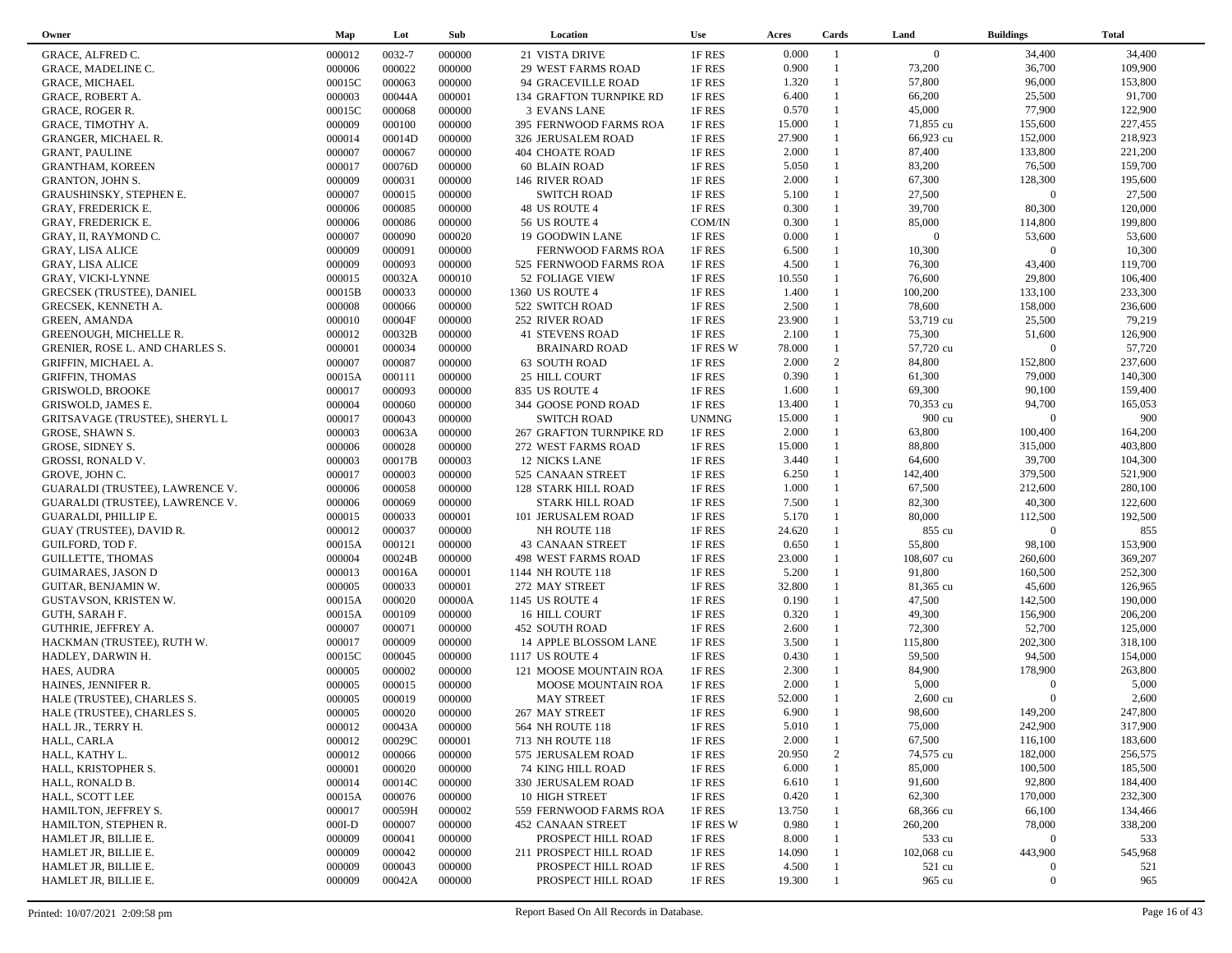| Owner                                            | Map              | Lot              | Sub              | Location                                 | <b>Use</b>       | Acres           | Cards        | Land                 | <b>Buildings</b>   | <b>Total</b>       |
|--------------------------------------------------|------------------|------------------|------------------|------------------------------------------|------------------|-----------------|--------------|----------------------|--------------------|--------------------|
| GRACE, ALFRED C.                                 | 000012           | 0032-7           | 000000           | 21 VISTA DRIVE                           | 1F RES           | 0.000           | -1           | $\overline{0}$       | 34,400             | 34,400             |
| GRACE, MADELINE C.                               | 000006           | 000022           | 000000           | <b>29 WEST FARMS ROAD</b>                | 1F RES           | 0.900           |              | 73,200               | 36,700             | 109,900            |
| <b>GRACE, MICHAEL</b>                            | 00015C           | 000063           | 000000           | 94 GRACEVILLE ROAD                       | 1F RES           | 1.320           | $\mathbf{1}$ | 57,800               | 96,000             | 153,800            |
| GRACE, ROBERT A.                                 | 000003           | 00044A           | 000001           | 134 GRAFTON TURNPIKE RD                  | 1F RES           | 6.400           | $\mathbf{1}$ | 66,200               | 25,500             | 91,700             |
| <b>GRACE, ROGER R.</b>                           | 00015C           | 000068           | 000000           | <b>3 EVANS LANE</b>                      | 1F RES           | 0.570           | $\mathbf{1}$ | 45,000               | 77,900             | 122,900            |
| GRACE, TIMOTHY A.                                | 000009           | 000100           | 000000           | 395 FERNWOOD FARMS ROA                   | 1F RES           | 15.000          | $\mathbf{1}$ | 71,855 cu            | 155,600            | 227,455            |
| <b>GRANGER, MICHAEL R.</b>                       | 000014           | 00014D           | 000000           | 326 JERUSALEM ROAD                       | 1F RES           | 27.900          | $\mathbf{1}$ | 66,923 cu            | 152,000            | 218,923            |
| <b>GRANT, PAULINE</b>                            | 000007           | 000067           | 000000           | <b>404 CHOATE ROAD</b>                   | 1F RES           | 2.000           | $\mathbf{1}$ | 87,400               | 133,800            | 221,200            |
| <b>GRANTHAM, KOREEN</b>                          | 000017           | 00076D           | 000000           | 60 BLAIN ROAD                            | 1F RES           | 5.050           | 1            | 83,200               | 76,500             | 159,700            |
| <b>GRANTON, JOHN S.</b>                          | 000009           | 000031           | 000000           | 146 RIVER ROAD                           | 1F RES           | 2.000           | $\mathbf{1}$ | 67,300               | 128,300            | 195,600            |
| GRAUSHINSKY, STEPHEN E.                          | 000007           | 000015           | 000000           | <b>SWITCH ROAD</b>                       | 1F RES           | 5.100           | 1            | 27,500               | $\overline{0}$     | 27,500             |
| <b>GRAY, FREDERICK E.</b>                        | 000006           | 000085           | 000000           | 48 US ROUTE 4                            | 1F RES           | 0.300           | $\mathbf{1}$ | 39,700               | 80,300             | 120,000            |
| <b>GRAY, FREDERICK E.</b>                        | 000006           | 000086           | 000000           | 56 US ROUTE 4                            | COM/IN           | 0.300           | 1            | 85,000               | 114,800            | 199,800            |
| GRAY, II, RAYMOND C.                             | 000007           | 000090           | 000020           | <b>19 GOODWIN LANE</b>                   | 1F RES           | 0.000           | $\mathbf{1}$ | $\overline{0}$       | 53,600             | 53,600             |
| <b>GRAY, LISA ALICE</b>                          | 000009           | 000091           | 000000           | FERNWOOD FARMS ROA                       | 1F RES           | 6.500           | $\mathbf{1}$ | 10,300               | $\Omega$           | 10,300             |
| <b>GRAY, LISA ALICE</b>                          | 000009           | 000093           | 000000           | 525 FERNWOOD FARMS ROA                   | 1F RES           | 4.500           | $\mathbf{1}$ | 76,300               | 43,400             | 119,700            |
| GRAY, VICKI-LYNNE                                | 000015           | 00032A           | 000010           | 52 FOLIAGE VIEW                          | 1F RES           | 10.550          | $\mathbf{1}$ | 76,600               | 29,800             | 106,400            |
| <b>GRECSEK (TRUSTEE), DANIEL</b>                 | 00015B           | 000033           | 000000           | 1360 US ROUTE 4                          | 1F RES           | 1.400           |              | 100,200              | 133,100            | 233,300            |
| GRECSEK, KENNETH A.                              | 000008           | 000066           | 000000           | 522 SWITCH ROAD                          | 1F RES           | 2.500           | $\mathbf{1}$ | 78,600               | 158,000            | 236,600            |
| <b>GREEN, AMANDA</b>                             | 000010           | 00004F           | 000000           | 252 RIVER ROAD                           | 1F RES           | 23.900          |              | 53,719 cu            | 25,500             | 79,219             |
| GREENOUGH, MICHELLE R.                           | 000012           | 00032B           | 000000           | <b>41 STEVENS ROAD</b>                   | 1F RES           | 2.100           | $\mathbf{1}$ | 75,300               | 51,600             | 126,900            |
| GRENIER, ROSE L. AND CHARLES S.                  | 000001           | 000034           | 000000           | <b>BRAINARD ROAD</b>                     | 1F RES W         | 78.000          |              | 57,720 cu            | $\boldsymbol{0}$   | 57,720             |
| GRIFFIN, MICHAEL A.                              | 000007           | 000087           | 000000           | <b>63 SOUTH ROAD</b>                     | 1F RES           | 2.000           | 2            | 84,800               | 152,800            | 237,600            |
| <b>GRIFFIN, THOMAS</b>                           | 00015A           | 000111           | 000000           | 25 HILL COURT                            | 1F RES           | 0.390           | $\mathbf{1}$ | 61,300               | 79,000             | 140,300            |
| <b>GRISWOLD, BROOKE</b>                          | 000017           | 000093           | 000000           | 835 US ROUTE 4                           | 1F RES           | 1.600           | $\mathbf{1}$ | 69,300               | 90,100             | 159,400            |
| GRISWOLD, JAMES E.                               | 000004           | 000060           | 000000           | 344 GOOSE POND ROAD                      | 1F RES           | 13.400          |              | 70,353 cu            | 94,700             | 165,053            |
| <b>GRITSAVAGE (TRUSTEE), SHERYL L</b>            | 000017           | 000043           | 000000           | <b>SWITCH ROAD</b>                       | <b>UNMNG</b>     | 15.000          |              | 900 cu               | $\Omega$           | 900                |
| GROSE, SHAWN S.                                  | 000003           | 00063A           | 000000           | 267 GRAFTON TURNPIKE RD                  | 1F RES           | 2.000           | 1            | 63,800               | 100,400            | 164,200            |
| GROSE, SIDNEY S.                                 | 000006           | 000028           | 000000           | 272 WEST FARMS ROAD                      | 1F RES           | 15.000          |              | 88,800               | 315,000            | 403,800            |
| <b>GROSSI, RONALD V.</b>                         | 000003           | 00017B           | 000003           | <b>12 NICKS LANE</b>                     | 1F RES           | 3.440           | $\mathbf{1}$ | 64,600               | 39,700             | 104,300            |
| <b>GROVE, JOHN C.</b>                            | 000017           | 000003           | 000000           | 525 CANAAN STREET                        | 1F RES           | 6.250           | $\mathbf{1}$ | 142,400              | 379,500            | 521,900            |
|                                                  | 000006           | 000058           | 000000           | 128 STARK HILL ROAD                      | 1F RES           | 1.000           | $\mathbf{1}$ | 67,500               | 212,600            | 280,100            |
| GUARALDI (TRUSTEE), LAWRENCE V.                  | 000006           | 000069           | 000000           | <b>STARK HILL ROAD</b>                   | 1F RES           | 7.500           | $\mathbf{1}$ | 82,300               | 40,300             | 122,600            |
| GUARALDI (TRUSTEE), LAWRENCE V.                  | 000015           | 000033           | 000001           | 101 JERUSALEM ROAD                       | 1F RES           | 5.170           | $\mathbf{1}$ | 80,000               | 112,500            | 192,500            |
| GUARALDI, PHILLIP E.                             |                  | 000037           | 000000           |                                          |                  | 24.620          | $\mathbf{1}$ | 855 cu               | $\Omega$           | 855                |
| GUAY (TRUSTEE), DAVID R.                         | 000012           | 000121           | 000000           | NH ROUTE 118                             | 1F RES           | 0.650           |              | 55,800               | 98,100             | 153,900            |
| GUILFORD, TOD F.                                 | 00015A           |                  |                  | <b>43 CANAAN STREET</b>                  | 1F RES           |                 | $\mathbf{1}$ |                      |                    |                    |
| <b>GUILLETTE, THOMAS</b>                         | 000004           | 00024B<br>00016A | 000000<br>000001 | 498 WEST FARMS ROAD                      | 1F RES           | 23.000<br>5.200 |              | 108,607 cu<br>91,800 | 260,600<br>160,500 | 369,207<br>252,300 |
| <b>GUIMARAES, JASON D</b>                        | 000013<br>000005 | 000033           | 000001           | 1144 NH ROUTE 118                        | 1F RES           | 32.800          | $\mathbf{1}$ | 81,365 cu            | 45,600             | 126,965            |
| GUITAR, BENJAMIN W.                              |                  |                  |                  | 272 MAY STREET                           | 1F RES           | 0.190           | $\mathbf{1}$ |                      | 142,500            | 190,000            |
| GUSTAVSON, KRISTEN W.                            | 00015A           | 000020           | 00000A           | 1145 US ROUTE 4                          | 1F RES           |                 | $\mathbf{1}$ | 47,500               | 156,900            | 206,200            |
| GUTH, SARAH F.                                   | 00015A           | 000109           | 000000           | 16 HILL COURT                            | 1F RES           | 0.320<br>2.600  | $\mathbf{1}$ | 49,300               | 52,700             | 125,000            |
| GUTHRIE, JEFFREY A.                              | 000007           | 000071           | 000000           | 452 SOUTH ROAD                           | 1F RES           |                 | $\mathbf{1}$ | 72,300               | 202,300            | 318,100            |
| HACKMAN (TRUSTEE), RUTH W.                       | 000017           | 000009<br>000045 | 000000<br>000000 | 14 APPLE BLOSSOM LANE<br>1117 US ROUTE 4 | 1F RES           | 3.500<br>0.430  | $\mathbf{1}$ | 115,800<br>59,500    | 94,500             | 154,000            |
| HADLEY, DARWIN H.                                | 00015C<br>000005 | 000002           | 000000           |                                          | 1F RES<br>1F RES | 2.300           | $\mathbf{1}$ | 84,900               | 178,900            | 263,800            |
| HAES, AUDRA                                      |                  | 000015           | 000000           | 121 MOOSE MOUNTAIN ROA                   |                  | 2.000           | $\mathbf{1}$ | 5,000                | $\Omega$           | 5,000              |
| HAINES, JENNIFER R.                              | 000005<br>000005 | 000019           | 000000           | MOOSE MOUNTAIN ROA<br><b>MAY STREET</b>  | 1F RES<br>1F RES | 52.000          |              | $2,600 \text{ cu}$   | $\Omega$           | 2,600              |
| HALE (TRUSTEE), CHARLES S.                       | 000005           | 000020           | 000000           |                                          |                  | 6.900           | $\mathbf{1}$ | 98,600               | 149,200            | 247,800            |
| HALE (TRUSTEE), CHARLES S.<br>HALL JR., TERRY H. | 000012           | 00043A           |                  | 267 MAY STREET                           | 1F RES<br>1F RES | 5.010           |              | 75,000               | 242,900            | 317,900            |
|                                                  |                  |                  | 000000           | 564 NH ROUTE 118                         |                  |                 |              | 67,500               |                    |                    |
| HALL, CARLA                                      | 000012           | 00029C           | 000001           | 713 NH ROUTE 118                         | 1F RES           | 2.000           | 2            |                      | 116,100            | 183,600            |
| HALL, KATHY L.                                   | 000012           | 000066           | 000000           | 575 JERUSALEM ROAD                       | 1F RES           | 20.950          |              | 74,575 cu            | 182,000            | 256,575            |
| HALL, KRISTOPHER S.                              | 000001           | 000020           | 000000           | <b>74 KING HILL ROAD</b>                 | 1F RES           | 6.000           |              | 85,000               | 100,500            | 185,500            |
| HALL, RONALD B.                                  | 000014           | 00014C           | 000000           | 330 JERUSALEM ROAD                       | 1F RES           | 6.610           |              | 91,600               | 92,800             | 184,400            |
| HALL, SCOTT LEE                                  | 00015A           | 000076           | 000000           | 10 HIGH STREET                           | 1F RES           | 0.420           |              | 62,300               | 170,000            | 232,300            |
| HAMILTON, JEFFREY S.                             | 000017           | 00059H           | 000002           | 559 FERNWOOD FARMS ROA                   | 1F RES           | 13.750          |              | 68,366 cu            | 66,100             | 134,466            |
| HAMILTON, STEPHEN R.                             | $000I-D$         | 000007           | 000000           | <b>452 CANAAN STREET</b>                 | 1F RES W         | 0.980           |              | 260,200              | 78,000             | 338,200            |
| HAMLET JR, BILLIE E.                             | 000009           | 000041           | 000000           | PROSPECT HILL ROAD                       | 1F RES           | 8.000           |              | 533 cu               | $\mathbf{0}$       | 533                |
| HAMLET JR, BILLIE E.                             | 000009           | 000042           | 000000           | 211 PROSPECT HILL ROAD                   | 1F RES           | 14.090          |              | 102,068 cu           | 443,900            | 545,968            |
| HAMLET JR, BILLIE E.                             | 000009           | 000043           | 000000           | PROSPECT HILL ROAD                       | 1F RES           | 4.500           |              | 521 cu               | $\theta$           | 521                |
| HAMLET JR, BILLIE E.                             | 000009           | 00042A           | 000000           | PROSPECT HILL ROAD                       | 1F RES           | 19.300          |              | 965 cu               | $\boldsymbol{0}$   | 965                |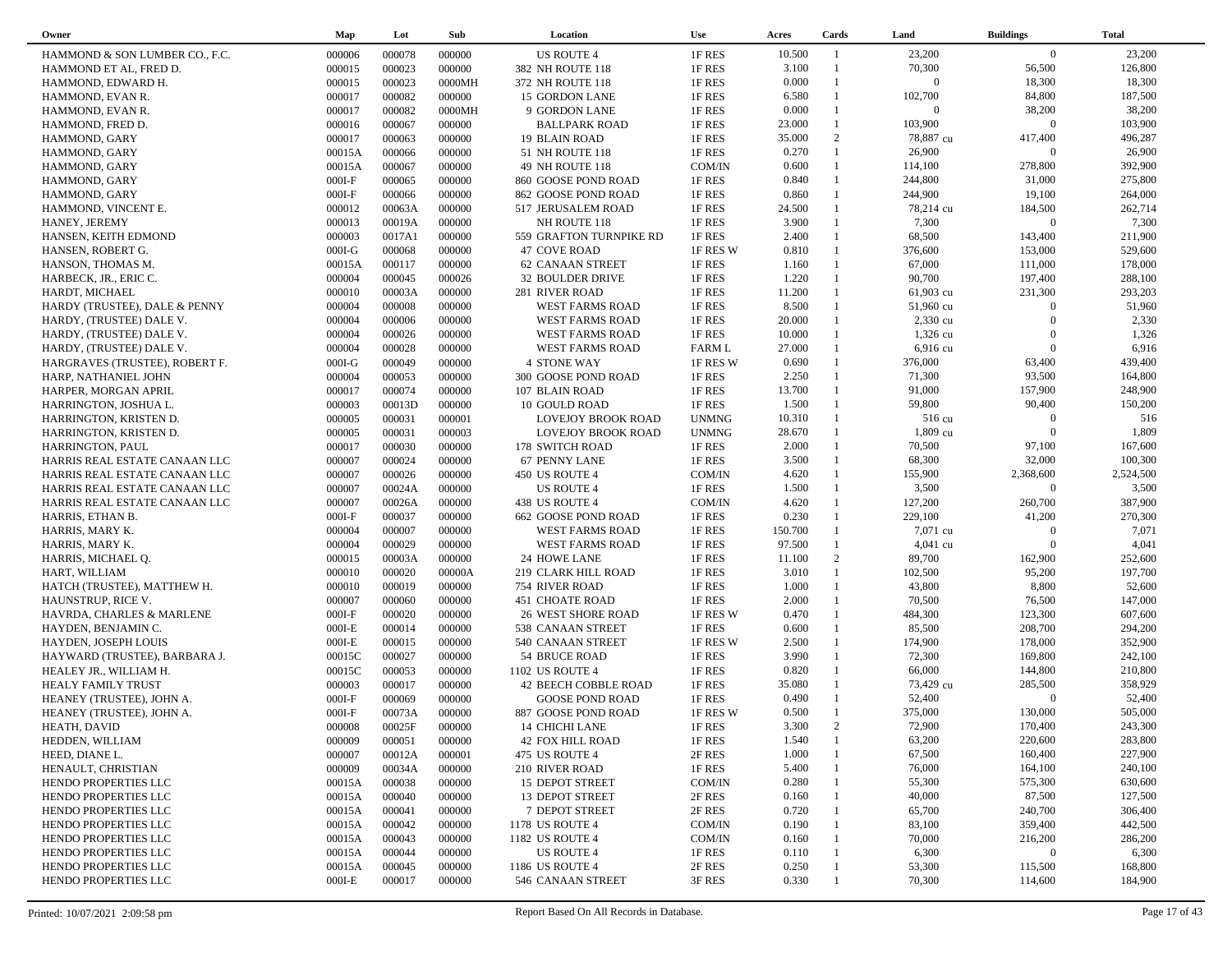| Owner                          | Map      | Lot    | Sub    | Location                  | <b>Use</b>    | Acres   | Cards        | Land               | <b>Buildings</b> | <b>Total</b> |
|--------------------------------|----------|--------|--------|---------------------------|---------------|---------|--------------|--------------------|------------------|--------------|
| HAMMOND & SON LUMBER CO., F.C. | 000006   | 000078 | 000000 | <b>US ROUTE 4</b>         | 1F RES        | 10.500  | -1           | 23,200             | $\overline{0}$   | 23,200       |
| HAMMOND ET AL, FRED D.         | 000015   | 000023 | 000000 | 382 NH ROUTE 118          | 1F RES        | 3.100   |              | 70,300             | 56,500           | 126,800      |
| HAMMOND, EDWARD H.             | 000015   | 000023 | 0000MH | 372 NH ROUTE 118          | 1F RES        | 0.000   | $\mathbf{1}$ | $\overline{0}$     | 18,300           | 18,300       |
| HAMMOND, EVAN R.               | 000017   | 000082 | 000000 | 15 GORDON LANE            | 1F RES        | 6.580   |              | 102,700            | 84,800           | 187,500      |
| HAMMOND, EVAN R.               | 000017   | 000082 | 0000MH | 9 GORDON LANE             | 1F RES        | 0.000   | $\mathbf{1}$ | $\Omega$           | 38,200           | 38,200       |
| HAMMOND, FRED D.               | 000016   | 000067 | 000000 | <b>BALLPARK ROAD</b>      | 1F RES        | 23.000  | $\mathbf{1}$ | 103,900            | $\overline{0}$   | 103,900      |
| HAMMOND, GARY                  | 000017   | 000063 | 000000 | <b>19 BLAIN ROAD</b>      | 1F RES        | 35.000  | 2            | 78,887 cu          | 417,400          | 496,287      |
| HAMMOND, GARY                  | 00015A   | 000066 | 000000 | 51 NH ROUTE 118           | 1F RES        | 0.270   | $\mathbf{1}$ | 26,900             | $\Omega$         | 26,900       |
| HAMMOND, GARY                  | 00015A   | 000067 | 000000 | 49 NH ROUTE 118           | COM/IN        | 0.600   | $\mathbf{1}$ | 114,100            | 278,800          | 392,900      |
| HAMMOND, GARY                  | $000I-F$ | 000065 | 000000 | 860 GOOSE POND ROAD       | 1F RES        | 0.840   | $\mathbf{1}$ | 244,800            | 31,000           | 275,800      |
|                                |          | 000066 | 000000 |                           | 1F RES        | 0.860   | $\mathbf{1}$ | 244,900            | 19,100           | 264,000      |
| HAMMOND, GARY                  | $000I-F$ |        |        | 862 GOOSE POND ROAD       |               |         | 1            |                    | 184,500          | 262,714      |
| HAMMOND, VINCENT E.            | 000012   | 00063A | 000000 | 517 JERUSALEM ROAD        | 1F RES        | 24.500  |              | 78,214 cu<br>7,300 | $\mathbf{0}$     | 7,300        |
| HANEY, JEREMY                  | 000013   | 00019A | 000000 | NH ROUTE 118              | 1F RES        | 3.900   | $\mathbf{1}$ |                    |                  |              |
| HANSEN, KEITH EDMOND           | 000003   | 0017A1 | 000000 | 559 GRAFTON TURNPIKE RD   | 1F RES        | 2.400   | $\mathbf{1}$ | 68,500             | 143,400          | 211,900      |
| HANSEN, ROBERT G.              | $000I-G$ | 000068 | 000000 | <b>47 COVE ROAD</b>       | 1F RES W      | 0.810   | $\mathbf{1}$ | 376,600            | 153,000          | 529,600      |
| HANSON, THOMAS M.              | 00015A   | 000117 | 000000 | <b>62 CANAAN STREET</b>   | 1F RES        | 1.160   | $\mathbf{1}$ | 67,000             | 111,000          | 178,000      |
| HARBECK, JR., ERIC C.          | 000004   | 000045 | 000026 | 32 BOULDER DRIVE          | 1F RES        | 1.220   | $\mathbf{1}$ | 90,700             | 197,400          | 288,100      |
| HARDT, MICHAEL                 | 000010   | 00003A | 000000 | 281 RIVER ROAD            | 1F RES        | 11.200  |              | 61,903 cu          | 231,300          | 293,203      |
| HARDY (TRUSTEE), DALE & PENNY  | 000004   | 000008 | 000000 | WEST FARMS ROAD           | 1F RES        | 8.500   | $\mathbf{1}$ | 51,960 cu          | $\Omega$         | 51,960       |
| HARDY, (TRUSTEE) DALE V.       | 000004   | 000006 | 000000 | WEST FARMS ROAD           | 1F RES        | 20.000  |              | 2,330 cu           | $\Omega$         | 2,330        |
| HARDY, (TRUSTEE) DALE V.       | 000004   | 000026 | 000000 | WEST FARMS ROAD           | 1F RES        | 10.000  |              | 1,326 cu           | $\Omega$         | 1,326        |
| HARDY, (TRUSTEE) DALE V.       | 000004   | 000028 | 000000 | WEST FARMS ROAD           | <b>FARM L</b> | 27.000  |              | 6,916 cu           | $\overline{0}$   | 6,916        |
| HARGRAVES (TRUSTEE), ROBERT F. | $000I-G$ | 000049 | 000000 | <b>4 STONE WAY</b>        | 1F RES W      | 0.690   | $\mathbf{1}$ | 376,000            | 63,400           | 439,400      |
| HARP, NATHANIEL JOHN           | 000004   | 000053 | 000000 | 300 GOOSE POND ROAD       | 1F RES        | 2.250   | $\mathbf{1}$ | 71,300             | 93,500           | 164,800      |
| HARPER, MORGAN APRIL           | 000017   | 000074 | 000000 | 107 BLAIN ROAD            | 1F RES        | 13.700  |              | 91,000             | 157,900          | 248,900      |
| HARRINGTON, JOSHUA L.          | 000003   | 00013D | 000000 | 10 GOULD ROAD             | 1F RES        | 1.500   | 1            | 59,800             | 90,400           | 150,200      |
| HARRINGTON, KRISTEN D.         | 000005   | 000031 | 000001 | <b>LOVEJOY BROOK ROAD</b> | <b>UNMNG</b>  | 10.310  |              | 516 cu             | $\Omega$         | 516          |
| HARRINGTON, KRISTEN D.         | 000005   | 000031 | 000003 | LOVEJOY BROOK ROAD        | <b>UNMNG</b>  | 28.670  | 1            | 1,809 cu           | $\overline{0}$   | 1,809        |
| HARRINGTON, PAUL               | 000017   | 000030 | 000000 | 178 SWITCH ROAD           | 1F RES        | 2.000   |              | 70,500             | 97,100           | 167,600      |
| HARRIS REAL ESTATE CANAAN LLC  | 000007   | 000024 | 000000 | 67 PENNY LANE             | 1F RES        | 3.500   | 1            | 68,300             | 32,000           | 100,300      |
| HARRIS REAL ESTATE CANAAN LLC  | 000007   | 000026 | 000000 | 450 US ROUTE 4            | COM/IN        | 4.620   | $\mathbf{1}$ | 155,900            | 2,368,600        | 2,524,500    |
| HARRIS REAL ESTATE CANAAN LLC  | 000007   | 00024A | 000000 | <b>US ROUTE 4</b>         | 1F RES        | 1.500   | $\mathbf{1}$ | 3,500              | $\Omega$         | 3,500        |
| HARRIS REAL ESTATE CANAAN LLC  | 000007   | 00026A | 000000 | 438 US ROUTE 4            | COM/IN        | 4.620   | $\mathbf{1}$ | 127,200            | 260,700          | 387,900      |
| HARRIS, ETHAN B.               | $000I-F$ | 000037 | 000000 | 662 GOOSE POND ROAD       | 1F RES        | 0.230   | $\mathbf{1}$ | 229,100            | 41,200           | 270,300      |
| HARRIS, MARY K.                | 000004   | 000007 | 000000 | WEST FARMS ROAD           | 1F RES        | 150.700 | $\mathbf{1}$ | 7,071 cu           | $\mathbf{0}$     | 7,071        |
| HARRIS, MARY K.                | 000004   | 000029 | 000000 | WEST FARMS ROAD           | 1F RES        | 97.500  |              | $4,041$ cu         | $\Omega$         | 4,041        |
| HARRIS, MICHAEL Q.             | 000015   | 00003A | 000000 | 24 HOWE LANE              | 1F RES        | 11.100  | 2            | 89,700             | 162,900          | 252,600      |
| HART, WILLIAM                  | 000010   | 000020 | 00000A | 219 CLARK HILL ROAD       | 1F RES        | 3.010   | $\mathbf{1}$ | 102,500            | 95,200           | 197,700      |
| HATCH (TRUSTEE), MATTHEW H.    | 000010   | 000019 | 000000 | 754 RIVER ROAD            | 1F RES        | 1.000   | $\mathbf{1}$ | 43,800             | 8,800            | 52,600       |
| HAUNSTRUP, RICE V.             | 000007   | 000060 | 000000 | <b>451 CHOATE ROAD</b>    | 1F RES        | 2.000   | $\mathbf{1}$ | 70,500             | 76,500           | 147,000      |
| HAVRDA, CHARLES & MARLENE      | $000I-F$ | 000020 | 000000 | <b>26 WEST SHORE ROAD</b> | 1F RES W      | 0.470   | $\mathbf{1}$ | 484,300            | 123,300          | 607,600      |
| HAYDEN, BENJAMIN C.            | $000I-E$ | 000014 | 000000 | 538 CANAAN STREET         | 1F RES        | 0.600   | $\mathbf{1}$ | 85,500             | 208,700          | 294,200      |
| HAYDEN, JOSEPH LOUIS           | $000I-E$ | 000015 | 000000 | 540 CANAAN STREET         | 1F RES W      | 2.500   | $\mathbf{1}$ | 174,900            | 178,000          | 352,900      |
| HAYWARD (TRUSTEE), BARBARA J.  | 00015C   | 000027 | 000000 | 54 BRUCE ROAD             | 1F RES        | 3.990   | $\mathbf{1}$ | 72,300             | 169,800          | 242,100      |
| HEALEY JR., WILLIAM H.         | 00015C   | 000053 | 000000 | 1102 US ROUTE 4           | 1F RES        | 0.820   | 1            | 66,000             | 144,800          | 210,800      |
| HEALY FAMILY TRUST             | 000003   | 000017 | 000000 | 42 BEECH COBBLE ROAD      | 1F RES        | 35.080  | 1            | 73,429 cu          | 285,500          | 358,929      |
| HEANEY (TRUSTEE), JOHN A.      | $000I-F$ | 000069 | 000000 | <b>GOOSE POND ROAD</b>    | 1F RES        | 0.490   |              | 52,400             | $\Omega$         | 52,400       |
| HEANEY (TRUSTEE), JOHN A.      | $000I-F$ | 00073A | 000000 | 887 GOOSE POND ROAD       | 1F RES W      | 0.500   | $\mathbf{1}$ | 375,000            | 130,000          | 505,000      |
| HEATH, DAVID                   | 000008   | 00025F | 000000 | 14 CHICHI LANE            | 1F RES        | 3.300   | 2            | 72,900             | 170,400          | 243,300      |
| HEDDEN, WILLIAM                | 000009   | 000051 | 000000 | <b>42 FOX HILL ROAD</b>   | 1F RES        | 1.540   |              | 63,200             | 220,600          | 283,800      |
| HEED, DIANE L.                 | 000007   | 00012A | 000001 | 475 US ROUTE 4            | 2F RES        | 1.000   |              | 67,500             | 160,400          | 227,900      |
| HENAULT, CHRISTIAN             | 000009   | 00034A | 000000 | 210 RIVER ROAD            | 1F RES        | 5.400   |              | 76,000             | 164,100          | 240,100      |
| HENDO PROPERTIES LLC           | 00015A   | 000038 | 000000 | 15 DEPOT STREET           | COM/IN        | 0.280   |              | 55,300             | 575,300          | 630,600      |
| HENDO PROPERTIES LLC           | 00015A   | 000040 | 000000 | 13 DEPOT STREET           | 2F RES        | 0.160   |              | 40,000             | 87,500           | 127,500      |
| HENDO PROPERTIES LLC           | 00015A   | 000041 | 000000 | 7 DEPOT STREET            | 2F RES        | 0.720   |              | 65,700             | 240,700          | 306,400      |
| HENDO PROPERTIES LLC           | 00015A   | 000042 |        |                           | COM/IN        | 0.190   |              | 83,100             | 359,400          | 442,500      |
|                                |          |        | 000000 | 1178 US ROUTE 4           |               |         |              |                    |                  |              |
| HENDO PROPERTIES LLC           | 00015A   | 000043 | 000000 | 1182 US ROUTE 4           | COM/IN        | 0.160   |              | 70,000             | 216,200          | 286,200      |
| HENDO PROPERTIES LLC           | 00015A   | 000044 | 000000 | <b>US ROUTE 4</b>         | 1F RES        | 0.110   |              | 6,300              | $\mathbf{0}$     | 6,300        |
| HENDO PROPERTIES LLC           | 00015A   | 000045 | 000000 | 1186 US ROUTE 4           | 2F RES        | 0.250   |              | 53,300             | 115,500          | 168,800      |
| HENDO PROPERTIES LLC           | $000I-E$ | 000017 | 000000 | 546 CANAAN STREET         | 3F RES        | 0.330   |              | 70,300             | 114,600          | 184,900      |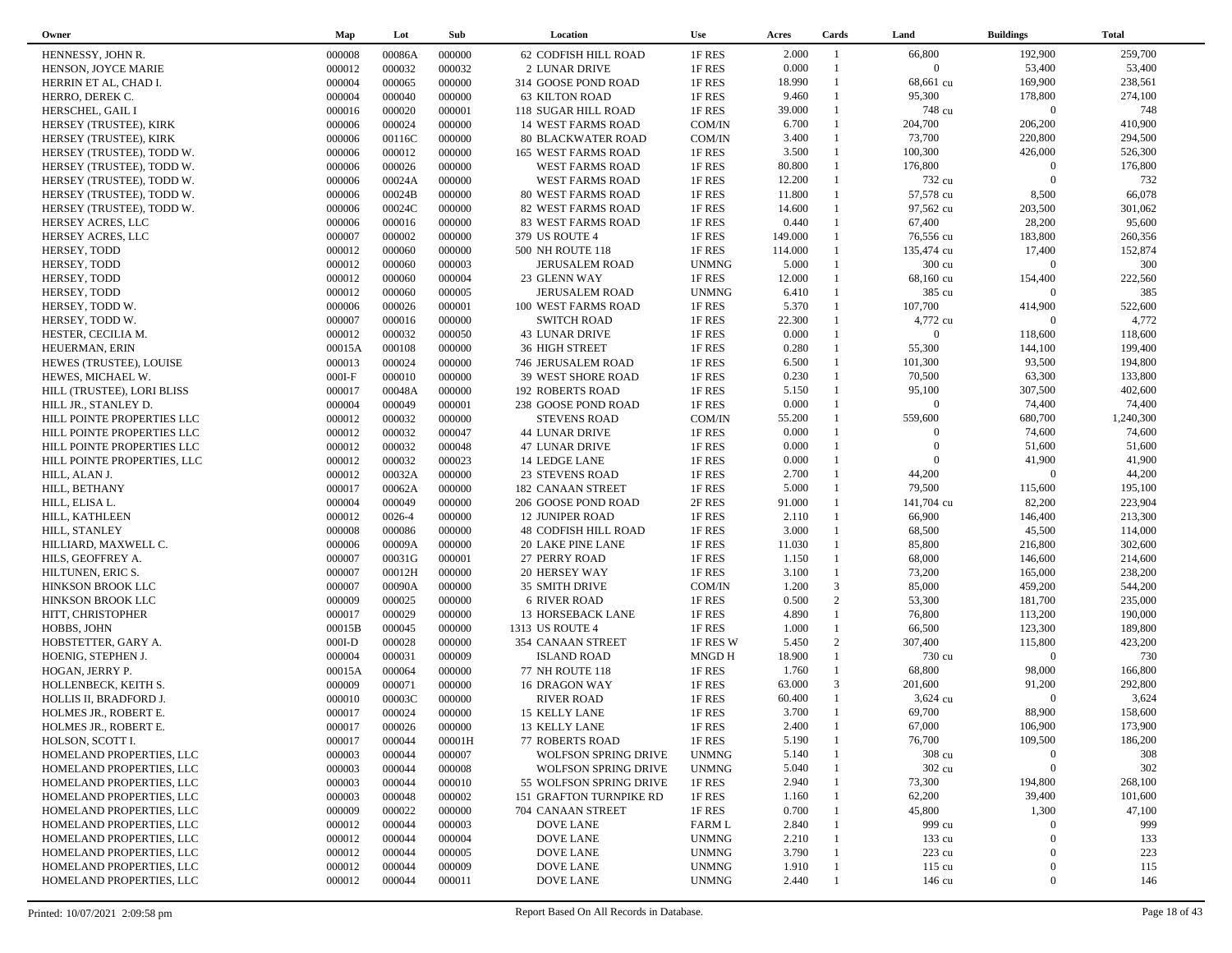| Owner                       | Map      | Lot    | Sub    | Location                    | <b>Use</b>   | Acres   | Cards        | Land           | <b>Buildings</b>    | <b>Total</b> |  |
|-----------------------------|----------|--------|--------|-----------------------------|--------------|---------|--------------|----------------|---------------------|--------------|--|
| HENNESSY, JOHN R.           | 000008   | 00086A | 000000 | 62 CODFISH HILL ROAD        | 1F RES       | 2.000   | -1           | 66,800         | 192,900             | 259,700      |  |
| HENSON, JOYCE MARIE         | 000012   | 000032 | 000032 | 2 LUNAR DRIVE               | 1F RES       | 0.000   |              | $\overline{0}$ | 53,400              | 53,400       |  |
| HERRIN ET AL, CHAD I.       | 000004   | 000065 | 000000 | 314 GOOSE POND ROAD         | 1F RES       | 18.990  | $\mathbf{1}$ | 68,661 cu      | 169,900             | 238,561      |  |
| HERRO, DEREK C.             | 000004   | 000040 | 000000 | <b>63 KILTON ROAD</b>       | 1F RES       | 9.460   |              | 95,300         | 178,800             | 274,100      |  |
| HERSCHEL, GAIL I            | 000016   | 000020 | 000001 | 118 SUGAR HILL ROAD         | 1F RES       | 39.000  |              | 748 cu         | $\mathbf{0}$        | 748          |  |
| HERSEY (TRUSTEE), KIRK      | 000006   | 000024 | 000000 | <b>14 WEST FARMS ROAD</b>   | COM/IN       | 6.700   |              | 204,700        | 206,200             | 410,900      |  |
| HERSEY (TRUSTEE), KIRK      | 000006   | 00116C | 000000 | <b>80 BLACKWATER ROAD</b>   | COM/IN       | 3.400   | $\mathbf{1}$ | 73,700         | 220,800             | 294,500      |  |
| HERSEY (TRUSTEE), TODD W.   | 000006   | 000012 | 000000 | 165 WEST FARMS ROAD         | 1F RES       | 3.500   | $\mathbf{1}$ | 100,300        | 426,000             | 526,300      |  |
| HERSEY (TRUSTEE), TODD W.   | 000006   | 000026 | 000000 | WEST FARMS ROAD             | 1F RES       | 80.800  |              | 176,800        | $\Omega$            | 176,800      |  |
| HERSEY (TRUSTEE), TODD W.   | 000006   | 00024A | 000000 | WEST FARMS ROAD             | 1F RES       | 12.200  |              | 732 cu         | $\Omega$            | 732          |  |
| HERSEY (TRUSTEE), TODD W.   | 000006   | 00024B | 000000 | <b>80 WEST FARMS ROAD</b>   | 1F RES       | 11.800  |              | 57,578 cu      | 8,500               | 66,078       |  |
| HERSEY (TRUSTEE), TODD W.   | 000006   | 00024C | 000000 | 82 WEST FARMS ROAD          | 1F RES       | 14.600  |              | 97,562 cu      | 203,500             | 301,062      |  |
|                             | 000006   | 000016 | 000000 | <b>83 WEST FARMS ROAD</b>   | 1F RES       | 0.440   |              | 67,400         | 28,200              | 95,600       |  |
| HERSEY ACRES, LLC           |          | 000002 | 000000 |                             |              | 149.000 | 1            | 76,556 cu      | 183,800             | 260,356      |  |
| HERSEY ACRES, LLC           | 000007   |        |        | 379 US ROUTE 4              | 1F RES       |         |              |                |                     |              |  |
| HERSEY, TODD                | 000012   | 000060 | 000000 | 500 NH ROUTE 118            | 1F RES       | 114.000 |              | 135,474 cu     | 17,400              | 152,874      |  |
| HERSEY, TODD                | 000012   | 000060 | 000003 | <b>JERUSALEM ROAD</b>       | <b>UNMNG</b> | 5.000   |              | 300 cu         | $\mathbf{0}$        | 300          |  |
| HERSEY, TODD                | 000012   | 000060 | 000004 | 23 GLENN WAY                | 1F RES       | 12.000  |              | 68,160 cu      | 154,400             | 222,560      |  |
| HERSEY, TODD                | 000012   | 000060 | 000005 | JERUSALEM ROAD              | <b>UNMNG</b> | 6.410   |              | 385 cu         | $\Omega$            | 385          |  |
| HERSEY, TODD W.             | 000006   | 000026 | 000001 | 100 WEST FARMS ROAD         | 1F RES       | 5.370   | $\mathbf{1}$ | 107,700        | 414,900             | 522,600      |  |
| HERSEY, TODD W.             | 000007   | 000016 | 000000 | <b>SWITCH ROAD</b>          | 1F RES       | 22.300  |              | 4,772 cu       | $\Omega$            | 4,772        |  |
| HESTER, CECILIA M.          | 000012   | 000032 | 000050 | <b>43 LUNAR DRIVE</b>       | 1F RES       | 0.000   |              | $\Omega$       | 118,600             | 118,600      |  |
| HEUERMAN, ERIN              | 00015A   | 000108 | 000000 | <b>36 HIGH STREET</b>       | 1F RES       | 0.280   | $\mathbf{1}$ | 55,300         | 144,100             | 199,400      |  |
| HEWES (TRUSTEE), LOUISE     | 000013   | 000024 | 000000 | 746 JERUSALEM ROAD          | 1F RES       | 6.500   | $\mathbf{1}$ | 101,300        | 93,500              | 194,800      |  |
| HEWES, MICHAEL W.           | $000I-F$ | 000010 | 000000 | 39 WEST SHORE ROAD          | 1F RES       | 0.230   | $\mathbf{1}$ | 70,500         | 63,300              | 133,800      |  |
| HILL (TRUSTEE), LORI BLISS  | 000017   | 00048A | 000000 | <b>192 ROBERTS ROAD</b>     | 1F RES       | 5.150   |              | 95,100         | 307,500             | 402,600      |  |
| HILL JR., STANLEY D.        | 000004   | 000049 | 000001 | 238 GOOSE POND ROAD         | 1F RES       | 0.000   | 1            | $\overline{0}$ | 74,400              | 74,400       |  |
| HILL POINTE PROPERTIES LLC  | 000012   | 000032 | 000000 | <b>STEVENS ROAD</b>         | COM/IN       | 55.200  |              | 559,600        | 680,700             | 1,240,300    |  |
| HILL POINTE PROPERTIES LLC  | 000012   | 000032 | 000047 | <b>44 LUNAR DRIVE</b>       | 1F RES       | 0.000   |              | $\Omega$       | 74,600              | 74,600       |  |
| HILL POINTE PROPERTIES LLC  | 000012   | 000032 | 000048 | <b>47 LUNAR DRIVE</b>       | 1F RES       | 0.000   |              | $\Omega$       | 51,600              | 51,600       |  |
| HILL POINTE PROPERTIES, LLC | 000012   | 000032 | 000023 | 14 LEDGE LANE               | 1F RES       | 0.000   |              | $\Omega$       | 41,900              | 41,900       |  |
| HILL, ALAN J.               | 000012   | 00032A | 000000 | <b>23 STEVENS ROAD</b>      | 1F RES       | 2.700   |              | 44,200         | $\Omega$            | 44,200       |  |
| HILL, BETHANY               | 000017   | 00062A | 000000 | <b>182 CANAAN STREET</b>    | 1F RES       | 5.000   | 1            | 79,500         | 115,600             | 195,100      |  |
| HILL, ELISA L.              | 000004   | 000049 | 000000 | 206 GOOSE POND ROAD         | 2F RES       | 91.000  | $\mathbf{1}$ | 141,704 cu     | 82,200              | 223,904      |  |
| HILL, KATHLEEN              | 000012   | 0026-4 | 000000 | <b>12 JUNIPER ROAD</b>      | 1F RES       | 2.110   | 1            | 66,900         | 146,400             | 213,300      |  |
| HILL, STANLEY               | 000008   | 000086 | 000000 | <b>48 CODFISH HILL ROAD</b> | 1F RES       | 3.000   | $\mathbf{1}$ | 68,500         | 45,500              | 114,000      |  |
| HILLIARD, MAXWELL C.        | 000006   | 00009A | 000000 | <b>20 LAKE PINE LANE</b>    | 1F RES       | 11.030  |              | 85,800         | 216,800             | 302,600      |  |
| HILS, GEOFFREY A.           | 000007   | 00031G | 000001 | 27 PERRY ROAD               | 1F RES       | 1.150   | $\mathbf{1}$ | 68,000         | 146,600             | 214,600      |  |
| HILTUNEN, ERIC S.           | 000007   | 00012H | 000000 | 20 HERSEY WAY               | 1F RES       | 3.100   | $\mathbf{1}$ | 73,200         | 165,000             | 238,200      |  |
| HINKSON BROOK LLC           | 000007   | 00090A | 000000 | 35 SMITH DRIVE              | COM/IN       | 1.200   | 3            | 85,000         | 459,200             | 544,200      |  |
| HINKSON BROOK LLC           | 000009   | 000025 | 000000 | <b>6 RIVER ROAD</b>         | 1F RES       | 0.500   | 2            | 53,300         | 181,700             | 235,000      |  |
| HITT, CHRISTOPHER           | 000017   | 000029 | 000000 | 13 HORSEBACK LANE           | 1F RES       | 4.890   | $\mathbf{1}$ | 76,800         | 113,200             | 190,000      |  |
| HOBBS, JOHN                 | 00015B   | 000045 | 000000 | 1313 US ROUTE 4             | 1F RES       | 1.000   | $\mathbf{1}$ | 66,500         | 123,300             | 189,800      |  |
| HOBSTETTER, GARY A.         | $000I-D$ | 000028 | 000000 | 354 CANAAN STREET           | 1F RES W     | 5.450   | 2            | 307,400        | 115,800             | 423,200      |  |
| HOENIG, STEPHEN J.          | 000004   | 000031 | 000009 | <b>ISLAND ROAD</b>          | MNGD H       | 18.900  | $\mathbf{1}$ | 730 cu         | $\boldsymbol{0}$    | 730          |  |
| HOGAN, JERRY P.             | 00015A   | 000064 | 000000 | 77 NH ROUTE 118             | 1F RES       | 1.760   | $\mathbf{1}$ | 68,800         | 98,000              | 166,800      |  |
| HOLLENBECK, KEITH S.        | 000009   | 000071 | 000000 | 16 DRAGON WAY               | 1F RES       | 63.000  | 3            | 201,600        | 91,200              | 292,800      |  |
| HOLLIS II, BRADFORD J.      | 000010   | 00003C | 000000 | <b>RIVER ROAD</b>           | 1F RES       | 60.400  |              | 3,624 cu       | $\Omega$            | 3,624        |  |
| HOLMES JR., ROBERT E.       | 000017   | 000024 | 000000 | 15 KELLY LANE               | 1F RES       | 3.700   | $\mathbf{1}$ | 69,700         | 88,900              | 158,600      |  |
|                             | 000017   | 000026 | 000000 | 13 KELLY LANE               | 1F RES       | 2.400   |              | 67,000         | 106,900             | 173,900      |  |
| HOLMES JR., ROBERT E.       |          |        |        |                             |              |         |              | 76,700         |                     |              |  |
| HOLSON, SCOTT I.            | 000017   | 000044 | 00001H | <b>77 ROBERTS ROAD</b>      | 1F RES       | 5.190   |              |                | 109,500<br>$\Omega$ | 186,200      |  |
| HOMELAND PROPERTIES, LLC    | 000003   | 000044 | 000007 | <b>WOLFSON SPRING DRIVE</b> | <b>UNMNG</b> | 5.140   |              | 308 cu         |                     | 308          |  |
| HOMELAND PROPERTIES, LLC    | 000003   | 000044 | 000008 | <b>WOLFSON SPRING DRIVE</b> | <b>UNMNG</b> | 5.040   |              | 302 cu         | $\overline{0}$      | 302          |  |
| HOMELAND PROPERTIES, LLC    | 000003   | 000044 | 000010 | 55 WOLFSON SPRING DRIVE     | 1F RES       | 2.940   |              | 73,300         | 194,800             | 268,100      |  |
| HOMELAND PROPERTIES, LLC    | 000003   | 000048 | 000002 | 151 GRAFTON TURNPIKE RD     | 1F RES       | 1.160   |              | 62,200         | 39,400              | 101,600      |  |
| HOMELAND PROPERTIES, LLC    | 000009   | 000022 | 000000 | 704 CANAAN STREET           | 1F RES       | 0.700   |              | 45,800         | 1,300               | 47,100       |  |
| HOMELAND PROPERTIES, LLC    | 000012   | 000044 | 000003 | <b>DOVE LANE</b>            | FARM L       | 2.840   |              | 999 cu         | $\Omega$            | 999          |  |
| HOMELAND PROPERTIES, LLC    | 000012   | 000044 | 000004 | <b>DOVE LANE</b>            | <b>UNMNG</b> | 2.210   |              | 133 cu         | $\Omega$            | 133          |  |
| HOMELAND PROPERTIES, LLC    | 000012   | 000044 | 000005 | <b>DOVE LANE</b>            | <b>UNMNG</b> | 3.790   |              | 223 cu         | $\Omega$            | 223          |  |
| HOMELAND PROPERTIES, LLC    | 000012   | 000044 | 000009 | <b>DOVE LANE</b>            | <b>UNMNG</b> | 1.910   |              | 115 cu         | $\bf{0}$            | 115          |  |
| HOMELAND PROPERTIES, LLC    | 000012   | 000044 | 000011 | <b>DOVE LANE</b>            | <b>UNMNG</b> | 2.440   |              | 146 cu         | $\boldsymbol{0}$    | 146          |  |
|                             |          |        |        |                             |              |         |              |                |                     |              |  |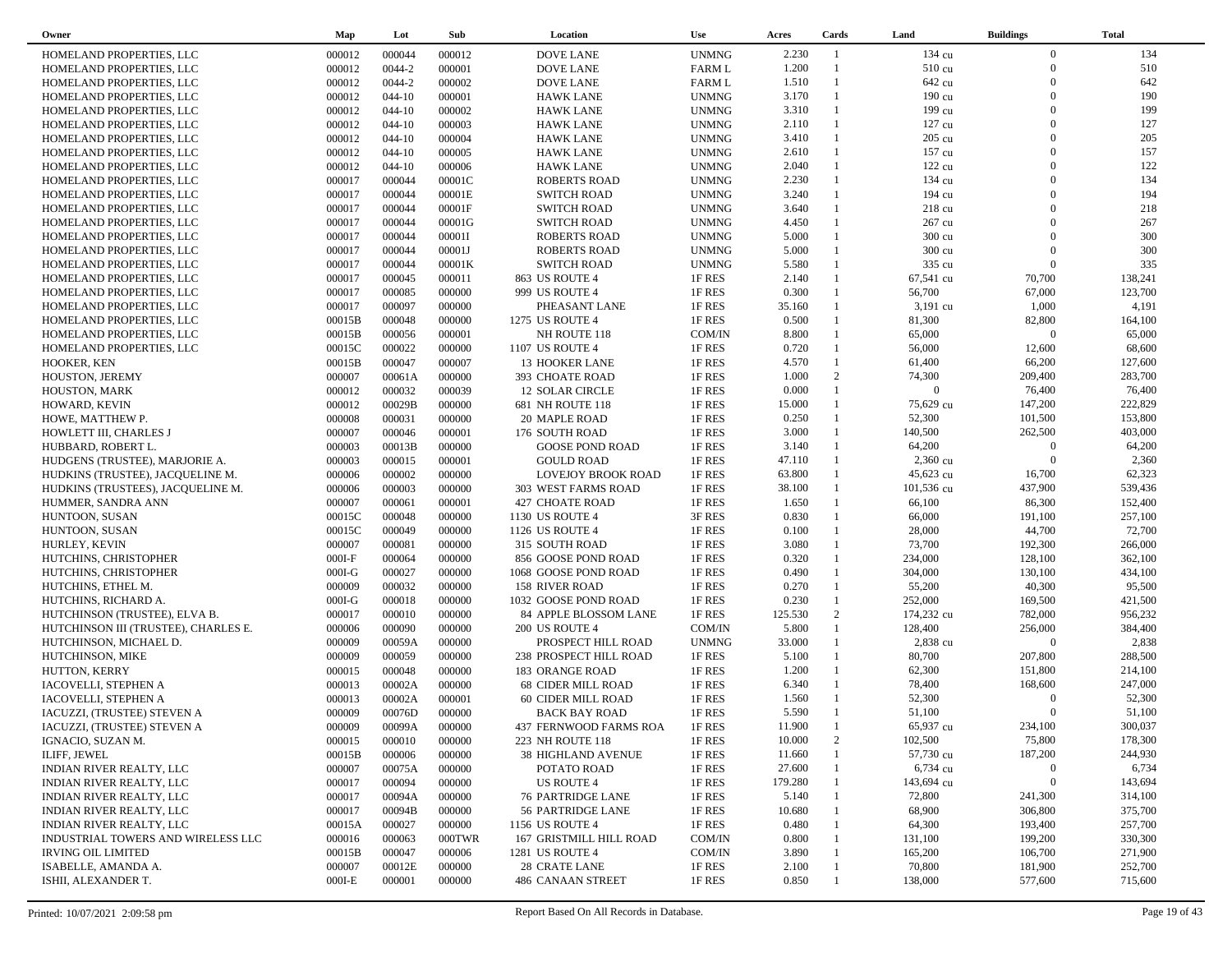| Owner                                | Map              | Lot        | Sub              | Location                  | Use              | Acres   | Cards                        | Land           | <b>Buildings</b>    | <b>Total</b> |
|--------------------------------------|------------------|------------|------------------|---------------------------|------------------|---------|------------------------------|----------------|---------------------|--------------|
| HOMELAND PROPERTIES, LLC             | 000012           | 000044     | 000012           | <b>DOVE LANE</b>          | <b>UNMNG</b>     | 2.230   | $\overline{1}$               | 134 cu         | $\overline{0}$      | 134          |
| HOMELAND PROPERTIES, LLC             | 000012           | 0044-2     | 000001           | <b>DOVE LANE</b>          | <b>FARM L</b>    | 1.200   | $\mathbf{1}$                 | 510 cu         | $\overline{0}$      | 510          |
| HOMELAND PROPERTIES, LLC             | 000012           | 0044-2     | 000002           | <b>DOVE LANE</b>          | <b>FARM L</b>    | 1.510   |                              | 642 cu         | $\Omega$            | 642          |
| HOMELAND PROPERTIES, LLC             | 000012           | $044 - 10$ | 000001           | <b>HAWK LANE</b>          | <b>UNMNG</b>     | 3.170   | $\mathbf{1}$                 | 190 cu         | $\Omega$            | 190          |
| HOMELAND PROPERTIES, LLC             | 000012           | $044 - 10$ | 000002           | <b>HAWK LANE</b>          | <b>UNMNG</b>     | 3.310   |                              | 199 cu         | $\Omega$            | 199          |
| HOMELAND PROPERTIES, LLC             | 000012           | $044 - 10$ | 000003           | <b>HAWK LANE</b>          | <b>UNMNG</b>     | 2.110   | $\mathbf{1}$                 | 127 cu         | $\Omega$            | 127          |
| HOMELAND PROPERTIES, LLC             | 000012           | $044 - 10$ | 000004           | <b>HAWK LANE</b>          | <b>UNMNG</b>     | 3.410   | 1                            | 205 cu         | $\Omega$            | 205          |
| HOMELAND PROPERTIES, LLC             | 000012           | $044 - 10$ | 000005           | <b>HAWK LANE</b>          | <b>UNMNG</b>     | 2.610   | $\mathbf{1}$                 | 157 cu         | $\Omega$            | 157          |
| HOMELAND PROPERTIES, LLC             | 000012           | $044 - 10$ | 000006           | <b>HAWK LANE</b>          | <b>UNMNG</b>     | 2.040   | 1                            | 122 cu         | $\Omega$            | 122          |
| HOMELAND PROPERTIES, LLC             | 000017           | 000044     | 00001C           | <b>ROBERTS ROAD</b>       | <b>UNMNG</b>     | 2.230   | $\mathbf{1}$                 | 134 cu         | $\Omega$            | 134          |
| HOMELAND PROPERTIES, LLC             | 000017           | 000044     | 00001E           | <b>SWITCH ROAD</b>        | <b>UNMNG</b>     | 3.240   | $\mathbf{1}$                 | 194 cu         | $\Omega$            | 194          |
| HOMELAND PROPERTIES, LLC             | 000017           | 000044     | 00001F           | <b>SWITCH ROAD</b>        | <b>UNMNG</b>     | 3.640   |                              | 218 cu         | $\Omega$            | 218          |
| HOMELAND PROPERTIES, LLC             | 000017           | 000044     | 00001G           | <b>SWITCH ROAD</b>        | <b>UNMNG</b>     | 4.450   | 1                            | 267 cu         | $\Omega$            | 267          |
| HOMELAND PROPERTIES, LLC             | 000017           | 000044     | 00001I           | <b>ROBERTS ROAD</b>       | <b>UNMNG</b>     | 5.000   |                              | 300 cu         | $\Omega$            | 300          |
| HOMELAND PROPERTIES, LLC             | 000017           | 000044     | 00001J           | <b>ROBERTS ROAD</b>       | <b>UNMNG</b>     | 5.000   | $\mathbf{1}$                 | 300 cu         | $\Omega$            | 300          |
| HOMELAND PROPERTIES, LLC             | 000017           | 000044     | 00001K           | <b>SWITCH ROAD</b>        | <b>UNMNG</b>     | 5.580   | $\mathbf{1}$                 | 335 cu         | $\overline{0}$      | 335          |
| HOMELAND PROPERTIES, LLC             | 000017           | 000045     | 000011           | 863 US ROUTE 4            | 1F RES           | 2.140   | $\mathbf{1}$                 | 67,541 cu      | 70,700              | 138,241      |
| HOMELAND PROPERTIES, LLC             | 000017           | 000085     | 000000           | 999 US ROUTE 4            | 1F RES           | 0.300   | $\mathbf{1}$                 | 56,700         | 67,000              | 123,700      |
| HOMELAND PROPERTIES, LLC             | 000017           | 000097     | 000000           | PHEASANT LANE             | 1F RES           | 35.160  | 1                            | $3,191$ cu     | 1,000               | 4,191        |
| HOMELAND PROPERTIES, LLC             | 00015B           | 000048     | 000000           | 1275 US ROUTE 4           | 1F RES           | 0.500   | $\mathbf{1}$                 | 81,300         | 82,800              | 164,100      |
| HOMELAND PROPERTIES, LLC             | 00015B           | 000056     | 000001           | NH ROUTE 118              | COM/IN           | 8.800   | $\mathbf{1}$                 | 65,000         | $\Omega$            | 65,000       |
| HOMELAND PROPERTIES, LLC             | 00015C           | 000022     | 000000           | 1107 US ROUTE 4           | 1F RES           | 0.720   | $\mathbf{1}$                 | 56,000         | 12,600              | 68,600       |
| HOOKER, KEN                          | 00015B           | 000047     | 000007           | 13 HOOKER LANE            | 1F RES           | 4.570   | $\mathbf{1}$                 | 61,400         | 66,200              | 127,600      |
| HOUSTON, JEREMY                      | 000007           | 00061A     | 000000           | 393 CHOATE ROAD           | 1F RES           | 1.000   | 2                            | 74,300         | 209,400             | 283,700      |
| HOUSTON, MARK                        | 000012           | 000032     | 000039           | 12 SOLAR CIRCLE           | 1F RES           | 0.000   | $\mathbf{1}$                 | $\overline{0}$ | 76,400              | 76,400       |
| HOWARD, KEVIN                        | 000012           | 00029B     | 000000           | 681 NH ROUTE 118          | 1F RES           | 15.000  | $\mathbf{1}$                 | 75,629 cu      | 147,200             | 222,829      |
| HOWE, MATTHEW P.                     | 000008           | 000031     | 000000           | 20 MAPLE ROAD             | 1F RES           | 0.250   | $\mathbf{1}$                 | 52,300         | 101,500             | 153,800      |
| HOWLETT III, CHARLES J               | 000007           | 000046     | 000001           | 176 SOUTH ROAD            | 1F RES           | 3.000   | $\mathbf{1}$                 | 140,500        | 262,500             | 403,000      |
|                                      | 000003           | 00013B     | 000000           | <b>GOOSE POND ROAD</b>    | 1F RES           | 3.140   | $\mathbf{1}$                 | 64,200         | $\overline{0}$      | 64,200       |
| HUBBARD, ROBERT L.                   |                  | 000015     |                  |                           |                  | 47.110  | $\mathbf{1}$                 | 2,360 cu       | $\overline{0}$      | 2,360        |
| HUDGENS (TRUSTEE), MARJORIE A.       | 000003<br>000006 | 000002     | 000001<br>000000 | <b>GOULD ROAD</b>         | 1F RES           | 63.800  | $\mathbf{1}$                 | 45,623 cu      | 16,700              | 62,323       |
| HUDKINS (TRUSTEE), JACQUELINE M.     |                  | 000003     | 000000           | LOVEJOY BROOK ROAD        | 1F RES           | 38.100  | $\mathbf{1}$                 | 101,536 cu     | 437,900             | 539,436      |
| HUDKINS (TRUSTEES), JACQUELINE M.    | 000006<br>000007 | 000061     | 000001           | 303 WEST FARMS ROAD       | 1F RES<br>1F RES | 1.650   | $\mathbf{1}$                 | 66,100         | 86,300              | 152,400      |
| HUMMER, SANDRA ANN                   |                  | 000048     | 000000           | 427 CHOATE ROAD           |                  | 0.830   | $\mathbf{1}$                 | 66,000         | 191,100             | 257,100      |
| HUNTOON, SUSAN                       | 00015C<br>00015C | 000049     | 000000           | 1130 US ROUTE 4           | 3F RES<br>1F RES | 0.100   | $\mathbf{1}$                 | 28,000         | 44,700              | 72,700       |
| HUNTOON, SUSAN                       |                  |            |                  | 1126 US ROUTE 4           |                  | 3.080   | $\mathbf{1}$                 | 73,700         | 192,300             | 266,000      |
| HURLEY, KEVIN                        | 000007           | 000081     | 000000           | 315 SOUTH ROAD            | 1F RES           | 0.320   | $\mathbf{1}$                 | 234,000        | 128,100             | 362,100      |
| HUTCHINS, CHRISTOPHER                | $000I-F$         | 000064     | 000000           | 856 GOOSE POND ROAD       | 1F RES           | 0.490   | $\mathbf{1}$                 |                |                     |              |
| HUTCHINS, CHRISTOPHER                | $000I-G$         | 000027     | 000000           | 1068 GOOSE POND ROAD      | 1F RES           |         | $\mathbf{1}$                 | 304,000        | 130,100             | 434,100      |
| HUTCHINS, ETHEL M.                   | 000009           | 000032     | 000000           | 158 RIVER ROAD            | 1F RES           | 0.270   | $\mathbf{1}$                 | 55,200         | 40,300              | 95,500       |
| HUTCHINS, RICHARD A.                 | $000I-G$         | 000018     | 000000           | 1032 GOOSE POND ROAD      | 1F RES           | 0.230   | 2                            | 252,000        | 169,500             | 421,500      |
| HUTCHINSON (TRUSTEE), ELVA B.        | 000017           | 000010     | 000000           | 84 APPLE BLOSSOM LANE     | 1F RES           | 125.530 |                              | 174,232 cu     | 782,000             | 956,232      |
| HUTCHINSON III (TRUSTEE), CHARLES E. | 000006           | 000090     | 000000           | 200 US ROUTE 4            | COM/IN           | 5.800   | $\mathbf{1}$                 | 128,400        | 256,000<br>$\Omega$ | 384,400      |
| HUTCHINSON, MICHAEL D.               | 000009           | 00059A     | 000000           | PROSPECT HILL ROAD        | <b>UNMNG</b>     | 33.000  | $\mathbf{1}$<br>$\mathbf{1}$ | 2,838 cu       |                     | 2,838        |
| HUTCHINSON, MIKE                     | 000009           | 000059     | 000000           | 238 PROSPECT HILL ROAD    | 1F RES           | 5.100   | $\mathbf{1}$                 | 80,700         | 207,800             | 288,500      |
| HUTTON, KERRY                        | 000015           | 000048     | 000000           | 183 ORANGE ROAD           | 1F RES           | 1.200   | $\mathbf{1}$                 | 62,300         | 151,800             | 214,100      |
| IACOVELLI, STEPHEN A                 | 000013           | 00002A     | 000000           | <b>68 CIDER MILL ROAD</b> | 1F RES           | 6.340   | $\mathbf{1}$                 | 78,400         | 168,600<br>$\Omega$ | 247,000      |
| IACOVELLI, STEPHEN A                 | 000013           | 00002A     | 000001           | 60 CIDER MILL ROAD        | 1F RES           | 1.560   | $\overline{1}$               | 52,300         |                     | 52,300       |
| IACUZZI, (TRUSTEE) STEVEN A          | 000009           | 00076D     | 000000           | <b>BACK BAY ROAD</b>      | 1F RES           | 5.590   |                              | 51,100         | $\overline{0}$      | 51,100       |
| IACUZZI, (TRUSTEE) STEVEN A          | 000009           | 00099A     | 000000           | 437 FERNWOOD FARMS ROA    | 1F RES           | 11.900  | $\overline{1}$               | 65,937 cu      | 234,100             | 300,037      |
| IGNACIO, SUZAN M.                    | 000015           | 000010     | 000000           | 223 NH ROUTE 118          | 1F RES           | 10.000  | 2                            | 102,500        | 75,800              | 178,300      |
| ILIFF, JEWEL                         | 00015B           | 000006     | 000000           | <b>38 HIGHLAND AVENUE</b> | 1F RES           | 11.660  |                              | 57,730 cu      | 187,200             | 244,930      |
| INDIAN RIVER REALTY, LLC             | 000007           | 00075A     | 000000           | POTATO ROAD               | 1F RES           | 27.600  |                              | 6,734 cu       | $\overline{0}$      | 6,734        |
| INDIAN RIVER REALTY, LLC             | 000017           | 000094     | 000000           | US ROUTE 4                | 1F RES           | 179.280 |                              | 143,694 cu     | $\overline{0}$      | 143,694      |
| <b>INDIAN RIVER REALTY, LLC</b>      | 000017           | 00094A     | 000000           | <b>76 PARTRIDGE LANE</b>  | 1F RES           | 5.140   |                              | 72,800         | 241,300             | 314,100      |
| <b>INDIAN RIVER REALTY, LLC</b>      | 000017           | 00094B     | 000000           | 56 PARTRIDGE LANE         | 1F RES           | 10.680  |                              | 68,900         | 306,800             | 375,700      |
| <b>INDIAN RIVER REALTY, LLC</b>      | 00015A           | 000027     | 000000           | 1156 US ROUTE 4           | 1F RES           | 0.480   |                              | 64,300         | 193,400             | 257,700      |
| INDUSTRIAL TOWERS AND WIRELESS LLC   | 000016           | 000063     | 000TWR           | 167 GRISTMILL HILL ROAD   | COM/IN           | 0.800   |                              | 131,100        | 199,200             | 330,300      |
| <b>IRVING OIL LIMITED</b>            | 00015B           | 000047     | 000006           | 1281 US ROUTE 4           | COM/IN           | 3.890   |                              | 165,200        | 106,700             | 271,900      |
| ISABELLE, AMANDA A.                  | 000007           | 00012E     | 000000           | 28 CRATE LANE             | 1F RES           | 2.100   |                              | 70,800         | 181,900             | 252,700      |
| ISHII, ALEXANDER T.                  | $000I-E$         | 000001     | 000000           | 486 CANAAN STREET         | 1F RES           | 0.850   |                              | 138,000        | 577,600             | 715,600      |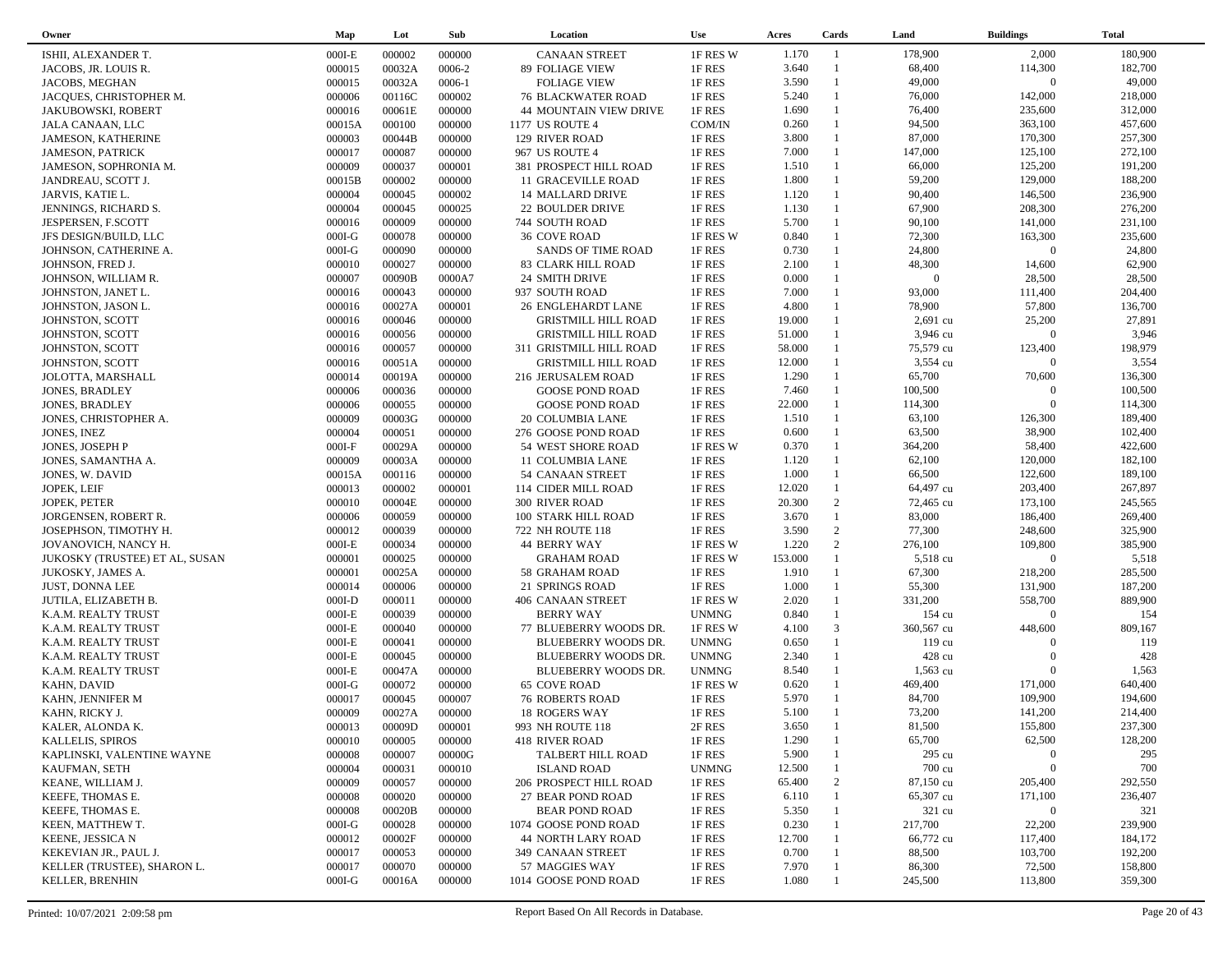| Owner                          | Map      | Lot    | Sub              | Location                                          | <b>Use</b>   | Acres   | Cards          | Land           | <b>Buildings</b>  | <b>Total</b> |
|--------------------------------|----------|--------|------------------|---------------------------------------------------|--------------|---------|----------------|----------------|-------------------|--------------|
| ISHII, ALEXANDER T.            | $000I-E$ | 000002 | 000000           | <b>CANAAN STREET</b>                              | 1F RES W     | 1.170   | $\overline{1}$ | 178,900        | 2,000             | 180,900      |
| JACOBS, JR. LOUIS R.           | 000015   | 00032A | 0006-2           | 89 FOLIAGE VIEW                                   | 1F RES       | 3.640   | $\overline{1}$ | 68,400         | 114,300           | 182,700      |
| JACOBS, MEGHAN                 | 000015   | 00032A | $0006 - 1$       | <b>FOLIAGE VIEW</b>                               | 1F RES       | 3.590   | $\mathbf{1}$   | 49,000         | $\overline{0}$    | 49,000       |
| JACQUES, CHRISTOPHER M.        | 000006   | 00116C | 000002           | <b>76 BLACKWATER ROAD</b>                         | 1F RES       | 5.240   | $\mathbf{1}$   | 76,000         | 142,000           | 218,000      |
| <b>JAKUBOWSKI, ROBERT</b>      | 000016   | 00061E | 000000           | <b>44 MOUNTAIN VIEW DRIVE</b>                     | 1F RES       | 1.690   | $\mathbf{1}$   | 76,400         | 235,600           | 312,000      |
| JALA CANAAN, LLC               | 00015A   | 000100 | 000000           | 1177 US ROUTE 4                                   | COM/IN       | 0.260   | $\mathbf{1}$   | 94,500         | 363,100           | 457,600      |
| <b>JAMESON, KATHERINE</b>      | 000003   | 00044B | 000000           | 129 RIVER ROAD                                    | 1F RES       | 3.800   | $\mathbf{1}$   | 87,000         | 170,300           | 257,300      |
| <b>JAMESON, PATRICK</b>        | 000017   | 000087 | 000000           | 967 US ROUTE 4                                    | 1F RES       | 7.000   | $\mathbf{1}$   | 147,000        | 125,100           | 272,100      |
| JAMESON, SOPHRONIA M.          | 000009   | 000037 | 000001           | 381 PROSPECT HILL ROAD                            | 1F RES       | 1.510   | $\mathbf{1}$   | 66,000         | 125,200           | 191,200      |
| JANDREAU, SCOTT J.             | 00015B   | 000002 | 000000           | 11 GRACEVILLE ROAD                                | 1F RES       | 1.800   | $\mathbf{1}$   | 59,200         | 129,000           | 188,200      |
| JARVIS, KATIE L.               | 000004   | 000045 | 000002           | 14 MALLARD DRIVE                                  | 1F RES       | 1.120   | $\mathbf{1}$   | 90,400         | 146,500           | 236,900      |
| JENNINGS, RICHARD S.           | 000004   | 000045 | 000025           | 22 BOULDER DRIVE                                  | 1F RES       | 1.130   | $\mathbf{1}$   | 67,900         | 208,300           | 276,200      |
| JESPERSEN, F.SCOTT             | 000016   | 000009 | 000000           | 744 SOUTH ROAD                                    | 1F RES       | 5.700   | $\mathbf{1}$   | 90,100         | 141,000           | 231,100      |
| JFS DESIGN/BUILD, LLC          | $000I-G$ | 000078 | 000000           | <b>36 COVE ROAD</b>                               | 1F RES W     | 0.840   | $\mathbf{1}$   | 72,300         | 163,300           | 235,600      |
| JOHNSON, CATHERINE A.          | $000I-G$ | 000090 | 000000           | SANDS OF TIME ROAD                                | 1F RES       | 0.730   | $\mathbf{1}$   | 24,800         | $\overline{0}$    | 24,800       |
| JOHNSON, FRED J.               | 000010   | 000027 | 000000           | 83 CLARK HILL ROAD                                | 1F RES       | 2.100   | $\mathbf{1}$   | 48,300         | 14,600            | 62,900       |
| JOHNSON, WILLIAM R.            | 000007   | 00090B | 0000A7           | 24 SMITH DRIVE                                    | 1F RES       | 0.000   | $\mathbf{1}$   | $\overline{0}$ | 28,500            | 28,500       |
| JOHNSTON, JANET L.             | 000016   | 000043 | 000000           | 937 SOUTH ROAD                                    | 1F RES       | 7.000   | $\mathbf{1}$   | 93,000         | 111,400           | 204,400      |
| JOHNSTON, JASON L.             | 000016   | 00027A | 000001           | 26 ENGLEHARDT LANE                                | 1F RES       | 4.800   | 1              | 78,900         | 57,800            | 136,700      |
| JOHNSTON, SCOTT                | 000016   | 000046 | 000000           | <b>GRISTMILL HILL ROAD</b>                        | 1F RES       | 19.000  | $\mathbf{1}$   | 2,691 cu       | 25,200            | 27,891       |
| JOHNSTON, SCOTT                | 000016   | 000056 | 000000           | <b>GRISTMILL HILL ROAD</b>                        | 1F RES       | 51.000  |                | 3,946 cu       | $\Omega$          | 3,946        |
| JOHNSTON, SCOTT                | 000016   | 000057 | 000000           | 311 GRISTMILL HILL ROAD                           | 1F RES       | 58.000  | $\mathbf{1}$   | 75,579 cu      | 123,400           | 198,979      |
| JOHNSTON, SCOTT                | 000016   | 00051A | 000000           | <b>GRISTMILL HILL ROAD</b>                        | 1F RES       | 12.000  |                | 3,554 cu       | $\overline{0}$    | 3,554        |
| JOLOTTA, MARSHALL              | 000014   | 00019A | 000000           | 216 JERUSALEM ROAD                                | 1F RES       | 1.290   | $\mathbf{1}$   | 65,700         | 70,600            | 136,300      |
| <b>JONES, BRADLEY</b>          | 000006   | 000036 | 000000           | <b>GOOSE POND ROAD</b>                            | 1F RES       | 7.460   | $\mathbf{1}$   | 100,500        | $\Omega$          | 100,500      |
| <b>JONES, BRADLEY</b>          | 000006   | 000055 | 000000           | <b>GOOSE POND ROAD</b>                            | 1F RES       | 22.000  | $\mathbf{1}$   | 114,300        | $\Omega$          | 114,300      |
| JONES, CHRISTOPHER A.          | 000009   | 00003G | 000000           | 20 COLUMBIA LANE                                  | 1F RES       | 1.510   | $\mathbf{1}$   | 63,100         | 126,300           | 189,400      |
| <b>JONES, INEZ</b>             | 000004   | 000051 | 000000           | 276 GOOSE POND ROAD                               | 1F RES       | 0.600   | $\mathbf{1}$   | 63,500         | 38,900            | 102,400      |
| JONES, JOSEPH P                | $000I-F$ | 00029A | 000000           | 54 WEST SHORE ROAD                                | 1F RES W     | 0.370   | $\mathbf{1}$   | 364,200        | 58,400            | 422,600      |
| JONES, SAMANTHA A.             | 000009   | 00003A | 000000           | 11 COLUMBIA LANE                                  | 1F RES       | 1.120   | $\mathbf{1}$   | 62,100         | 120,000           | 182,100      |
| JONES, W. DAVID                | 00015A   | 000116 | 000000           | 54 CANAAN STREET                                  | 1F RES       | 1.000   | $\mathbf{1}$   | 66,500         | 122,600           | 189,100      |
| JOPEK, LEIF                    | 000013   | 000002 | 000001           | 114 CIDER MILL ROAD                               | 1F RES       | 12.020  | $\mathbf{1}$   | 64,497 cu      | 203,400           | 267,897      |
| JOPEK, PETER                   | 000010   | 00004E | 000000           | <b>300 RIVER ROAD</b>                             | 1F RES       | 20.300  | 2              | 72,465 cu      | 173,100           | 245,565      |
| JORGENSEN, ROBERT R.           | 000006   | 000059 | 000000           | 100 STARK HILL ROAD                               | 1F RES       | 3.670   | $\mathbf{1}$   | 83,000         | 186,400           | 269,400      |
| JOSEPHSON, TIMOTHY H.          | 000012   | 000039 | 000000           | 722 NH ROUTE 118                                  | 1F RES       | 3.590   | 2              | 77,300         | 248,600           | 325,900      |
| JOVANOVICH, NANCY H.           | $000I-E$ | 000034 | 000000           | <b>44 BERRY WAY</b>                               | 1F RES W     | 1.220   | 2              | 276,100        | 109,800           | 385,900      |
| JUKOSKY (TRUSTEE) ET AL, SUSAN | 000001   | 000025 | 000000           | <b>GRAHAM ROAD</b>                                | 1F RES W     | 153.000 | $\mathbf{1}$   | 5,518 cu       | $\overline{0}$    | 5,518        |
| JUKOSKY, JAMES A.              | 000001   | 00025A | 000000           | 58 GRAHAM ROAD                                    | 1F RES       | 1.910   | $\mathbf{1}$   | 67,300         | 218,200           | 285,500      |
| <b>JUST, DONNA LEE</b>         | 000014   | 000006 | 000000           | 21 SPRINGS ROAD                                   | 1F RES       | 1.000   | $\mathbf{1}$   | 55,300         | 131,900           | 187,200      |
| JUTILA, ELIZABETH B.           | $000I-D$ | 000011 | 000000           | 406 CANAAN STREET                                 | 1F RES W     | 2.020   | $\mathbf{1}$   | 331,200        | 558,700           | 889,900      |
| K.A.M. REALTY TRUST            | $000I-E$ | 000039 | 000000           | <b>BERRY WAY</b>                                  | <b>UNMNG</b> | 0.840   | $\mathbf{1}$   | 154 cu         | $\overline{0}$    | 154          |
| K.A.M. REALTY TRUST            | $000I-E$ | 000040 | 000000           | 77 BLUEBERRY WOODS DR.                            | 1F RES W     | 4.100   | 3              | 360,567 cu     | 448,600           | 809,167      |
| K.A.M. REALTY TRUST            | $000I-E$ | 000041 | 000000           | BLUEBERRY WOODS DR.                               | <b>UNMNG</b> | 0.650   | $\mathbf{1}$   | 119 cu         | $\Omega$          | 119          |
| K.A.M. REALTY TRUST            | $000I-E$ | 000045 | 000000           | BLUEBERRY WOODS DR.                               | <b>UNMNG</b> | 2.340   | $\mathbf{1}$   | 428 cu         | $\Omega$          | 428          |
| K.A.M. REALTY TRUST            | $000I-E$ | 00047A | 000000           | BLUEBERRY WOODS DR.                               | <b>UNMNG</b> | 8.540   | $\mathbf{1}$   | $1,563$ cu     | $\Omega$          | 1,563        |
| KAHN, DAVID                    | $000I-G$ | 000072 | 000000           | <b>65 COVE ROAD</b>                               | 1F RES W     | 0.620   | $\mathbf{1}$   | 469,400        | 171,000           | 640,400      |
| KAHN, JENNIFER M               | 000017   | 000045 | 000007           | <b>76 ROBERTS ROAD</b>                            | 1F RES       | 5.970   | $\mathbf{1}$   | 84,700         | 109,900           | 194,600      |
| KAHN, RICKY J.                 | 000009   | 00027A | 000000           | 18 ROGERS WAY                                     | 1F RES       | 5.100   | $\mathbf{1}$   | 73,200         | 141,200           | 214,400      |
| KALER, ALONDA K.               | 000013   | 00009D | 000001           | 993 NH ROUTE 118                                  | 2F RES       | 3.650   | $\mathbf{1}$   | 81,500         | 155,800           | 237,300      |
| <b>KALLELIS, SPIROS</b>        | 000010   | 000005 | 000000           | 418 RIVER ROAD                                    | 1F RES       | 1.290   |                | 65,700         | 62,500            | 128,200      |
| KAPLINSKI, VALENTINE WAYNE     | 000008   | 000007 | 00000G           | TALBERT HILL ROAD                                 | 1F RES       | 5.900   |                | 295 cu         | $\Omega$          | 295          |
| KAUFMAN, SETH                  | 000004   | 000031 | 000010           | <b>ISLAND ROAD</b>                                | <b>UNMNG</b> | 12.500  |                | 700 cu         | $\mathbf{0}$      | 700          |
| KEANE, WILLIAM J.              | 000009   | 000057 | 000000           | 206 PROSPECT HILL ROAD                            | 1F RES       | 65.400  | $\overline{c}$ | 87,150 cu      | 205,400           | 292,550      |
| KEEFE, THOMAS E.               | 000008   | 000020 | 000000           | 27 BEAR POND ROAD                                 | 1F RES       | 6.110   |                | 65,307 cu      | 171,100           | 236,407      |
|                                | 000008   | 00020B |                  |                                                   | 1F RES       | 5.350   |                | 321 cu         | $\bf{0}$          | 321          |
| KEEFE, THOMAS E.               | $000I-G$ | 000028 | 000000<br>000000 | <b>BEAR POND ROAD</b>                             | 1F RES       | 0.230   |                | 217,700        | 22,200            | 239,900      |
| KEEN, MATTHEW T.               |          |        |                  | 1074 GOOSE POND ROAD<br><b>44 NORTH LARY ROAD</b> |              | 12.700  |                | 66,772 cu      |                   | 184,172      |
| KEENE, JESSICA N               | 000012   | 00002F | 000000           |                                                   | 1F RES       |         |                | 88,500         | 117,400           | 192,200      |
| KEKEVIAN JR., PAUL J.          | 000017   | 000053 | 000000           | 349 CANAAN STREET                                 | 1F RES       | 0.700   |                |                | 103,700<br>72,500 |              |
| KELLER (TRUSTEE), SHARON L.    | 000017   | 000070 | 000000           | 57 MAGGIES WAY                                    | 1F RES       | 7.970   |                | 86,300         |                   | 158,800      |
| KELLER, BRENHIN                | $000I-G$ | 00016A | 000000           | 1014 GOOSE POND ROAD                              | 1F RES       | 1.080   |                | 245,500        | 113,800           | 359,300      |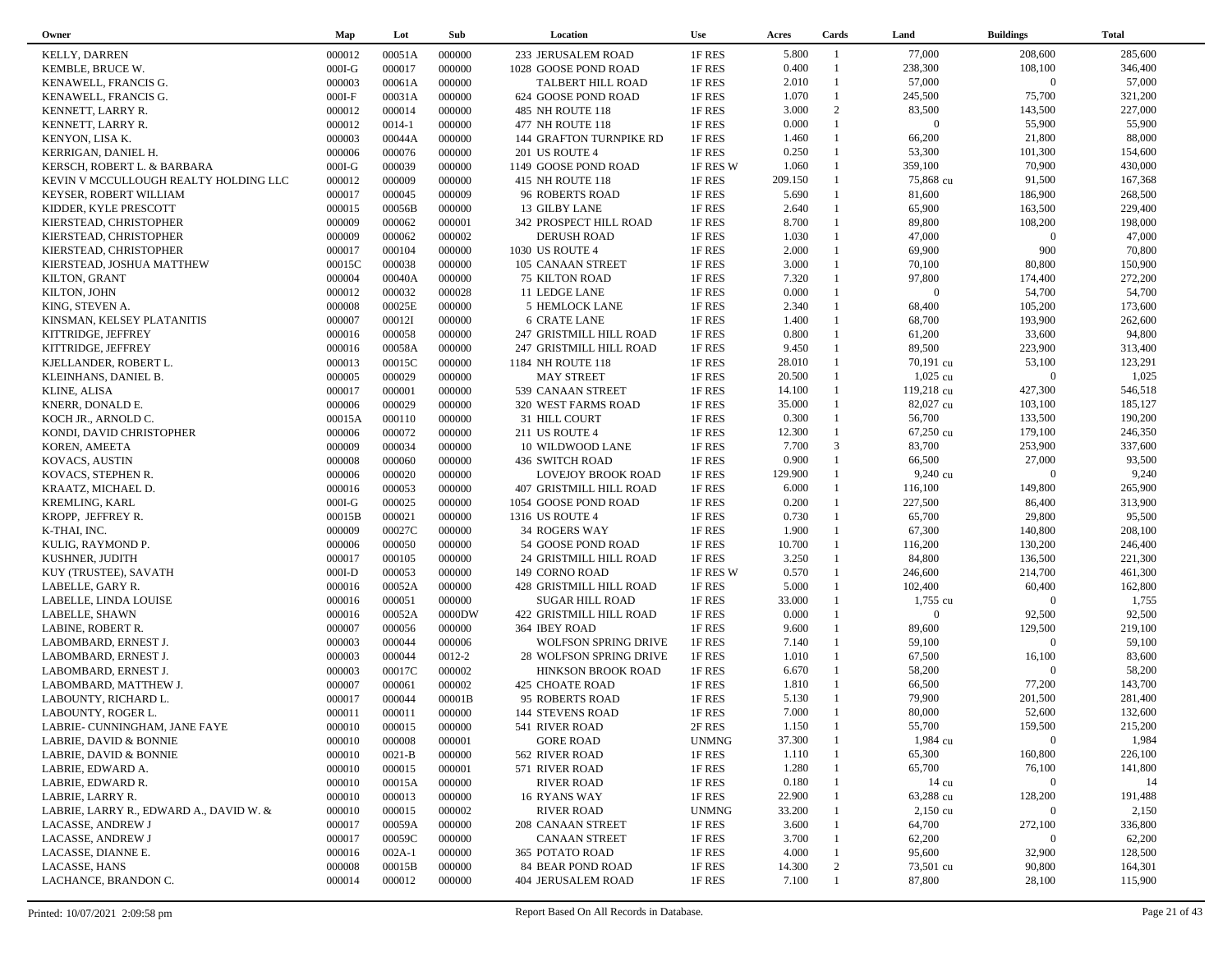| Owner                                   | Map      | Lot        | Sub    | Location                    | <b>Use</b>   | Acres          | Cards          | Land               | <b>Buildings</b>   | <b>Total</b> |
|-----------------------------------------|----------|------------|--------|-----------------------------|--------------|----------------|----------------|--------------------|--------------------|--------------|
| <b>KELLY, DARREN</b>                    | 000012   | 00051A     | 000000 | 233 JERUSALEM ROAD          | 1F RES       | 5.800          | -1             | 77,000             | 208,600            | 285,600      |
| KEMBLE, BRUCE W.                        | $000I-G$ | 000017     | 000000 | 1028 GOOSE POND ROAD        | 1F RES       | 0.400          | $\mathbf{1}$   | 238,300            | 108,100            | 346,400      |
| KENAWELL, FRANCIS G.                    | 000003   | 00061A     | 000000 | TALBERT HILL ROAD           | 1F RES       | 2.010          | $\mathbf{1}$   | 57,000             | $\overline{0}$     | 57,000       |
| KENAWELL, FRANCIS G.                    | $000I-F$ | 00031A     | 000000 | 624 GOOSE POND ROAD         | 1F RES       | 1.070          | $\mathbf{1}$   | 245,500            | 75,700             | 321,200      |
| KENNETT, LARRY R.                       | 000012   | 000014     | 000000 | 485 NH ROUTE 118            | 1F RES       | 3.000          | 2              | 83,500             | 143,500            | 227,000      |
| KENNETT, LARRY R.                       | 000012   | $0014 - 1$ | 000000 | 477 NH ROUTE 118            | 1F RES       | 0.000          | $\mathbf{1}$   | $\overline{0}$     | 55,900             | 55,900       |
| KENYON, LISA K.                         | 000003   | 00044A     | 000000 |                             | 1F RES       | 1.460          | $\mathbf{1}$   | 66,200             | 21,800             | 88,000       |
|                                         |          |            |        | 144 GRAFTON TURNPIKE RD     |              | 0.250          | $\mathbf{1}$   | 53,300             | 101,300            | 154,600      |
| KERRIGAN, DANIEL H.                     | 000006   | 000076     | 000000 | 201 US ROUTE 4              | 1F RES       |                | $\mathbf{1}$   |                    |                    |              |
| KERSCH, ROBERT L. & BARBARA             | $000I-G$ | 000039     | 000000 | 1149 GOOSE POND ROAD        | 1F RES W     | 1.060          | $\mathbf{1}$   | 359,100            | 70,900             | 430,000      |
| KEVIN V MCCULLOUGH REALTY HOLDING LLC   | 000012   | 000009     | 000000 | 415 NH ROUTE 118            | 1F RES       | 209.150        |                | 75,868 cu          | 91,500             | 167,368      |
| KEYSER, ROBERT WILLIAM                  | 000017   | 000045     | 000009 | 96 ROBERTS ROAD             | 1F RES       | 5.690          |                | 81,600             | 186,900            | 268,500      |
| KIDDER, KYLE PRESCOTT                   | 000015   | 00056B     | 000000 | 13 GILBY LANE               | 1F RES       | 2.640          | $\mathbf{1}$   | 65,900             | 163,500            | 229,400      |
| KIERSTEAD, CHRISTOPHER                  | 000009   | 000062     | 000001 | 342 PROSPECT HILL ROAD      | 1F RES       | 8.700          | $\mathbf{1}$   | 89,800             | 108,200            | 198,000      |
| KIERSTEAD, CHRISTOPHER                  | 000009   | 000062     | 000002 | <b>DERUSH ROAD</b>          | 1F RES       | 1.030          | $\mathbf{1}$   | 47,000             | $\boldsymbol{0}$   | 47,000       |
| KIERSTEAD, CHRISTOPHER                  | 000017   | 000104     | 000000 | 1030 US ROUTE 4             | 1F RES       | 2.000          | $\mathbf{1}$   | 69,900             | 900                | 70,800       |
| KIERSTEAD, JOSHUA MATTHEW               | 00015C   | 000038     | 000000 | 105 CANAAN STREET           | 1F RES       | 3.000          | $\mathbf{1}$   | 70,100             | 80,800             | 150,900      |
| KILTON, GRANT                           | 000004   | 00040A     | 000000 | <b>75 KILTON ROAD</b>       | 1F RES       | 7.320          | $\mathbf{1}$   | 97,800             | 174,400            | 272,200      |
| KILTON, JOHN                            | 000012   | 000032     | 000028 | 11 LEDGE LANE               | 1F RES       | 0.000          | $\mathbf{1}$   | $\overline{0}$     | 54,700             | 54,700       |
| KING, STEVEN A.                         | 000008   | 00025E     | 000000 | 5 HEMLOCK LANE              | 1F RES       | 2.340          | $\mathbf{1}$   | 68,400             | 105,200            | 173,600      |
| KINSMAN, KELSEY PLATANITIS              | 000007   | 00012I     | 000000 | <b>6 CRATE LANE</b>         | 1F RES       | 1.400          |                | 68,700             | 193,900            | 262,600      |
| KITTRIDGE, JEFFREY                      | 000016   | 000058     | 000000 | 247 GRISTMILL HILL ROAD     | 1F RES       | 0.800          | $\mathbf{1}$   | 61,200             | 33,600             | 94,800       |
| KITTRIDGE, JEFFREY                      | 000016   | 00058A     | 000000 | 247 GRISTMILL HILL ROAD     | 1F RES       | 9.450          | $\mathbf{1}$   | 89,500             | 223,900            | 313,400      |
| KJELLANDER, ROBERT L.                   | 000013   | 00015C     | 000000 | 1184 NH ROUTE 118           | 1F RES       | 28.010         | $\mathbf{1}$   | 70,191 cu          | 53,100             | 123,291      |
| KLEINHANS, DANIEL B.                    | 000005   | 000029     | 000000 | <b>MAY STREET</b>           | 1F RES       | 20.500         | $\mathbf{1}$   | $1,025$ cu         | $\overline{0}$     | 1,025        |
| KLINE, ALISA                            | 000017   | 000001     | 000000 | 539 CANAAN STREET           | 1F RES       | 14.100         | $\mathbf{1}$   | 119,218 cu         | 427,300            | 546,518      |
| KNERR, DONALD E.                        | 000006   | 000029     | 000000 | 320 WEST FARMS ROAD         | 1F RES       | 35.000         | $\mathbf{1}$   | 82,027 cu          | 103,100            | 185,127      |
| KOCH JR., ARNOLD C.                     | 00015A   | 000110     | 000000 | 31 HILL COURT               | 1F RES       | 0.300          | $\mathbf{1}$   | 56,700             | 133,500            | 190,200      |
| KONDI, DAVID CHRISTOPHER                | 000006   | 000072     | 000000 | 211 US ROUTE 4              | 1F RES       | 12.300         | $\mathbf{1}$   | 67,250 cu          | 179,100            | 246,350      |
|                                         |          |            |        |                             |              |                | 3              |                    | 253,900            | 337,600      |
| KOREN, AMEETA                           | 000009   | 000034     | 000000 | 10 WILDWOOD LANE            | 1F RES       | 7.700<br>0.900 | $\mathbf{1}$   | 83,700             |                    |              |
| KOVACS, AUSTIN                          | 000008   | 000060     | 000000 | <b>436 SWITCH ROAD</b>      | 1F RES       |                | $\mathbf{1}$   | 66,500             | 27,000<br>$\Omega$ | 93,500       |
| KOVACS, STEPHEN R.                      | 000006   | 000020     | 000000 | <b>LOVEJOY BROOK ROAD</b>   | 1F RES       | 129.900        | $\mathbf{1}$   | 9,240 cu           |                    | 9,240        |
| KRAATZ, MICHAEL D.                      | 000016   | 000053     | 000000 | 407 GRISTMILL HILL ROAD     | 1F RES       | 6.000          |                | 116,100            | 149,800            | 265,900      |
| <b>KREMLING, KARL</b>                   | $000I-G$ | 000025     | 000000 | 1054 GOOSE POND ROAD        | 1F RES       | 0.200          | $\mathbf{1}$   | 227,500            | 86,400             | 313,900      |
| KROPP, JEFFREY R.                       | 00015B   | 000021     | 000000 | 1316 US ROUTE 4             | 1F RES       | 0.730          | $\mathbf{1}$   | 65,700             | 29,800             | 95,500       |
| K-THAI, INC.                            | 000009   | 00027C     | 000000 | 34 ROGERS WAY               | 1F RES       | 1.900          | $\mathbf{1}$   | 67,300             | 140,800            | 208,100      |
| KULIG, RAYMOND P.                       | 000006   | 000050     | 000000 | 54 GOOSE POND ROAD          | 1F RES       | 10.700         | $\mathbf{1}$   | 116,200            | 130,200            | 246,400      |
| KUSHNER, JUDITH                         | 000017   | 000105     | 000000 | 24 GRISTMILL HILL ROAD      | 1F RES       | 3.250          | $\mathbf{1}$   | 84,800             | 136,500            | 221,300      |
| KUY (TRUSTEE), SAVATH                   | $000I-D$ | 000053     | 000000 | 149 CORNO ROAD              | 1F RES W     | 0.570          | $\mathbf{1}$   | 246,600            | 214,700            | 461,300      |
| LABELLE, GARY R.                        | 000016   | 00052A     | 000000 | 428 GRISTMILL HILL ROAD     | 1F RES       | 5.000          | $\mathbf{1}$   | 102,400            | 60,400             | 162,800      |
| LABELLE, LINDA LOUISE                   | 000016   | 000051     | 000000 | <b>SUGAR HILL ROAD</b>      | 1F RES       | 33.000         |                | 1,755 cu           | $\overline{0}$     | 1,755        |
| LABELLE, SHAWN                          | 000016   | 00052A     | 0000DW | 422 GRISTMILL HILL ROAD     | 1F RES       | 0.000          | 1              | $\Omega$           | 92,500             | 92,500       |
| LABINE, ROBERT R.                       | 000007   | 000056     | 000000 | 364 IBEY ROAD               | 1F RES       | 9.600          | $\mathbf{1}$   | 89,600             | 129,500            | 219,100      |
| LABOMBARD, ERNEST J.                    | 000003   | 000044     | 000006 | <b>WOLFSON SPRING DRIVE</b> | 1F RES       | 7.140          | $\mathbf{1}$   | 59,100             | $\Omega$           | 59,100       |
| LABOMBARD, ERNEST J.                    | 000003   | 000044     | 0012-2 | 28 WOLFSON SPRING DRIVE     | 1F RES       | 1.010          | $\mathbf{1}$   | 67,500             | 16,100             | 83,600       |
| LABOMBARD, ERNEST J.                    | 000003   | 00017C     | 000002 | HINKSON BROOK ROAD          | 1F RES       | 6.670          | $\mathbf{1}$   | 58,200             | $\Omega$           | 58,200       |
| LABOMBARD, MATTHEW J.                   | 000007   | 000061     | 000002 | <b>425 CHOATE ROAD</b>      | 1F RES       | 1.810          | $\mathbf{1}$   | 66,500             | 77,200             | 143,700      |
| LABOUNTY, RICHARD L.                    | 000017   | 000044     | 00001B | 95 ROBERTS ROAD             | 1F RES       | 5.130          |                | 79,900             | 201,500            | 281,400      |
| LABOUNTY, ROGER L.                      | 000011   | 000011     | 000000 | <b>144 STEVENS ROAD</b>     | 1F RES       | 7.000          | $\overline{1}$ | 80,000             | 52,600             | 132,600      |
| LABRIE- CUNNINGHAM, JANE FAYE           | 000010   | 000015     | 000000 | 541 RIVER ROAD              | 2F RES       | 1.150          | $\mathbf{1}$   | 55,700             | 159,500            | 215,200      |
| LABRIE, DAVID & BONNIE                  | 000010   | 000008     | 000001 | <b>GORE ROAD</b>            | <b>UNMNG</b> | 37.300         |                | 1,984 cu           | $\bf{0}$           | 1,984        |
| LABRIE, DAVID & BONNIE                  | 000010   | $0021 - B$ | 000000 | 562 RIVER ROAD              | 1F RES       | 1.110          |                | 65,300             | 160,800            | 226,100      |
| LABRIE, EDWARD A.                       | 000010   | 000015     | 000001 | 571 RIVER ROAD              | 1F RES       | 1.280          |                | 65,700             | 76,100             | 141,800      |
| LABRIE, EDWARD R.                       |          |            |        |                             |              |                |                |                    | $\mathbf{0}$       | 14           |
|                                         | 000010   | 00015A     | 000000 | <b>RIVER ROAD</b>           | 1F RES       | 0.180          |                | 14 cu              |                    |              |
| LABRIE, LARRY R.                        | 000010   | 000013     | 000000 | 16 RYANS WAY                | 1F RES       | 22.900         |                | 63,288 cu          | 128,200            | 191,488      |
| LABRIE, LARRY R., EDWARD A., DAVID W. & | 000010   | 000015     | 000002 | <b>RIVER ROAD</b>           | <b>UNMNG</b> | 33.200         |                | $2,150 \text{ cu}$ | $\overline{0}$     | 2,150        |
| LACASSE, ANDREW J                       | 000017   | 00059A     | 000000 | 208 CANAAN STREET           | 1F RES       | 3.600          |                | 64,700             | 272,100            | 336,800      |
| LACASSE, ANDREW J                       | 000017   | 00059C     | 000000 | <b>CANAAN STREET</b>        | 1F RES       | 3.700          |                | 62,200             | $\mathbf{0}$       | 62,200       |
| LACASSE, DIANNE E.                      | 000016   | $002A-1$   | 000000 | 365 POTATO ROAD             | 1F RES       | 4.000          |                | 95,600             | 32,900             | 128,500      |
| LACASSE, HANS                           | 000008   | 00015B     | 000000 | 84 BEAR POND ROAD           | 1F RES       | 14.300         | 2              | 73,501 cu          | 90,800             | 164,301      |
| LACHANCE, BRANDON C.                    | 000014   | 000012     | 000000 | 404 JERUSALEM ROAD          | 1F RES       | 7.100          |                | 87,800             | 28,100             | 115,900      |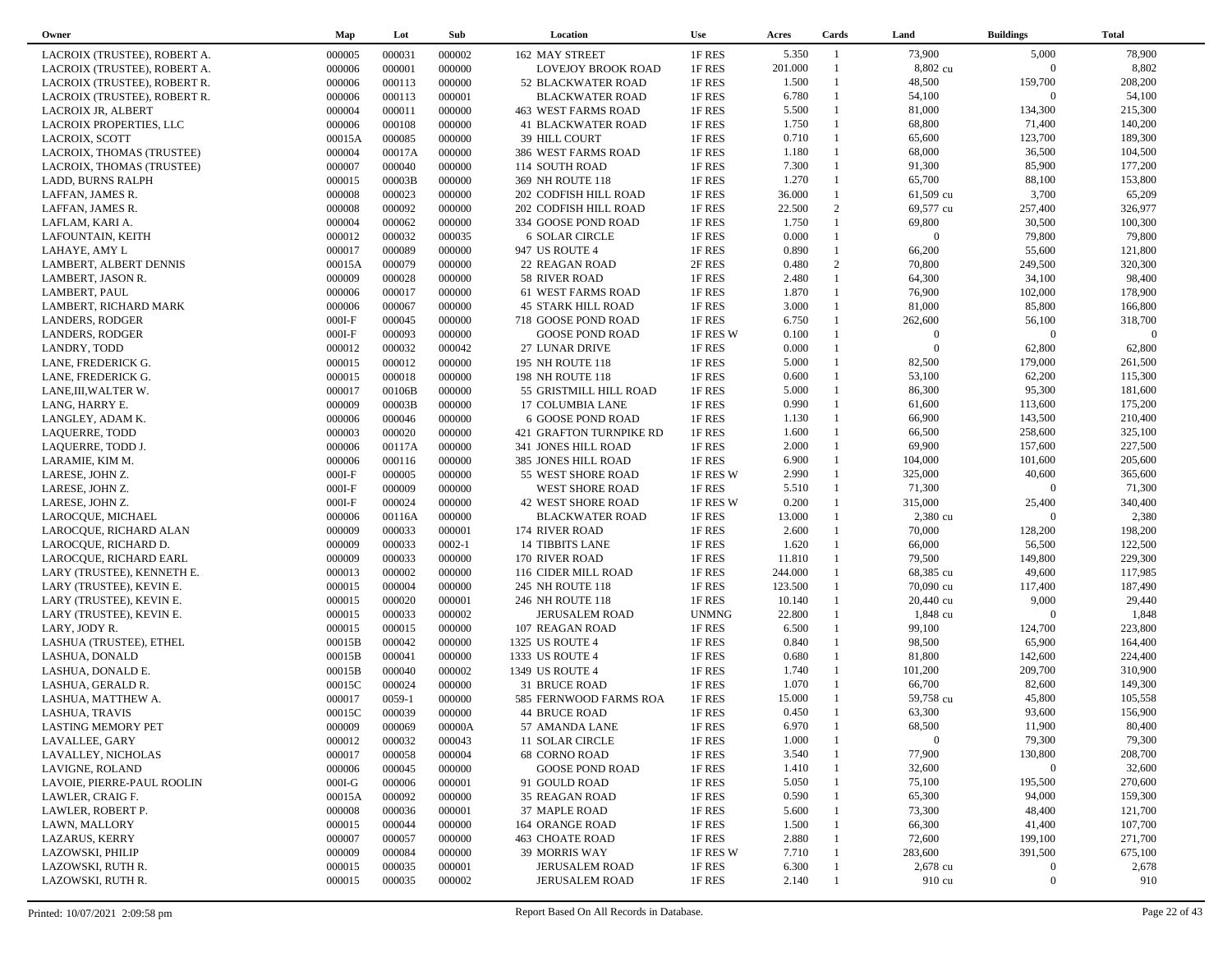| Owner                        | Map      | Lot        | Sub        | Location                   | <b>Use</b>   | Acres   | Cards        | Land           | <b>Buildings</b> | <b>Total</b> |
|------------------------------|----------|------------|------------|----------------------------|--------------|---------|--------------|----------------|------------------|--------------|
| LACROIX (TRUSTEE), ROBERT A. | 000005   | 000031     | 000002     | 162 MAY STREET             | 1F RES       | 5.350   | -1           | 73,900         | 5,000            | 78,900       |
| LACROIX (TRUSTEE), ROBERT A. | 000006   | 000001     | 000000     | <b>LOVEJOY BROOK ROAD</b>  | 1F RES       | 201.000 |              | 8,802 cu       | $\overline{0}$   | 8,802        |
| LACROIX (TRUSTEE), ROBERT R. | 000006   | 000113     | 000000     | 52 BLACKWATER ROAD         | 1F RES       | 1.500   | $\mathbf{1}$ | 48,500         | 159,700          | 208,200      |
| LACROIX (TRUSTEE), ROBERT R. | 000006   | 000113     | 000001     | <b>BLACKWATER ROAD</b>     | 1F RES       | 6.780   | $\mathbf{1}$ | 54,100         | $\overline{0}$   | 54,100       |
| LACROIX JR, ALBERT           | 000004   | 000011     | 000000     | <b>463 WEST FARMS ROAD</b> | 1F RES       | 5.500   | $\mathbf{1}$ | 81,000         | 134,300          | 215,300      |
| LACROIX PROPERTIES, LLC      | 000006   | 000108     | 000000     | <b>41 BLACKWATER ROAD</b>  | 1F RES       | 1.750   | $\mathbf{1}$ | 68,800         | 71,400           | 140,200      |
| LACROIX, SCOTT               | 00015A   | 000085     | 000000     | <b>39 HILL COURT</b>       | 1F RES       | 0.710   | $\mathbf{1}$ | 65,600         | 123,700          | 189,300      |
| LACROIX, THOMAS (TRUSTEE)    | 000004   | 00017A     | 000000     | 386 WEST FARMS ROAD        | 1F RES       | 1.180   | $\mathbf{1}$ | 68,000         | 36,500           | 104,500      |
| LACROIX, THOMAS (TRUSTEE)    | 000007   | 000040     | 000000     | 114 SOUTH ROAD             | 1F RES       | 7.300   | $\mathbf{1}$ | 91,300         | 85,900           | 177,200      |
|                              | 000015   | 00003B     | 000000     | 369 NH ROUTE 118           | 1F RES       | 1.270   | $\mathbf{1}$ | 65,700         | 88,100           | 153,800      |
| LADD, BURNS RALPH            |          | 000023     |            |                            |              |         | $\mathbf{1}$ |                | 3,700            | 65,209       |
| LAFFAN, JAMES R.             | 000008   |            | 000000     | 202 CODFISH HILL ROAD      | 1F RES       | 36.000  | 2            | 61,509 cu      |                  |              |
| LAFFAN, JAMES R.             | 000008   | 000092     | 000000     | 202 CODFISH HILL ROAD      | 1F RES       | 22.500  | $\mathbf{1}$ | 69,577 cu      | 257,400          | 326,977      |
| LAFLAM, KARI A.              | 000004   | 000062     | 000000     | 334 GOOSE POND ROAD        | 1F RES       | 1.750   | $\mathbf{1}$ | 69,800         | 30,500           | 100,300      |
| LAFOUNTAIN, KEITH            | 000012   | 000032     | 000035     | <b>6 SOLAR CIRCLE</b>      | 1F RES       | 0.000   | $\mathbf{1}$ | $\overline{0}$ | 79,800           | 79,800       |
| LAHAYE, AMY L                | 000017   | 000089     | 000000     | 947 US ROUTE 4             | 1F RES       | 0.890   |              | 66,200         | 55,600           | 121,800      |
| LAMBERT, ALBERT DENNIS       | 00015A   | 000079     | 000000     | 22 REAGAN ROAD             | 2F RES       | 0.480   | 2            | 70,800         | 249,500          | 320,300      |
| LAMBERT, JASON R.            | 000009   | 000028     | 000000     | 58 RIVER ROAD              | 1F RES       | 2.480   | $\mathbf{1}$ | 64,300         | 34,100           | 98,400       |
| LAMBERT, PAUL                | 000006   | 000017     | 000000     | 61 WEST FARMS ROAD         | 1F RES       | 1.870   | $\mathbf{1}$ | 76,900         | 102,000          | 178,900      |
| LAMBERT, RICHARD MARK        | 000006   | 000067     | 000000     | <b>45 STARK HILL ROAD</b>  | 1F RES       | 3.000   | $\mathbf{1}$ | 81,000         | 85,800           | 166,800      |
| <b>LANDERS, RODGER</b>       | $000I-F$ | 000045     | 000000     | 718 GOOSE POND ROAD        | 1F RES       | 6.750   |              | 262,600        | 56,100           | 318,700      |
| <b>LANDERS, RODGER</b>       | $000I-F$ | 000093     | 000000     | <b>GOOSE POND ROAD</b>     | 1F RES W     | 0.100   | 1            | $\overline{0}$ | $\Omega$         | $\Omega$     |
| LANDRY, TODD                 | 000012   | 000032     | 000042     | 27 LUNAR DRIVE             | 1F RES       | 0.000   |              | $\overline{0}$ | 62,800           | 62,800       |
| LANE, FREDERICK G.           | 000015   | 000012     | 000000     | 195 NH ROUTE 118           | 1F RES       | 5.000   | $\mathbf{1}$ | 82,500         | 179,000          | 261,500      |
| LANE, FREDERICK G.           | 000015   | 000018     | 000000     | 198 NH ROUTE 118           | 1F RES       | 0.600   | $\mathbf{1}$ | 53,100         | 62,200           | 115,300      |
| LANE, III, WALTER W.         | 000017   | 00106B     | 000000     | 55 GRISTMILL HILL ROAD     | 1F RES       | 5.000   | 1            | 86,300         | 95,300           | 181,600      |
| LANG, HARRY E.               | 000009   | 00003B     | 000000     | 17 COLUMBIA LANE           | 1F RES       | 0.990   | $\mathbf{1}$ | 61,600         | 113,600          | 175,200      |
| LANGLEY, ADAM K.             | 000006   | 000046     | 000000     | 6 GOOSE POND ROAD          | 1F RES       | 1.130   | $\mathbf{1}$ | 66,900         | 143,500          | 210,400      |
| LAQUERRE, TODD               | 000003   | 000020     | 000000     | 421 GRAFTON TURNPIKE RD    | 1F RES       | 1.600   | $\mathbf{1}$ | 66,500         | 258,600          | 325,100      |
| LAQUERRE, TODD J.            | 000006   | 00117A     | 000000     | 341 JONES HILL ROAD        | 1F RES       | 2.000   | 1            | 69,900         | 157,600          | 227,500      |
| LARAMIE, KIM M.              | 000006   | 000116     | 000000     | 385 JONES HILL ROAD        | 1F RES       | 6.900   | $\mathbf{1}$ | 104,000        | 101,600          | 205,600      |
| LARESE, JOHN Z.              | $000I-F$ | 000005     | 000000     | 55 WEST SHORE ROAD         | 1F RES W     | 2.990   | $\mathbf{1}$ | 325,000        | 40,600           | 365,600      |
| LARESE, JOHN Z.              | $000I-F$ | 000009     | 000000     | <b>WEST SHORE ROAD</b>     | 1F RES       | 5.510   | $\mathbf{1}$ | 71,300         | $\overline{0}$   | 71,300       |
| LARESE, JOHN Z.              | $000I-F$ | 000024     | 000000     | <b>42 WEST SHORE ROAD</b>  | 1F RES W     | 0.200   | $\mathbf{1}$ | 315,000        | 25,400           | 340,400      |
| LAROCQUE, MICHAEL            | 000006   | 00116A     | 000000     | <b>BLACKWATER ROAD</b>     | 1F RES       | 13.000  |              | 2,380 cu       | $\Omega$         | 2,380        |
| LAROCQUE, RICHARD ALAN       | 000009   | 000033     | 000001     | 174 RIVER ROAD             | 1F RES       | 2.600   | $\mathbf{1}$ | 70,000         | 128,200          | 198,200      |
| LAROCQUE, RICHARD D.         | 000009   | 000033     | $0002 - 1$ | <b>14 TIBBITS LANE</b>     | 1F RES       | 1.620   |              | 66,000         | 56,500           | 122,500      |
| LAROCQUE, RICHARD EARL       | 000009   | 000033     | 000000     | 170 RIVER ROAD             | 1F RES       | 11.810  | $\mathbf{1}$ | 79,500         | 149,800          | 229,300      |
| LARY (TRUSTEE), KENNETH E.   | 000013   | 000002     | 000000     | 116 CIDER MILL ROAD        | 1F RES       | 244.000 |              | 68,385 cu      | 49,600           | 117,985      |
| LARY (TRUSTEE), KEVIN E.     | 000015   | 000004     | 000000     | 245 NH ROUTE 118           | 1F RES       | 123.500 | 1            | 70,090 cu      | 117,400          | 187,490      |
| LARY (TRUSTEE), KEVIN E.     | 000015   | 000020     | 000001     |                            | 1F RES       | 10.140  |              | 20,440 cu      | 9,000            | 29,440       |
|                              |          | 000033     | 000002     | 246 NH ROUTE 118           | <b>UNMNG</b> | 22.800  |              | 1,848 cu       | $\Omega$         | 1,848        |
| LARY (TRUSTEE), KEVIN E.     | 000015   |            |            | <b>JERUSALEM ROAD</b>      |              |         | $\mathbf{1}$ |                |                  |              |
| LARY, JODY R.                | 000015   | 000015     | 000000     | 107 REAGAN ROAD            | 1F RES       | 6.500   | $\mathbf{1}$ | 99,100         | 124,700          | 223,800      |
| LASHUA (TRUSTEE), ETHEL      | 00015B   | 000042     | 000000     | 1325 US ROUTE 4            | 1F RES       | 0.840   | $\mathbf{1}$ | 98,500         | 65,900           | 164,400      |
| LASHUA, DONALD               | 00015B   | 000041     | 000000     | 1333 US ROUTE 4            | 1F RES       | 0.680   |              | 81,800         | 142,600          | 224,400      |
| LASHUA, DONALD E.            | 00015B   | 000040     | 000002     | 1349 US ROUTE 4            | 1F RES       | 1.740   | $\mathbf{1}$ | 101,200        | 209,700          | 310,900      |
| LASHUA, GERALD R.            | 00015C   | 000024     | 000000     | 31 BRUCE ROAD              | 1F RES       | 1.070   | $\mathbf{1}$ | 66,700         | 82,600           | 149,300      |
| LASHUA, MATTHEW A.           | 000017   | $0059 - 1$ | 000000     | 585 FERNWOOD FARMS ROA     | 1F RES       | 15.000  |              | 59,758 cu      | 45,800           | 105,558      |
| LASHUA, TRAVIS               | 00015C   | 000039     | 000000     | 44 BRUCE ROAD              | 1F RES       | 0.450   | $\mathbf{1}$ | 63,300         | 93,600           | 156,900      |
| <b>LASTING MEMORY PET</b>    | 000009   | 000069     | 00000A     | 57 AMANDA LANE             | 1F RES       | 6.970   |              | 68,500         | 11,900           | 80,400       |
| LAVALLEE, GARY               | 000012   | 000032     | 000043     | 11 SOLAR CIRCLE            | 1F RES       | 1.000   |              | $\overline{0}$ | 79,300           | 79,300       |
| LAVALLEY, NICHOLAS           | 000017   | 000058     | 000004     | <b>68 CORNO ROAD</b>       | 1F RES       | 3.540   |              | 77,900         | 130,800          | 208,700      |
| LAVIGNE, ROLAND              | 000006   | 000045     | 000000     | <b>GOOSE POND ROAD</b>     | 1F RES       | 1.410   |              | 32,600         | $\bf{0}$         | 32,600       |
| LAVOIE, PIERRE-PAUL ROOLIN   | $000I-G$ | 000006     | 000001     | 91 GOULD ROAD              | 1F RES       | 5.050   |              | 75,100         | 195,500          | 270,600      |
| LAWLER, CRAIG F.             | 00015A   | 000092     | 000000     | 35 REAGAN ROAD             | 1F RES       | 0.590   |              | 65,300         | 94,000           | 159,300      |
| LAWLER, ROBERT P.            | 000008   | 000036     | 000001     | 37 MAPLE ROAD              | 1F RES       | 5.600   |              | 73,300         | 48,400           | 121,700      |
| LAWN, MALLORY                | 000015   | 000044     | 000000     | <b>164 ORANGE ROAD</b>     | 1F RES       | 1.500   |              | 66,300         | 41,400           | 107,700      |
| <b>LAZARUS, KERRY</b>        | 000007   | 000057     | 000000     | <b>463 CHOATE ROAD</b>     | 1F RES       | 2.880   |              | 72,600         | 199,100          | 271,700      |
| LAZOWSKI, PHILIP             | 000009   | 000084     | 000000     | 39 MORRIS WAY              | 1F RES W     | 7.710   |              | 283,600        | 391,500          | 675,100      |
| LAZOWSKI, RUTH R.            | 000015   | 000035     | 000001     | <b>JERUSALEM ROAD</b>      | 1F RES       | 6.300   |              | 2,678 cu       | $\mathbf{0}$     | 2,678        |
| LAZOWSKI, RUTH R.            | 000015   | 000035     | 000002     | <b>JERUSALEM ROAD</b>      | 1F RES       | 2.140   |              | 910 cu         | $\boldsymbol{0}$ | 910          |
|                              |          |            |            |                            |              |         |              |                |                  |              |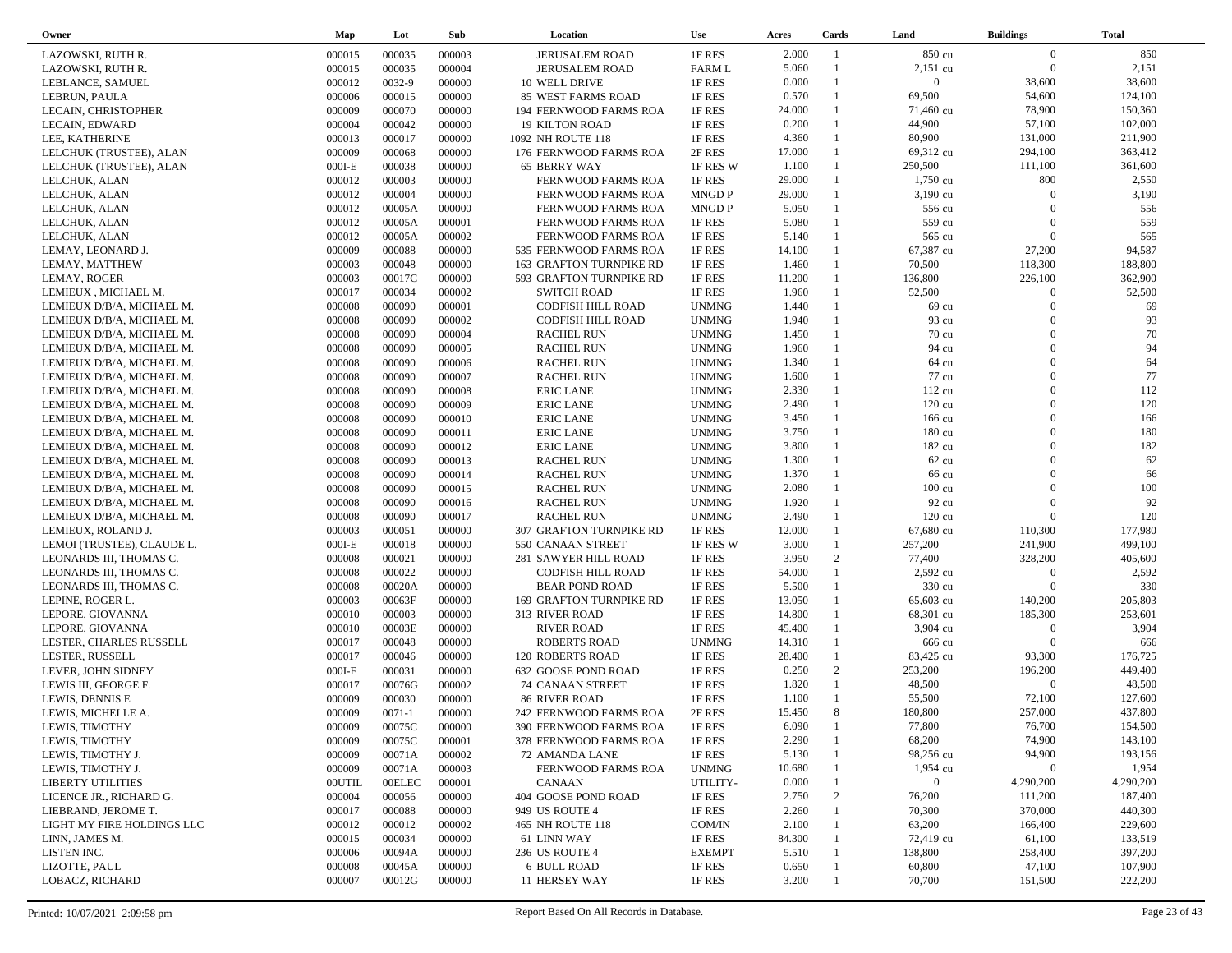| Owner                          | Map      | Lot           | Sub    | Location                                 | <b>Use</b>    | Acres  | Cards             | Land               | <b>Buildings</b> | Total     |
|--------------------------------|----------|---------------|--------|------------------------------------------|---------------|--------|-------------------|--------------------|------------------|-----------|
| LAZOWSKI, RUTH R.              | 000015   | 000035        | 000003 | <b>JERUSALEM ROAD</b>                    | 1F RES        | 2.000  | -1                | 850 cu             | $\overline{0}$   | 850       |
| LAZOWSKI, RUTH R.              | 000015   | 000035        | 000004 | <b>JERUSALEM ROAD</b>                    | <b>FARM L</b> | 5.060  |                   | $2,151$ cu         | $\overline{0}$   | 2,151     |
| LEBLANCE, SAMUEL               | 000012   | 0032-9        | 000000 | 10 WELL DRIVE                            | 1F RES        | 0.000  | $\mathbf{1}$      | $\overline{0}$     | 38,600           | 38,600    |
| LEBRUN, PAULA                  | 000006   | 000015        | 000000 | 85 WEST FARMS ROAD                       | 1F RES        | 0.570  | $\mathbf{1}$      | 69,500             | 54,600           | 124,100   |
| LECAIN, CHRISTOPHER            | 000009   | 000070        | 000000 | 194 FERNWOOD FARMS ROA                   | 1F RES        | 24.000 | $\mathbf{1}$      | 71,460 cu          | 78,900           | 150,360   |
| LECAIN, EDWARD                 | 000004   | 000042        | 000000 | <b>19 KILTON ROAD</b>                    | 1F RES        | 0.200  | $\mathbf{1}$      | 44,900             | 57,100           | 102,000   |
| LEE, KATHERINE                 | 000013   | 000017        | 000000 | 1092 NH ROUTE 118                        | 1F RES        | 4.360  | $\mathbf{1}$      | 80,900             | 131,000          | 211,900   |
| LELCHUK (TRUSTEE), ALAN        | 000009   | 000068        | 000000 | 176 FERNWOOD FARMS ROA                   | 2F RES        | 17.000 | $\mathbf{1}$      | 69,312 cu          | 294,100          | 363,412   |
| LELCHUK (TRUSTEE), ALAN        | $000I-E$ | 000038        | 000000 | <b>65 BERRY WAY</b>                      | 1F RES W      | 1.100  | 1                 | 250,500            | 111,100          | 361,600   |
| LELCHUK, ALAN                  | 000012   | 000003        | 000000 | FERNWOOD FARMS ROA                       | 1F RES        | 29.000 |                   | $1,750 \text{ cu}$ | 800              | 2,550     |
|                                | 000012   | 000004        | 000000 |                                          | <b>MNGDP</b>  | 29.000 |                   | $3,190 \text{ cu}$ | $\Omega$         | 3,190     |
| LELCHUK, ALAN                  | 000012   | 00005A        | 000000 | FERNWOOD FARMS ROA                       | <b>MNGDP</b>  | 5.050  |                   | 556 cu             | $\Omega$         | 556       |
| LELCHUK, ALAN                  |          | 00005A        | 000001 | FERNWOOD FARMS ROA<br>FERNWOOD FARMS ROA | 1F RES        | 5.080  |                   | 559 cu             | $\Omega$         | 559       |
| LELCHUK, ALAN<br>LELCHUK, ALAN | 000012   | 00005A        | 000002 |                                          |               | 5.140  |                   | 565 cu             | $\Omega$         | 565       |
|                                | 000012   |               |        | FERNWOOD FARMS ROA                       | 1F RES        |        |                   |                    |                  |           |
| LEMAY, LEONARD J.              | 000009   | 000088        | 000000 | 535 FERNWOOD FARMS ROA                   | 1F RES        | 14.100 | $\mathbf{1}$<br>1 | 67,387 cu          | 27,200           | 94,587    |
| LEMAY, MATTHEW                 | 000003   | 000048        | 000000 | 163 GRAFTON TURNPIKE RD                  | 1F RES        | 1.460  |                   | 70,500             | 118,300          | 188,800   |
| LEMAY, ROGER                   | 000003   | 00017C        | 000000 | 593 GRAFTON TURNPIKE RD                  | 1F RES        | 11.200 | $\mathbf{1}$      | 136,800            | 226,100          | 362,900   |
| LEMIEUX, MICHAEL M.            | 000017   | 000034        | 000002 | <b>SWITCH ROAD</b>                       | 1F RES        | 1.960  |                   | 52,500             | $\Omega$         | 52,500    |
| LEMIEUX D/B/A, MICHAEL M.      | 000008   | 000090        | 000001 | CODFISH HILL ROAD                        | <b>UNMNG</b>  | 1.440  | $\mathbf{1}$      | 69 cu              | $\Omega$         | 69        |
| LEMIEUX D/B/A, MICHAEL M.      | 000008   | 000090        | 000002 | CODFISH HILL ROAD                        | <b>UNMNG</b>  | 1.940  |                   | 93 cu              | $\Omega$         | 93        |
| LEMIEUX D/B/A, MICHAEL M.      | 000008   | 000090        | 000004 | <b>RACHEL RUN</b>                        | <b>UNMNG</b>  | 1.450  | 1                 | $70 \text{ cu}$    | $\Omega$         | 70        |
| LEMIEUX D/B/A, MICHAEL M.      | 000008   | 000090        | 000005 | <b>RACHEL RUN</b>                        | <b>UNMNG</b>  | 1.960  |                   | 94 cu              | $\Omega$         | 94        |
| LEMIEUX D/B/A, MICHAEL M.      | 000008   | 000090        | 000006 | <b>RACHEL RUN</b>                        | <b>UNMNG</b>  | 1.340  | $\mathbf{1}$      | 64 cu              | $\Omega$         | 64        |
| LEMIEUX D/B/A, MICHAEL M.      | 000008   | 000090        | 000007 | <b>RACHEL RUN</b>                        | <b>UNMNG</b>  | 1.600  |                   | 77 cu              | $\Omega$         | $77\,$    |
| LEMIEUX D/B/A, MICHAEL M.      | 000008   | 000090        | 000008 | <b>ERIC LANE</b>                         | <b>UNMNG</b>  | 2.330  |                   | 112 cu             | $\Omega$         | 112       |
| LEMIEUX D/B/A, MICHAEL M.      | 000008   | 000090        | 000009 | <b>ERIC LANE</b>                         | <b>UNMNG</b>  | 2.490  |                   | $120 \text{ cu}$   | $\Omega$         | 120       |
| LEMIEUX D/B/A, MICHAEL M.      | 000008   | 000090        | 000010 | <b>ERIC LANE</b>                         | <b>UNMNG</b>  | 3.450  |                   | 166 cu             | $\Omega$         | 166       |
| LEMIEUX D/B/A, MICHAEL M.      | 000008   | 000090        | 000011 | <b>ERIC LANE</b>                         | <b>UNMNG</b>  | 3.750  | 1                 | 180 cu             | $\Omega$         | 180       |
| LEMIEUX D/B/A, MICHAEL M.      | 000008   | 000090        | 000012 | <b>ERIC LANE</b>                         | <b>UNMNG</b>  | 3.800  |                   | 182 cu             | $\Omega$         | 182       |
| LEMIEUX D/B/A, MICHAEL M.      | 000008   | 000090        | 000013 | <b>RACHEL RUN</b>                        | <b>UNMNG</b>  | 1.300  |                   | $62 \text{ cu}$    | $\Omega$         | 62        |
| LEMIEUX D/B/A, MICHAEL M.      | 000008   | 000090        | 000014 | <b>RACHEL RUN</b>                        | <b>UNMNG</b>  | 1.370  |                   | 66 cu              | $\Omega$         | 66        |
| LEMIEUX D/B/A, MICHAEL M.      | 000008   | 000090        | 000015 | <b>RACHEL RUN</b>                        | <b>UNMNG</b>  | 2.080  |                   | $100 \text{ cu}$   | $\Omega$         | 100       |
| LEMIEUX D/B/A, MICHAEL M.      | 000008   | 000090        | 000016 | <b>RACHEL RUN</b>                        | <b>UNMNG</b>  | 1.920  | 1                 | 92 cu              | $\Omega$         | 92        |
| LEMIEUX D/B/A, MICHAEL M.      | 000008   | 000090        | 000017 | <b>RACHEL RUN</b>                        | <b>UNMNG</b>  | 2.490  | 1                 | $120 \text{ cu}$   | $\Omega$         | 120       |
| LEMIEUX, ROLAND J.             | 000003   | 000051        | 000000 | <b>307 GRAFTON TURNPIKE RD</b>           | 1F RES        | 12.000 | $\mathbf{1}$      | 67,680 cu          | 110,300          | 177,980   |
| LEMOI (TRUSTEE), CLAUDE L.     | $000I-E$ | 000018        | 000000 | 550 CANAAN STREET                        | 1F RES W      | 3.000  | $\mathbf{1}$      | 257,200            | 241,900          | 499,100   |
| LEONARDS III, THOMAS C.        | 000008   | 000021        | 000000 | 281 SAWYER HILL ROAD                     | 1F RES        | 3.950  | 2                 | 77,400             | 328,200          | 405,600   |
| LEONARDS III, THOMAS C.        | 000008   | 000022        | 000000 | CODFISH HILL ROAD                        | 1F RES        | 54.000 | $\mathbf{1}$      | 2,592 cu           | $\mathbf{0}$     | 2,592     |
| LEONARDS III, THOMAS C.        | 000008   | 00020A        | 000000 | <b>BEAR POND ROAD</b>                    | 1F RES        | 5.500  | $\mathbf{1}$      | 330 cu             | $\overline{0}$   | 330       |
| LEPINE, ROGER L.               | 000003   | 00063F        | 000000 | 169 GRAFTON TURNPIKE RD                  | 1F RES        | 13.050 |                   | 65,603 cu          | 140,200          | 205,803   |
|                                | 000010   | 000003        | 000000 | 313 RIVER ROAD                           | 1F RES        | 14.800 |                   | 68,301 cu          | 185,300          | 253,601   |
| LEPORE, GIOVANNA               |          |               |        |                                          |               |        |                   |                    | $\theta$         | 3,904     |
| LEPORE, GIOVANNA               | 000010   | 00003E        | 000000 | <b>RIVER ROAD</b>                        | 1F RES        | 45.400 |                   | 3,904 cu           | $\Omega$         | 666       |
| LESTER, CHARLES RUSSELL        | 000017   | 000048        | 000000 | <b>ROBERTS ROAD</b>                      | <b>UNMNG</b>  | 14.310 | $\mathbf{1}$      | 666 cu             |                  |           |
| LESTER, RUSSELL                | 000017   | 000046        | 000000 | <b>120 ROBERTS ROAD</b>                  | 1F RES        | 28.400 |                   | 83,425 cu          | 93,300           | 176,725   |
| LEVER, JOHN SIDNEY             | $000I-F$ | 000031        | 000000 | 632 GOOSE POND ROAD                      | 1F RES        | 0.250  | 2                 | 253,200            | 196,200          | 449,400   |
| LEWIS III, GEORGE F.           | 000017   | 00076G        | 000002 | 74 CANAAN STREET                         | 1F RES        | 1.820  | $\mathbf{1}$      | 48,500             | $\overline{0}$   | 48,500    |
| LEWIS, DENNIS E                | 000009   | 000030        | 000000 | 86 RIVER ROAD                            | 1F RES        | 1.100  |                   | 55,500             | 72,100           | 127,600   |
| LEWIS, MICHELLE A.             | 000009   | $0071 - 1$    | 000000 | 242 FERNWOOD FARMS ROA                   | 2F RES        | 15.450 | 8                 | 180,800            | 257,000          | 437,800   |
| LEWIS, TIMOTHY                 | 000009   | 00075C        | 000000 | 390 FERNWOOD FARMS ROA                   | 1F RES        | 6.090  | $\overline{1}$    | 77,800             | 76,700           | 154,500   |
| LEWIS, TIMOTHY                 | 000009   | 00075C        | 000001 | 378 FERNWOOD FARMS ROA                   | 1F RES        | 2.290  |                   | 68,200             | 74,900           | 143,100   |
| LEWIS, TIMOTHY J.              | 000009   | 00071A        | 000002 | 72 AMANDA LANE                           | 1F RES        | 5.130  |                   | 98,256 cu          | 94,900           | 193,156   |
| LEWIS, TIMOTHY J.              | 000009   | 00071A        | 000003 | FERNWOOD FARMS ROA                       | <b>UNMNG</b>  | 10.680 |                   | 1,954 cu           | $\overline{0}$   | 1,954     |
| <b>LIBERTY UTILITIES</b>       | 00UTIL   | <b>OOELEC</b> | 000001 | CANAAN                                   | UTILITY-      | 0.000  |                   | $\overline{0}$     | 4,290,200        | 4,290,200 |
| LICENCE JR., RICHARD G.        | 000004   | 000056        | 000000 | 404 GOOSE POND ROAD                      | 1F RES        | 2.750  | 2                 | 76,200             | 111,200          | 187,400   |
| LIEBRAND, JEROME T.            | 000017   | 000088        | 000000 | 949 US ROUTE 4                           | 1F RES        | 2.260  |                   | 70,300             | 370,000          | 440,300   |
| LIGHT MY FIRE HOLDINGS LLC     | 000012   | 000012        | 000002 | 465 NH ROUTE 118                         | COM/IN        | 2.100  |                   | 63,200             | 166,400          | 229,600   |
| LINN, JAMES M.                 | 000015   | 000034        | 000000 | 61 LINN WAY                              | 1F RES        | 84.300 |                   | 72,419 cu          | 61,100           | 133,519   |
| LISTEN INC.                    | 000006   | 00094A        | 000000 | <b>236 US ROUTE 4</b>                    | <b>EXEMPT</b> | 5.510  |                   | 138,800            | 258,400          | 397,200   |
| LIZOTTE, PAUL                  | 000008   | 00045A        | 000000 | 6 BULL ROAD                              | 1F RES        | 0.650  |                   | 60,800             | 47,100           | 107,900   |
| LOBACZ, RICHARD                | 000007   | 00012G        | 000000 | 11 HERSEY WAY                            | 1F RES        | 3.200  |                   | 70,700             | 151,500          | 222,200   |
|                                |          |               |        |                                          |               |        |                   |                    |                  |           |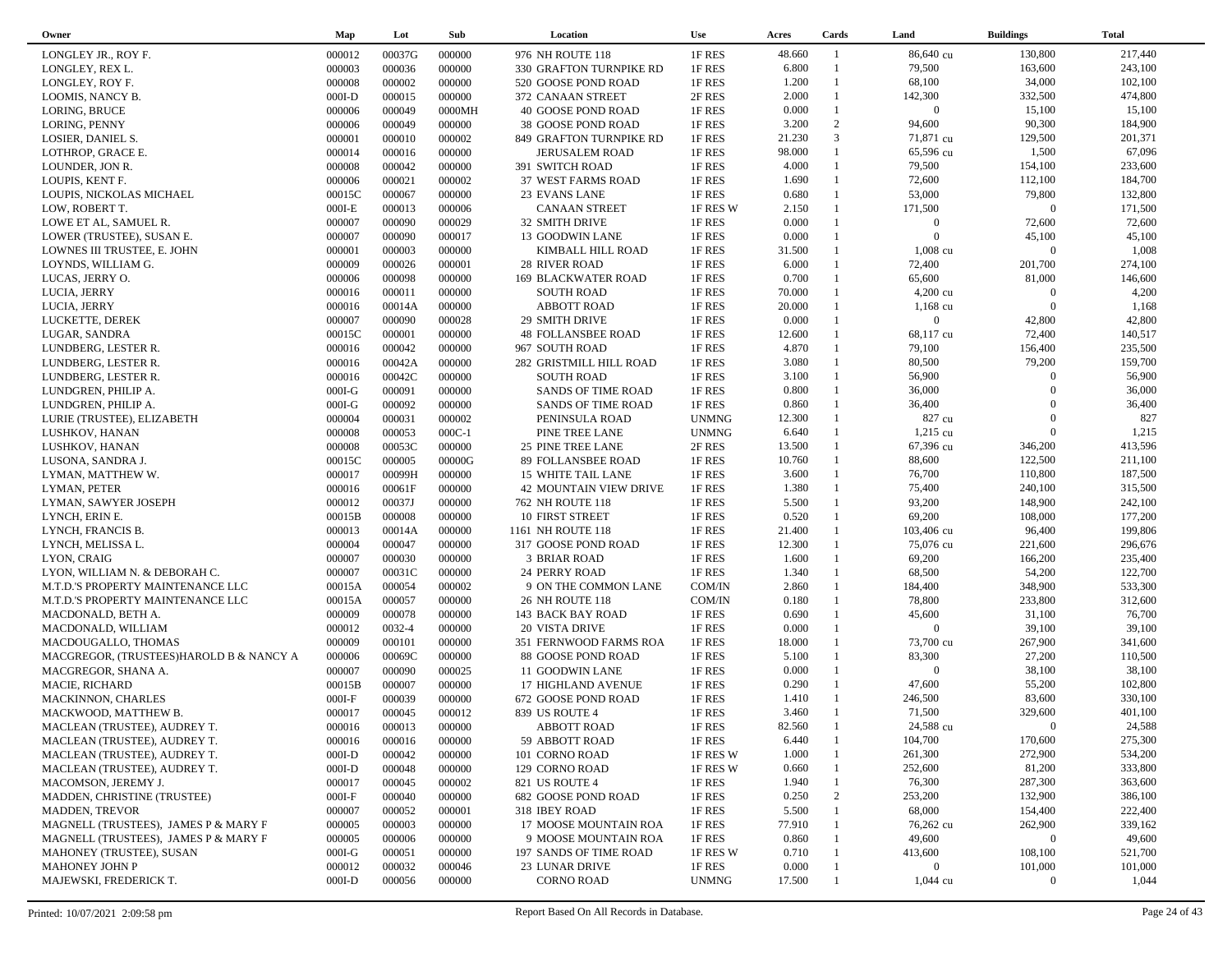| Owner                                                        | Map      | Lot    | Sub      | Location                   | <b>Use</b>   | Acres  | Cards                        | Land                      | <b>Buildings</b> | <b>Total</b> |
|--------------------------------------------------------------|----------|--------|----------|----------------------------|--------------|--------|------------------------------|---------------------------|------------------|--------------|
| LONGLEY JR., ROY F.                                          | 000012   | 00037G | 000000   | 976 NH ROUTE 118           | 1F RES       | 48.660 | $\mathbf{1}$                 | 86,640 cu                 | 130,800          | 217,440      |
| LONGLEY, REX L.                                              | 000003   | 000036 | 000000   | 330 GRAFTON TURNPIKE RD    | 1F RES       | 6.800  | $\overline{1}$               | 79,500                    | 163,600          | 243,100      |
| LONGLEY, ROY F.                                              | 000008   | 000002 | 000000   | 520 GOOSE POND ROAD        | 1F RES       | 1.200  | $\mathbf{1}$                 | 68,100                    | 34,000           | 102,100      |
| LOOMIS, NANCY B.                                             | $000I-D$ | 000015 | 000000   | 372 CANAAN STREET          | 2F RES       | 2.000  | $\mathbf{1}$                 | 142,300                   | 332,500          | 474,800      |
| LORING, BRUCE                                                | 000006   | 000049 | 0000MH   | 40 GOOSE POND ROAD         | 1F RES       | 0.000  | $\mathbf{1}$                 | $\overline{0}$            | 15,100           | 15,100       |
| LORING, PENNY                                                | 000006   | 000049 | 000000   | 38 GOOSE POND ROAD         | 1F RES       | 3.200  | 2                            | 94,600                    | 90,300           | 184,900      |
| LOSIER, DANIEL S.                                            | 000001   | 000010 | 000002   | 849 GRAFTON TURNPIKE RD    | 1F RES       | 21.230 | 3                            | 71,871 cu                 | 129,500          | 201,371      |
| LOTHROP, GRACE E.                                            | 000014   | 000016 | 000000   | <b>JERUSALEM ROAD</b>      | 1F RES       | 98.000 | $\mathbf{1}$                 | 65,596 cu                 | 1,500            | 67,096       |
| LOUNDER, JON R.                                              | 000008   | 000042 | 000000   | 391 SWITCH ROAD            | 1F RES       | 4.000  | $\mathbf{1}$                 | 79,500                    | 154,100          | 233,600      |
| LOUPIS, KENT F.                                              | 000006   | 000021 | 000002   | 37 WEST FARMS ROAD         | 1F RES       | 1.690  | $\mathbf{1}$                 | 72,600                    | 112,100          | 184,700      |
| LOUPIS, NICKOLAS MICHAEL                                     |          | 000067 | 000000   |                            | 1F RES       | 0.680  | $\mathbf{1}$                 | 53,000                    | 79,800           | 132,800      |
|                                                              | 00015C   | 000013 |          | 23 EVANS LANE              |              | 2.150  | $\mathbf{1}$                 |                           | $\overline{0}$   | 171,500      |
| LOW, ROBERT T.                                               | $000I-E$ |        | 000006   | CANAAN STREET              | 1F RES W     | 0.000  | $\mathbf{1}$                 | 171,500<br>$\overline{0}$ |                  |              |
| LOWE ET AL, SAMUEL R.                                        | 000007   | 000090 | 000029   | 32 SMITH DRIVE             | 1F RES       |        | $\mathbf{1}$                 | $\overline{0}$            | 72,600           | 72,600       |
| LOWER (TRUSTEE), SUSAN E.                                    | 000007   | 000090 | 000017   | 13 GOODWIN LANE            | 1F RES       | 0.000  |                              |                           | 45,100           | 45,100       |
| LOWNES III TRUSTEE, E. JOHN                                  | 000001   | 000003 | 000000   | KIMBALL HILL ROAD          | 1F RES       | 31.500 | $\mathbf{1}$<br>$\mathbf{1}$ | 1,008 cu                  | $\overline{0}$   | 1,008        |
| LOYNDS, WILLIAM G.                                           | 000009   | 000026 | 000001   | <b>28 RIVER ROAD</b>       | 1F RES       | 6.000  |                              | 72,400                    | 201,700          | 274,100      |
| LUCAS, JERRY O.                                              | 000006   | 000098 | 000000   | <b>169 BLACKWATER ROAD</b> | 1F RES       | 0.700  | $\mathbf{1}$                 | 65,600                    | 81,000           | 146,600      |
| LUCIA, JERRY                                                 | 000016   | 000011 | 000000   | <b>SOUTH ROAD</b>          | 1F RES       | 70.000 | $\mathbf{1}$                 | $4,200 \text{ cu}$        | $\overline{0}$   | 4,200        |
| LUCIA, JERRY                                                 | 000016   | 00014A | 000000   | <b>ABBOTT ROAD</b>         | 1F RES       | 20.000 |                              | $1,168 \text{ cu}$        | $\overline{0}$   | 1,168        |
| LUCKETTE, DEREK                                              | 000007   | 000090 | 000028   | <b>29 SMITH DRIVE</b>      | 1F RES       | 0.000  | $\mathbf{1}$                 | $\mathbf{0}$              | 42,800           | 42,800       |
| LUGAR, SANDRA                                                | 00015C   | 000001 | 000000   | <b>48 FOLLANSBEE ROAD</b>  | 1F RES       | 12.600 |                              | 68,117 cu                 | 72,400           | 140,517      |
| LUNDBERG, LESTER R.                                          | 000016   | 000042 | 000000   | 967 SOUTH ROAD             | 1F RES       | 4.870  | $\mathbf{1}$                 | 79,100                    | 156,400          | 235,500      |
| LUNDBERG, LESTER R.                                          | 000016   | 00042A | 000000   | 282 GRISTMILL HILL ROAD    | 1F RES       | 3.080  | $\mathbf{1}$                 | 80,500                    | 79,200           | 159,700      |
| LUNDBERG, LESTER R.                                          | 000016   | 00042C | 000000   | <b>SOUTH ROAD</b>          | 1F RES       | 3.100  | $\mathbf{1}$                 | 56,900                    | $\overline{0}$   | 56,900       |
| LUNDGREN, PHILIP A.                                          | $000I-G$ | 000091 | 000000   | SANDS OF TIME ROAD         | 1F RES       | 0.800  | $\mathbf{1}$                 | 36,000                    | $\Omega$         | 36,000       |
| LUNDGREN, PHILIP A.                                          | $000I-G$ | 000092 | 000000   | <b>SANDS OF TIME ROAD</b>  | 1F RES       | 0.860  | $\mathbf{1}$                 | 36,400                    | $\Omega$         | 36,400       |
| LURIE (TRUSTEE), ELIZABETH                                   | 000004   | 000031 | 000002   | PENINSULA ROAD             | <b>UNMNG</b> | 12.300 | $\mathbf{1}$                 | 827 cu                    | $\Omega$         | 827          |
| LUSHKOV, HANAN                                               | 000008   | 000053 | $000C-1$ | PINE TREE LANE             | <b>UNMNG</b> | 6.640  | $\mathbf{1}$                 | 1,215 cu                  | $\overline{0}$   | 1,215        |
| LUSHKOV, HANAN                                               | 000008   | 00053C | 000000   | <b>25 PINE TREE LANE</b>   | 2F RES       | 13.500 | $\mathbf{1}$                 | 67,396 cu                 | 346,200          | 413,596      |
| LUSONA, SANDRA J.                                            | 00015C   | 000005 | 00000G   | 89 FOLLANSBEE ROAD         | 1F RES       | 10.760 | $\mathbf{1}$                 | 88,600                    | 122,500          | 211,100      |
| LYMAN, MATTHEW W.                                            | 000017   | 00099H | 000000   | 15 WHITE TAIL LANE         | 1F RES       | 3.600  | $\mathbf{1}$                 | 76,700                    | 110,800          | 187,500      |
| LYMAN, PETER                                                 | 000016   | 00061F | 000000   | 42 MOUNTAIN VIEW DRIVE     | 1F RES       | 1.380  | $\mathbf{1}$                 | 75,400                    | 240,100          | 315,500      |
| LYMAN, SAWYER JOSEPH                                         | 000012   | 00037J | 000000   | 762 NH ROUTE 118           | 1F RES       | 5.500  | $\mathbf{1}$                 | 93,200                    | 148,900          | 242,100      |
| LYNCH, ERIN E.                                               | 00015B   | 000008 | 000000   | 10 FIRST STREET            | 1F RES       | 0.520  | $\mathbf{1}$                 | 69,200                    | 108,000          | 177,200      |
| LYNCH, FRANCIS B.                                            | 000013   | 00014A | 000000   | 1161 NH ROUTE 118          | 1F RES       | 21.400 | $\mathbf{1}$                 | 103,406 cu                | 96,400           | 199,806      |
| LYNCH, MELISSA L.                                            | 000004   | 000047 | 000000   | 317 GOOSE POND ROAD        | 1F RES       | 12.300 | $\mathbf{1}$                 | 75,076 cu                 | 221,600          | 296,676      |
| LYON, CRAIG                                                  | 000007   | 000030 | 000000   | 3 BRIAR ROAD               | 1F RES       | 1.600  | $\mathbf{1}$                 | 69,200                    | 166,200          | 235,400      |
| LYON, WILLIAM N. & DEBORAH C.                                | 000007   | 00031C | 000000   | 24 PERRY ROAD              | 1F RES       | 1.340  | $\mathbf{1}$                 | 68,500                    | 54,200           | 122,700      |
| M.T.D.'S PROPERTY MAINTENANCE LLC                            | 00015A   | 000054 | 000002   | 9 ON THE COMMON LANE       | COM/IN       | 2.860  | $\mathbf{1}$                 | 184,400                   | 348,900          | 533,300      |
| M.T.D.'S PROPERTY MAINTENANCE LLC                            | 00015A   | 000057 | 000000   | 26 NH ROUTE 118            | COM/IN       | 0.180  | $\mathbf{1}$                 | 78,800                    | 233,800          | 312,600      |
| MACDONALD, BETH A.                                           | 000009   | 000078 | 000000   | 143 BACK BAY ROAD          | 1F RES       | 0.690  | $\mathbf{1}$                 | 45,600                    | 31,100           | 76,700       |
| MACDONALD, WILLIAM                                           | 000012   | 0032-4 | 000000   | <b>20 VISTA DRIVE</b>      | 1F RES       | 0.000  | $\mathbf{1}$                 | $\overline{0}$            | 39,100           | 39,100       |
| MACDOUGALLO, THOMAS                                          | 000009   | 000101 | 000000   | 351 FERNWOOD FARMS ROA     | 1F RES       | 18.000 | $\mathbf{1}$                 | 73,700 cu                 | 267,900          | 341,600      |
| MACGREGOR, (TRUSTEES)HAROLD B & NANCY A                      | 000006   | 00069C | 000000   | 88 GOOSE POND ROAD         | 1F RES       | 5.100  | $\mathbf{1}$                 | 83,300                    | 27,200           | 110,500      |
| MACGREGOR, SHANA A.                                          | 000007   | 000090 | 000025   | 11 GOODWIN LANE            | 1F RES       | 0.000  | $\mathbf{1}$                 | $\overline{0}$            | 38,100           | 38,100       |
| MACIE, RICHARD                                               | 00015B   | 000007 | 000000   | 17 HIGHLAND AVENUE         | 1F RES       | 0.290  | $\mathbf{1}$                 | 47,600                    | 55,200           | 102,800      |
| <b>MACKINNON, CHARLES</b>                                    | $000I-F$ | 000039 | 000000   | 672 GOOSE POND ROAD        | 1F RES       | 1.410  | $\mathbf{1}$                 | 246,500                   | 83,600           | 330,100      |
| MACKWOOD, MATTHEW B.                                         | 000017   | 000045 | 000012   | 839 US ROUTE 4             | 1F RES       | 3.460  | $\mathbf{1}$                 | 71,500                    | 329,600          | 401,100      |
|                                                              | 000016   | 000013 | 000000   | ABBOTT ROAD                | 1F RES       | 82.560 | $\overline{1}$               | 24,588 cu                 | $\Omega$         | 24,588       |
| MACLEAN (TRUSTEE), AUDREY T.<br>MACLEAN (TRUSTEE), AUDREY T. |          |        |          |                            |              | 6.440  |                              | 104,700                   | 170,600          | 275,300      |
|                                                              | 000016   | 000016 | 000000   | 59 ABBOTT ROAD             | 1F RES       |        |                              |                           |                  |              |
| MACLEAN (TRUSTEE), AUDREY T.                                 | $000I-D$ | 000042 | 000000   | 101 CORNO ROAD             | 1F RES W     | 1.000  |                              | 261,300                   | 272,900          | 534,200      |
| MACLEAN (TRUSTEE), AUDREY T.                                 | $000I-D$ | 000048 | 000000   | 129 CORNO ROAD             | 1F RES W     | 0.660  |                              | 252,600                   | 81,200           | 333,800      |
| MACOMSON, JEREMY J.                                          | 000017   | 000045 | 000002   | 821 US ROUTE 4             | 1F RES       | 1.940  |                              | 76,300                    | 287,300          | 363,600      |
| MADDEN, CHRISTINE (TRUSTEE)                                  | $000I-F$ | 000040 | 000000   | 682 GOOSE POND ROAD        | 1F RES       | 0.250  | 2                            | 253,200                   | 132,900          | 386,100      |
| <b>MADDEN, TREVOR</b>                                        | 000007   | 000052 | 000001   | 318 IBEY ROAD              | 1F RES       | 5.500  |                              | 68,000                    | 154,400          | 222,400      |
| MAGNELL (TRUSTEES), JAMES P & MARY F                         | 000005   | 000003 | 000000   | 17 MOOSE MOUNTAIN ROA      | 1F RES       | 77.910 |                              | 76,262 cu                 | 262,900          | 339,162      |
| MAGNELL (TRUSTEES), JAMES P & MARY F                         | 000005   | 000006 | 000000   | 9 MOOSE MOUNTAIN ROA       | 1F RES       | 0.860  |                              | 49,600                    | $\mathbf{0}$     | 49,600       |
| MAHONEY (TRUSTEE), SUSAN                                     | $000I-G$ | 000051 | 000000   | 197 SANDS OF TIME ROAD     | 1F RES W     | 0.710  |                              | 413,600                   | 108,100          | 521,700      |
| <b>MAHONEY JOHN P</b>                                        | 000012   | 000032 | 000046   | <b>23 LUNAR DRIVE</b>      | 1F RES       | 0.000  |                              | $\overline{0}$            | 101,000          | 101,000      |
| MAJEWSKI, FREDERICK T.                                       | $000I-D$ | 000056 | 000000   | <b>CORNO ROAD</b>          | <b>UNMNG</b> | 17.500 |                              | $1,044 \text{ cu}$        | $\mathbf{0}$     | 1,044        |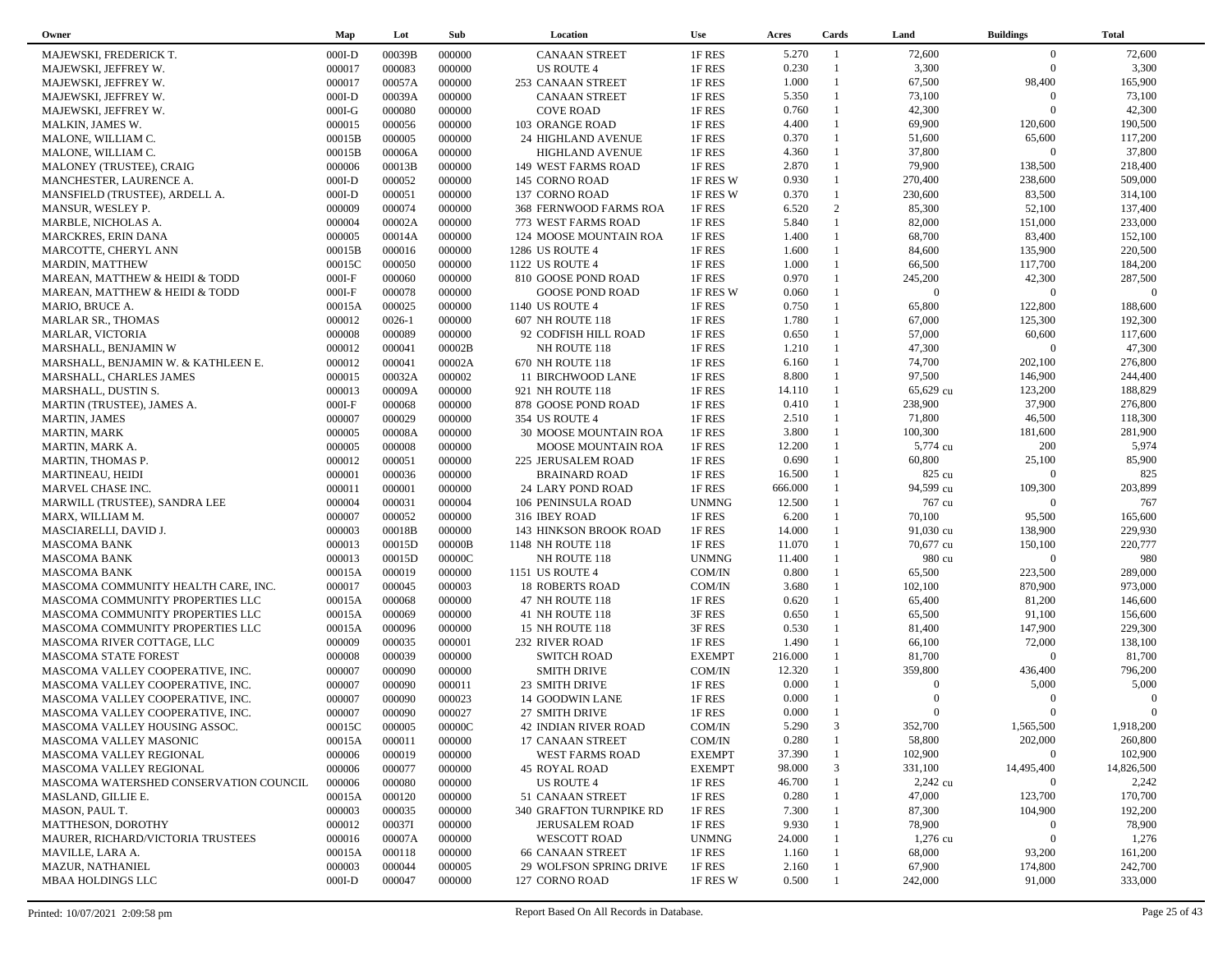| Owner                                  | Map      | Lot        | Sub    | Location                     | <b>Use</b>    | Acres   | Cards          | Land                 | <b>Buildings</b> | <b>Total</b>      |  |
|----------------------------------------|----------|------------|--------|------------------------------|---------------|---------|----------------|----------------------|------------------|-------------------|--|
| MAJEWSKI, FREDERICK T.                 | $000I-D$ | 00039B     | 000000 | <b>CANAAN STREET</b>         | 1F RES        | 5.270   | $\overline{1}$ | 72,600               | $\overline{0}$   | 72,600            |  |
| MAJEWSKI, JEFFREY W.                   | 000017   | 000083     | 000000 | <b>US ROUTE 4</b>            | 1F RES        | 0.230   | $\mathbf{1}$   | 3,300                | $\overline{0}$   | 3,300             |  |
| MAJEWSKI, JEFFREY W.                   | 000017   | 00057A     | 000000 | 253 CANAAN STREET            | 1F RES        | 1.000   | $\mathbf{1}$   | 67,500               | 98,400           | 165,900           |  |
| MAJEWSKI, JEFFREY W.                   | $000I-D$ | 00039A     | 000000 | <b>CANAAN STREET</b>         | 1F RES        | 5.350   | $\mathbf{1}$   | 73,100               | $\overline{0}$   | 73,100            |  |
| MAJEWSKI, JEFFREY W.                   | $000I-G$ | 000080     | 000000 | <b>COVE ROAD</b>             | 1F RES        | 0.760   | $\mathbf{1}$   | 42,300               | $\Omega$         | 42,300            |  |
| MALKIN, JAMES W.                       | 000015   | 000056     | 000000 | 103 ORANGE ROAD              | 1F RES        | 4.400   | $\mathbf{1}$   | 69,900               | 120,600          | 190,500           |  |
| MALONE, WILLIAM C.                     | 00015B   | 000005     | 000000 | 24 HIGHLAND AVENUE           | 1F RES        | 0.370   | $\mathbf{1}$   | 51,600               | 65,600           | 117,200           |  |
|                                        | 00015B   | 00006A     | 000000 |                              | 1F RES        | 4.360   | $\mathbf{1}$   | 37,800               | $\overline{0}$   | 37,800            |  |
| MALONE, WILLIAM C.                     |          |            |        | <b>HIGHLAND AVENUE</b>       |               | 2.870   | $\mathbf{1}$   |                      | 138,500          | 218,400           |  |
| MALONEY (TRUSTEE), CRAIG               | 000006   | 00013B     | 000000 | 149 WEST FARMS ROAD          | 1F RES        | 0.930   | $\mathbf{1}$   | 79,900               |                  |                   |  |
| MANCHESTER, LAURENCE A.                | $000I-D$ | 000052     | 000000 | 145 CORNO ROAD               | 1F RES W      |         |                | 270,400              | 238,600          | 509,000           |  |
| MANSFIELD (TRUSTEE), ARDELL A.         | $000I-D$ | 000051     | 000000 | 137 CORNO ROAD               | 1F RES W      | 0.370   | $\mathbf{1}$   | 230,600              | 83,500           | 314,100           |  |
| MANSUR, WESLEY P.                      | 000009   | 000074     | 000000 | 368 FERNWOOD FARMS ROA       | 1F RES        | 6.520   | 2              | 85,300               | 52,100           | 137,400           |  |
| MARBLE, NICHOLAS A.                    | 000004   | 00002A     | 000000 | 773 WEST FARMS ROAD          | 1F RES        | 5.840   | $\mathbf{1}$   | 82,000               | 151,000          | 233,000           |  |
| <b>MARCKRES, ERIN DANA</b>             | 000005   | 00014A     | 000000 | 124 MOOSE MOUNTAIN ROA       | 1F RES        | 1.400   | $\mathbf{1}$   | 68,700               | 83,400           | 152,100           |  |
| MARCOTTE, CHERYL ANN                   | 00015B   | 000016     | 000000 | 1286 US ROUTE 4              | 1F RES        | 1.600   | $\mathbf{1}$   | 84,600               | 135,900          | 220,500           |  |
| <b>MARDIN, MATTHEW</b>                 | 00015C   | 000050     | 000000 | 1122 US ROUTE 4              | 1F RES        | 1.000   | $\mathbf{1}$   | 66,500               | 117,700          | 184,200           |  |
| MAREAN, MATTHEW & HEIDI & TODD         | $000I-F$ | 000060     | 000000 | 810 GOOSE POND ROAD          | 1F RES        | 0.970   | $\mathbf{1}$   | 245,200              | 42,300           | 287,500           |  |
| MAREAN, MATTHEW & HEIDI & TODD         | $000I-F$ | 000078     | 000000 | <b>GOOSE POND ROAD</b>       | 1F RES W      | 0.060   | $\mathbf{1}$   | $\overline{0}$       | $\overline{0}$   | $\Omega$          |  |
| MARIO, BRUCE A.                        | 00015A   | 000025     | 000000 | 1140 US ROUTE 4              | 1F RES        | 0.750   | 1              | 65,800               | 122,800          | 188,600           |  |
| <b>MARLAR SR., THOMAS</b>              | 000012   | $0026 - 1$ | 000000 | 607 NH ROUTE 118             | 1F RES        | 1.780   | $\mathbf{1}$   | 67,000               | 125,300          | 192,300           |  |
| MARLAR, VICTORIA                       | 000008   | 000089     | 000000 | 92 CODFISH HILL ROAD         | 1F RES        | 0.650   | $\mathbf{1}$   | 57,000               | 60,600           | 117,600           |  |
| MARSHALL, BENJAMIN W                   | 000012   | 000041     | 00002B | NH ROUTE 118                 | 1F RES        | 1.210   | $\mathbf{1}$   | 47,300               | $\overline{0}$   | 47,300            |  |
| MARSHALL, BENJAMIN W. & KATHLEEN E.    | 000012   | 000041     | 00002A | 670 NH ROUTE 118             | 1F RES        | 6.160   | $\mathbf{1}$   | 74,700               | 202,100          | 276,800           |  |
| MARSHALL, CHARLES JAMES                | 000015   | 00032A     | 000002 | 11 BIRCHWOOD LANE            | 1F RES        | 8.800   | $\mathbf{1}$   | 97,500               | 146,900          | 244,400           |  |
| MARSHALL, DUSTIN S.                    | 000013   | 00009A     | 000000 | 921 NH ROUTE 118             | 1F RES        | 14.110  | $\mathbf{1}$   | 65,629 cu            | 123,200          | 188,829           |  |
| MARTIN (TRUSTEE), JAMES A.             | $000I-F$ | 000068     | 000000 | 878 GOOSE POND ROAD          | 1F RES        | 0.410   | $\mathbf{1}$   | 238,900              | 37,900           | 276,800           |  |
| <b>MARTIN, JAMES</b>                   | 000007   | 000029     | 000000 | 354 US ROUTE 4               | 1F RES        | 2.510   | $\mathbf{1}$   | 71,800               | 46,500           | 118,300           |  |
| <b>MARTIN, MARK</b>                    | 000005   | 00008A     | 000000 | <b>30 MOOSE MOUNTAIN ROA</b> | 1F RES        | 3.800   | $\mathbf{1}$   | 100,300              | 181,600          | 281,900           |  |
| MARTIN, MARK A.                        | 000005   | 000008     | 000000 | MOOSE MOUNTAIN ROA           | 1F RES        | 12.200  | $\mathbf{1}$   | 5,774 cu             | 200              | 5,974             |  |
| MARTIN, THOMAS P.                      | 000012   | 000051     | 000000 | 225 JERUSALEM ROAD           | 1F RES        | 0.690   |                | 60,800               | 25,100           | 85,900            |  |
| MARTINEAU, HEIDI                       | 000001   | 000036     | 000000 | <b>BRAINARD ROAD</b>         | 1F RES        | 16.500  | -1             | 825 cu               | $\Omega$         | 825               |  |
| MARVEL CHASE INC.                      | 000011   | 000001     | 000000 | 24 LARY POND ROAD            | 1F RES        | 666.000 |                | 94,599 cu            | 109,300          | 203,899           |  |
| MARWILL (TRUSTEE), SANDRA LEE          | 000004   | 000031     | 000004 | 106 PENINSULA ROAD           | <b>UNMNG</b>  | 12.500  |                | 767 cu               | $\Omega$         | 767               |  |
| MARX, WILLIAM M.                       | 000007   | 000052     | 000000 | 316 IBEY ROAD                | 1F RES        | 6.200   | $\mathbf{1}$   | 70,100               | 95,500           | 165,600           |  |
| MASCIARELLI, DAVID J.                  | 000003   | 00018B     | 000000 | 143 HINKSON BROOK ROAD       | 1F RES        | 14.000  |                | 91,030 cu            | 138,900          | 229,930           |  |
| <b>MASCOMA BANK</b>                    | 000013   | 00015D     | 00000B | 1148 NH ROUTE 118            | 1F RES        | 11.070  | 1              | 70,677 cu            | 150,100          | 220,777           |  |
| <b>MASCOMA BANK</b>                    | 000013   | 00015D     | 00000C | NH ROUTE 118                 | <b>UNMNG</b>  | 11.400  |                | 980 cu               | $\Omega$         | 980               |  |
| <b>MASCOMA BANK</b>                    | 00015A   | 000019     | 000000 | 1151 US ROUTE 4              | COM/IN        | 0.800   | $\mathbf{1}$   | 65,500               | 223,500          | 289,000           |  |
| MASCOMA COMMUNITY HEALTH CARE, INC.    | 000017   | 000045     | 000003 | <b>18 ROBERTS ROAD</b>       | COM/IN        | 3.680   | $\mathbf{1}$   | 102,100              | 870,900          | 973,000           |  |
| MASCOMA COMMUNITY PROPERTIES LLC       | 00015A   | 000068     | 000000 | 47 NH ROUTE 118              | 1F RES        | 0.620   | $\mathbf{1}$   | 65,400               | 81,200           | 146,600           |  |
|                                        |          | 000069     | 000000 |                              |               | 0.650   | $\mathbf{1}$   | 65,500               | 91,100           | 156,600           |  |
| MASCOMA COMMUNITY PROPERTIES LLC       | 00015A   |            |        | 41 NH ROUTE 118              | 3F RES        | 0.530   | $\mathbf{1}$   |                      | 147,900          | 229,300           |  |
| MASCOMA COMMUNITY PROPERTIES LLC       | 00015A   | 000096     | 000000 | 15 NH ROUTE 118              | 3F RES        | 1.490   | $\mathbf{1}$   | 81,400               | 72,000           | 138,100           |  |
| MASCOMA RIVER COTTAGE, LLC             | 000009   | 000035     | 000001 | 232 RIVER ROAD               | 1F RES        |         | $\mathbf{1}$   | 66,100               | $\overline{0}$   |                   |  |
| MASCOMA STATE FOREST                   | 000008   | 000039     | 000000 | <b>SWITCH ROAD</b>           | <b>EXEMPT</b> | 216.000 | $\mathbf{1}$   | 81,700               |                  | 81,700            |  |
| MASCOMA VALLEY COOPERATIVE, INC.       | 000007   | 000090     | 000000 | <b>SMITH DRIVE</b>           | COM/IN        | 12.320  |                | 359,800              | 436,400          | 796,200           |  |
| MASCOMA VALLEY COOPERATIVE, INC.       | 000007   | 000090     | 000011 | 23 SMITH DRIVE               | 1F RES        | 0.000   |                | $\Omega$<br>$\Omega$ | 5,000            | 5,000<br>$\Omega$ |  |
| MASCOMA VALLEY COOPERATIVE, INC.       | 000007   | 000090     | 000023 | 14 GOODWIN LANE              | 1F RES        | 0.000   |                |                      | $\Omega$         |                   |  |
| MASCOMA VALLEY COOPERATIVE, INC.       | 000007   | 000090     | 000027 | 27 SMITH DRIVE               | 1F RES        | 0.000   |                | $\Omega$             | $\Omega$         | $\Omega$          |  |
| MASCOMA VALLEY HOUSING ASSOC.          | 00015C   | 000005     | 00000C | 42 INDIAN RIVER ROAD         | COM/IN        | 5.290   | 3              | 352,700              | 1,565,500        | 1,918,200         |  |
| MASCOMA VALLEY MASONIC                 | 00015A   | 000011     | 000000 | 17 CANAAN STREET             | COM/IN        | 0.280   |                | 58,800               | 202,000          | 260,800           |  |
| MASCOMA VALLEY REGIONAL                | 000006   | 000019     | 000000 | WEST FARMS ROAD              | <b>EXEMPT</b> | 37.390  |                | 102,900              | $\overline{0}$   | 102,900           |  |
| MASCOMA VALLEY REGIONAL                | 000006   | 000077     | 000000 | <b>45 ROYAL ROAD</b>         | <b>EXEMPT</b> | 98.000  | 3              | 331,100              | 14,495,400       | 14,826,500        |  |
| MASCOMA WATERSHED CONSERVATION COUNCIL | 000006   | 000080     | 000000 | US ROUTE 4                   | 1F RES        | 46.700  |                | 2,242 cu             | $\mathbf{0}$     | 2,242             |  |
| MASLAND, GILLIE E.                     | 00015A   | 000120     | 000000 | 51 CANAAN STREET             | 1F RES        | 0.280   |                | 47,000               | 123,700          | 170,700           |  |
| MASON, PAUL T.                         | 000003   | 000035     | 000000 | 340 GRAFTON TURNPIKE RD      | 1F RES        | 7.300   |                | 87,300               | 104,900          | 192,200           |  |
| MATTHESON, DOROTHY                     | 000012   | 00037I     | 000000 | <b>JERUSALEM ROAD</b>        | 1F RES        | 9.930   |                | 78,900               | $\mathbf{0}$     | 78,900            |  |
| MAURER, RICHARD/VICTORIA TRUSTEES      | 000016   | 00007A     | 000000 | <b>WESCOTT ROAD</b>          | <b>UNMNG</b>  | 24.000  |                | 1,276 cu             | $\overline{0}$   | 1,276             |  |
| MAVILLE, LARA A.                       | 00015A   | 000118     | 000000 | <b>66 CANAAN STREET</b>      | 1F RES        | 1.160   |                | 68,000               | 93,200           | 161,200           |  |
| MAZUR, NATHANIEL                       | 000003   | 000044     | 000005 | 29 WOLFSON SPRING DRIVE      | 1F RES        | 2.160   |                | 67,900               | 174,800          | 242,700           |  |
| <b>MBAA HOLDINGS LLC</b>               | $000I-D$ | 000047     | 000000 | 127 CORNO ROAD               | 1F RES W      | 0.500   |                | 242,000              | 91,000           | 333,000           |  |
|                                        |          |            |        |                              |               |         |                |                      |                  |                   |  |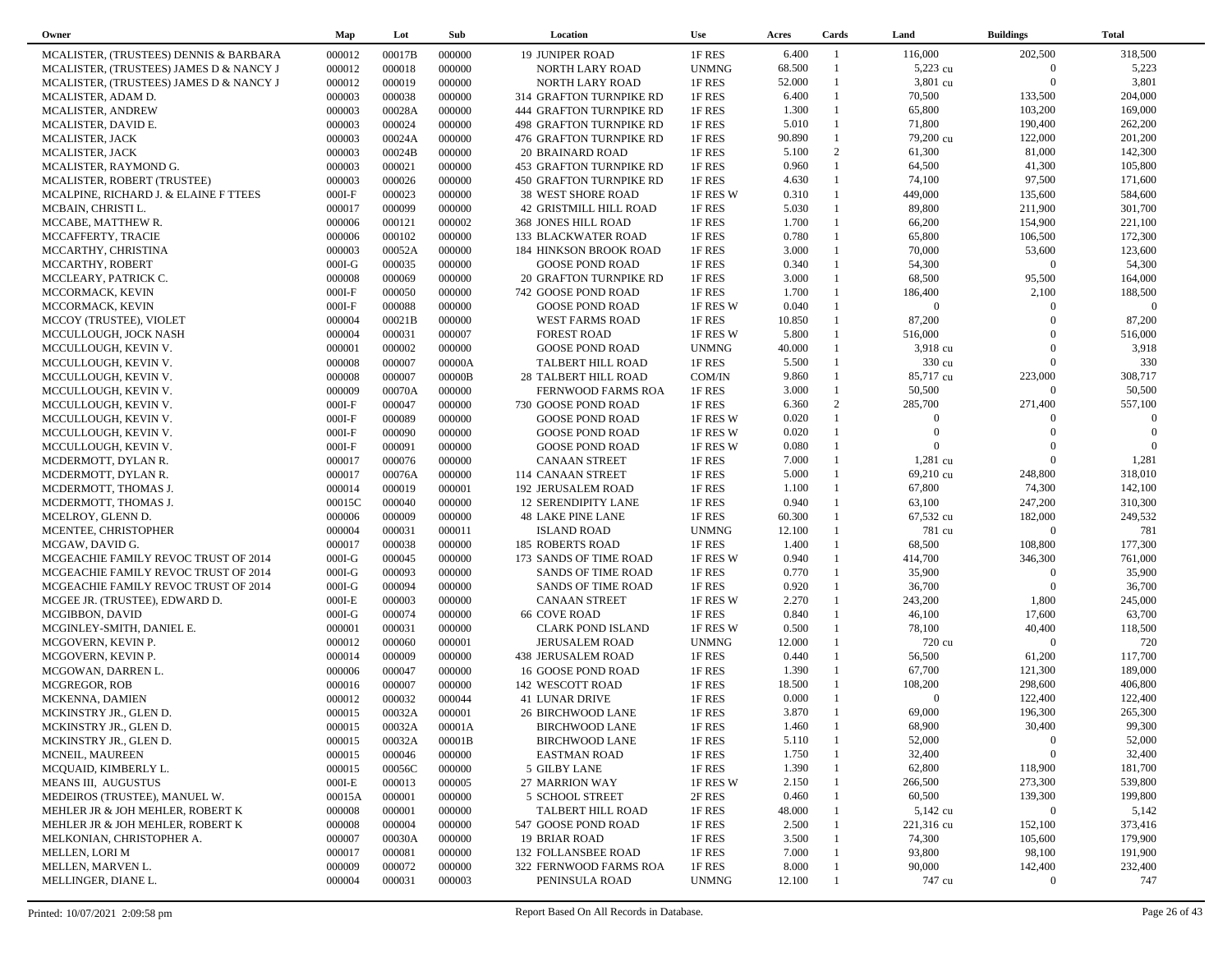| Owner                                   | Map      | Lot    | Sub    | Location                       | <b>Use</b>   | Acres  | Cards          | Land           | <b>Buildings</b> | <b>Total</b> |  |
|-----------------------------------------|----------|--------|--------|--------------------------------|--------------|--------|----------------|----------------|------------------|--------------|--|
| MCALISTER, (TRUSTEES) DENNIS & BARBARA  | 000012   | 00017B | 000000 | <b>19 JUNIPER ROAD</b>         | 1F RES       | 6.400  | $\overline{1}$ | 116,000        | 202,500          | 318,500      |  |
| MCALISTER, (TRUSTEES) JAMES D & NANCY J | 000012   | 000018 | 000000 | NORTH LARY ROAD                | <b>UNMNG</b> | 68.500 |                | 5,223 cu       | $\overline{0}$   | 5,223        |  |
| MCALISTER, (TRUSTEES) JAMES D & NANCY J | 000012   | 000019 | 000000 | NORTH LARY ROAD                | 1F RES       | 52.000 | -1             | 3,801 cu       | $\Omega$         | 3,801        |  |
| MCALISTER, ADAM D.                      | 000003   | 000038 | 000000 | 314 GRAFTON TURNPIKE RD        | 1F RES       | 6.400  | $\mathbf{1}$   | 70,500         | 133,500          | 204,000      |  |
| MCALISTER, ANDREW                       | 000003   | 00028A | 000000 | 444 GRAFTON TURNPIKE RD        | 1F RES       | 1.300  | $\mathbf{1}$   | 65,800         | 103,200          | 169,000      |  |
| MCALISTER, DAVID E.                     | 000003   | 000024 | 000000 | 498 GRAFTON TURNPIKE RD        | 1F RES       | 5.010  | $\mathbf{1}$   | 71,800         | 190,400          | 262,200      |  |
| MCALISTER, JACK                         | 000003   | 00024A | 000000 | <b>476 GRAFTON TURNPIKE RD</b> | 1F RES       | 90.890 | $\mathbf{1}$   | 79,200 cu      | 122,000          | 201,200      |  |
| MCALISTER, JACK                         | 000003   | 00024B | 000000 | <b>20 BRAINARD ROAD</b>        | 1F RES       | 5.100  | 2              | 61,300         | 81,000           | 142,300      |  |
| MCALISTER, RAYMOND G.                   | 000003   | 000021 | 000000 | <b>453 GRAFTON TURNPIKE RD</b> | 1F RES       | 0.960  | $\mathbf{1}$   | 64,500         | 41,300           | 105,800      |  |
| MCALISTER, ROBERT (TRUSTEE)             | 000003   | 000026 | 000000 | <b>450 GRAFTON TURNPIKE RD</b> | 1F RES       | 4.630  | $\mathbf{1}$   | 74,100         | 97,500           | 171,600      |  |
| MCALPINE, RICHARD J. & ELAINE F TTEES   | $000I-F$ | 000023 | 000000 | <b>38 WEST SHORE ROAD</b>      | 1F RES W     | 0.310  | $\mathbf{1}$   | 449,000        | 135,600          | 584,600      |  |
| MCBAIN, CHRISTI L.                      | 000017   | 000099 | 000000 | 42 GRISTMILL HILL ROAD         | 1F RES       | 5.030  | $\mathbf{1}$   | 89,800         | 211,900          | 301,700      |  |
| MCCABE, MATTHEW R.                      | 000006   | 000121 | 000002 | <b>368 JONES HILL ROAD</b>     | 1F RES       | 1.700  | $\mathbf{1}$   | 66,200         | 154,900          | 221,100      |  |
| MCCAFFERTY, TRACIE                      | 000006   | 000102 | 000000 | 133 BLACKWATER ROAD            | 1F RES       | 0.780  | $\mathbf{1}$   | 65,800         | 106,500          | 172,300      |  |
| MCCARTHY, CHRISTINA                     | 000003   | 00052A | 000000 | <b>184 HINKSON BROOK ROAD</b>  | 1F RES       | 3.000  | $\mathbf{1}$   | 70,000         | 53,600           | 123,600      |  |
| MCCARTHY, ROBERT                        | $000I-G$ | 000035 | 000000 | <b>GOOSE POND ROAD</b>         | 1F RES       | 0.340  | $\mathbf{1}$   | 54,300         | $\overline{0}$   | 54,300       |  |
| MCCLEARY, PATRICK C.                    | 000008   | 000069 | 000000 | <b>20 GRAFTON TURNPIKE RD</b>  | 1F RES       | 3.000  | $\mathbf{1}$   | 68,500         | 95,500           | 164,000      |  |
| MCCORMACK, KEVIN                        | $000I-F$ | 000050 | 000000 | 742 GOOSE POND ROAD            | 1F RES       | 1.700  | $\mathbf{1}$   | 186,400        | 2,100            | 188,500      |  |
| MCCORMACK, KEVIN                        | $000I-F$ | 000088 | 000000 | <b>GOOSE POND ROAD</b>         | 1F RES W     | 0.040  | $\mathbf{1}$   | $\overline{0}$ | $\Omega$         | $\Omega$     |  |
| MCCOY (TRUSTEE), VIOLET                 | 000004   | 00021B | 000000 | <b>WEST FARMS ROAD</b>         | 1F RES       | 10.850 | $\mathbf{1}$   | 87,200         | $\Omega$         | 87,200       |  |
| MCCULLOUGH, JOCK NASH                   | 000004   | 000031 | 000007 | <b>FOREST ROAD</b>             | 1F RES W     | 5.800  | $\mathbf{1}$   | 516,000        | $\Omega$         | 516,000      |  |
| MCCULLOUGH, KEVIN V.                    | 000001   | 000002 | 000000 | <b>GOOSE POND ROAD</b>         | <b>UNMNG</b> | 40.000 |                | 3,918 cu       | $\Omega$         | 3,918        |  |
| MCCULLOUGH, KEVIN V.                    | 000008   | 000007 | 00000A | TALBERT HILL ROAD              | 1F RES       | 5.500  | $\mathbf{1}$   | 330 cu         | $\Omega$         | 330          |  |
| MCCULLOUGH, KEVIN V.                    | 000008   | 000007 | 00000B | <b>28 TALBERT HILL ROAD</b>    | COM/IN       | 9.860  | $\mathbf{1}$   | 85,717 cu      | 223,000          | 308,717      |  |
| MCCULLOUGH, KEVIN V.                    | 000009   | 00070A | 000000 | FERNWOOD FARMS ROA             | 1F RES       | 3.000  | $\mathbf{1}$   | 50,500         | $\overline{0}$   | 50,500       |  |
| MCCULLOUGH, KEVIN V.                    | $000I-F$ | 000047 | 000000 | 730 GOOSE POND ROAD            | 1F RES       | 6.360  | 2              | 285,700        | 271,400          | 557,100      |  |
| MCCULLOUGH, KEVIN V.                    | $000I-F$ | 000089 | 000000 | <b>GOOSE POND ROAD</b>         | 1F RES W     | 0.020  | $\mathbf{1}$   | $\overline{0}$ | $\Omega$         | $\Omega$     |  |
| MCCULLOUGH, KEVIN V.                    | $000I-F$ | 000090 | 000000 | <b>GOOSE POND ROAD</b>         | 1F RES W     | 0.020  | $\mathbf{1}$   | $\overline{0}$ | $\Omega$         | $\Omega$     |  |
| MCCULLOUGH, KEVIN V.                    | $000I-F$ | 000091 | 000000 | <b>GOOSE POND ROAD</b>         | 1F RES W     | 0.080  |                | $\Omega$       | $\Omega$         | $\Omega$     |  |
| MCDERMOTT, DYLAN R.                     | 000017   | 000076 | 000000 | <b>CANAAN STREET</b>           | 1F RES       | 7.000  | $\mathbf{1}$   | 1,281 cu       | $\Omega$         | 1,281        |  |
| MCDERMOTT, DYLAN R.                     | 000017   | 00076A | 000000 | 114 CANAAN STREET              | 1F RES       | 5.000  |                | 69,210 cu      | 248,800          | 318,010      |  |
| MCDERMOTT, THOMAS J                     | 000014   | 000019 | 000001 | <b>192 JERUSALEM ROAD</b>      | 1F RES       | 1.100  | $\mathbf{1}$   | 67,800         | 74,300           | 142,100      |  |
| MCDERMOTT, THOMAS J.                    | 00015C   | 000040 | 000000 | <b>12 SERENDIPITY LANE</b>     | 1F RES       | 0.940  | $\mathbf{1}$   | 63,100         | 247,200          | 310,300      |  |
| MCELROY, GLENN D.                       | 000006   | 000009 | 000000 | <b>48 LAKE PINE LANE</b>       | 1F RES       | 60.300 | $\mathbf{1}$   | 67,532 cu      | 182,000          | 249,532      |  |
| MCENTEE, CHRISTOPHER                    | 000004   | 000031 | 000011 | <b>ISLAND ROAD</b>             | <b>UNMNG</b> | 12.100 | -1             | 781 cu         | $\overline{0}$   | 781          |  |
| MCGAW, DAVID G.                         | 000017   | 000038 | 000000 | <b>185 ROBERTS ROAD</b>        | 1F RES       | 1.400  | $\mathbf{1}$   | 68,500         | 108,800          | 177,300      |  |
| MCGEACHIE FAMILY REVOC TRUST OF 2014    | $000I-G$ | 000045 | 000000 | 173 SANDS OF TIME ROAD         | 1F RES W     | 0.940  | $\mathbf{1}$   | 414,700        | 346,300          | 761,000      |  |
| MCGEACHIE FAMILY REVOC TRUST OF 2014    | $000I-G$ | 000093 | 000000 | <b>SANDS OF TIME ROAD</b>      | 1F RES       | 0.770  | $\mathbf{1}$   | 35,900         | $\Omega$         | 35,900       |  |
| MCGEACHIE FAMILY REVOC TRUST OF 2014    | $000I-G$ | 000094 | 000000 | <b>SANDS OF TIME ROAD</b>      | 1F RES       | 0.920  | -1             | 36,700         | $\Omega$         | 36,700       |  |
| MCGEE JR. (TRUSTEE), EDWARD D.          | $000I-E$ | 000003 | 000000 | <b>CANAAN STREET</b>           | 1F RES W     | 2.270  | $\mathbf{1}$   | 243,200        | 1,800            | 245,000      |  |
| MCGIBBON, DAVID                         | $000I-G$ | 000074 | 000000 | <b>66 COVE ROAD</b>            | 1F RES       | 0.840  | $\mathbf{1}$   | 46,100         | 17,600           | 63,700       |  |
| MCGINLEY-SMITH, DANIEL E.               | 000001   | 000031 | 000000 | <b>CLARK POND ISLAND</b>       | 1F RES W     | 0.500  | $\mathbf{1}$   | 78,100         | 40,400           | 118,500      |  |
| MCGOVERN, KEVIN P.                      | 000012   | 000060 | 000001 | <b>JERUSALEM ROAD</b>          | <b>UNMNG</b> | 12.000 | -1             | 720 cu         | $\Omega$         | 720          |  |
| MCGOVERN, KEVIN P.                      | 000014   | 000009 | 000000 | <b>438 JERUSALEM ROAD</b>      | 1F RES       | 0.440  | $\mathbf{1}$   | 56,500         | 61,200           | 117,700      |  |
| MCGOWAN, DARREN L.                      | 000006   | 000047 | 000000 | 16 GOOSE POND ROAD             | 1F RES       | 1.390  | $\mathbf{1}$   | 67,700         | 121,300          | 189,000      |  |
| MCGREGOR, ROB                           | 000016   | 000007 | 000000 | 142 WESCOTT ROAD               | 1F RES       | 18.500 | $\mathbf{1}$   | 108,200        | 298,600          | 406,800      |  |
| MCKENNA, DAMIEN                         | 000012   | 000032 | 000044 | <b>41 LUNAR DRIVE</b>          | 1F RES       | 0.000  |                | $\Omega$       | 122,400          | 122,400      |  |
| MCKINSTRY JR., GLEN D.                  | 000015   | 00032A | 000001 | <b>26 BIRCHWOOD LANE</b>       | 1F RES       | 3.870  | $\mathbf{1}$   | 69,000         | 196,300          | 265,300      |  |
| MCKINSTRY JR., GLEN D.                  | 000015   | 00032A | 00001A | <b>BIRCHWOOD LANE</b>          | 1F RES       | 1.460  |                | 68,900         | 30,400           | 99,300       |  |
| MCKINSTRY JR., GLEN D.                  | 000015   | 00032A | 00001B | <b>BIRCHWOOD LANE</b>          | 1F RES       | 5.110  | $\mathbf{1}$   | 52,000         | $\bf{0}$         | 52,000       |  |
| MCNEIL, MAUREEN                         | 000015   | 000046 | 000000 | <b>EASTMAN ROAD</b>            | 1F RES       | 1.750  |                | 32,400         | $\boldsymbol{0}$ | 32,400       |  |
| MCQUAID, KIMBERLY L.                    | 000015   | 00056C | 000000 | 5 GILBY LANE                   | 1F RES       | 1.390  |                | 62,800         | 118,900          | 181,700      |  |
| MEANS III, AUGUSTUS                     | $000I-E$ | 000013 | 000005 | 27 MARRION WAY                 | 1F RES W     | 2.150  |                | 266,500        | 273,300          | 539,800      |  |
| MEDEIROS (TRUSTEE), MANUEL W.           | 00015A   | 000001 | 000000 | <b>5 SCHOOL STREET</b>         | 2F RES       | 0.460  |                | 60,500         | 139,300          | 199,800      |  |
| MEHLER JR & JOH MEHLER, ROBERT K        | 000008   | 000001 | 000000 | TALBERT HILL ROAD              | 1F RES       | 48.000 |                | 5,142 cu       | $\overline{0}$   | 5,142        |  |
| MEHLER JR & JOH MEHLER, ROBERT K        | 000008   | 000004 | 000000 | 547 GOOSE POND ROAD            | 1F RES       | 2.500  |                | 221,316 cu     | 152,100          | 373,416      |  |
| MELKONIAN, CHRISTOPHER A.               | 000007   | 00030A | 000000 | <b>19 BRIAR ROAD</b>           | 1F RES       | 3.500  |                | 74,300         | 105,600          | 179,900      |  |
| <b>MELLEN, LORI M</b>                   | 000017   | 000081 | 000000 | <b>132 FOLLANSBEE ROAD</b>     | 1F RES       | 7.000  |                | 93,800         | 98,100           | 191,900      |  |
| MELLEN, MARVEN L.                       | 000009   | 000072 | 000000 | 322 FERNWOOD FARMS ROA         | 1F RES       | 8.000  |                | 90,000         | 142,400          | 232,400      |  |
| MELLINGER, DIANE L.                     | 000004   | 000031 | 000003 | PENINSULA ROAD                 | <b>UNMNG</b> | 12.100 |                | 747 cu         | $\mathbf{0}$     | 747          |  |
|                                         |          |        |        |                                |              |        |                |                |                  |              |  |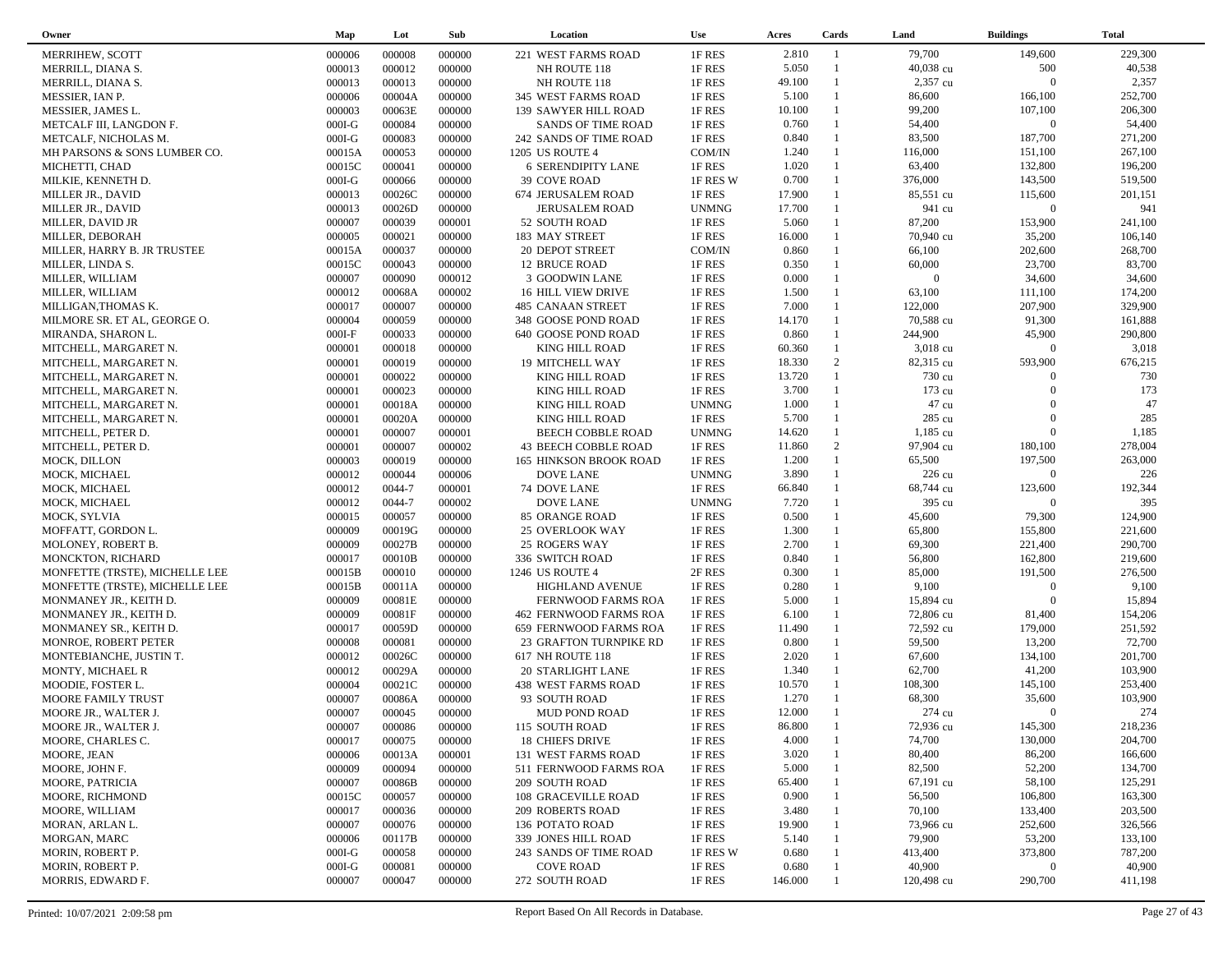| Owner                          | Map      | Lot    | Sub    | Location                      | <b>Use</b>   | Acres   | Cards          | Land           | <b>Buildings</b> | <b>Total</b> |
|--------------------------------|----------|--------|--------|-------------------------------|--------------|---------|----------------|----------------|------------------|--------------|
| MERRIHEW, SCOTT                | 000006   | 000008 | 000000 | 221 WEST FARMS ROAD           | 1F RES       | 2.810   | $\mathbf{1}$   | 79,700         | 149,600          | 229,300      |
| MERRILL, DIANA S.              | 000013   | 000012 | 000000 | NH ROUTE 118                  | 1F RES       | 5.050   | $\overline{1}$ | 40,038 cu      | 500              | 40,538       |
| MERRILL, DIANA S.              | 000013   | 000013 | 000000 | NH ROUTE 118                  | 1F RES       | 49.100  |                | 2,357 cu       | $\Omega$         | 2,357        |
| MESSIER, IAN P.                | 000006   | 00004A | 000000 | 345 WEST FARMS ROAD           | 1F RES       | 5.100   | $\mathbf{1}$   | 86,600         | 166,100          | 252,700      |
| MESSIER, JAMES L.              | 000003   | 00063E | 000000 | 139 SAWYER HILL ROAD          | 1F RES       | 10.100  | 1              | 99,200         | 107,100          | 206,300      |
| METCALF III, LANGDON F.        | $000I-G$ | 000084 | 000000 | <b>SANDS OF TIME ROAD</b>     | 1F RES       | 0.760   | $\mathbf{1}$   | 54,400         | $\overline{0}$   | 54,400       |
| METCALF, NICHOLAS M.           | $000I-G$ | 000083 | 000000 | 242 SANDS OF TIME ROAD        | 1F RES       | 0.840   | $\mathbf{1}$   | 83,500         | 187,700          | 271,200      |
| MH PARSONS & SONS LUMBER CO.   | 00015A   | 000053 | 000000 | 1205 US ROUTE 4               | COM/IN       | 1.240   | $\mathbf{1}$   | 116,000        | 151,100          | 267,100      |
| MICHETTI, CHAD                 | 00015C   | 000041 | 000000 | 6 SERENDIPITY LANE            | 1F RES       | 1.020   | $\mathbf{1}$   | 63,400         | 132,800          | 196,200      |
| MILKIE, KENNETH D.             | $000I-G$ | 000066 | 000000 | 39 COVE ROAD                  | 1F RES W     | 0.700   | $\mathbf{1}$   | 376,000        | 143,500          | 519,500      |
| MILLER JR., DAVID              | 000013   | 00026C | 000000 | 674 JERUSALEM ROAD            | 1F RES       | 17.900  | $\mathbf{1}$   | 85,551 cu      | 115,600          | 201,151      |
| MILLER JR., DAVID              | 000013   | 00026D | 000000 | <b>JERUSALEM ROAD</b>         | <b>UNMNG</b> | 17.700  | $\mathbf{1}$   | 941 cu         | $\overline{0}$   | 941          |
| MILLER, DAVID JR               | 000007   | 000039 | 000001 | 52 SOUTH ROAD                 | 1F RES       | 5.060   | $\mathbf{1}$   | 87,200         | 153,900          | 241,100      |
| MILLER, DEBORAH                | 000005   | 000021 | 000000 | 183 MAY STREET                | 1F RES       | 16.000  | $\mathbf{1}$   | 70,940 cu      | 35,200           | 106,140      |
| MILLER, HARRY B. JR TRUSTEE    | 00015A   | 000037 | 000000 | 20 DEPOT STREET               | COM/IN       | 0.860   | $\mathbf{1}$   | 66,100         | 202,600          | 268,700      |
| MILLER, LINDA S.               | 00015C   | 000043 | 000000 | 12 BRUCE ROAD                 | 1F RES       | 0.350   | $\mathbf{1}$   | 60,000         | 23,700           | 83,700       |
| MILLER, WILLIAM                | 000007   | 000090 | 000012 | 3 GOODWIN LANE                | 1F RES       | 0.000   | $\mathbf{1}$   | $\overline{0}$ | 34,600           | 34,600       |
| MILLER, WILLIAM                | 000012   | 00068A | 000002 | 16 HILL VIEW DRIVE            | 1F RES       | 1.500   | $\mathbf{1}$   | 63,100         | 111,100          | 174,200      |
| MILLIGAN, THOMAS K.            | 000017   | 000007 | 000000 | 485 CANAAN STREET             | 1F RES       | 7.000   | $\mathbf{1}$   | 122,000        | 207,900          | 329,900      |
| MILMORE SR. ET AL, GEORGE O.   | 000004   | 000059 | 000000 | 348 GOOSE POND ROAD           | 1F RES       | 14.170  | $\mathbf{1}$   | 70,588 cu      | 91,300           | 161,888      |
| MIRANDA, SHARON L.             | $000I-F$ | 000033 | 000000 | 640 GOOSE POND ROAD           | 1F RES       | 0.860   | $\mathbf{1}$   | 244,900        | 45,900           | 290,800      |
| MITCHELL, MARGARET N.          | 000001   | 000018 | 000000 | <b>KING HILL ROAD</b>         | 1F RES       | 60.360  | $\mathbf{1}$   | $3,018$ cu     | $\overline{0}$   | 3,018        |
| MITCHELL, MARGARET N.          | 000001   | 000019 | 000000 | <b>19 MITCHELL WAY</b>        | 1F RES       | 18.330  | 2              | 82,315 cu      | 593,900          | 676,215      |
| MITCHELL, MARGARET N.          | 000001   | 000022 | 000000 | KING HILL ROAD                | 1F RES       | 13.720  | $\mathbf{1}$   | 730 cu         | $\Omega$         | 730          |
| MITCHELL, MARGARET N.          | 000001   | 000023 | 000000 | KING HILL ROAD                | 1F RES       | 3.700   | 1              | 173 cu         | $\Omega$         | 173          |
| MITCHELL, MARGARET N.          | 000001   | 00018A | 000000 | KING HILL ROAD                | <b>UNMNG</b> | 1.000   | $\mathbf{1}$   | 47 cu          | $\Omega$         | 47           |
| MITCHELL, MARGARET N.          | 000001   | 00020A | 000000 | KING HILL ROAD                | 1F RES       | 5.700   | $\mathbf{1}$   | 285 cu         | $\Omega$         | 285          |
| MITCHELL, PETER D.             | 000001   | 000007 | 000001 | BEECH COBBLE ROAD             | <b>UNMNG</b> | 14.620  | $\mathbf{1}$   | 1,185 cu       | $\overline{0}$   | 1,185        |
| MITCHELL, PETER D.             | 000001   | 000007 | 000002 | 43 BEECH COBBLE ROAD          | 1F RES       | 11.860  | $\overline{2}$ | 97,904 cu      | 180,100          | 278,004      |
| MOCK, DILLON                   | 000003   | 000019 | 000000 | <b>165 HINKSON BROOK ROAD</b> | 1F RES       | 1.200   | $\mathbf{1}$   | 65,500         | 197,500          | 263,000      |
| MOCK, MICHAEL                  | 000012   | 000044 | 000006 | <b>DOVE LANE</b>              | <b>UNMNG</b> | 3.890   | $\mathbf{1}$   | 226 cu         | $\overline{0}$   | 226          |
| MOCK, MICHAEL                  | 000012   | 0044-7 | 000001 | 74 DOVE LANE                  | 1F RES       | 66.840  |                | 68,744 cu      | 123,600          | 192,344      |
| MOCK, MICHAEL                  | 000012   | 0044-7 | 000002 | <b>DOVE LANE</b>              | <b>UNMNG</b> | 7.720   | $\mathbf{1}$   | 395 cu         | $\Omega$         | 395          |
| MOCK, SYLVIA                   | 000015   | 000057 | 000000 | 85 ORANGE ROAD                | 1F RES       | 0.500   | $\mathbf{1}$   | 45,600         | 79,300           | 124,900      |
| MOFFATT, GORDON L.             | 000009   | 00019G | 000000 | 25 OVERLOOK WAY               | 1F RES       | 1.300   | $\mathbf{1}$   | 65,800         | 155,800          | 221,600      |
| MOLONEY, ROBERT B.             | 000009   | 00027B | 000000 | 25 ROGERS WAY                 | 1F RES       | 2.700   | $\mathbf{1}$   | 69,300         | 221,400          | 290,700      |
| MONCKTON, RICHARD              | 000017   | 00010B | 000000 | 336 SWITCH ROAD               | 1F RES       | 0.840   | $\mathbf{1}$   | 56,800         | 162,800          | 219,600      |
| MONFETTE (TRSTE), MICHELLE LEE | 00015B   | 000010 | 000000 | 1246 US ROUTE 4               | 2F RES       | 0.300   | $\mathbf{1}$   | 85,000         | 191,500          | 276,500      |
| MONFETTE (TRSTE), MICHELLE LEE | 00015B   | 00011A | 000000 | HIGHLAND AVENUE               | 1F RES       | 0.280   | $\mathbf{1}$   | 9,100          | $\boldsymbol{0}$ | 9,100        |
| MONMANEY JR., KEITH D.         | 000009   | 00081E | 000000 | FERNWOOD FARMS ROA            | 1F RES       | 5.000   | $\mathbf{1}$   | 15,894 cu      | $\overline{0}$   | 15,894       |
| MONMANEY JR., KEITH D.         | 000009   | 00081F | 000000 | 462 FERNWOOD FARMS ROA        | 1F RES       | 6.100   | $\mathbf{1}$   | 72,806 cu      | 81,400           | 154,206      |
| MONMANEY SR., KEITH D.         | 000017   | 00059D | 000000 | 659 FERNWOOD FARMS ROA        | 1F RES       | 11.490  | $\mathbf{1}$   | 72,592 cu      | 179,000          | 251,592      |
| MONROE, ROBERT PETER           | 000008   | 000081 | 000000 | 23 GRAFTON TURNPIKE RD        | 1F RES       | 0.800   | $\mathbf{1}$   | 59,500         | 13,200           | 72,700       |
| MONTEBIANCHE, JUSTIN T.        | 000012   | 00026C | 000000 | 617 NH ROUTE 118              | 1F RES       | 2.020   | $\mathbf{1}$   | 67,600         | 134,100          | 201,700      |
| MONTY, MICHAEL R               | 000012   | 00029A | 000000 | 20 STARLIGHT LANE             | 1F RES       | 1.340   | $\mathbf{1}$   | 62,700         | 41,200           | 103,900      |
| MOODIE, FOSTER L.              | 000004   | 00021C | 000000 | 438 WEST FARMS ROAD           | 1F RES       | 10.570  | $\mathbf{1}$   | 108,300        | 145,100          | 253,400      |
| <b>MOORE FAMILY TRUST</b>      | 000007   | 00086A | 000000 | 93 SOUTH ROAD                 | 1F RES       | 1.270   | $\mathbf{1}$   | 68,300         | 35,600           | 103,900      |
| MOORE JR., WALTER J.           | 000007   | 000045 | 000000 | <b>MUD POND ROAD</b>          | 1F RES       | 12.000  |                | 274 cu         | $\overline{0}$   | 274          |
| MOORE JR., WALTER J.           | 000007   | 000086 | 000000 | 115 SOUTH ROAD                | 1F RES       | 86.800  |                | 72,936 cu      | 145,300          | 218,236      |
| MOORE, CHARLES C.              | 000017   | 000075 | 000000 | 18 CHIEFS DRIVE               | 1F RES       | 4.000   |                | 74,700         | 130,000          | 204,700      |
| MOORE, JEAN                    | 000006   | 00013A | 000001 | 131 WEST FARMS ROAD           | 1F RES       | 3.020   |                | 80,400         | 86,200           | 166,600      |
| MOORE, JOHN F.                 | 000009   | 000094 | 000000 | 511 FERNWOOD FARMS ROA        | 1F RES       | 5.000   |                | 82,500         | 52,200           | 134,700      |
| MOORE, PATRICIA                | 000007   | 00086B | 000000 | 209 SOUTH ROAD                | 1F RES       | 65.400  |                | 67,191 cu      | 58,100           | 125,291      |
| MOORE, RICHMOND                | 00015C   | 000057 | 000000 | <b>108 GRACEVILLE ROAD</b>    | 1F RES       | 0.900   |                | 56,500         | 106,800          | 163,300      |
| MOORE, WILLIAM                 | 000017   | 000036 | 000000 | 209 ROBERTS ROAD              | 1F RES       | 3.480   |                | 70,100         | 133,400          | 203,500      |
| MORAN, ARLAN L.                | 000007   | 000076 | 000000 | 136 POTATO ROAD               | 1F RES       | 19.900  |                | 73,966 cu      | 252,600          | 326,566      |
| MORGAN, MARC                   | 000006   | 00117B | 000000 | 339 JONES HILL ROAD           | 1F RES       | 5.140   |                | 79,900         | 53,200           | 133,100      |
| MORIN, ROBERT P.               | $000I-G$ | 000058 | 000000 | 243 SANDS OF TIME ROAD        | 1F RES W     | 0.680   |                | 413,400        | 373,800          | 787,200      |
| MORIN, ROBERT P.               | $000I-G$ | 000081 | 000000 | <b>COVE ROAD</b>              | 1F RES       | 0.680   |                | 40,900         | $\mathbf{0}$     | 40,900       |
| MORRIS, EDWARD F.              | 000007   | 000047 | 000000 | 272 SOUTH ROAD                | 1F RES       | 146.000 |                | 120,498 cu     | 290,700          | 411,198      |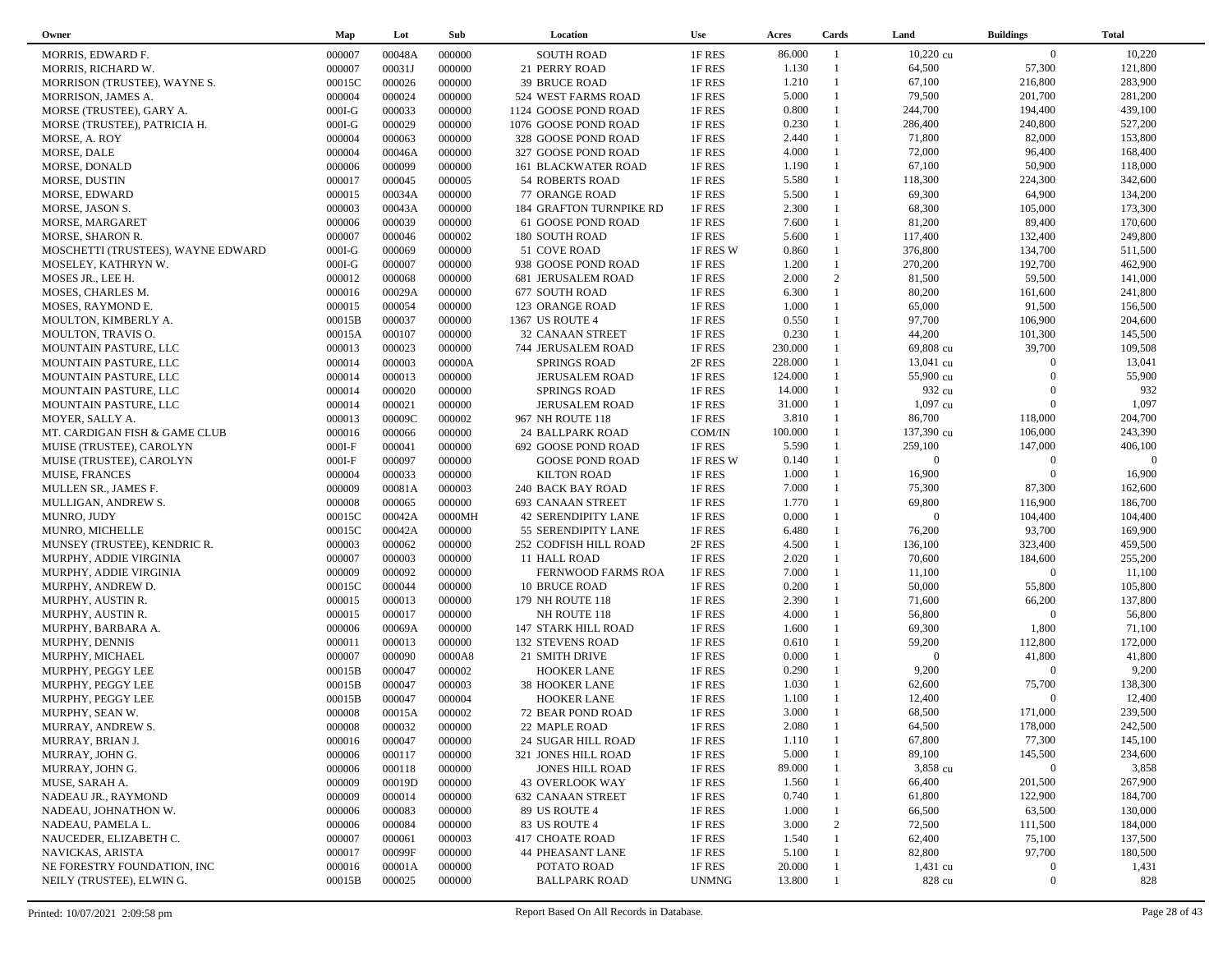| Owner                                | Map      | Lot    | Sub    | Location                   | <b>Use</b>   | Acres   | Cards          | Land           | <b>Buildings</b> | <b>Total</b>   |
|--------------------------------------|----------|--------|--------|----------------------------|--------------|---------|----------------|----------------|------------------|----------------|
| MORRIS, EDWARD F.                    | 000007   | 00048A | 000000 | <b>SOUTH ROAD</b>          | 1F RES       | 86.000  | $\overline{1}$ | $10,220$ cu    | $\overline{0}$   | 10,220         |
| MORRIS, RICHARD W.                   | 000007   | 00031J | 000000 | 21 PERRY ROAD              | 1F RES       | 1.130   | $\overline{1}$ | 64,500         | 57,300           | 121,800        |
| MORRISON (TRUSTEE), WAYNE S.         | 00015C   | 000026 | 000000 | <b>39 BRUCE ROAD</b>       | 1F RES       | 1.210   | $\overline{1}$ | 67,100         | 216,800          | 283,900        |
| MORRISON, JAMES A.                   | 000004   | 000024 | 000000 | 524 WEST FARMS ROAD        | 1F RES       | 5.000   | $\overline{1}$ | 79,500         | 201,700          | 281,200        |
| MORSE (TRUSTEE), GARY A.             | $000I-G$ | 000033 | 000000 | 1124 GOOSE POND ROAD       | 1F RES       | 0.800   | $\mathbf{1}$   | 244,700        | 194,400          | 439,100        |
| MORSE (TRUSTEE), PATRICIA H.         | $000I-G$ | 000029 | 000000 | 1076 GOOSE POND ROAD       | 1F RES       | 0.230   | $\mathbf{1}$   | 286,400        | 240,800          | 527,200        |
| MORSE, A. ROY                        | 000004   | 000063 | 000000 | 328 GOOSE POND ROAD        | 1F RES       | 2.440   | $\overline{1}$ | 71,800         | 82,000           | 153,800        |
| MORSE, DALE                          | 000004   | 00046A | 000000 | 327 GOOSE POND ROAD        | 1F RES       | 4.000   | $\mathbf{1}$   | 72,000         | 96,400           | 168,400        |
| MORSE, DONALD                        | 000006   | 000099 | 000000 | <b>161 BLACKWATER ROAD</b> | 1F RES       | 1.190   | $\overline{1}$ | 67,100         | 50,900           | 118,000        |
| MORSE, DUSTIN                        | 000017   | 000045 | 000005 | <b>54 ROBERTS ROAD</b>     | 1F RES       | 5.580   | $\mathbf{1}$   | 118,300        | 224,300          | 342,600        |
| MORSE, EDWARD                        | 000015   | 00034A | 000000 | 77 ORANGE ROAD             | 1F RES       | 5.500   | $\mathbf{1}$   | 69,300         | 64,900           | 134,200        |
|                                      |          |        |        | 184 GRAFTON TURNPIKE RD    |              | 2.300   | $\mathbf{1}$   | 68,300         | 105,000          | 173,300        |
| MORSE, JASON S.                      | 000003   | 00043A | 000000 |                            | 1F RES       |         | $\mathbf{1}$   |                |                  |                |
| MORSE, MARGARET                      | 000006   | 000039 | 000000 | 61 GOOSE POND ROAD         | 1F RES       | 7.600   | $\mathbf{1}$   | 81,200         | 89,400           | 170,600        |
| MORSE, SHARON R.                     | 000007   | 000046 | 000002 | 180 SOUTH ROAD             | 1F RES       | 5.600   |                | 117,400        | 132,400          | 249,800        |
| MOSCHETTI (TRUSTEES), WAYNE EDWARD   | $000I-G$ | 000069 | 000000 | 51 COVE ROAD               | 1F RES W     | 0.860   | $\mathbf{1}$   | 376,800        | 134,700          | 511,500        |
| MOSELEY, KATHRYN W.                  | $000I-G$ | 000007 | 000000 | 938 GOOSE POND ROAD        | 1F RES       | 1.200   | $\overline{1}$ | 270,200        | 192,700          | 462,900        |
| MOSES JR., LEE H.                    | 000012   | 000068 | 000000 | <b>681 JERUSALEM ROAD</b>  | 1F RES       | 2.000   | 2              | 81,500         | 59,500           | 141,000        |
| MOSES, CHARLES M.                    | 000016   | 00029A | 000000 | 677 SOUTH ROAD             | 1F RES       | 6.300   | $\mathbf{1}$   | 80,200         | 161,600          | 241,800        |
| MOSES, RAYMOND E.                    | 000015   | 000054 | 000000 | 123 ORANGE ROAD            | 1F RES       | 1.000   | $\mathbf{1}$   | 65,000         | 91,500           | 156,500        |
| MOULTON, KIMBERLY A.                 | 00015B   | 000037 | 000000 | 1367 US ROUTE 4            | 1F RES       | 0.550   | $\mathbf{1}$   | 97,700         | 106,900          | 204,600        |
| MOULTON, TRAVIS O.                   | 00015A   | 000107 | 000000 | <b>32 CANAAN STREET</b>    | 1F RES       | 0.230   | $\mathbf{1}$   | 44,200         | 101,300          | 145,500        |
| MOUNTAIN PASTURE, LLC                | 000013   | 000023 | 000000 | <b>744 JERUSALEM ROAD</b>  | 1F RES       | 230.000 |                | 69,808 cu      | 39,700           | 109,508        |
| MOUNTAIN PASTURE, LLC                | 000014   | 000003 | 00000A | <b>SPRINGS ROAD</b>        | 2F RES       | 228.000 | $\mathbf{1}$   | 13,041 cu      | $\Omega$         | 13,041         |
| MOUNTAIN PASTURE, LLC                | 000014   | 000013 | 000000 | <b>JERUSALEM ROAD</b>      | 1F RES       | 124.000 |                | 55,900 cu      | $\Omega$         | 55,900         |
| MOUNTAIN PASTURE, LLC                | 000014   | 000020 | 000000 | <b>SPRINGS ROAD</b>        | 1F RES       | 14.000  |                | 932 cu         | $\Omega$         | 932            |
| MOUNTAIN PASTURE, LLC                | 000014   | 000021 | 000000 | <b>JERUSALEM ROAD</b>      | 1F RES       | 31.000  |                | 1,097 cu       | $\mathbf{0}$     | 1,097          |
| MOYER, SALLY A.                      | 000013   | 00009C | 000002 | 967 NH ROUTE 118           | 1F RES       | 3.810   | $\mathbf{1}$   | 86,700         | 118,000          | 204,700        |
| MT. CARDIGAN FISH & GAME CLUB        | 000016   | 000066 | 000000 | <b>24 BALLPARK ROAD</b>    | COM/IN       | 100.000 |                | 137,390 cu     | 106,000          | 243,390        |
| MUISE (TRUSTEE), CAROLYN             | $000I-F$ | 000041 | 000000 | 692 GOOSE POND ROAD        | 1F RES       | 5.590   | $\mathbf{1}$   | 259,100        | 147,000          | 406,100        |
| MUISE (TRUSTEE), CAROLYN             | $000I-F$ | 000097 | 000000 | <b>GOOSE POND ROAD</b>     | 1F RES W     | 0.140   | $\mathbf{1}$   | $\overline{0}$ | $\theta$         | $\overline{0}$ |
| <b>MUISE, FRANCES</b>                | 000004   | 000033 | 000000 | <b>KILTON ROAD</b>         | 1F RES       | 1.000   | $\mathbf{1}$   | 16,900         | $\Omega$         | 16,900         |
| MULLEN SR., JAMES F.                 | 000009   | 00081A | 000003 | 240 BACK BAY ROAD          | 1F RES       | 7.000   | $\mathbf{1}$   | 75,300         | 87,300           | 162,600        |
| MULLIGAN, ANDREW S.                  | 000008   | 000065 | 000000 | <b>693 CANAAN STREET</b>   | 1F RES       | 1.770   | $\mathbf{1}$   | 69,800         | 116,900          | 186,700        |
| MUNRO, JUDY                          | 00015C   | 00042A | 0000MH | <b>42 SERENDIPITY LANE</b> | 1F RES       | 0.000   |                | $\overline{0}$ | 104,400          | 104,400        |
| MUNRO, MICHELLE                      | 00015C   | 00042A | 000000 | 55 SERENDIPITY LANE        | 1F RES       | 6.480   | $\mathbf{1}$   | 76,200         | 93,700           | 169,900        |
| MUNSEY (TRUSTEE), KENDRIC R.         | 000003   | 000062 | 000000 | 252 CODFISH HILL ROAD      | 2F RES       | 4.500   | $\mathbf{1}$   | 136,100        | 323,400          | 459,500        |
| MURPHY, ADDIE VIRGINIA               | 000007   | 000003 | 000000 | 11 HALL ROAD               | 1F RES       | 2.020   | $\mathbf{1}$   | 70,600         | 184,600          | 255,200        |
| MURPHY, ADDIE VIRGINIA               | 000009   | 000092 | 000000 | FERNWOOD FARMS ROA         | 1F RES       | 7.000   | $\mathbf{1}$   | 11,100         | $\overline{0}$   | 11,100         |
| MURPHY, ANDREW D.                    | 00015C   | 000044 | 000000 | <b>10 BRUCE ROAD</b>       | 1F RES       | 0.200   | $\mathbf{1}$   | 50,000         | 55,800           | 105,800        |
| MURPHY, AUSTIN R.                    | 000015   | 000013 | 000000 | 179 NH ROUTE 118           | 1F RES       | 2.390   | $\mathbf{1}$   | 71,600         | 66,200           | 137,800        |
| MURPHY, AUSTIN R.                    | 000015   | 000017 | 000000 | NH ROUTE 118               | 1F RES       | 4.000   | $\mathbf{1}$   | 56,800         | $\mathbf{0}$     | 56,800         |
| MURPHY, BARBARA A.                   | 000006   | 00069A | 000000 | 147 STARK HILL ROAD        | 1F RES       | 1.600   |                | 69,300         | 1,800            | 71,100         |
| MURPHY, DENNIS                       | 000011   | 000013 | 000000 | <b>132 STEVENS ROAD</b>    | 1F RES       | 0.610   | $\overline{1}$ | 59,200         | 112,800          | 172,000        |
| MURPHY, MICHAEL                      | 000007   | 000090 | 0000A8 | 21 SMITH DRIVE             | 1F RES       | 0.000   |                | $\overline{0}$ | 41,800           | 41,800         |
| MURPHY, PEGGY LEE                    | 00015B   | 000047 | 000002 | <b>HOOKER LANE</b>         | 1F RES       | 0.290   | $\overline{1}$ | 9,200          | $\overline{0}$   | 9,200          |
| MURPHY, PEGGY LEE                    | 00015B   | 000047 | 000003 | <b>38 HOOKER LANE</b>      | 1F RES       | 1.030   |                | 62,600         | 75,700           | 138,300        |
|                                      | 00015B   | 000047 | 000004 |                            | 1F RES       | 1.100   | $\mathbf{1}$   | 12,400         | $\Omega$         | 12,400         |
| MURPHY, PEGGY LEE<br>MURPHY, SEAN W. |          |        |        | <b>HOOKER LANE</b>         |              | 3.000   | $\overline{1}$ | 68,500         | 171,000          | 239,500        |
|                                      | 000008   | 00015A | 000002 | 72 BEAR POND ROAD          | 1F RES       |         | $\overline{1}$ |                |                  |                |
| MURRAY, ANDREW S.                    | 000008   | 000032 | 000000 | 22 MAPLE ROAD              | 1F RES       | 2.080   |                | 64,500         | 178,000          | 242,500        |
| MURRAY, BRIAN J.                     | 000016   | 000047 | 000000 | 24 SUGAR HILL ROAD         | 1F RES       | 1.110   |                | 67,800         | 77,300           | 145,100        |
| MURRAY, JOHN G.                      | 000006   | 000117 | 000000 | 321 JONES HILL ROAD        | 1F RES       | 5.000   |                | 89,100         | 145,500          | 234,600        |
| MURRAY, JOHN G.                      | 000006   | 000118 | 000000 | <b>JONES HILL ROAD</b>     | 1F RES       | 89.000  |                | 3,858 cu       | $\mathbf{0}$     | 3,858          |
| MUSE, SARAH A.                       | 000009   | 00019D | 000000 | <b>43 OVERLOOK WAY</b>     | 1F RES       | 1.560   |                | 66,400         | 201,500          | 267,900        |
| NADEAU JR., RAYMOND                  | 000009   | 000014 | 000000 | <b>632 CANAAN STREET</b>   | 1F RES       | 0.740   |                | 61,800         | 122,900          | 184,700        |
| NADEAU, JOHNATHON W.                 | 000006   | 000083 | 000000 | 89 US ROUTE 4              | 1F RES       | 1.000   |                | 66,500         | 63,500           | 130,000        |
| NADEAU, PAMELA L.                    | 000006   | 000084 | 000000 | 83 US ROUTE 4              | 1F RES       | 3.000   | 2              | 72,500         | 111,500          | 184,000        |
| NAUCEDER, ELIZABETH C.               | 000007   | 000061 | 000003 | <b>417 CHOATE ROAD</b>     | 1F RES       | 1.540   | $\mathbf{1}$   | 62,400         | 75,100           | 137,500        |
| NAVICKAS, ARISTA                     | 000017   | 00099F | 000000 | <b>44 PHEASANT LANE</b>    | 1F RES       | 5.100   |                | 82,800         | 97,700           | 180,500        |
| NE FORESTRY FOUNDATION, INC          | 000016   | 00001A | 000000 | POTATO ROAD                | 1F RES       | 20.000  |                | 1,431 cu       | $\mathbf{0}$     | 1,431          |
| NEILY (TRUSTEE), ELWIN G.            | 00015B   | 000025 | 000000 | <b>BALLPARK ROAD</b>       | <b>UNMNG</b> | 13.800  |                | 828 cu         | $\boldsymbol{0}$ | 828            |
|                                      |          |        |        |                            |              |         |                |                |                  |                |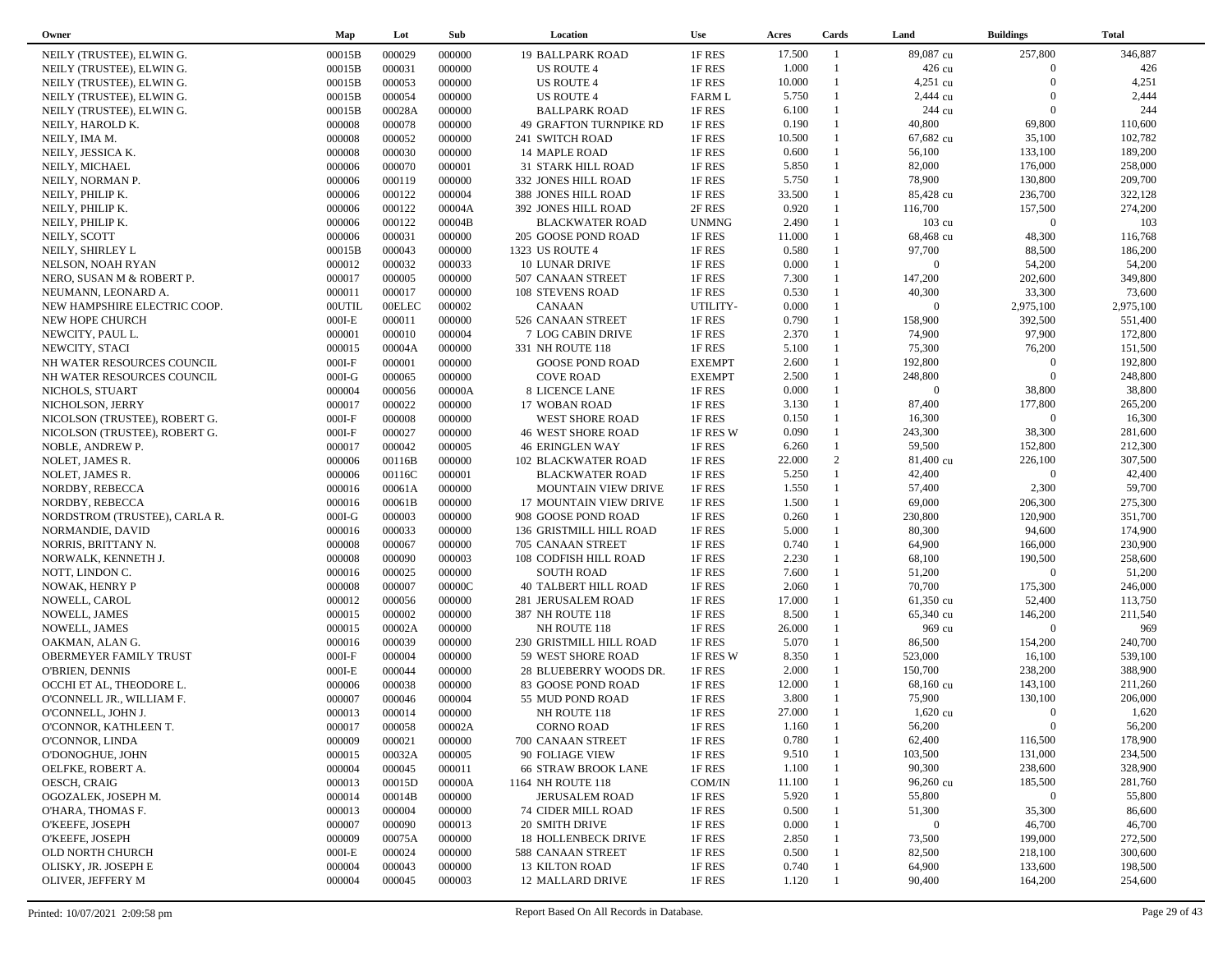| Owner                         | Map                | Lot           | Sub    | Location                      | <b>Use</b>       | Acres  | Cards          | Land           | <b>Buildings</b> | <b>Total</b> |
|-------------------------------|--------------------|---------------|--------|-------------------------------|------------------|--------|----------------|----------------|------------------|--------------|
| NEILY (TRUSTEE), ELWIN G.     | 00015B             | 000029        | 000000 | <b>19 BALLPARK ROAD</b>       | 1F RES           | 17.500 | $\overline{1}$ | 89,087 cu      | 257,800          | 346,887      |
| NEILY (TRUSTEE), ELWING.      | 00015B             | 000031        | 000000 | <b>US ROUTE 4</b>             | 1F RES           | 1.000  | $\mathbf{1}$   | 426 cu         | $\overline{0}$   | 426          |
| NEILY (TRUSTEE), ELWING.      | 00015B             | 000053        | 000000 | <b>US ROUTE 4</b>             | 1F RES           | 10.000 |                | 4,251 cu       | $\Omega$         | 4,251        |
| NEILY (TRUSTEE), ELWING.      | 00015B             | 000054        | 000000 | <b>US ROUTE 4</b>             | <b>FARM L</b>    | 5.750  | $\mathbf{1}$   | 2,444 cu       | $\overline{0}$   | 2,444        |
| NEILY (TRUSTEE), ELWING.      | 00015B             | 00028A        | 000000 | <b>BALLPARK ROAD</b>          | 1F RES           | 6.100  |                | 244 cu         | $\overline{0}$   | 244          |
| NEILY, HAROLD K.              | 000008             | 000078        | 000000 | <b>49 GRAFTON TURNPIKE RD</b> | 1F RES           | 0.190  | $\mathbf{1}$   | 40,800         | 69,800           | 110,600      |
|                               | 000008             | 000052        | 000000 |                               | 1F RES           | 10.500 | 1              | 67,682 cu      | 35,100           | 102,782      |
| NEILY, IMA M.                 |                    | 000030        |        | 241 SWITCH ROAD               |                  | 0.600  | $\mathbf{1}$   | 56,100         | 133,100          | 189,200      |
| NEILY, JESSICA K.             | 000008             |               | 000000 | 14 MAPLE ROAD                 | 1F RES           |        | $\mathbf{1}$   |                |                  |              |
| NEILY, MICHAEL                | 000006             | 000070        | 000001 | 31 STARK HILL ROAD            | 1F RES           | 5.850  | $\mathbf{1}$   | 82,000         | 176,000          | 258,000      |
| NEILY, NORMAN P.              | 000006             | 000119        | 000000 | 332 JONES HILL ROAD           | 1F RES           | 5.750  |                | 78,900         | 130,800          | 209,700      |
| NEILY, PHILIP K.              | 000006             | 000122        | 000004 | 388 JONES HILL ROAD           | 1F RES           | 33.500 | $\mathbf{1}$   | 85,428 cu      | 236,700          | 322,128      |
| NEILY, PHILIP K.              | 000006             | 000122        | 00004A | 392 JONES HILL ROAD           | 2F RES           | 0.920  | $\mathbf{1}$   | 116,700        | 157,500          | 274,200      |
| NEILY, PHILIP K.              | 000006             | 000122        | 00004B | <b>BLACKWATER ROAD</b>        | <b>UNMNG</b>     | 2.490  | $\mathbf{1}$   | 103 cu         | $\Omega$         | 103          |
| NEILY, SCOTT                  | 000006             | 000031        | 000000 | 205 GOOSE POND ROAD           | 1F RES           | 11.000 |                | 68,468 cu      | 48,300           | 116,768      |
| NEILY, SHIRLEY L              | 00015B             | 000043        | 000000 | 1323 US ROUTE 4               | 1F RES           | 0.580  | $\mathbf{1}$   | 97,700         | 88,500           | 186,200      |
| NELSON, NOAH RYAN             | 000012             | 000032        | 000033 | 10 LUNAR DRIVE                | 1F RES           | 0.000  | $\mathbf{1}$   | $\overline{0}$ | 54,200           | 54,200       |
| NERO, SUSAN M & ROBERT P.     | 000017             | 000005        | 000000 | 507 CANAAN STREET             | 1F RES           | 7.300  | $\mathbf{1}$   | 147,200        | 202,600          | 349,800      |
| NEUMANN, LEONARD A.           | 000011             | 000017        | 000000 | <b>108 STEVENS ROAD</b>       | 1F RES           | 0.530  | $\mathbf{1}$   | 40,300         | 33,300           | 73,600       |
| NEW HAMPSHIRE ELECTRIC COOP.  | <b>OOUTIL</b>      | <b>OOELEC</b> | 000002 | <b>CANAAN</b>                 | UTILITY-         | 0.000  |                | $\overline{0}$ | 2,975,100        | 2,975,100    |
| NEW HOPE CHURCH               | $000I-E$           | 000011        | 000000 | 526 CANAAN STREET             | 1F RES           | 0.790  | $\mathbf{1}$   | 158,900        | 392,500          | 551,400      |
| NEWCITY, PAUL L.              | 000001             | 000010        | 000004 | 7 LOG CABIN DRIVE             | 1F RES           | 2.370  | $\mathbf{1}$   | 74,900         | 97,900           | 172,800      |
| NEWCITY, STACI                | 000015             | 00004A        | 000000 | 331 NH ROUTE 118              | 1F RES           | 5.100  | $\mathbf{1}$   | 75,300         | 76,200           | 151,500      |
| NH WATER RESOURCES COUNCIL    | $000I-F$           | 000001        | 000000 | <b>GOOSE POND ROAD</b>        | <b>EXEMPT</b>    | 2.600  | $\mathbf{1}$   | 192,800        | $\overline{0}$   | 192,800      |
| NH WATER RESOURCES COUNCIL    | $000I-G$           | 000065        | 000000 | <b>COVE ROAD</b>              | <b>EXEMPT</b>    | 2.500  | $\mathbf{1}$   | 248,800        | $\overline{0}$   | 248,800      |
| NICHOLS, STUART               | 000004             | 000056        | 00000A | 8 LICENCE LANE                | 1F RES           | 0.000  | $\mathbf{1}$   | $\overline{0}$ | 38,800           | 38,800       |
| NICHOLSON, JERRY              | 000017             | 000022        | 000000 | 17 WOBAN ROAD                 | 1F RES           | 3.130  | $\mathbf{1}$   | 87,400         | 177,800          | 265,200      |
| NICOLSON (TRUSTEE), ROBERT G. | $000I-F$           | 000008        | 000000 | <b>WEST SHORE ROAD</b>        | 1F RES           | 0.150  | $\mathbf{1}$   | 16,300         | $\overline{0}$   | 16,300       |
| NICOLSON (TRUSTEE), ROBERT G. | $000I-F$           | 000027        | 000000 | <b>46 WEST SHORE ROAD</b>     | 1F RES W         | 0.090  | $\mathbf{1}$   | 243,300        | 38,300           | 281,600      |
| NOBLE, ANDREW P.              | 000017             | 000042        | 000005 | <b>46 ERINGLEN WAY</b>        | 1F RES           | 6.260  | $\mathbf{1}$   | 59,500         | 152,800          | 212,300      |
| NOLET, JAMES R.               | 000006             | 00116B        | 000000 | <b>102 BLACKWATER ROAD</b>    | 1F RES           | 22.000 | 2              | 81,400 cu      | 226,100          | 307,500      |
| NOLET, JAMES R.               | 000006             | 00116C        | 000001 | <b>BLACKWATER ROAD</b>        | 1F RES           | 5.250  | $\mathbf{1}$   | 42,400         | $\Omega$         | 42,400       |
| NORDBY, REBECCA               | 000016             | 00061A        | 000000 | MOUNTAIN VIEW DRIVE           | 1F RES           | 1.550  | $\mathbf{1}$   | 57,400         | 2,300            | 59,700       |
| NORDBY, REBECCA               | 000016             | 00061B        | 000000 | 17 MOUNTAIN VIEW DRIVE        | 1F RES           | 1.500  | $\mathbf{1}$   | 69,000         | 206,300          | 275,300      |
|                               |                    | 000003        | 000000 |                               |                  | 0.260  | $\mathbf{1}$   | 230,800        | 120,900          | 351,700      |
| NORDSTROM (TRUSTEE), CARLA R. | $000I-G$<br>000016 | 000033        |        | 908 GOOSE POND ROAD           | 1F RES<br>1F RES | 5.000  | $\mathbf{1}$   | 80,300         | 94,600           | 174,900      |
| NORMANDIE, DAVID              |                    |               | 000000 | 136 GRISTMILL HILL ROAD       |                  |        | $\mathbf{1}$   |                |                  |              |
| NORRIS, BRITTANY N.           | 000008             | 000067        | 000000 | 705 CANAAN STREET             | 1F RES           | 0.740  |                | 64,900         | 166,000          | 230,900      |
| NORWALK, KENNETH J.           | 000008             | 000090        | 000003 | 108 CODFISH HILL ROAD         | 1F RES           | 2.230  | $\mathbf{1}$   | 68,100         | 190,500          | 258,600      |
| NOTT, LINDON C.               | 000016             | 000025        | 000000 | <b>SOUTH ROAD</b>             | 1F RES           | 7.600  | $\mathbf{1}$   | 51,200         | $\overline{0}$   | 51,200       |
| NOWAK, HENRY P                | 000008             | 000007        | 00000C | <b>40 TALBERT HILL ROAD</b>   | 1F RES           | 2.060  | 1              | 70,700         | 175,300          | 246,000      |
| NOWELL, CAROL                 | 000012             | 000056        | 000000 | 281 JERUSALEM ROAD            | 1F RES           | 17.000 | $\mathbf{1}$   | 61,350 cu      | 52,400           | 113,750      |
| NOWELL, JAMES                 | 000015             | 000002        | 000000 | 387 NH ROUTE 118              | 1F RES           | 8.500  | 1              | 65,340 cu      | 146,200          | 211,540      |
| NOWELL, JAMES                 | 000015             | 00002A        | 000000 | NH ROUTE 118                  | 1F RES           | 26.000 | $\mathbf{1}$   | 969 cu         | $\overline{0}$   | 969          |
| OAKMAN, ALAN G.               | 000016             | 000039        | 000000 | 230 GRISTMILL HILL ROAD       | 1F RES           | 5.070  | $\mathbf{1}$   | 86,500         | 154,200          | 240,700      |
| OBERMEYER FAMILY TRUST        | $000I-F$           | 000004        | 000000 | 59 WEST SHORE ROAD            | 1F RES W         | 8.350  | $\mathbf{1}$   | 523,000        | 16,100           | 539,100      |
| <b>O'BRIEN, DENNIS</b>        | $000I-E$           | 000044        | 000000 | 28 BLUEBERRY WOODS DR.        | 1F RES           | 2.000  | $\mathbf{1}$   | 150,700        | 238,200          | 388,900      |
| OCCHI ET AL, THEODORE L.      | 000006             | 000038        | 000000 | 83 GOOSE POND ROAD            | 1F RES           | 12.000 |                | 68,160 cu      | 143,100          | 211,260      |
| O'CONNELL JR., WILLIAM F.     | 000007             | 000046        | 000004 | 55 MUD POND ROAD              | 1F RES           | 3.800  |                | 75,900         | 130,100          | 206,000      |
| O'CONNELL, JOHN J.            | 000013             | 000014        | 000000 | NH ROUTE 118                  | 1F RES           | 27.000 | $\mathbf{1}$   | 1,620 cu       | $\Omega$         | 1,620        |
| O'CONNOR, KATHLEEN T.         | 000017             | 000058        | 00002A | <b>CORNO ROAD</b>             | 1F RES           | 1.160  |                | 56,200         | $\Omega$         | 56,200       |
| O'CONNOR, LINDA               | 000009             | 000021        | 000000 | 700 CANAAN STREET             | 1F RES           | 0.780  |                | 62,400         | 116,500          | 178,900      |
| O'DONOGHUE, JOHN              | 000015             | 00032A        | 000005 | 90 FOLIAGE VIEW               | 1F RES           | 9.510  |                | 103,500        | 131,000          | 234,500      |
| OELFKE, ROBERT A.             | 000004             | 000045        | 000011 | <b>66 STRAW BROOK LANE</b>    | 1F RES           | 1.100  |                | 90,300         | 238,600          | 328,900      |
| OESCH, CRAIG                  | 000013             | 00015D        | 00000A | 1164 NH ROUTE 118             | COM/IN           | 11.100 |                | 96,260 cu      | 185,500          | 281,760      |
| OGOZALEK, JOSEPH M.           | 000014             | 00014B        | 000000 | <b>JERUSALEM ROAD</b>         | 1F RES           | 5.920  |                | 55,800         | $\overline{0}$   | 55,800       |
| O'HARA, THOMAS F.             | 000013             | 000004        | 000000 | <b>74 CIDER MILL ROAD</b>     | 1F RES           | 0.500  |                | 51,300         | 35,300           | 86,600       |
| O'KEEFE, JOSEPH               | 000007             | 000090        | 000013 | 20 SMITH DRIVE                | 1F RES           | 0.000  |                | $\bf{0}$       | 46,700           | 46,700       |
| O'KEEFE, JOSEPH               | 000009             | 00075A        | 000000 | <b>18 HOLLENBECK DRIVE</b>    | 1F RES           | 2.850  |                | 73,500         | 199,000          | 272,500      |
| OLD NORTH CHURCH              | $000I-E$           | 000024        | 000000 | 588 CANAAN STREET             | 1F RES           | 0.500  |                | 82,500         | 218,100          | 300,600      |
| OLISKY, JR. JOSEPH E          | 000004             | 000043        | 000000 | <b>13 KILTON ROAD</b>         | 1F RES           | 0.740  |                | 64,900         | 133,600          | 198,500      |
| OLIVER, JEFFERY M             | 000004             | 000045        | 000003 | 12 MALLARD DRIVE              | 1F RES           | 1.120  |                | 90,400         | 164,200          | 254,600      |
|                               |                    |               |        |                               |                  |        |                |                |                  |              |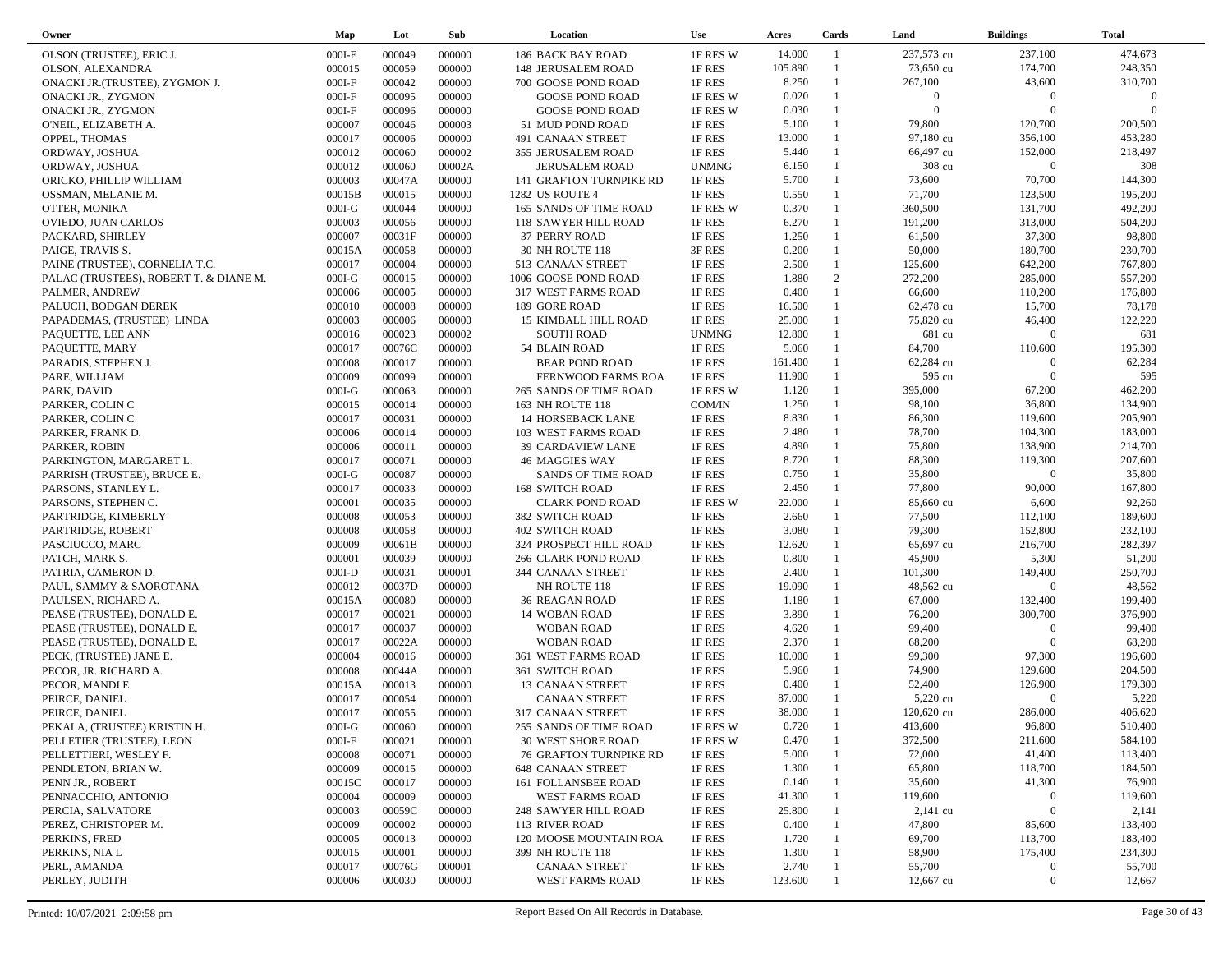| Owner                                  | Map      | Lot    | Sub    | Location                      | <b>Use</b>   | Acres   | Cards          | Land           | <b>Buildings</b> | <b>Total</b> |  |
|----------------------------------------|----------|--------|--------|-------------------------------|--------------|---------|----------------|----------------|------------------|--------------|--|
| OLSON (TRUSTEE), ERIC J.               | $000I-E$ | 000049 | 000000 | <b>186 BACK BAY ROAD</b>      | 1F RES W     | 14.000  | $\overline{1}$ | 237,573 cu     | 237,100          | 474,673      |  |
| OLSON, ALEXANDRA                       | 000015   | 000059 | 000000 | 148 JERUSALEM ROAD            | 1F RES       | 105.890 | $\mathbf{1}$   | 73,650 cu      | 174,700          | 248,350      |  |
| ONACKI JR. (TRUSTEE), ZYGMON J.        | $000I-F$ | 000042 | 000000 | 700 GOOSE POND ROAD           | 1F RES       | 8.250   | $\mathbf{1}$   | 267,100        | 43,600           | 310,700      |  |
| ONACKI JR., ZYGMON                     | $000I-F$ | 000095 | 000000 | <b>GOOSE POND ROAD</b>        | 1F RES W     | 0.020   | $\mathbf{1}$   | $\overline{0}$ | $\overline{0}$   | $\Omega$     |  |
| <b>ONACKI JR., ZYGMON</b>              | $000I-F$ | 000096 | 000000 | <b>GOOSE POND ROAD</b>        | 1F RES W     | 0.030   |                | $\overline{0}$ | $\Omega$         | $\Omega$     |  |
| O'NEIL, ELIZABETH A.                   | 000007   | 000046 | 000003 | 51 MUD POND ROAD              | 1F RES       | 5.100   | $\mathbf{1}$   | 79,800         | 120,700          | 200,500      |  |
| OPPEL, THOMAS                          | 000017   | 000006 | 000000 | 491 CANAAN STREET             | 1F RES       | 13.000  | 1              | 97,180 cu      | 356,100          | 453,280      |  |
| ORDWAY, JOSHUA                         | 000012   | 000060 | 000002 | 355 JERUSALEM ROAD            | 1F RES       | 5.440   | $\mathbf{1}$   | 66,497 cu      | 152,000          | 218,497      |  |
| ORDWAY, JOSHUA                         | 000012   | 000060 | 00002A | <b>JERUSALEM ROAD</b>         | <b>UNMNG</b> | 6.150   | $\mathbf{1}$   | 308 cu         | $\Omega$         | 308          |  |
| ORICKO, PHILLIP WILLIAM                | 000003   | 00047A | 000000 | 141 GRAFTON TURNPIKE RD       | 1F RES       | 5.700   | $\mathbf{1}$   | 73,600         | 70,700           | 144,300      |  |
| OSSMAN, MELANIE M.                     | 00015B   | 000015 | 000000 | 1282 US ROUTE 4               | 1F RES       | 0.550   | $\mathbf{1}$   | 71,700         | 123,500          | 195,200      |  |
| OTTER, MONIKA                          | $000I-G$ | 000044 | 000000 | 165 SANDS OF TIME ROAD        | 1F RES W     | 0.370   | $\mathbf{1}$   | 360,500        | 131,700          | 492,200      |  |
| OVIEDO, JUAN CARLOS                    | 000003   | 000056 | 000000 | 118 SAWYER HILL ROAD          | 1F RES       | 6.270   | $\mathbf{1}$   | 191,200        | 313,000          | 504,200      |  |
| PACKARD, SHIRLEY                       | 000007   | 00031F | 000000 | 37 PERRY ROAD                 | 1F RES       | 1.250   | $\mathbf{1}$   | 61,500         | 37,300           | 98,800       |  |
| PAIGE, TRAVIS S.                       | 00015A   | 000058 | 000000 | 30 NH ROUTE 118               | 3F RES       | 0.200   | $\mathbf{1}$   | 50,000         | 180,700          | 230,700      |  |
| PAINE (TRUSTEE), CORNELIA T.C.         | 000017   | 000004 | 000000 | 513 CANAAN STREET             | 1F RES       | 2.500   | $\mathbf{1}$   | 125,600        | 642,200          | 767,800      |  |
| PALAC (TRUSTEES), ROBERT T. & DIANE M. | $000I-G$ | 000015 | 000000 | 1006 GOOSE POND ROAD          | 1F RES       | 1.880   | 2              | 272,200        | 285,000          | 557,200      |  |
| PALMER, ANDREW                         | 000006   | 000005 | 000000 | 317 WEST FARMS ROAD           | 1F RES       | 0.400   | $\mathbf{1}$   | 66,600         | 110,200          | 176,800      |  |
| PALUCH, BODGAN DEREK                   | 000010   | 000008 | 000000 | 189 GORE ROAD                 | 1F RES       | 16.500  | $\mathbf{1}$   | 62,478 cu      | 15,700           | 78,178       |  |
| PAPADEMAS, (TRUSTEE) LINDA             | 000003   | 000006 | 000000 | 15 KIMBALL HILL ROAD          | 1F RES       | 25.000  | $\mathbf{1}$   | 75,820 cu      | 46,400           | 122,220      |  |
| PAQUETTE, LEE ANN                      | 000016   | 000023 | 000002 | <b>SOUTH ROAD</b>             | <b>UNMNG</b> | 12.800  |                | 681 cu         | $\Omega$         | 681          |  |
| PAQUETTE, MARY                         | 000017   | 00076C | 000000 | 54 BLAIN ROAD                 | 1F RES       | 5.060   | $\mathbf{1}$   | 84,700         | 110,600          | 195,300      |  |
| PARADIS, STEPHEN J.                    | 000008   | 000017 | 000000 | <b>BEAR POND ROAD</b>         | 1F RES       | 161.400 |                | 62,284 cu      | $\overline{0}$   | 62,284       |  |
| PARE, WILLIAM                          | 000009   | 000099 | 000000 | FERNWOOD FARMS ROA            | 1F RES       | 11.900  | $\mathbf{1}$   | 595 cu         | $\overline{0}$   | 595          |  |
| PARK, DAVID                            | $000I-G$ | 000063 | 000000 | 265 SANDS OF TIME ROAD        | 1F RES W     | 1.120   | $\mathbf{1}$   | 395,000        | 67,200           | 462,200      |  |
| PARKER, COLIN C                        | 000015   | 000014 | 000000 | 163 NH ROUTE 118              | COM/IN       | 1.250   | $\mathbf{1}$   | 98,100         | 36,800           | 134,900      |  |
| PARKER, COLIN C                        | 000017   | 000031 | 000000 | <b>14 HORSEBACK LANE</b>      | 1F RES       | 8.830   | $\mathbf{1}$   | 86,300         | 119,600          | 205,900      |  |
| PARKER, FRANK D.                       | 000006   | 000014 | 000000 | 103 WEST FARMS ROAD           | 1F RES       | 2.480   | $\mathbf{1}$   | 78,700         | 104,300          | 183,000      |  |
| PARKER, ROBIN                          | 000006   | 000011 | 000000 | 39 CARDAVIEW LANE             | 1F RES       | 4.890   | $\mathbf{1}$   | 75,800         | 138,900          | 214,700      |  |
| PARKINGTON, MARGARET L.                | 000017   | 000071 | 000000 | <b>46 MAGGIES WAY</b>         | 1F RES       | 8.720   | $\mathbf{1}$   | 88,300         | 119,300          | 207,600      |  |
| PARRISH (TRUSTEE), BRUCE E.            | $000I-G$ | 000087 | 000000 | <b>SANDS OF TIME ROAD</b>     | 1F RES       | 0.750   | $\mathbf{1}$   | 35,800         | $\Omega$         | 35,800       |  |
| PARSONS, STANLEY L.                    | 000017   | 000033 | 000000 | 168 SWITCH ROAD               | 1F RES       | 2.450   | $\mathbf{1}$   | 77,800         | 90,000           | 167,800      |  |
| PARSONS, STEPHEN C.                    | 000001   | 000035 | 000000 | <b>CLARK POND ROAD</b>        | 1F RES W     | 22.000  | $\mathbf{1}$   | 85,660 cu      | 6,600            | 92,260       |  |
| PARTRIDGE, KIMBERLY                    | 000008   | 000053 | 000000 | 382 SWITCH ROAD               | 1F RES       | 2.660   | $\mathbf{1}$   | 77,500         | 112,100          | 189,600      |  |
| PARTRIDGE, ROBERT                      | 000008   | 000058 | 000000 | <b>402 SWITCH ROAD</b>        | 1F RES       | 3.080   | $\mathbf{1}$   | 79,300         | 152,800          | 232,100      |  |
| PASCIUCCO, MARC                        | 000009   | 00061B | 000000 | 324 PROSPECT HILL ROAD        | 1F RES       | 12.620  | $\mathbf{1}$   | 65,697 cu      | 216,700          | 282,397      |  |
| PATCH, MARK S.                         | 000001   | 000039 | 000000 | 266 CLARK POND ROAD           | 1F RES       | 0.800   | $\mathbf{1}$   | 45,900         | 5,300            | 51,200       |  |
| PATRIA, CAMERON D.                     | $000I-D$ | 000031 | 000001 | 344 CANAAN STREET             | 1F RES       | 2.400   | $\mathbf{1}$   | 101,300        | 149,400          | 250,700      |  |
| PAUL, SAMMY & SAOROTANA                | 000012   | 00037D | 000000 | NH ROUTE 118                  | 1F RES       | 19.090  | $\mathbf{1}$   | 48,562 cu      | $\Omega$         | 48,562       |  |
| PAULSEN, RICHARD A.                    | 00015A   | 000080 | 000000 | 36 REAGAN ROAD                | 1F RES       | 1.180   | $\mathbf{1}$   | 67,000         | 132,400          | 199,400      |  |
| PEASE (TRUSTEE), DONALD E.             | 000017   | 000021 | 000000 | 14 WOBAN ROAD                 | 1F RES       | 3.890   | $\mathbf{1}$   | 76,200         | 300,700          | 376,900      |  |
| PEASE (TRUSTEE), DONALD E.             | 000017   | 000037 | 000000 | <b>WOBAN ROAD</b>             | 1F RES       | 4.620   | $\mathbf{1}$   | 99,400         | $\overline{0}$   | 99,400       |  |
| PEASE (TRUSTEE), DONALD E.             | 000017   | 00022A | 000000 | <b>WOBAN ROAD</b>             | 1F RES       | 2.370   | $\mathbf{1}$   | 68,200         | $\Omega$         | 68,200       |  |
| PECK, (TRUSTEE) JANE E.                | 000004   | 000016 | 000000 | 361 WEST FARMS ROAD           | 1F RES       | 10.000  | $\mathbf{1}$   | 99,300         | 97,300           | 196,600      |  |
| PECOR, JR. RICHARD A.                  | 000008   | 00044A | 000000 | 361 SWITCH ROAD               | 1F RES       | 5.960   | $\mathbf{1}$   | 74,900         | 129,600          | 204,500      |  |
| PECOR, MANDI E                         | 00015A   | 000013 | 000000 | 13 CANAAN STREET              | 1F RES       | 0.400   | $\mathbf{1}$   | 52,400         | 126,900          | 179,300      |  |
| PEIRCE, DANIEL                         | 000017   | 000054 | 000000 | <b>CANAAN STREET</b>          | 1F RES       | 87.000  |                | 5,220 cu       | $\Omega$         | 5,220        |  |
| PEIRCE, DANIEL                         | 000017   | 000055 | 000000 | 317 CANAAN STREET             | 1F RES       | 38.000  | $\mathbf{1}$   | 120,620 cu     | 286,000          | 406,620      |  |
| PEKALA, (TRUSTEE) KRISTIN H.           | $000I-G$ | 000060 | 000000 | 255 SANDS OF TIME ROAD        | 1F RES W     | 0.720   | $\mathbf{1}$   | 413,600        | 96,800           | 510,400      |  |
| PELLETIER (TRUSTEE), LEON              | $000I-F$ | 000021 | 000000 | <b>30 WEST SHORE ROAD</b>     | 1F RES W     | 0.470   |                | 372,500        | 211,600          | 584,100      |  |
| PELLETTIERI, WESLEY F.                 | 000008   | 000071 | 000000 | <b>76 GRAFTON TURNPIKE RD</b> | 1F RES       | 5.000   |                | 72,000         | 41,400           | 113,400      |  |
| PENDLETON, BRIAN W.                    | 000009   | 000015 | 000000 | <b>648 CANAAN STREET</b>      | 1F RES       | 1.300   |                | 65,800         | 118,700          | 184,500      |  |
| PENN JR., ROBERT                       | 00015C   | 000017 | 000000 | 161 FOLLANSBEE ROAD           | 1F RES       | 0.140   |                | 35,600         | 41,300           | 76,900       |  |
| PENNACCHIO, ANTONIO                    | 000004   | 000009 | 000000 | <b>WEST FARMS ROAD</b>        | 1F RES       | 41.300  |                | 119,600        | $\mathbf{0}$     | 119,600      |  |
| PERCIA, SALVATORE                      | 000003   | 00059C | 000000 | 248 SAWYER HILL ROAD          | 1F RES       | 25.800  |                | $2,141$ cu     | $\overline{0}$   | 2,141        |  |
| PEREZ, CHRISTOPER M.                   | 000009   | 000002 | 000000 | 113 RIVER ROAD                | 1F RES       | 0.400   |                | 47,800         | 85,600           | 133,400      |  |
| PERKINS, FRED                          | 000005   | 000013 | 000000 | 120 MOOSE MOUNTAIN ROA        | 1F RES       | 1.720   |                | 69,700         | 113,700          | 183,400      |  |
| PERKINS, NIA L                         | 000015   | 000001 | 000000 | 399 NH ROUTE 118              | 1F RES       | 1.300   |                | 58,900         | 175,400          | 234,300      |  |
| PERL, AMANDA                           | 000017   | 00076G | 000001 | <b>CANAAN STREET</b>          | 1F RES       | 2.740   |                | 55,700         | $\overline{0}$   | 55,700       |  |
| PERLEY, JUDITH                         | 000006   | 000030 | 000000 | WEST FARMS ROAD               | 1F RES       | 123.600 |                | 12,667 cu      | $\boldsymbol{0}$ | 12,667       |  |
|                                        |          |        |        |                               |              |         |                |                |                  |              |  |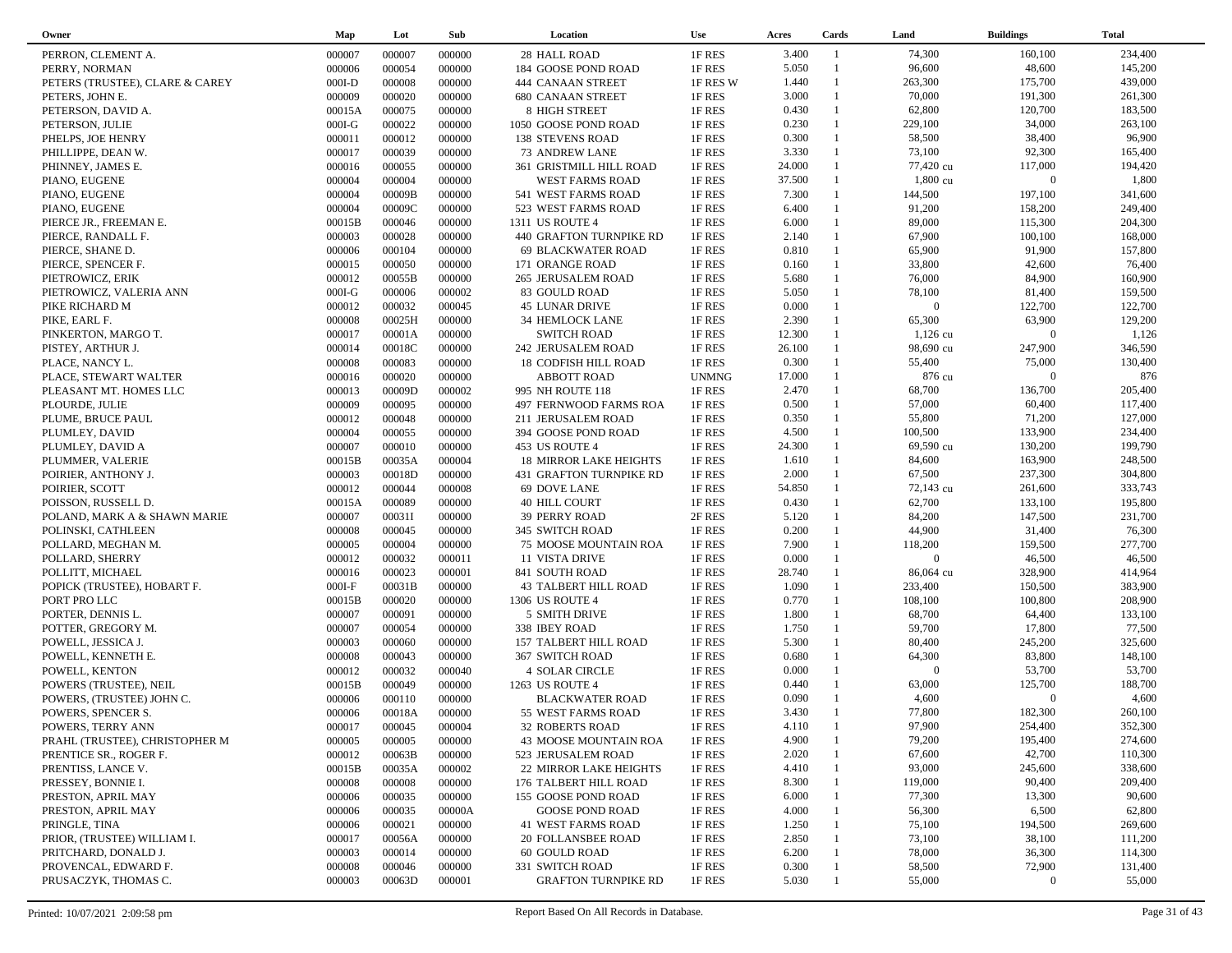| Owner                           | Map      | Lot    | Sub    | Location                       | <b>Use</b>   | Acres  | Cards          | Land           | <b>Buildings</b> | <b>Total</b> |
|---------------------------------|----------|--------|--------|--------------------------------|--------------|--------|----------------|----------------|------------------|--------------|
| PERRON, CLEMENT A.              | 000007   | 000007 | 000000 | 28 HALL ROAD                   | 1F RES       | 3.400  | $\overline{1}$ | 74,300         | 160,100          | 234,400      |
| PERRY, NORMAN                   | 000006   | 000054 | 000000 | 184 GOOSE POND ROAD            | 1F RES       | 5.050  | $\mathbf{1}$   | 96,600         | 48,600           | 145,200      |
| PETERS (TRUSTEE), CLARE & CAREY | $000I-D$ | 000008 | 000000 | 444 CANAAN STREET              | 1F RES W     | 1.440  | -1             | 263,300        | 175,700          | 439,000      |
| PETERS, JOHN E.                 | 000009   | 000020 | 000000 | <b>680 CANAAN STREET</b>       | 1F RES       | 3.000  | $\mathbf{1}$   | 70,000         | 191,300          | 261,300      |
| PETERSON, DAVID A.              | 00015A   | 000075 | 000000 | 8 HIGH STREET                  | 1F RES       | 0.430  | $\mathbf{1}$   | 62,800         | 120,700          | 183,500      |
| PETERSON, JULIE                 | $000I-G$ | 000022 | 000000 | 1050 GOOSE POND ROAD           | 1F RES       | 0.230  | $\mathbf{1}$   | 229,100        | 34,000           | 263,100      |
| PHELPS, JOE HENRY               | 000011   | 000012 | 000000 | <b>138 STEVENS ROAD</b>        | 1F RES       | 0.300  | -1             | 58,500         | 38,400           | 96,900       |
| PHILLIPPE, DEAN W.              | 000017   | 000039 | 000000 | 73 ANDREW LANE                 | 1F RES       | 3.330  | $\mathbf{1}$   | 73,100         | 92,300           | 165,400      |
| PHINNEY, JAMES E.               | 000016   | 000055 | 000000 | 361 GRISTMILL HILL ROAD        | 1F RES       | 24.000 | $\mathbf{1}$   | 77,420 cu      | 117,000          | 194,420      |
| PIANO, EUGENE                   | 000004   | 000004 | 000000 | WEST FARMS ROAD                | 1F RES       | 37.500 | $\mathbf{1}$   | 1,800 cu       | $\overline{0}$   | 1,800        |
| PIANO, EUGENE                   | 000004   | 00009B | 000000 | 541 WEST FARMS ROAD            | 1F RES       | 7.300  | $\mathbf{1}$   | 144,500        | 197,100          | 341,600      |
| PIANO, EUGENE                   | 000004   | 00009C | 000000 | 523 WEST FARMS ROAD            | 1F RES       | 6.400  | $\mathbf{1}$   | 91,200         | 158,200          | 249,400      |
| PIERCE JR., FREEMAN E.          | 00015B   | 000046 | 000000 | 1311 US ROUTE 4                | 1F RES       | 6.000  | $\mathbf{1}$   | 89,000         | 115,300          | 204,300      |
| PIERCE, RANDALL F.              | 000003   | 000028 | 000000 | 440 GRAFTON TURNPIKE RD        | 1F RES       | 2.140  | $\mathbf{1}$   | 67,900         | 100,100          | 168,000      |
| PIERCE, SHANE D.                | 000006   | 000104 | 000000 | <b>69 BLACKWATER ROAD</b>      | 1F RES       | 0.810  | $\mathbf{1}$   | 65,900         | 91,900           | 157,800      |
| PIERCE, SPENCER F.              | 000015   | 000050 | 000000 | 171 ORANGE ROAD                | 1F RES       | 0.160  | $\mathbf{1}$   | 33,800         | 42,600           | 76,400       |
| PIETROWICZ, ERIK                | 000012   | 00055B | 000000 | 265 JERUSALEM ROAD             | 1F RES       | 5.680  | $\mathbf{1}$   | 76,000         | 84,900           | 160,900      |
| PIETROWICZ, VALERIA ANN         | $000I-G$ | 000006 | 000002 | 83 GOULD ROAD                  | 1F RES       | 5.050  | $\mathbf{1}$   | 78,100         | 81,400           | 159,500      |
| PIKE RICHARD M                  | 000012   | 000032 | 000045 | 45 LUNAR DRIVE                 | 1F RES       | 0.000  | $\mathbf{1}$   | $\overline{0}$ | 122,700          | 122,700      |
| PIKE, EARL F.                   | 000008   | 00025H | 000000 | 34 HEMLOCK LANE                | 1F RES       | 2.390  | $\mathbf{1}$   | 65,300         | 63,900           | 129,200      |
| PINKERTON, MARGO T.             | 000017   | 00001A | 000000 | <b>SWITCH ROAD</b>             | 1F RES       | 12.300 | $\mathbf{1}$   | $1,126$ cu     | $\Omega$         | 1,126        |
| PISTEY, ARTHUR J.               | 000014   | 00018C | 000000 | 242 JERUSALEM ROAD             | 1F RES       | 26.100 |                | 98,690 cu      | 247,900          | 346,590      |
| PLACE, NANCY L.                 | 000008   | 000083 | 000000 | 18 CODFISH HILL ROAD           | 1F RES       | 0.300  | $\mathbf{1}$   | 55,400         | 75,000           | 130,400      |
| PLACE, STEWART WALTER           | 000016   | 000020 | 000000 | <b>ABBOTT ROAD</b>             | <b>UNMNG</b> | 17.000 | $\mathbf{1}$   | 876 cu         | $\overline{0}$   | 876          |
| PLEASANT MT. HOMES LLC          | 000013   | 00009D | 000002 | 995 NH ROUTE 118               | 1F RES       | 2.470  | $\mathbf{1}$   | 68,700         | 136,700          | 205,400      |
| PLOURDE, JULIE                  | 000009   | 000095 | 000000 | 497 FERNWOOD FARMS ROA         | 1F RES       | 0.500  | $\mathbf{1}$   | 57,000         | 60,400           | 117,400      |
| PLUME, BRUCE PAUL               | 000012   | 000048 | 000000 | 211 JERUSALEM ROAD             | 1F RES       | 0.350  | $\mathbf{1}$   | 55,800         | 71,200           | 127,000      |
| PLUMLEY, DAVID                  | 000004   | 000055 | 000000 | 394 GOOSE POND ROAD            | 1F RES       | 4.500  | $\mathbf{1}$   | 100,500        | 133,900          | 234,400      |
| PLUMLEY, DAVID A                | 000007   | 000010 | 000000 | 453 US ROUTE 4                 | 1F RES       | 24.300 |                | 69,590 cu      | 130,200          | 199,790      |
| PLUMMER, VALERIE                | 00015B   | 00035A | 000004 | <b>18 MIRROR LAKE HEIGHTS</b>  | 1F RES       | 1.610  | $\mathbf{1}$   | 84,600         | 163,900          | 248,500      |
| POIRIER, ANTHONY J.             | 000003   | 00018D | 000000 | <b>431 GRAFTON TURNPIKE RD</b> | 1F RES       | 2.000  | $\mathbf{1}$   | 67,500         | 237,300          | 304,800      |
| POIRIER, SCOTT                  | 000012   | 000044 | 000008 | 69 DOVE LANE                   | 1F RES       | 54.850 | $\mathbf{1}$   | 72,143 cu      | 261,600          | 333,743      |
| POISSON, RUSSELL D.             | 00015A   | 000089 | 000000 | <b>40 HILL COURT</b>           | 1F RES       | 0.430  | $\mathbf{1}$   | 62,700         | 133,100          | 195,800      |
| POLAND, MARK A & SHAWN MARIE    | 000007   | 00031I | 000000 | <b>39 PERRY ROAD</b>           | 2F RES       | 5.120  | $\mathbf{1}$   | 84,200         | 147,500          | 231,700      |
| POLINSKI, CATHLEEN              | 000008   | 000045 | 000000 | 345 SWITCH ROAD                | 1F RES       | 0.200  | -1             | 44,900         | 31,400           | 76,300       |
| POLLARD, MEGHAN M.              | 000005   | 000004 | 000000 | 75 MOOSE MOUNTAIN ROA          | 1F RES       | 7.900  | $\mathbf{1}$   | 118,200        | 159,500          | 277,700      |
| POLLARD, SHERRY                 | 000012   | 000032 | 000011 | 11 VISTA DRIVE                 | 1F RES       | 0.000  | $\mathbf{1}$   | $\overline{0}$ | 46,500           | 46,500       |
| POLLITT, MICHAEL                | 000016   | 000023 | 000001 | 841 SOUTH ROAD                 | 1F RES       | 28.740 | $\mathbf{1}$   | 86,064 cu      | 328,900          | 414,964      |
| POPICK (TRUSTEE), HOBART F.     | $000I-F$ | 00031B | 000000 | <b>43 TALBERT HILL ROAD</b>    | 1F RES       | 1.090  | -1             | 233,400        | 150,500          | 383,900      |
| PORT PRO LLC                    | 00015B   | 000020 | 000000 | 1306 US ROUTE 4                | 1F RES       | 0.770  | $\mathbf{1}$   | 108,100        | 100,800          | 208,900      |
| PORTER, DENNIS L.               | 000007   | 000091 | 000000 | 5 SMITH DRIVE                  | 1F RES       | 1.800  | $\mathbf{1}$   | 68,700         | 64,400           | 133,100      |
| POTTER, GREGORY M.              | 000007   | 000054 | 000000 | 338 IBEY ROAD                  | 1F RES       | 1.750  | $\mathbf{1}$   | 59,700         | 17,800           | 77,500       |
| POWELL, JESSICA J.              | 000003   | 000060 | 000000 | <b>157 TALBERT HILL ROAD</b>   | 1F RES       | 5.300  | $\mathbf{1}$   | 80,400         | 245,200          | 325,600      |
| POWELL, KENNETH E.              | 000008   | 000043 | 000000 | <b>367 SWITCH ROAD</b>         | 1F RES       | 0.680  | $\mathbf{1}$   | 64,300         | 83,800           | 148,100      |
| POWELL, KENTON                  | 000012   | 000032 | 000040 | <b>4 SOLAR CIRCLE</b>          | 1F RES       | 0.000  |                | $\overline{0}$ | 53,700           | 53,700       |
| POWERS (TRUSTEE), NEIL          | 00015B   | 000049 | 000000 | 1263 US ROUTE 4                | 1F RES       | 0.440  | $\mathbf{1}$   | 63,000         | 125,700          | 188,700      |
| POWERS, (TRUSTEE) JOHN C.       | 000006   | 000110 | 000000 | <b>BLACKWATER ROAD</b>         | 1F RES       | 0.090  |                | 4,600          | $\overline{0}$   | 4,600        |
| POWERS, SPENCER S.              | 000006   | 00018A | 000000 | 55 WEST FARMS ROAD             | 1F RES       | 3.430  | $\overline{1}$ | 77,800         | 182,300          | 260,100      |
| POWERS, TERRY ANN               | 000017   | 000045 | 000004 | 32 ROBERTS ROAD                | 1F RES       | 4.110  |                | 97,900         | 254,400          | 352,300      |
| PRAHL (TRUSTEE), CHRISTOPHER M  | 000005   | 000005 | 000000 | <b>43 MOOSE MOUNTAIN ROA</b>   | 1F RES       | 4.900  |                | 79,200         | 195,400          | 274,600      |
| PRENTICE SR., ROGER F.          | 000012   | 00063B | 000000 | 523 JERUSALEM ROAD             | 1F RES       | 2.020  |                | 67,600         | 42,700           | 110,300      |
| PRENTISS, LANCE V.              | 00015B   | 00035A | 000002 | 22 MIRROR LAKE HEIGHTS         | 1F RES       | 4.410  |                | 93,000         | 245,600          | 338,600      |
| PRESSEY, BONNIE I.              | 000008   | 000008 | 000000 | 176 TALBERT HILL ROAD          | 1F RES       | 8.300  |                | 119,000        | 90,400           | 209,400      |
| PRESTON, APRIL MAY              | 000006   | 000035 | 000000 | 155 GOOSE POND ROAD            | 1F RES       | 6.000  |                | 77,300         | 13,300           | 90,600       |
| PRESTON, APRIL MAY              | 000006   | 000035 | 00000A | GOOSE POND ROAD                | 1F RES       | 4.000  |                | 56,300         | 6,500            | 62,800       |
|                                 |          |        |        | <b>41 WEST FARMS ROAD</b>      |              |        |                |                | 194,500          | 269,600      |
| PRINGLE, TINA                   | 000006   | 000021 | 000000 |                                | 1F RES       | 1.250  |                | 75,100         |                  | 111,200      |
| PRIOR, (TRUSTEE) WILLIAM I.     | 000017   | 00056A | 000000 | <b>20 FOLLANSBEE ROAD</b>      | 1F RES       | 2.850  |                | 73,100         | 38,100<br>36,300 | 114,300      |
| PRITCHARD, DONALD J.            | 000003   | 000014 | 000000 | 60 GOULD ROAD                  | 1F RES       | 6.200  |                | 78,000         |                  |              |
| PROVENCAL, EDWARD F.            | 000008   | 000046 | 000000 | 331 SWITCH ROAD                | 1F RES       | 0.300  |                | 58,500         | 72,900           | 131,400      |
| PRUSACZYK, THOMAS C.            | 000003   | 00063D | 000001 | <b>GRAFTON TURNPIKE RD</b>     | 1F RES       | 5.030  |                | 55,000         | $\mathbf{0}$     | 55,000       |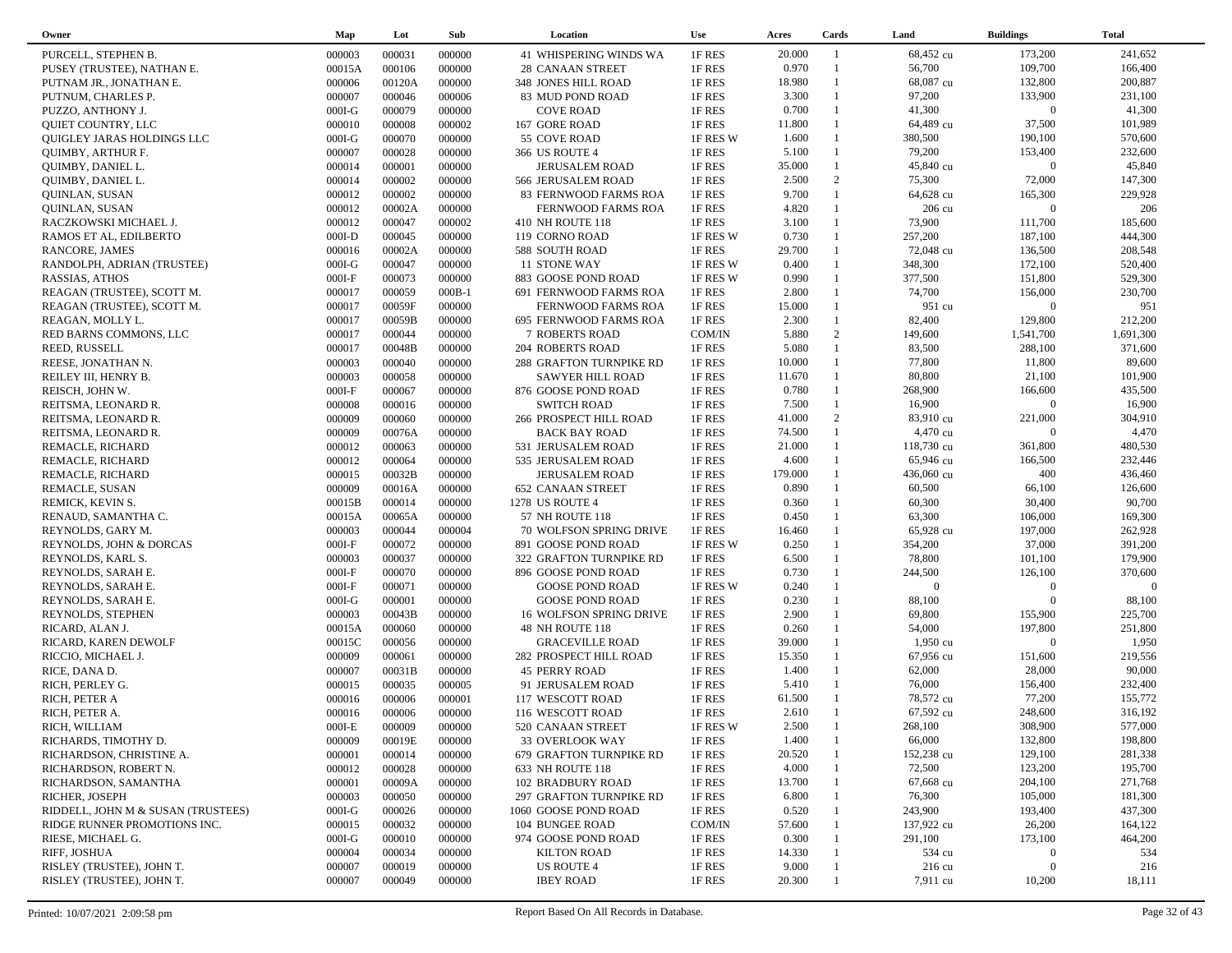| Owner                              | Map              | Lot    | Sub      | Location                                    | <b>Use</b>       | Acres   | Cards        | Land             | <b>Buildings</b> | <b>Total</b> |
|------------------------------------|------------------|--------|----------|---------------------------------------------|------------------|---------|--------------|------------------|------------------|--------------|
| PURCELL, STEPHEN B.                | 000003           | 000031 | 000000   | <b>41 WHISPERING WINDS WA</b>               | 1F RES           | 20.000  | -1           | 68,452 cu        | 173,200          | 241,652      |
| PUSEY (TRUSTEE), NATHAN E.         | 00015A           | 000106 | 000000   | 28 CANAAN STREET                            | 1F RES           | 0.970   | $\mathbf{1}$ | 56,700           | 109,700          | 166,400      |
| PUTNAM JR., JONATHAN E.            | 000006           | 00120A | 000000   | 348 JONES HILL ROAD                         | 1F RES           | 18.980  | $\mathbf{1}$ | 68,087 cu        | 132,800          | 200,887      |
| PUTNUM, CHARLES P.                 | 000007           | 000046 | 000006   | 83 MUD POND ROAD                            | 1F RES           | 3.300   |              | 97,200           | 133,900          | 231,100      |
| PUZZO, ANTHONY J.                  | $000I-G$         | 000079 | 000000   | <b>COVE ROAD</b>                            | 1F RES           | 0.700   | $\mathbf{1}$ | 41,300           | $\boldsymbol{0}$ | 41,300       |
| QUIET COUNTRY, LLC                 | 000010           | 000008 | 000002   | 167 GORE ROAD                               | 1F RES           | 11.800  | $\mathbf{1}$ | 64,489 cu        | 37,500           | 101,989      |
| QUIGLEY JARAS HOLDINGS LLC         | $000I-G$         | 000070 | 000000   | 55 COVE ROAD                                | 1F RES W         | 1.600   | $\mathbf{1}$ | 380,500          | 190,100          | 570,600      |
| <b>QUIMBY, ARTHUR F.</b>           | 000007           | 000028 | 000000   | 366 US ROUTE 4                              | 1F RES           | 5.100   | $\mathbf{1}$ | 79,200           | 153,400          | 232,600      |
| QUIMBY, DANIEL L.                  | 000014           | 000001 | 000000   | <b>JERUSALEM ROAD</b>                       | 1F RES           | 35.000  | $\mathbf{1}$ | 45,840 cu        | $\boldsymbol{0}$ | 45,840       |
| QUIMBY, DANIEL L.                  | 000014           | 000002 | 000000   | 566 JERUSALEM ROAD                          | 1F RES           | 2.500   | 2            | 75,300           | 72,000           | 147,300      |
|                                    | 000012           | 000002 | 000000   |                                             | 1F RES           | 9.700   | $\mathbf{1}$ | 64,628 cu        | 165,300          | 229,928      |
| QUINLAN, SUSAN                     |                  | 00002A | 000000   | 83 FERNWOOD FARMS ROA<br>FERNWOOD FARMS ROA |                  | 4.820   | $\mathbf{1}$ | 206 cu           | $\overline{0}$   | 206          |
| QUINLAN, SUSAN                     | 000012<br>000012 | 000047 | 000002   | 410 NH ROUTE 118                            | 1F RES<br>1F RES | 3.100   | $\mathbf{1}$ | 73,900           | 111,700          | 185,600      |
| RACZKOWSKI MICHAEL J.              |                  | 000045 |          |                                             |                  | 0.730   | $\mathbf{1}$ | 257,200          | 187,100          | 444,300      |
| RAMOS ET AL, EDILBERTO             | $000I-D$         |        | 000000   | 119 CORNO ROAD                              | 1F RES W         |         | $\mathbf{1}$ |                  |                  |              |
| RANCORE, JAMES                     | 000016           | 00002A | 000000   | 588 SOUTH ROAD                              | 1F RES           | 29.700  | $\mathbf{1}$ | 72,048 cu        | 136,500          | 208,548      |
| RANDOLPH, ADRIAN (TRUSTEE)         | $000I-G$         | 000047 | 000000   | 11 STONE WAY                                | 1F RES W         | 0.400   | $\mathbf{1}$ | 348,300          | 172,100          | 520,400      |
| RASSIAS, ATHOS                     | $000I-F$         | 000073 | 000000   | 883 GOOSE POND ROAD                         | 1F RES W         | 0.990   | $\mathbf{1}$ | 377,500          | 151,800          | 529,300      |
| REAGAN (TRUSTEE), SCOTT M.         | 000017           | 000059 | $000B-1$ | 691 FERNWOOD FARMS ROA                      | 1F RES           | 2.800   |              | 74,700           | 156,000          | 230,700      |
| REAGAN (TRUSTEE), SCOTT M.         | 000017           | 00059F | 000000   | FERNWOOD FARMS ROA                          | 1F RES           | 15.000  | $\mathbf{1}$ | 951 cu           | $\Omega$         | 951          |
| REAGAN, MOLLY L.                   | 000017           | 00059B | 000000   | 695 FERNWOOD FARMS ROA                      | 1F RES           | 2.300   | $\mathbf{1}$ | 82,400           | 129,800          | 212,200      |
| RED BARNS COMMONS, LLC             | 000017           | 000044 | 000000   | <b>7 ROBERTS ROAD</b>                       | COM/IN           | 5.880   | 2            | 149,600          | 1,541,700        | 1,691,300    |
| REED, RUSSELL                      | 000017           | 00048B | 000000   | 204 ROBERTS ROAD                            | 1F RES           | 5.080   | $\mathbf{1}$ | 83,500           | 288,100          | 371,600      |
| REESE, JONATHAN N.                 | 000003           | 000040 | 000000   | 288 GRAFTON TURNPIKE RD                     | 1F RES           | 10.000  | $\mathbf{1}$ | 77,800           | 11,800           | 89,600       |
| REILEY III, HENRY B.               | 000003           | 000058 | 000000   | <b>SAWYER HILL ROAD</b>                     | 1F RES           | 11.670  | $\mathbf{1}$ | 80,800           | 21,100           | 101,900      |
| REISCH, JOHN W.                    | $000I-F$         | 000067 | 000000   | 876 GOOSE POND ROAD                         | 1F RES           | 0.780   | $\mathbf{1}$ | 268,900          | 166,600          | 435,500      |
| REITSMA, LEONARD R.                | 000008           | 000016 | 000000   | <b>SWITCH ROAD</b>                          | 1F RES           | 7.500   | $\mathbf{1}$ | 16,900           | $\overline{0}$   | 16,900       |
| REITSMA, LEONARD R.                | 000009           | 000060 | 000000   | 266 PROSPECT HILL ROAD                      | 1F RES           | 41.000  | 2            | 83,910 cu        | 221,000          | 304,910      |
| REITSMA, LEONARD R.                | 000009           | 00076A | 000000   | <b>BACK BAY ROAD</b>                        | 1F RES           | 74.500  | $\mathbf{1}$ | 4,470 cu         | $\Omega$         | 4,470        |
| REMACLE, RICHARD                   | 000012           | 000063 | 000000   | 531 JERUSALEM ROAD                          | 1F RES           | 21.000  |              | 118,730 cu       | 361,800          | 480,530      |
| REMACLE, RICHARD                   | 000012           | 000064 | 000000   | 535 JERUSALEM ROAD                          | 1F RES           | 4.600   | $\mathbf{1}$ | 65,946 cu        | 166,500          | 232,446      |
| REMACLE, RICHARD                   | 000015           | 00032B | 000000   | <b>JERUSALEM ROAD</b>                       | 1F RES           | 179.000 |              | 436,060 cu       | 400              | 436,460      |
| REMACLE, SUSAN                     | 000009           | 00016A | 000000   | <b>652 CANAAN STREET</b>                    | 1F RES           | 0.890   | 1            | 60,500           | 66,100           | 126,600      |
| REMICK, KEVIN S.                   | 00015B           | 000014 | 000000   | 1278 US ROUTE 4                             | 1F RES           | 0.360   | $\mathbf{1}$ | 60,300           | 30,400           | 90,700       |
| RENAUD, SAMANTHA C.                | 00015A           | 00065A | 000000   | 57 NH ROUTE 118                             | 1F RES           | 0.450   | $\mathbf{1}$ | 63,300           | 106,000          | 169,300      |
| REYNOLDS, GARY M.                  | 000003           | 000044 | 000004   | 70 WOLFSON SPRING DRIVE                     | 1F RES           | 16.460  | $\mathbf{1}$ | 65,928 cu        | 197,000          | 262,928      |
| REYNOLDS, JOHN & DORCAS            | $000I-F$         | 000072 | 000000   | 891 GOOSE POND ROAD                         | 1F RES W         | 0.250   | $\mathbf{1}$ | 354,200          | 37,000           | 391,200      |
| REYNOLDS, KARL S.                  | 000003           | 000037 | 000000   | 322 GRAFTON TURNPIKE RD                     | 1F RES           | 6.500   | $\mathbf{1}$ | 78,800           | 101,100          | 179,900      |
| REYNOLDS, SARAH E.                 | $000I-F$         | 000070 | 000000   | 896 GOOSE POND ROAD                         | 1F RES           | 0.730   |              | 244,500          | 126,100          | 370,600      |
| REYNOLDS, SARAH E.                 | $000I-F$         | 000071 | 000000   | <b>GOOSE POND ROAD</b>                      | 1F RES W         | 0.240   | $\mathbf{1}$ | $\overline{0}$   | $\boldsymbol{0}$ | $\Omega$     |
| REYNOLDS, SARAH E.                 | $000I-G$         | 000001 | 000000   | <b>GOOSE POND ROAD</b>                      | 1F RES           | 0.230   | $\mathbf{1}$ | 88,100           | $\mathbf{0}$     | 88,100       |
| REYNOLDS, STEPHEN                  | 000003           | 00043B | 000000   | 16 WOLFSON SPRING DRIVE                     | 1F RES           | 2.900   | $\mathbf{1}$ | 69,800           | 155,900          | 225,700      |
| RICARD, ALAN J.                    | 00015A           | 000060 | 000000   | 48 NH ROUTE 118                             | 1F RES           | 0.260   | $\mathbf{1}$ | 54,000           | 197,800          | 251,800      |
| RICARD, KAREN DEWOLF               | 00015C           | 000056 | 000000   | <b>GRACEVILLE ROAD</b>                      | 1F RES           | 39.000  | 1            | 1,950 cu         | $\mathbf{0}$     | 1,950        |
| RICCIO, MICHAEL J.                 | 000009           | 000061 | 000000   | 282 PROSPECT HILL ROAD                      | 1F RES           | 15.350  | $\mathbf{1}$ | 67,956 cu        | 151,600          | 219,556      |
| RICE, DANA D.                      | 000007           | 00031B | 000000   | <b>45 PERRY ROAD</b>                        | 1F RES           | 1.400   | 1            | 62,000           | 28,000           | 90,000       |
| RICH, PERLEY G.                    | 000015           | 000035 | 000005   | 91 JERUSALEM ROAD                           | 1F RES           | 5.410   | $\mathbf{1}$ | 76,000           | 156,400          | 232,400      |
| RICH, PETER A                      | 000016           | 000006 | 000001   | 117 WESCOTT ROAD                            | 1F RES           | 61.500  |              | 78,572 cu        | 77,200           | 155,772      |
| RICH, PETER A.                     | 000016           | 000006 | 000000   | 116 WESCOTT ROAD                            | 1F RES           | 2.610   | $\mathbf{1}$ | 67,592 cu        | 248,600          | 316,192      |
| RICH, WILLIAM                      | $000I-E$         | 000009 | 000000   | 520 CANAAN STREET                           | 1F RES W         | 2.500   |              | 268,100          | 308,900          | 577,000      |
| RICHARDS, TIMOTHY D.               | 000009           | 00019E | 000000   | 33 OVERLOOK WAY                             | 1F RES           | 1.400   |              | 66,000           | 132,800          | 198,800      |
| RICHARDSON, CHRISTINE A.           | 000001           | 000014 | 000000   | 679 GRAFTON TURNPIKE RD                     | 1F RES           | 20.520  |              | 152,238 cu       | 129,100          | 281,338      |
| RICHARDSON, ROBERT N.              | 000012           | 000028 | 000000   | 633 NH ROUTE 118                            | 1F RES           | 4.000   |              | 72,500           | 123,200          | 195,700      |
| RICHARDSON, SAMANTHA               | 000001           | 00009A | 000000   | 102 BRADBURY ROAD                           | 1F RES           | 13.700  |              | 67,668 cu        | 204,100          | 271,768      |
| RICHER, JOSEPH                     | 000003           | 000050 | 000000   | 297 GRAFTON TURNPIKE RD                     | 1F RES           | 6.800   |              | 76,300           | 105,000          | 181,300      |
|                                    | $000I-G$         | 000026 | 000000   | 1060 GOOSE POND ROAD                        | 1F RES           | 0.520   |              | 243,900          | 193,400          | 437,300      |
| RIDDELL, JOHN M & SUSAN (TRUSTEES) |                  |        |          |                                             |                  | 57.600  |              | 137,922 cu       | 26,200           | 164,122      |
| RIDGE RUNNER PROMOTIONS INC.       | 000015           | 000032 | 000000   | 104 BUNGEE ROAD                             | COM/IN           |         |              |                  |                  |              |
| RIESE, MICHAEL G.                  | $000I-G$         | 000010 | 000000   | 974 GOOSE POND ROAD                         | 1F RES           | 0.300   |              | 291,100          | 173,100          | 464,200      |
| RIFF, JOSHUA                       | 000004           | 000034 | 000000   | <b>KILTON ROAD</b>                          | 1F RES           | 14.330  |              | 534 cu           | $\mathbf{0}$     | 534          |
| RISLEY (TRUSTEE), JOHN T.          | 000007           | 000019 | 000000   | <b>US ROUTE 4</b>                           | 1F RES           | 9.000   |              | $216 \text{ cu}$ | $\overline{0}$   | 216          |
| RISLEY (TRUSTEE), JOHN T.          | 000007           | 000049 | 000000   | <b>IBEY ROAD</b>                            | 1F RES           | 20.300  |              | 7,911 cu         | 10,200           | 18,111       |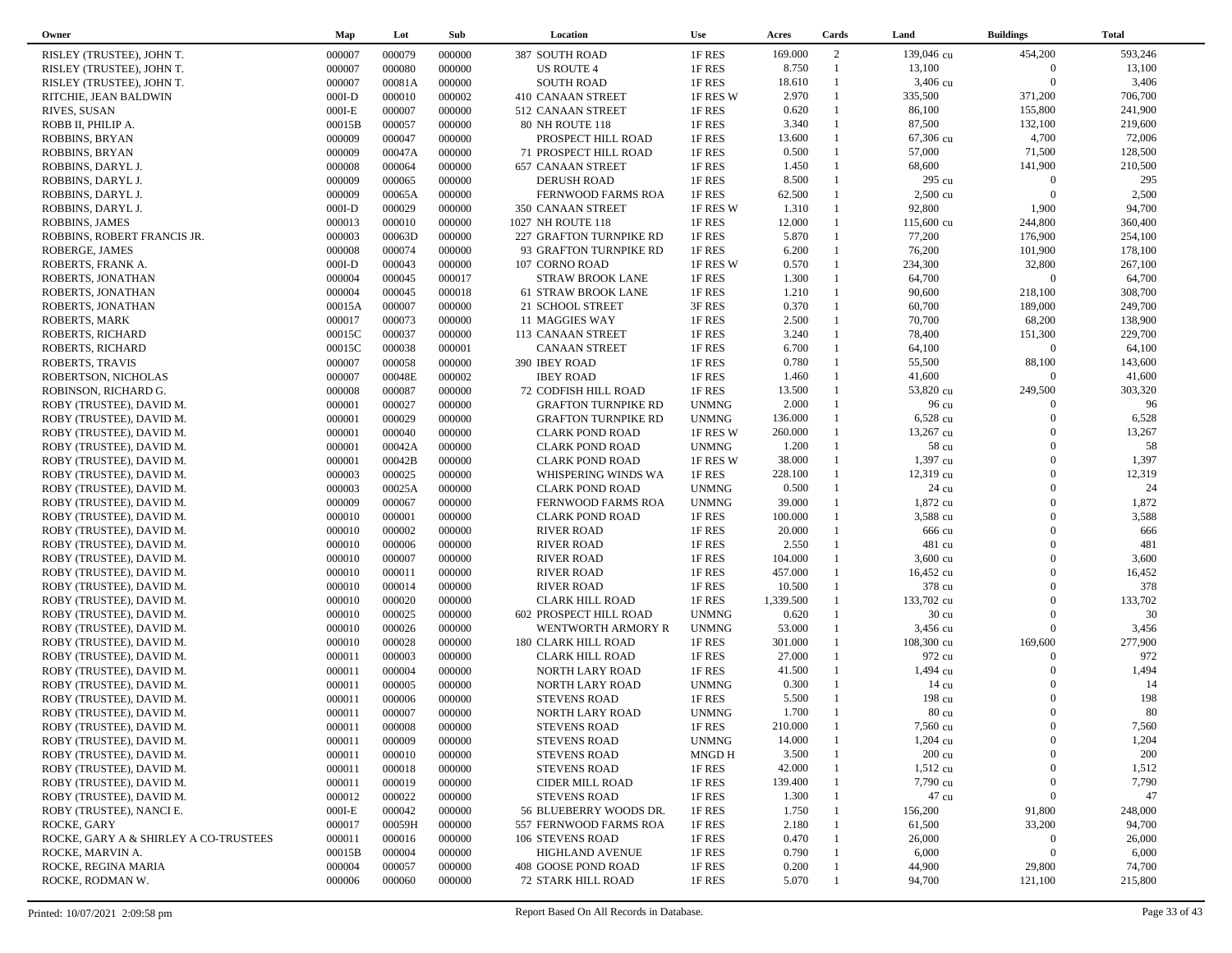| Owner                                         | Map      | Lot    | Sub    | Location                                          | Use          | Acres     | Cards        | Land            | <b>Buildings</b> | <b>Total</b> |
|-----------------------------------------------|----------|--------|--------|---------------------------------------------------|--------------|-----------|--------------|-----------------|------------------|--------------|
| RISLEY (TRUSTEE), JOHN T.                     | 000007   | 000079 | 000000 | 387 SOUTH ROAD                                    | 1F RES       | 169.000   | 2            | 139,046 cu      | 454,200          | 593,246      |
| RISLEY (TRUSTEE), JOHN T.                     | 000007   | 000080 | 000000 | US ROUTE 4                                        | 1F RES       | 8.750     | $\mathbf{1}$ | 13,100          | $\overline{0}$   | 13,100       |
| RISLEY (TRUSTEE), JOHN T.                     | 000007   | 00081A | 000000 | <b>SOUTH ROAD</b>                                 | 1F RES       | 18.610    | $\mathbf{1}$ | 3,406 cu        | $\Omega$         | 3,406        |
| RITCHIE, JEAN BALDWIN                         | $000I-D$ | 000010 | 000002 | 410 CANAAN STREET                                 | 1F RES W     | 2.970     | $\mathbf{1}$ | 335,500         | 371,200          | 706,700      |
| RIVES, SUSAN                                  | $000I-E$ | 000007 | 000000 | 512 CANAAN STREET                                 | 1F RES       | 0.620     | $\mathbf{1}$ | 86,100          | 155,800          | 241,900      |
| ROBB II, PHILIP A.                            | 00015B   | 000057 | 000000 | 80 NH ROUTE 118                                   | 1F RES       | 3.340     | $\mathbf{1}$ | 87,500          | 132,100          | 219,600      |
| ROBBINS, BRYAN                                | 000009   | 000047 | 000000 | PROSPECT HILL ROAD                                | 1F RES       | 13.600    | $\mathbf{1}$ | 67,306 cu       | 4,700            | 72,006       |
| ROBBINS, BRYAN                                | 000009   | 00047A | 000000 | 71 PROSPECT HILL ROAD                             | 1F RES       | 0.500     | $\mathbf{1}$ | 57,000          | 71,500           | 128,500      |
| ROBBINS, DARYL J.                             | 000008   | 000064 | 000000 | <b>657 CANAAN STREET</b>                          | 1F RES       | 1.450     | $\mathbf{1}$ | 68,600          | 141,900          | 210,500      |
| ROBBINS, DARYL J.                             | 000009   | 000065 | 000000 | <b>DERUSH ROAD</b>                                | 1F RES       | 8.500     |              | 295 cu          | $\overline{0}$   | 295          |
| ROBBINS, DARYL J.                             | 000009   | 00065A | 000000 | FERNWOOD FARMS ROA                                | 1F RES       | 62.500    | $\mathbf{1}$ | 2,500 cu        | $\Omega$         | 2,500        |
| ROBBINS, DARYL J.                             | $000I-D$ | 000029 | 000000 | 350 CANAAN STREET                                 | 1F RES W     | 1.310     |              | 92,800          | 1,900            | 94,700       |
| ROBBINS, JAMES                                | 000013   | 000010 | 000000 | 1027 NH ROUTE 118                                 | 1F RES       | 12.000    | $\mathbf{1}$ | 115,600 cu      | 244,800          | 360,400      |
|                                               | 000003   | 00063D | 000000 |                                                   | 1F RES       | 5.870     | $\mathbf{1}$ | 77,200          | 176,900          | 254,100      |
| ROBBINS, ROBERT FRANCIS JR.<br>ROBERGE, JAMES | 000008   | 000074 | 000000 | 227 GRAFTON TURNPIKE RD<br>93 GRAFTON TURNPIKE RD | 1F RES       | 6.200     | $\mathbf{1}$ | 76,200          | 101,900          | 178,100      |
|                                               |          | 000043 |        |                                                   |              | 0.570     | $\mathbf{1}$ | 234,300         | 32,800           | 267,100      |
| ROBERTS, FRANK A.                             | $000I-D$ | 000045 | 000000 | 107 CORNO ROAD                                    | 1F RES W     | 1.300     | $\mathbf{1}$ | 64,700          | $\Omega$         | 64,700       |
| ROBERTS, JONATHAN                             | 000004   |        | 000017 | <b>STRAW BROOK LANE</b>                           | 1F RES       |           | $\mathbf{1}$ |                 |                  |              |
| ROBERTS, JONATHAN                             | 000004   | 000045 | 000018 | 61 STRAW BROOK LANE                               | 1F RES       | 1.210     | $\mathbf{1}$ | 90,600          | 218,100          | 308,700      |
| ROBERTS, JONATHAN                             | 00015A   | 000007 | 000000 | 21 SCHOOL STREET                                  | 3F RES       | 0.370     | $\mathbf{1}$ | 60,700          | 189,000          | 249,700      |
| ROBERTS, MARK                                 | 000017   | 000073 | 000000 | 11 MAGGIES WAY                                    | 1F RES       | 2.500     |              | 70,700          | 68,200           | 138,900      |
| ROBERTS, RICHARD                              | 00015C   | 000037 | 000000 | 113 CANAAN STREET                                 | 1F RES       | 3.240     | 1            | 78,400          | 151,300          | 229,700      |
| ROBERTS, RICHARD                              | 00015C   | 000038 | 000001 | <b>CANAAN STREET</b>                              | 1F RES       | 6.700     | $\mathbf{1}$ | 64,100          | $\overline{0}$   | 64,100       |
| ROBERTS, TRAVIS                               | 000007   | 000058 | 000000 | 390 IBEY ROAD                                     | 1F RES       | 0.780     | $\mathbf{1}$ | 55,500          | 88,100           | 143,600      |
| ROBERTSON, NICHOLAS                           | 000007   | 00048E | 000002 | <b>IBEY ROAD</b>                                  | 1F RES       | 1.460     | $\mathbf{1}$ | 41,600          | $\overline{0}$   | 41,600       |
| ROBINSON, RICHARD G.                          | 000008   | 000087 | 000000 | 72 CODFISH HILL ROAD                              | 1F RES       | 13.500    |              | 53,820 cu       | 249,500          | 303,320      |
| ROBY (TRUSTEE), DAVID M.                      | 000001   | 000027 | 000000 | <b>GRAFTON TURNPIKE RD</b>                        | <b>UNMNG</b> | 2.000     |              | 96 cu           | $\Omega$         | 96           |
| ROBY (TRUSTEE), DAVID M.                      | 000001   | 000029 | 000000 | <b>GRAFTON TURNPIKE RD</b>                        | <b>UNMNG</b> | 136.000   |              | 6,528 cu        | $\Omega$         | 6,528        |
| ROBY (TRUSTEE), DAVID M.                      | 000001   | 000040 | 000000 | <b>CLARK POND ROAD</b>                            | 1F RES W     | 260.000   |              | 13,267 cu       | $\Omega$         | 13,267       |
| ROBY (TRUSTEE), DAVID M.                      | 000001   | 00042A | 000000 | <b>CLARK POND ROAD</b>                            | <b>UNMNG</b> | 1.200     |              | 58 cu           | $\Omega$         | 58           |
| ROBY (TRUSTEE), DAVID M.                      | 000001   | 00042B | 000000 | <b>CLARK POND ROAD</b>                            | 1F RES W     | 38.000    |              | 1,397 cu        | $\Omega$         | 1,397        |
| ROBY (TRUSTEE), DAVID M.                      | 000003   | 000025 | 000000 | WHISPERING WINDS WA                               | 1F RES       | 228.100   |              | 12,319 cu       | $\Omega$         | 12,319       |
| ROBY (TRUSTEE), DAVID M.                      | 000003   | 00025A | 000000 | <b>CLARK POND ROAD</b>                            | <b>UNMNG</b> | 0.500     |              | 24 cu           | $\Omega$         | 24           |
| ROBY (TRUSTEE), DAVID M.                      | 000009   | 000067 | 000000 | FERNWOOD FARMS ROA                                | <b>UNMNG</b> | 39.000    |              | 1,872 cu        | $\Omega$         | 1,872        |
| ROBY (TRUSTEE), DAVID M.                      | 000010   | 000001 | 000000 | <b>CLARK POND ROAD</b>                            | 1F RES       | 100.000   |              | 3,588 cu        | $\Omega$         | 3,588        |
| ROBY (TRUSTEE), DAVID M.                      | 000010   | 000002 | 000000 | <b>RIVER ROAD</b>                                 | 1F RES       | 20.000    |              | 666 cu          | $\Omega$         | 666          |
| ROBY (TRUSTEE), DAVID M.                      | 000010   | 000006 | 000000 | <b>RIVER ROAD</b>                                 | 1F RES       | 2.550     |              | 481 cu          | $\Omega$         | 481          |
| ROBY (TRUSTEE), DAVID M.                      | 000010   | 000007 | 000000 | <b>RIVER ROAD</b>                                 | 1F RES       | 104.000   |              | 3,600 cu        | $\Omega$         | 3,600        |
| ROBY (TRUSTEE), DAVID M.                      | 000010   | 000011 | 000000 | <b>RIVER ROAD</b>                                 | 1F RES       | 457.000   |              | 16,452 cu       | $\Omega$         | 16,452       |
| ROBY (TRUSTEE), DAVID M.                      | 000010   | 000014 | 000000 | <b>RIVER ROAD</b>                                 | 1F RES       | 10.500    |              | 378 cu          | $\Omega$         | 378          |
| ROBY (TRUSTEE), DAVID M.                      | 000010   | 000020 | 000000 | <b>CLARK HILL ROAD</b>                            | 1F RES       | 1,339.500 | 1            | 133,702 cu      | $\Omega$         | 133,702      |
| ROBY (TRUSTEE), DAVID M.                      | 000010   | 000025 | 000000 | 602 PROSPECT HILL ROAD                            | <b>UNMNG</b> | 0.620     |              | $30 \text{ cu}$ | $\Omega$         | 30           |
| ROBY (TRUSTEE), DAVID M.                      | 000010   | 000026 | 000000 | WENTWORTH ARMORY R                                | <b>UNMNG</b> | 53.000    | $\mathbf{1}$ | 3,456 cu        | $\overline{0}$   | 3,456        |
| ROBY (TRUSTEE), DAVID M.                      | 000010   | 000028 | 000000 | 180 CLARK HILL ROAD                               | 1F RES       | 301.000   | 1            | 108,300 cu      | 169,600          | 277,900      |
| ROBY (TRUSTEE), DAVID M.                      | 000011   | 000003 | 000000 | <b>CLARK HILL ROAD</b>                            | 1F RES       | 27.000    |              | 972 cu          | $\Omega$         | 972          |
| ROBY (TRUSTEE), DAVID M.                      | 000011   | 000004 | 000000 | NORTH LARY ROAD                                   | 1F RES       | 41.500    |              | 1,494 cu        | $\Omega$         | 1,494        |
| ROBY (TRUSTEE), DAVID M.                      | 000011   | 000005 | 000000 | NORTH LARY ROAD                                   | <b>UNMNG</b> | 0.300     |              | 14 cu           | $\Omega$         | 14           |
| ROBY (TRUSTEE), DAVID M.                      | 000011   | 000006 | 000000 | <b>STEVENS ROAD</b>                               | 1F RES       | 5.500     |              | 198 cu          | $\Omega$         | 198          |
| ROBY (TRUSTEE), DAVID M.                      | 000011   | 000007 | 000000 | NORTH LARY ROAD                                   | <b>UNMNG</b> | 1.700     |              | 80 cu           | $\Omega$         | 80           |
| ROBY (TRUSTEE), DAVID M.                      | 000011   | 000008 | 000000 | <b>STEVENS ROAD</b>                               | 1F RES       | 210.000   |              | 7,560 cu        | $\Omega$         | 7,560        |
| ROBY (TRUSTEE), DAVID M.                      | 000011   | 000009 | 000000 | <b>STEVENS ROAD</b>                               | <b>UNMNG</b> | 14.000    |              | $1,204$ cu      | $\mathbf{0}$     | 1,204        |
| ROBY (TRUSTEE), DAVID M.                      | 000011   | 000010 | 000000 | <b>STEVENS ROAD</b>                               | MNGD H       | 3.500     |              | 200 cu          | $\Omega$         | 200          |
| ROBY (TRUSTEE), DAVID M.                      | 000011   | 000018 | 000000 | <b>STEVENS ROAD</b>                               | 1F RES       | 42.000    |              | $1,512$ cu      | $\Omega$         | 1,512        |
|                                               |          | 000019 |        |                                                   |              |           |              | 7,790 cu        | $\mathbf{0}$     | 7,790        |
| ROBY (TRUSTEE), DAVID M.                      | 000011   |        | 000000 | CIDER MILL ROAD                                   | 1F RES       | 139.400   |              |                 | $\mathbf{0}$     | 47           |
| ROBY (TRUSTEE), DAVID M.                      | 000012   | 000022 | 000000 | <b>STEVENS ROAD</b>                               | 1F RES       | 1.300     |              | 47 cu           |                  |              |
| ROBY (TRUSTEE), NANCI E.                      | $000I-E$ | 000042 | 000000 | 56 BLUEBERRY WOODS DR.                            | 1F RES       | 1.750     |              | 156,200         | 91,800           | 248,000      |
| ROCKE, GARY                                   | 000017   | 00059H | 000000 | 557 FERNWOOD FARMS ROA                            | 1F RES       | 2.180     |              | 61,500          | 33,200           | 94,700       |
| ROCKE, GARY A & SHIRLEY A CO-TRUSTEES         | 000011   | 000016 | 000000 | 106 STEVENS ROAD                                  | 1F RES       | 0.470     |              | 26,000          | $\mathbf{0}$     | 26,000       |
| ROCKE, MARVIN A.                              | 00015B   | 000004 | 000000 | <b>HIGHLAND AVENUE</b>                            | 1F RES       | 0.790     |              | 6,000           | $\boldsymbol{0}$ | 6,000        |
| ROCKE, REGINA MARIA                           | 000004   | 000057 | 000000 | 408 GOOSE POND ROAD                               | 1F RES       | 0.200     |              | 44,900          | 29,800           | 74,700       |
| ROCKE, RODMAN W.                              | 000006   | 000060 | 000000 | <b>72 STARK HILL ROAD</b>                         | 1F RES       | 5.070     |              | 94,700          | 121,100          | 215,800      |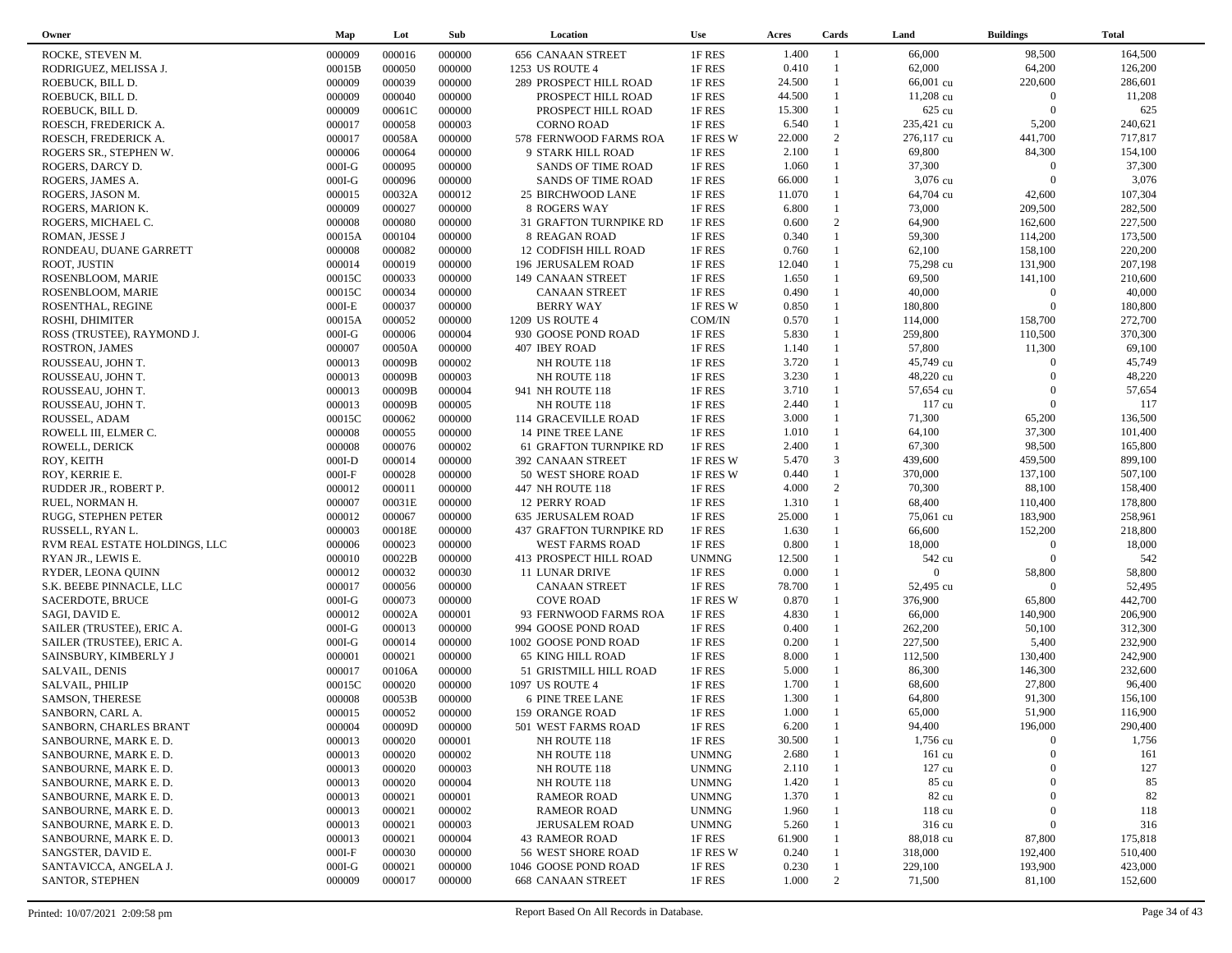| Owner                         | Map      | Lot    | Sub    | Location                  | <b>Use</b>   | Acres  | Cards                        | Land             | <b>Buildings</b>  | <b>Total</b> |  |
|-------------------------------|----------|--------|--------|---------------------------|--------------|--------|------------------------------|------------------|-------------------|--------------|--|
| ROCKE, STEVEN M.              | 000009   | 000016 | 000000 | <b>656 CANAAN STREET</b>  | 1F RES       | 1.400  | $\overline{1}$               | 66,000           | 98,500            | 164,500      |  |
| RODRIGUEZ, MELISSA J.         | 00015B   | 000050 | 000000 | 1253 US ROUTE 4           | 1F RES       | 0.410  | $\mathbf{1}$                 | 62,000           | 64,200            | 126,200      |  |
| ROEBUCK, BILL D.              | 000009   | 000039 | 000000 | 289 PROSPECT HILL ROAD    | 1F RES       | 24.500 | $\mathbf{1}$                 | 66,001 cu        | 220,600           | 286,601      |  |
| ROEBUCK, BILL D.              | 000009   | 000040 | 000000 | PROSPECT HILL ROAD        | 1F RES       | 44.500 | $\mathbf{1}$                 | 11,208 cu        | $\overline{0}$    | 11,208       |  |
| ROEBUCK, BILL D.              | 000009   | 00061C | 000000 | PROSPECT HILL ROAD        | 1F RES       | 15.300 |                              | 625 cu           | $\Omega$          | 625          |  |
| ROESCH, FREDERICK A.          | 000017   | 000058 | 000003 | <b>CORNO ROAD</b>         | 1F RES       | 6.540  | $\mathbf{1}$                 | 235,421 cu       | 5,200             | 240,621      |  |
| ROESCH, FREDERICK A.          | 000017   | 00058A | 000000 | 578 FERNWOOD FARMS ROA    | 1F RES W     | 22.000 | 2                            | 276,117 cu       | 441,700           | 717,817      |  |
| ROGERS SR., STEPHEN W.        | 000006   | 000064 | 000000 | 9 STARK HILL ROAD         | 1F RES       | 2.100  | $\mathbf{1}$                 | 69,800           | 84,300            | 154,100      |  |
| ROGERS, DARCY D.              | $000I-G$ | 000095 | 000000 | <b>SANDS OF TIME ROAD</b> | 1F RES       | 1.060  | $\mathbf{1}$                 | 37,300           | $\overline{0}$    | 37,300       |  |
| ROGERS, JAMES A.              | $000I-G$ | 000096 | 000000 | <b>SANDS OF TIME ROAD</b> | 1F RES       | 66.000 | $\mathbf{1}$                 | 3,076 cu         | $\overline{0}$    | 3,076        |  |
| ROGERS, JASON M.              | 000015   | 00032A | 000012 | 25 BIRCHWOOD LANE         | 1F RES       | 11.070 | $\mathbf{1}$                 | 64,704 cu        | 42,600            | 107,304      |  |
| ROGERS, MARION K.             | 000009   | 000027 | 000000 | <b>8 ROGERS WAY</b>       | 1F RES       | 6.800  | $\mathbf{1}$                 | 73,000           | 209,500           | 282,500      |  |
| ROGERS, MICHAEL C.            | 000008   | 000080 | 000000 | 31 GRAFTON TURNPIKE RD    | 1F RES       | 0.600  | 2                            | 64,900           | 162,600           | 227,500      |  |
| ROMAN, JESSE J                | 00015A   | 000104 | 000000 | 8 REAGAN ROAD             | 1F RES       | 0.340  | $\mathbf{1}$                 | 59,300           | 114,200           | 173,500      |  |
| RONDEAU, DUANE GARRETT        | 000008   | 000082 | 000000 | 12 CODFISH HILL ROAD      | 1F RES       | 0.760  | $\mathbf{1}$                 | 62,100           | 158,100           | 220,200      |  |
| ROOT, JUSTIN                  | 000014   | 000019 | 000000 | 196 JERUSALEM ROAD        | 1F RES       | 12.040 | $\mathbf{1}$                 | 75,298 cu        | 131,900           | 207,198      |  |
|                               | 00015C   | 000033 | 000000 |                           | 1F RES       | 1.650  | $\mathbf{1}$                 | 69,500           | 141,100           | 210,600      |  |
| ROSENBLOOM, MARIE             | 00015C   | 000034 | 000000 | 149 CANAAN STREET         | 1F RES       | 0.490  | $\mathbf{1}$                 | 40,000           | $\overline{0}$    | 40,000       |  |
| ROSENBLOOM, MARIE             |          | 000037 |        | CANAAN STREET             |              | 0.850  | $\mathbf{1}$                 |                  | $\Omega$          | 180,800      |  |
| ROSENTHAL, REGINE             | $000I-E$ |        | 000000 | <b>BERRY WAY</b>          | 1F RES W     | 0.570  | $\mathbf{1}$                 | 180,800          |                   | 272,700      |  |
| ROSHI, DHIMITER               | 00015A   | 000052 | 000000 | 1209 US ROUTE 4           | COM/IN       |        | $\mathbf{1}$                 | 114,000          | 158,700           |              |  |
| ROSS (TRUSTEE), RAYMOND J.    | $000I-G$ | 000006 | 000004 | 930 GOOSE POND ROAD       | 1F RES       | 5.830  | $\mathbf{1}$                 | 259,800          | 110,500<br>11,300 | 370,300      |  |
| ROSTRON, JAMES                | 000007   | 00050A | 000000 | 407 IBEY ROAD             | 1F RES       | 1.140  | $\mathbf{1}$                 | 57,800           |                   | 69,100       |  |
| ROUSSEAU, JOHN T.             | 000013   | 00009B | 000002 | NH ROUTE 118              | 1F RES       | 3.720  | $\mathbf{1}$                 | 45,749 cu        | $\overline{0}$    | 45,749       |  |
| ROUSSEAU, JOHN T.             | 000013   | 00009B | 000003 | NH ROUTE 118              | 1F RES       | 3.230  |                              | 48,220 cu        | $\Omega$          | 48,220       |  |
| ROUSSEAU, JOHN T.             | 000013   | 00009B | 000004 | 941 NH ROUTE 118          | 1F RES       | 3.710  | $\mathbf{1}$                 | 57,654 cu        | $\Omega$          | 57,654       |  |
| ROUSSEAU, JOHN T.             | 000013   | 00009B | 000005 | NH ROUTE 118              | 1F RES       | 2.440  | $\mathbf{1}$                 | 117 cu           | $\overline{0}$    | 117          |  |
| ROUSSEL, ADAM                 | 00015C   | 000062 | 000000 | 114 GRACEVILLE ROAD       | 1F RES       | 3.000  | $\mathbf{1}$<br>$\mathbf{1}$ | 71,300           | 65,200            | 136,500      |  |
| ROWELL III, ELMER C.          | 000008   | 000055 | 000000 | 14 PINE TREE LANE         | 1F RES       | 1.010  |                              | 64,100           | 37,300            | 101,400      |  |
| ROWELL, DERICK                | 000008   | 000076 | 000002 | 61 GRAFTON TURNPIKE RD    | 1F RES       | 2.400  | $\mathbf{1}$                 | 67,300           | 98,500            | 165,800      |  |
| ROY, KEITH                    | $000I-D$ | 000014 | 000000 | 392 CANAAN STREET         | 1F RES W     | 5.470  | $\mathfrak{Z}$               | 439,600          | 459,500           | 899,100      |  |
| ROY, KERRIE E.                | $000I-F$ | 000028 | 000000 | 50 WEST SHORE ROAD        | 1F RES W     | 0.440  | $\mathbf{1}$                 | 370,000          | 137,100           | 507,100      |  |
| RUDDER JR., ROBERT P.         | 000012   | 000011 | 000000 | 447 NH ROUTE 118          | 1F RES       | 4.000  | 2                            | 70,300           | 88,100            | 158,400      |  |
| RUEL, NORMAN H.               | 000007   | 00031E | 000000 | <b>12 PERRY ROAD</b>      | 1F RES       | 1.310  | $\mathbf{1}$                 | 68,400           | 110,400           | 178,800      |  |
| RUGG, STEPHEN PETER           | 000012   | 000067 | 000000 | 635 JERUSALEM ROAD        | 1F RES       | 25.000 | $\mathbf{1}$                 | 75,061 cu        | 183,900           | 258,961      |  |
| RUSSELL, RYAN L.              | 000003   | 00018E | 000000 | 437 GRAFTON TURNPIKE RD   | 1F RES       | 1.630  | $\mathbf{1}$                 | 66,600           | 152,200           | 218,800      |  |
| RVM REAL ESTATE HOLDINGS, LLC | 000006   | 000023 | 000000 | WEST FARMS ROAD           | 1F RES       | 0.800  | $\mathbf{1}$                 | 18,000           | $\overline{0}$    | 18,000       |  |
| RYAN JR., LEWIS E.            | 000010   | 00022B | 000000 | 413 PROSPECT HILL ROAD    | <b>UNMNG</b> | 12.500 |                              | 542 cu           | $\Omega$          | 542          |  |
| RYDER, LEONA QUINN            | 000012   | 000032 | 000030 | 11 LUNAR DRIVE            | 1F RES       | 0.000  | $\mathbf{1}$                 | $\overline{0}$   | 58,800            | 58,800       |  |
| S.K. BEEBE PINNACLE, LLC      | 000017   | 000056 | 000000 | <b>CANAAN STREET</b>      | 1F RES       | 78.700 |                              | 52,495 cu        | $\Omega$          | 52,495       |  |
| SACERDOTE, BRUCE              | $000I-G$ | 000073 | 000000 | <b>COVE ROAD</b>          | 1F RES W     | 0.870  | $\mathbf{1}$                 | 376,900          | 65,800            | 442,700      |  |
| SAGI, DAVID E.                | 000012   | 00002A | 000001 | 93 FERNWOOD FARMS ROA     | 1F RES       | 4.830  | $\mathbf{1}$                 | 66,000           | 140,900           | 206,900      |  |
| SAILER (TRUSTEE), ERIC A.     | $000I-G$ | 000013 | 000000 | 994 GOOSE POND ROAD       | 1F RES       | 0.400  | $\mathbf{1}$                 | 262,200          | 50,100            | 312,300      |  |
| SAILER (TRUSTEE), ERIC A.     | $000I-G$ | 000014 | 000000 | 1002 GOOSE POND ROAD      | 1F RES       | 0.200  | $\mathbf{1}$                 | 227,500          | 5,400             | 232,900      |  |
| SAINSBURY, KIMBERLY J         | 000001   | 000021 | 000000 | <b>65 KING HILL ROAD</b>  | 1F RES       | 8.000  | $\mathbf{1}$                 | 112,500          | 130,400           | 242,900      |  |
| SALVAIL, DENIS                | 000017   | 00106A | 000000 | 51 GRISTMILL HILL ROAD    | 1F RES       | 5.000  | $\mathbf{1}$                 | 86,300           | 146,300           | 232,600      |  |
| SALVAIL, PHILIP               | 00015C   | 000020 | 000000 | 1097 US ROUTE 4           | 1F RES       | 1.700  | $\mathbf{1}$                 | 68,600           | 27,800            | 96,400       |  |
| SAMSON, THERESE               | 000008   | 00053B | 000000 | 6 PINE TREE LANE          | 1F RES       | 1.300  | $\mathbf{1}$                 | 64,800           | 91,300            | 156,100      |  |
| SANBORN, CARL A.              | 000015   | 000052 | 000000 | 159 ORANGE ROAD           | 1F RES       | 1.000  | $\mathbf{1}$                 | 65,000           | 51,900            | 116,900      |  |
| SANBORN, CHARLES BRANT        | 000004   | 00009D | 000000 | 501 WEST FARMS ROAD       | 1F RES       | 6.200  | $\overline{1}$               | 94,400           | 196,000           | 290,400      |  |
| SANBOURNE, MARK E.D.          | 000013   | 000020 | 000001 | NH ROUTE 118              | 1F RES       | 30.500 |                              | 1,756 cu         | $\boldsymbol{0}$  | 1,756        |  |
| SANBOURNE, MARK E.D.          | 000013   | 000020 | 000002 | NH ROUTE 118              | <b>UNMNG</b> | 2.680  |                              | $161 \text{ cu}$ | $\Omega$          | 161          |  |
| SANBOURNE, MARK E.D.          | 000013   | 000020 | 000003 | NH ROUTE 118              | <b>UNMNG</b> | 2.110  |                              | $127 \text{ cu}$ | $\mathbf{0}$      | 127          |  |
| SANBOURNE, MARK E.D.          | 000013   | 000020 | 000004 | NH ROUTE 118              | <b>UNMNG</b> | 1.420  |                              | 85 cu            | $\Omega$          | 85           |  |
| SANBOURNE, MARK E.D.          | 000013   | 000021 | 000001 | <b>RAMEOR ROAD</b>        | <b>UNMNG</b> | 1.370  |                              | 82 cu            | $\mathbf{0}$      | 82           |  |
| SANBOURNE, MARK E.D.          | 000013   | 000021 | 000002 | <b>RAMEOR ROAD</b>        | <b>UNMNG</b> | 1.960  |                              | 118 cu           | $\mathbf{0}$      | 118          |  |
| SANBOURNE, MARK E.D.          | 000013   | 000021 | 000003 | <b>JERUSALEM ROAD</b>     | <b>UNMNG</b> | 5.260  |                              | 316 cu           | $\mathbf{0}$      | 316          |  |
| SANBOURNE, MARK E.D.          | 000013   | 000021 | 000004 | <b>43 RAMEOR ROAD</b>     | 1F RES       | 61.900 |                              | 88,018 cu        | 87,800            | 175,818      |  |
| SANGSTER, DAVID E.            | $000I-F$ | 000030 | 000000 | 56 WEST SHORE ROAD        | 1F RES W     | 0.240  |                              | 318,000          | 192,400           | 510,400      |  |
| SANTAVICCA, ANGELA J.         | $000I-G$ | 000021 | 000000 | 1046 GOOSE POND ROAD      | 1F RES       | 0.230  |                              | 229,100          | 193,900           | 423,000      |  |
| SANTOR, STEPHEN               | 000009   | 000017 | 000000 | <b>668 CANAAN STREET</b>  | 1F RES       | 1.000  | 2                            | 71,500           | 81,100            | 152,600      |  |
|                               |          |        |        |                           |              |        |                              |                  |                   |              |  |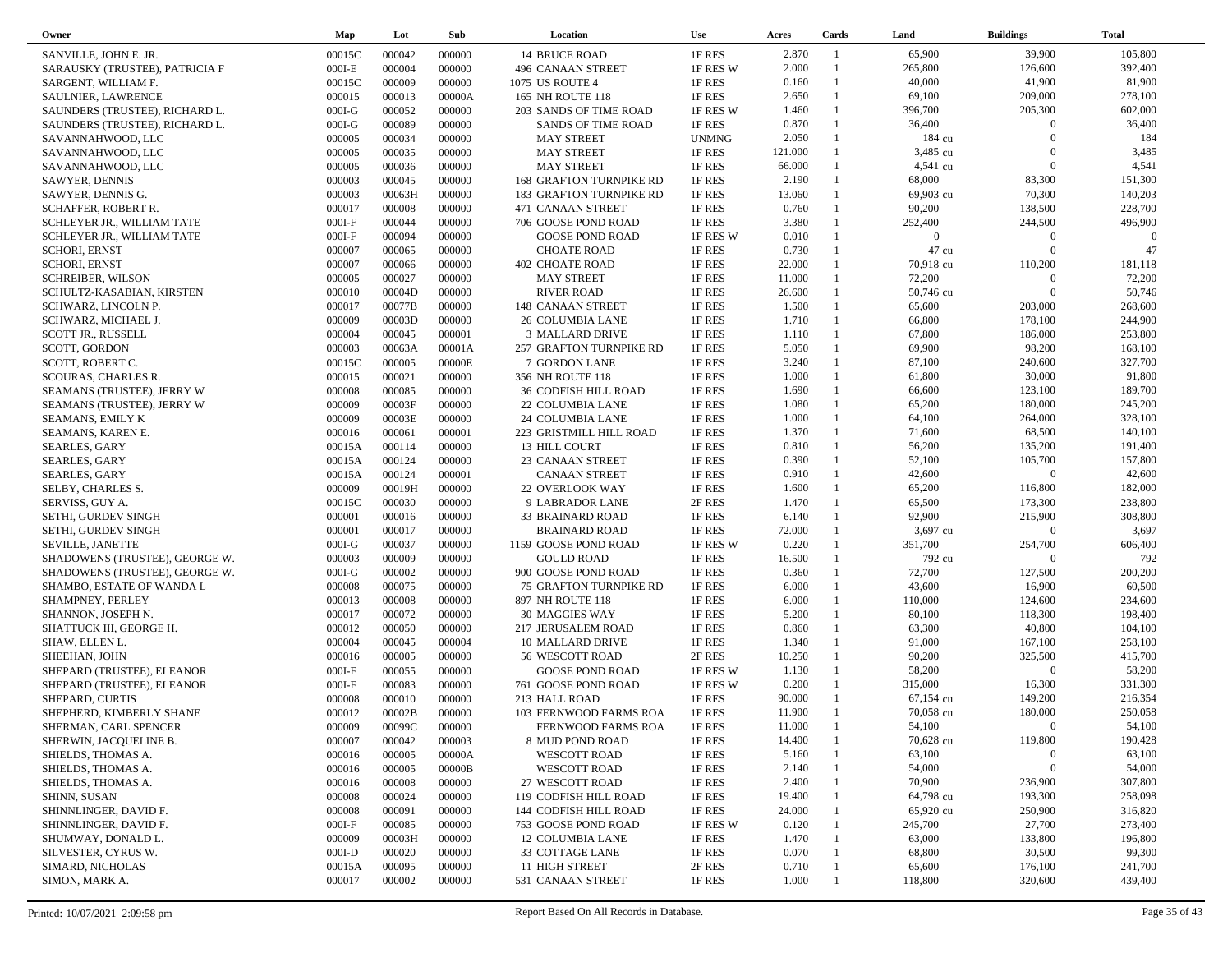| Owner                                          | Map      | Lot    | Sub              | Location                      | <b>Use</b>       | Acres          | Cards                        | Land           | <b>Buildings</b> | <b>Total</b> |  |
|------------------------------------------------|----------|--------|------------------|-------------------------------|------------------|----------------|------------------------------|----------------|------------------|--------------|--|
| SANVILLE, JOHN E. JR.                          | 00015C   | 000042 | 000000           | <b>14 BRUCE ROAD</b>          | 1F RES           | 2.870          | $\overline{1}$               | 65,900         | 39,900           | 105,800      |  |
| SARAUSKY (TRUSTEE), PATRICIA F                 | $000I-E$ | 000004 | 000000           | 496 CANAAN STREET             | 1F RES W         | 2.000          | $\overline{1}$               | 265,800        | 126,600          | 392,400      |  |
| SARGENT, WILLIAM F.                            | 00015C   | 000009 | 000000           | 1075 US ROUTE 4               | 1F RES           | 0.160          | $\mathbf{1}$                 | 40,000         | 41,900           | 81,900       |  |
| SAULNIER, LAWRENCE                             | 000015   | 000013 | 00000A           | 165 NH ROUTE 118              | 1F RES           | 2.650          | $\mathbf{1}$                 | 69,100         | 209,000          | 278,100      |  |
| SAUNDERS (TRUSTEE), RICHARD L.                 | $000I-G$ | 000052 | 000000           | 203 SANDS OF TIME ROAD        | 1F RES W         | 1.460          | $\mathbf{1}$                 | 396,700        | 205,300          | 602,000      |  |
| SAUNDERS (TRUSTEE), RICHARD L.                 | $000I-G$ | 000089 | 000000           | <b>SANDS OF TIME ROAD</b>     | 1F RES           | 0.870          | $\mathbf{1}$                 | 36,400         | $\Omega$         | 36,400       |  |
| SAVANNAHWOOD, LLC                              | 000005   | 000034 | 000000           | <b>MAY STREET</b>             | <b>UNMNG</b>     | 2.050          |                              | 184 cu         | $\Omega$         | 184          |  |
| SAVANNAHWOOD, LLC                              | 000005   | 000035 | 000000           | <b>MAY STREET</b>             | 1F RES           | 121.000        | $\mathbf{1}$                 | 3,485 cu       | $\Omega$         | 3,485        |  |
| SAVANNAHWOOD, LLC                              | 000005   | 000036 | 000000           | <b>MAY STREET</b>             | 1F RES           | 66.000         |                              | 4,541 cu       | $\Omega$         | 4,541        |  |
| SAWYER, DENNIS                                 | 000003   | 000045 | 000000           | 168 GRAFTON TURNPIKE RD       | 1F RES           | 2.190          | $\mathbf{1}$                 | 68,000         | 83,300           | 151,300      |  |
| SAWYER, DENNIS G.                              | 000003   | 00063H | 000000           | 183 GRAFTON TURNPIKE RD       | 1F RES           | 13.060         | $\mathbf{1}$                 | 69,903 cu      | 70,300           | 140,203      |  |
| <b>SCHAFFER, ROBERT R.</b>                     | 000017   | 000008 | 000000           | 471 CANAAN STREET             | 1F RES           | 0.760          | $\mathbf{1}$                 | 90,200         | 138,500          | 228,700      |  |
| SCHLEYER JR., WILLIAM TATE                     | $000I-F$ | 000044 | 000000           | 706 GOOSE POND ROAD           | 1F RES           | 3.380          | $\mathbf{1}$                 | 252,400        | 244,500          | 496,900      |  |
| SCHLEYER JR., WILLIAM TATE                     | $000I-F$ | 000094 | 000000           | <b>GOOSE POND ROAD</b>        | 1F RES W         | 0.010          |                              | $\overline{0}$ | $\Omega$         | $\Omega$     |  |
| <b>SCHORI, ERNST</b>                           | 000007   | 000065 | 000000           | <b>CHOATE ROAD</b>            | 1F RES           | 0.730          | $\mathbf{1}$                 | 47 cu          | $\Omega$         | 47           |  |
| <b>SCHORI, ERNST</b>                           | 000007   | 000066 | 000000           | <b>402 CHOATE ROAD</b>        | 1F RES           | 22.000         |                              | 70,918 cu      | 110,200          | 181,118      |  |
| <b>SCHREIBER, WILSON</b>                       | 000005   | 000027 | 000000           | <b>MAY STREET</b>             | 1F RES           | 11.000         | $\mathbf{1}$                 | 72,200         | $\overline{0}$   | 72,200       |  |
| SCHULTZ-KASABIAN, KIRSTEN                      | 000010   | 00004D | 000000           | <b>RIVER ROAD</b>             | 1F RES           | 26.600         | $\mathbf{1}$                 | 50,746 cu      | $\Omega$         | 50,746       |  |
| SCHWARZ, LINCOLN P.                            | 000017   | 00077B | 000000           | 148 CANAAN STREET             | 1F RES           | 1.500          | $\mathbf{1}$                 | 65,600         | 203,000          | 268,600      |  |
| SCHWARZ, MICHAEL J.                            | 000009   | 00003D | 000000           | 26 COLUMBIA LANE              | 1F RES           | 1.710          | $\mathbf{1}$                 | 66,800         | 178,100          | 244,900      |  |
|                                                | 000004   | 000045 | 000001           | 3 MALLARD DRIVE               | 1F RES           | 1.110          | $\mathbf{1}$                 | 67,800         | 186,000          | 253,800      |  |
| <b>SCOTT JR., RUSSELL</b>                      | 000003   | 00063A | 00001A           |                               | 1F RES           | 5.050          | $\mathbf{1}$                 | 69,900         | 98,200           | 168,100      |  |
| SCOTT, GORDON                                  |          | 000005 |                  | 257 GRAFTON TURNPIKE RD       |                  | 3.240          | $\mathbf{1}$                 | 87,100         | 240,600          | 327,700      |  |
| SCOTT, ROBERT C.<br><b>SCOURAS, CHARLES R.</b> | 00015C   | 000021 | 00000E<br>000000 | 7 GORDON LANE                 | 1F RES<br>1F RES | 1.000          | $\mathbf{1}$                 | 61,800         | 30,000           | 91,800       |  |
|                                                | 000015   |        |                  | 356 NH ROUTE 118              |                  |                | $\mathbf{1}$                 |                |                  |              |  |
| SEAMANS (TRUSTEE), JERRY W                     | 000008   | 000085 | 000000           | <b>36 CODFISH HILL ROAD</b>   | 1F RES           | 1.690<br>1.080 | $\mathbf{1}$                 | 66,600         | 123,100          | 189,700      |  |
| SEAMANS (TRUSTEE), JERRY W                     | 000009   | 00003F | 000000           | 22 COLUMBIA LANE              | 1F RES           |                | $\mathbf{1}$                 | 65,200         | 180,000          | 245,200      |  |
| SEAMANS, EMILY K                               | 000009   | 00003E | 000000           | 24 COLUMBIA LANE              | 1F RES           | 1.000<br>1.370 | $\mathbf{1}$                 | 64,100         | 264,000          | 328,100      |  |
| SEAMANS, KAREN E.                              | 000016   | 000061 | 000001           | 223 GRISTMILL HILL ROAD       | 1F RES           |                |                              | 71,600         | 68,500           | 140,100      |  |
| <b>SEARLES, GARY</b>                           | 00015A   | 000114 | 000000           | 13 HILL COURT                 | 1F RES           | 0.810          | $\mathbf{1}$<br>$\mathbf{1}$ | 56,200         | 135,200          | 191,400      |  |
| <b>SEARLES, GARY</b>                           | 00015A   | 000124 | 000000           | 23 CANAAN STREET              | 1F RES           | 0.390          |                              | 52,100         | 105,700          | 157,800      |  |
| <b>SEARLES, GARY</b>                           | 00015A   | 000124 | 000001           | <b>CANAAN STREET</b>          | 1F RES           | 0.910          | $\mathbf{1}$<br>$\mathbf{1}$ | 42,600         | $\overline{0}$   | 42,600       |  |
| SELBY, CHARLES S.                              | 000009   | 00019H | 000000           | 22 OVERLOOK WAY               | 1F RES           | 1.600          |                              | 65,200         | 116,800          | 182,000      |  |
| SERVISS, GUY A.                                | 00015C   | 000030 | 000000           | 9 LABRADOR LANE               | 2F RES           | 1.470          | $\mathbf{1}$                 | 65,500         | 173,300          | 238,800      |  |
| SETHI, GURDEV SINGH                            | 000001   | 000016 | 000000           | 33 BRAINARD ROAD              | 1F RES           | 6.140          | $\mathbf{1}$                 | 92,900         | 215,900          | 308,800      |  |
| SETHI, GURDEV SINGH                            | 000001   | 000017 | 000000           | <b>BRAINARD ROAD</b>          | 1F RES           | 72.000         | $\mathbf{1}$                 | 3,697 cu       | $\overline{0}$   | 3,697        |  |
| SEVILLE, JANETTE                               | $000I-G$ | 000037 | 000000           | 1159 GOOSE POND ROAD          | 1F RES W         | 0.220          | $\mathbf{1}$                 | 351,700        | 254,700          | 606,400      |  |
| SHADOWENS (TRUSTEE), GEORGE W.                 | 000003   | 000009 | 000000           | <b>GOULD ROAD</b>             | 1F RES           | 16.500         |                              | 792 cu         | $\Omega$         | 792          |  |
| SHADOWENS (TRUSTEE), GEORGE W.                 | $000I-G$ | 000002 | 000000           | 900 GOOSE POND ROAD           | 1F RES           | 0.360          | $\mathbf{1}$                 | 72,700         | 127,500          | 200,200      |  |
| SHAMBO, ESTATE OF WANDA L                      | 000008   | 000075 | 000000           | <b>75 GRAFTON TURNPIKE RD</b> | 1F RES           | 6.000          | $\mathbf{1}$                 | 43,600         | 16,900           | 60,500       |  |
| SHAMPNEY, PERLEY                               | 000013   | 000008 | 000000           | 897 NH ROUTE 118              | 1F RES           | 6.000          | $\mathbf{1}$                 | 110,000        | 124,600          | 234,600      |  |
| SHANNON, JOSEPH N.                             | 000017   | 000072 | 000000           | 30 MAGGIES WAY                | 1F RES           | 5.200          | $\mathbf{1}$                 | 80,100         | 118,300          | 198,400      |  |
| SHATTUCK III, GEORGE H.                        | 000012   | 000050 | 000000           | 217 JERUSALEM ROAD            | 1F RES           | 0.860          | $\mathbf{1}$                 | 63,300         | 40,800           | 104,100      |  |
| SHAW, ELLEN L.                                 | 000004   | 000045 | 000004           | 10 MALLARD DRIVE              | 1F RES           | 1.340          | $\mathbf{1}$                 | 91,000         | 167,100          | 258,100      |  |
| SHEEHAN, JOHN                                  | 000016   | 000005 | 000000           | 56 WESCOTT ROAD               | 2F RES           | 10.250         | $\mathbf{1}$                 | 90,200         | 325,500          | 415,700      |  |
| SHEPARD (TRUSTEE), ELEANOR                     | $000I-F$ | 000055 | 000000           | <b>GOOSE POND ROAD</b>        | 1F RES W         | 1.130          | $\mathbf{1}$                 | 58,200         | $\Omega$         | 58,200       |  |
| SHEPARD (TRUSTEE), ELEANOR                     | $000I-F$ | 000083 | 000000           | 761 GOOSE POND ROAD           | 1F RES W         | 0.200          | $\mathbf{1}$                 | 315,000        | 16,300           | 331,300      |  |
| SHEPARD, CURTIS                                | 000008   | 000010 | 000000           | 213 HALL ROAD                 | 1F RES           | 90.000         |                              | 67,154 cu      | 149,200          | 216,354      |  |
| SHEPHERD, KIMBERLY SHANE                       | 000012   | 00002B | 000000           | 103 FERNWOOD FARMS ROA        | 1F RES           | 11.900         | $\mathbf{1}$                 | 70,058 cu      | 180,000          | 250,058      |  |
| SHERMAN, CARL SPENCER                          | 000009   | 00099C | 000000           | FERNWOOD FARMS ROA            | 1F RES           | 11.000         |                              | 54,100         | $\Omega$         | 54,100       |  |
| SHERWIN, JACQUELINE B.                         | 000007   | 000042 | 000003           | 8 MUD POND ROAD               | 1F RES           | 14.400         |                              | 70,628 cu      | 119,800          | 190,428      |  |
| SHIELDS, THOMAS A.                             | 000016   | 000005 | 00000A           | <b>WESCOTT ROAD</b>           | 1F RES           | 5.160          |                              | 63,100         | $\Omega$         | 63,100       |  |
| SHIELDS, THOMAS A.                             | 000016   | 000005 | 00000B           | <b>WESCOTT ROAD</b>           | 1F RES           | 2.140          |                              | 54,000         | $\boldsymbol{0}$ | 54,000       |  |
| SHIELDS, THOMAS A.                             | 000016   | 000008 | 000000           | 27 WESCOTT ROAD               | 1F RES           | 2.400          |                              | 70,900         | 236,900          | 307,800      |  |
| SHINN, SUSAN                                   | 000008   | 000024 | 000000           | 119 CODFISH HILL ROAD         | 1F RES           | 19.400         |                              | 64,798 cu      | 193,300          | 258,098      |  |
| SHINNLINGER, DAVID F.                          | 000008   | 000091 | 000000           | 144 CODFISH HILL ROAD         | 1F RES           | 24.000         |                              | 65,920 cu      | 250,900          | 316,820      |  |
| SHINNLINGER, DAVID F.                          | $000I-F$ | 000085 | 000000           | 753 GOOSE POND ROAD           | 1F RES W         | 0.120          |                              | 245,700        | 27,700           | 273,400      |  |
| SHUMWAY, DONALD L.                             | 000009   | 00003H | 000000           | 12 COLUMBIA LANE              | 1F RES           | 1.470          |                              | 63,000         | 133,800          | 196,800      |  |
| SILVESTER, CYRUS W.                            | $000I-D$ | 000020 | 000000           | 33 COTTAGE LANE               | 1F RES           | 0.070          |                              | 68,800         | 30,500           | 99,300       |  |
| SIMARD, NICHOLAS                               | 00015A   | 000095 | 000000           | 11 HIGH STREET                | 2F RES           | 0.710          |                              | 65,600         | 176,100          | 241,700      |  |
| SIMON, MARK A.                                 | 000017   | 000002 | 000000           | 531 CANAAN STREET             | 1F RES           | 1.000          |                              | 118,800        | 320,600          | 439,400      |  |
|                                                |          |        |                  |                               |                  |                |                              |                |                  |              |  |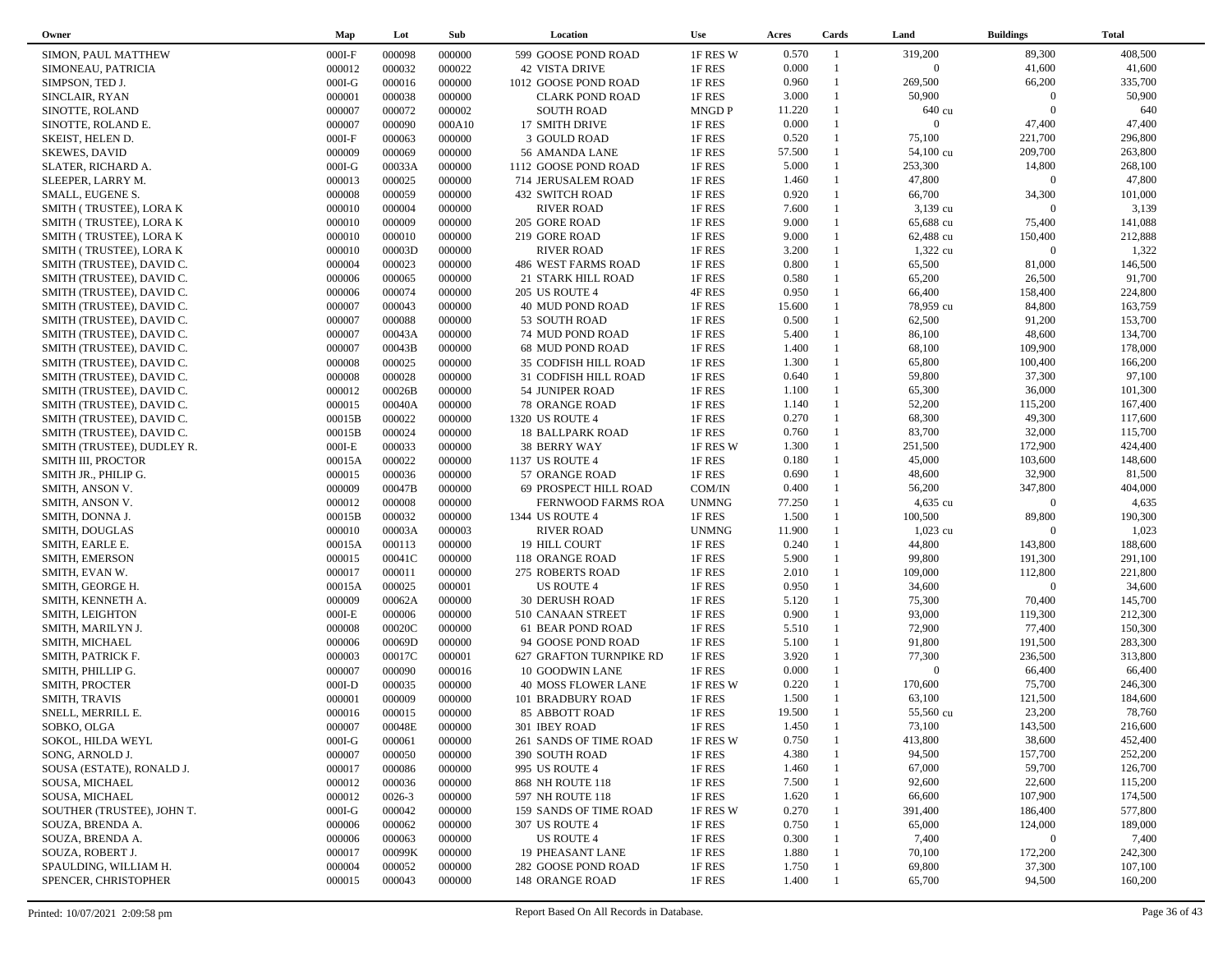| Owner                      | Map      | Lot        | Sub    | Location                | <b>Use</b>   | Acres  | Cards          | Land           | <b>Buildings</b> | <b>Total</b> |
|----------------------------|----------|------------|--------|-------------------------|--------------|--------|----------------|----------------|------------------|--------------|
| SIMON, PAUL MATTHEW        | $000I-F$ | 000098     | 000000 | 599 GOOSE POND ROAD     | 1F RES W     | 0.570  | $\overline{1}$ | 319,200        | 89,300           | 408,500      |
| SIMONEAU, PATRICIA         | 000012   | 000032     | 000022 | <b>42 VISTA DRIVE</b>   | 1F RES       | 0.000  | $\mathbf{1}$   | $\overline{0}$ | 41,600           | 41,600       |
| SIMPSON, TED J.            | $000I-G$ | 000016     | 000000 | 1012 GOOSE POND ROAD    | 1F RES       | 0.960  | $\mathbf{1}$   | 269,500        | 66,200           | 335,700      |
| SINCLAIR, RYAN             | 000001   | 000038     | 000000 | <b>CLARK POND ROAD</b>  | 1F RES       | 3.000  | $\mathbf{1}$   | 50,900         | $\overline{0}$   | 50,900       |
| SINOTTE, ROLAND            | 000007   | 000072     | 000002 | <b>SOUTH ROAD</b>       | <b>MNGDP</b> | 11.220 |                | 640 cu         | $\Omega$         | 640          |
| SINOTTE, ROLAND E.         | 000007   | 000090     | 000A10 | 17 SMITH DRIVE          | 1F RES       | 0.000  | $\mathbf{1}$   | $\overline{0}$ | 47,400           | 47,400       |
| SKEIST, HELEN D.           | $000I-F$ | 000063     | 000000 | 3 GOULD ROAD            | 1F RES       | 0.520  | 1              | 75,100         | 221,700          | 296,800      |
| <b>SKEWES, DAVID</b>       | 000009   | 000069     | 000000 | 56 AMANDA LANE          | 1F RES       | 57.500 | $\mathbf{1}$   | 54,100 cu      | 209,700          | 263,800      |
| SLATER, RICHARD A.         | $000I-G$ | 00033A     | 000000 | 1112 GOOSE POND ROAD    | 1F RES       | 5.000  | $\mathbf{1}$   | 253,300        | 14,800           | 268,100      |
| SLEEPER, LARRY M.          | 000013   | 000025     | 000000 | 714 JERUSALEM ROAD      | 1F RES       | 1.460  | $\mathbf{1}$   | 47,800         | $\overline{0}$   | 47,800       |
| SMALL, EUGENE S.           | 000008   | 000059     | 000000 | 432 SWITCH ROAD         | 1F RES       | 0.920  | $\mathbf{1}$   | 66,700         | 34,300           | 101,000      |
| SMITH (TRUSTEE), LORA K    | 000010   | 000004     | 000000 | <b>RIVER ROAD</b>       | 1F RES       | 7.600  | $\mathbf{1}$   | 3,139 cu       | $\overline{0}$   | 3,139        |
| SMITH (TRUSTEE), LORA K    | 000010   | 000009     | 000000 | 205 GORE ROAD           | 1F RES       | 9.000  | $\mathbf{1}$   | 65,688 cu      | 75,400           | 141,088      |
| SMITH (TRUSTEE), LORA K    | 000010   | 000010     | 000000 | 219 GORE ROAD           | 1F RES       | 9.000  |                | 62,488 cu      | 150,400          | 212,888      |
| SMITH (TRUSTEE), LORA K    | 000010   | 00003D     | 000000 | <b>RIVER ROAD</b>       | 1F RES       | 3.200  | $\mathbf{1}$   | 1,322 cu       | $\Omega$         | 1,322        |
| SMITH (TRUSTEE), DAVID C.  | 000004   | 000023     | 000000 | 486 WEST FARMS ROAD     | 1F RES       | 0.800  | $\mathbf{1}$   | 65,500         | 81,000           | 146,500      |
| SMITH (TRUSTEE), DAVID C.  | 000006   | 000065     | 000000 | 21 STARK HILL ROAD      | 1F RES       | 0.580  | $\mathbf{1}$   | 65,200         | 26,500           | 91,700       |
| SMITH (TRUSTEE), DAVID C.  | 000006   | 000074     | 000000 | <b>205 US ROUTE 4</b>   | 4F RES       | 0.950  | $\mathbf{1}$   | 66,400         | 158,400          | 224,800      |
| SMITH (TRUSTEE), DAVID C.  | 000007   | 000043     | 000000 | 40 MUD POND ROAD        | 1F RES       | 15.600 |                | 78,959 cu      | 84,800           | 163,759      |
| SMITH (TRUSTEE), DAVID C.  | 000007   | 000088     | 000000 | 53 SOUTH ROAD           | 1F RES       | 0.500  | $\mathbf{1}$   | 62,500         | 91,200           | 153,700      |
| SMITH (TRUSTEE), DAVID C.  | 000007   | 00043A     | 000000 | 74 MUD POND ROAD        | 1F RES       | 5.400  |                | 86,100         | 48,600           | 134,700      |
| SMITH (TRUSTEE), DAVID C.  | 000007   | 00043B     | 000000 | 68 MUD POND ROAD        | 1F RES       | 1.400  | $\mathbf{1}$   | 68,100         | 109,900          | 178,000      |
| SMITH (TRUSTEE), DAVID C.  | 000008   | 000025     | 000000 | 35 CODFISH HILL ROAD    | 1F RES       | 1.300  | $\mathbf{1}$   | 65,800         | 100,400          | 166,200      |
| SMITH (TRUSTEE), DAVID C.  | 000008   | 000028     | 000000 | 31 CODFISH HILL ROAD    | 1F RES       | 0.640  | $\mathbf{1}$   | 59,800         | 37,300           | 97,100       |
| SMITH (TRUSTEE), DAVID C.  | 000012   | 00026B     | 000000 | 54 JUNIPER ROAD         | 1F RES       | 1.100  | $\mathbf{1}$   | 65,300         | 36,000           | 101,300      |
| SMITH (TRUSTEE), DAVID C.  | 000015   | 00040A     | 000000 | 78 ORANGE ROAD          | 1F RES       | 1.140  | $\mathbf{1}$   | 52,200         | 115,200          | 167,400      |
| SMITH (TRUSTEE), DAVID C.  | 00015B   | 000022     | 000000 | 1320 US ROUTE 4         | 1F RES       | 0.270  | $\mathbf{1}$   | 68,300         | 49,300           | 117,600      |
| SMITH (TRUSTEE), DAVID C.  | 00015B   | 000024     | 000000 | <b>18 BALLPARK ROAD</b> | 1F RES       | 0.760  | $\mathbf{1}$   | 83,700         | 32,000           | 115,700      |
| SMITH (TRUSTEE), DUDLEY R. | $000I-E$ | 000033     | 000000 | <b>38 BERRY WAY</b>     | 1F RES W     | 1.300  | $\mathbf{1}$   | 251,500        | 172,900          | 424,400      |
| SMITH III, PROCTOR         | 00015A   | 000022     | 000000 | 1137 US ROUTE 4         | 1F RES       | 0.180  | $\mathbf{1}$   | 45,000         | 103,600          | 148,600      |
| SMITH JR., PHILIP G.       | 000015   | 000036     | 000000 | 57 ORANGE ROAD          | 1F RES       | 0.690  | $\mathbf{1}$   | 48,600         | 32,900           | 81,500       |
| SMITH, ANSON V.            | 000009   | 00047B     | 000000 | 69 PROSPECT HILL ROAD   | COM/IN       | 0.400  | $\mathbf{1}$   | 56,200         | 347,800          | 404,000      |
| SMITH, ANSON V.            | 000012   | 000008     | 000000 | FERNWOOD FARMS ROA      | <b>UNMNG</b> | 77.250 | $\mathbf{1}$   | 4,635 cu       | $\Omega$         | 4,635        |
| SMITH, DONNA J.            | 00015B   | 000032     | 000000 | 1344 US ROUTE 4         | 1F RES       | 1.500  | $\mathbf{1}$   | 100,500        | 89,800           | 190,300      |
| SMITH, DOUGLAS             | 000010   | 00003A     | 000003 | <b>RIVER ROAD</b>       | <b>UNMNG</b> | 11.900 | 1              | 1,023 cu       | $\Omega$         | 1,023        |
| SMITH, EARLE E.            | 00015A   | 000113     | 000000 | 19 HILL COURT           | 1F RES       | 0.240  | $\mathbf{1}$   | 44,800         | 143,800          | 188,600      |
| SMITH, EMERSON             | 000015   | 00041C     | 000000 | 118 ORANGE ROAD         | 1F RES       | 5.900  | $\mathbf{1}$   | 99,800         | 191,300          | 291,100      |
| SMITH, EVAN W.             | 000017   | 000011     | 000000 | 275 ROBERTS ROAD        | 1F RES       | 2.010  | $\mathbf{1}$   | 109,000        | 112,800          | 221,800      |
| SMITH, GEORGE H.           | 00015A   | 000025     | 000001 | US ROUTE 4              | 1F RES       | 0.950  | $\mathbf{1}$   | 34,600         | $\Omega$         | 34,600       |
| SMITH, KENNETH A.          | 000009   | 00062A     | 000000 | <b>30 DERUSH ROAD</b>   | 1F RES       | 5.120  | $\mathbf{1}$   | 75,300         | 70,400           | 145,700      |
| SMITH, LEIGHTON            | $000I-E$ | 000006     | 000000 | 510 CANAAN STREET       | 1F RES       | 0.900  | $\mathbf{1}$   | 93,000         | 119,300          | 212,300      |
| SMITH, MARILYN J.          | 000008   | 00020C     | 000000 | 61 BEAR POND ROAD       | 1F RES       | 5.510  | $\mathbf{1}$   | 72,900         | 77,400           | 150,300      |
| SMITH, MICHAEL             | 000006   | 00069D     | 000000 | 94 GOOSE POND ROAD      | 1F RES       | 5.100  | $\mathbf{1}$   | 91,800         | 191,500          | 283,300      |
| SMITH, PATRICK F.          | 000003   | 00017C     | 000001 | 627 GRAFTON TURNPIKE RD | 1F RES       | 3.920  | $\mathbf{1}$   | 77,300         | 236,500          | 313,800      |
| SMITH, PHILLIP G.          | 000007   | 000090     | 000016 | 10 GOODWIN LANE         | 1F RES       | 0.000  | $\mathbf{1}$   | $\overline{0}$ | 66,400           | 66,400       |
| SMITH, PROCTER             | $000I-D$ | 000035     | 000000 | 40 MOSS FLOWER LANE     | 1F RES W     | 0.220  | 1              | 170,600        | 75,700           | 246,300      |
| SMITH, TRAVIS              | 000001   | 000009     | 000000 | 101 BRADBURY ROAD       | 1F RES       | 1.500  | $\mathbf{1}$   | 63,100         | 121,500          | 184,600      |
| SNELL, MERRILL E.          | 000016   | 000015     | 000000 | <b>85 ABBOTT ROAD</b>   | 1F RES       | 19.500 | $\mathbf{1}$   | 55,560 cu      | 23,200           | 78,760       |
| SOBKO, OLGA                | 000007   | 00048E     | 000000 | 301 IBEY ROAD           | 1F RES       | 1.450  | $\mathbf{1}$   | 73,100         | 143,500          | 216,600      |
| SOKOL, HILDA WEYL          | $000I-G$ | 000061     | 000000 | 261 SANDS OF TIME ROAD  | 1F RES W     | 0.750  |                | 413,800        | 38,600           | 452,400      |
| SONG, ARNOLD J.            | 000007   | 000050     | 000000 | 390 SOUTH ROAD          | 1F RES       | 4.380  |                | 94,500         | 157,700          | 252,200      |
| SOUSA (ESTATE), RONALD J.  | 000017   | 000086     | 000000 | 995 US ROUTE 4          | 1F RES       | 1.460  |                | 67,000         | 59,700           | 126,700      |
| SOUSA, MICHAEL             | 000012   | 000036     | 000000 | 868 NH ROUTE 118        | 1F RES       | 7.500  |                | 92,600         | 22,600           | 115,200      |
| SOUSA, MICHAEL             | 000012   | $0026 - 3$ | 000000 | 597 NH ROUTE 118        | 1F RES       | 1.620  |                | 66,600         | 107,900          | 174,500      |
| SOUTHER (TRUSTEE), JOHN T. | $000I-G$ | 000042     | 000000 | 159 SANDS OF TIME ROAD  | 1F RES W     | 0.270  |                | 391,400        | 186,400          | 577,800      |
| SOUZA, BRENDA A.           | 000006   | 000062     | 000000 | 307 US ROUTE 4          | 1F RES       | 0.750  |                | 65,000         | 124,000          | 189,000      |
| SOUZA, BRENDA A.           | 000006   | 000063     | 000000 | US ROUTE 4              | 1F RES       | 0.300  |                | 7,400          | $\overline{0}$   | 7,400        |
| SOUZA, ROBERT J.           | 000017   | 00099K     | 000000 | <b>19 PHEASANT LANE</b> | 1F RES       | 1.880  |                | 70,100         | 172,200          | 242,300      |
| SPAULDING, WILLIAM H.      | 000004   | 000052     | 000000 | 282 GOOSE POND ROAD     | 1F RES       | 1.750  |                | 69,800         | 37,300           | 107,100      |
| SPENCER, CHRISTOPHER       | 000015   | 000043     | 000000 | 148 ORANGE ROAD         | 1F RES       | 1.400  |                | 65,700         | 94,500           | 160,200      |
|                            |          |            |        |                         |              |        |                |                |                  |              |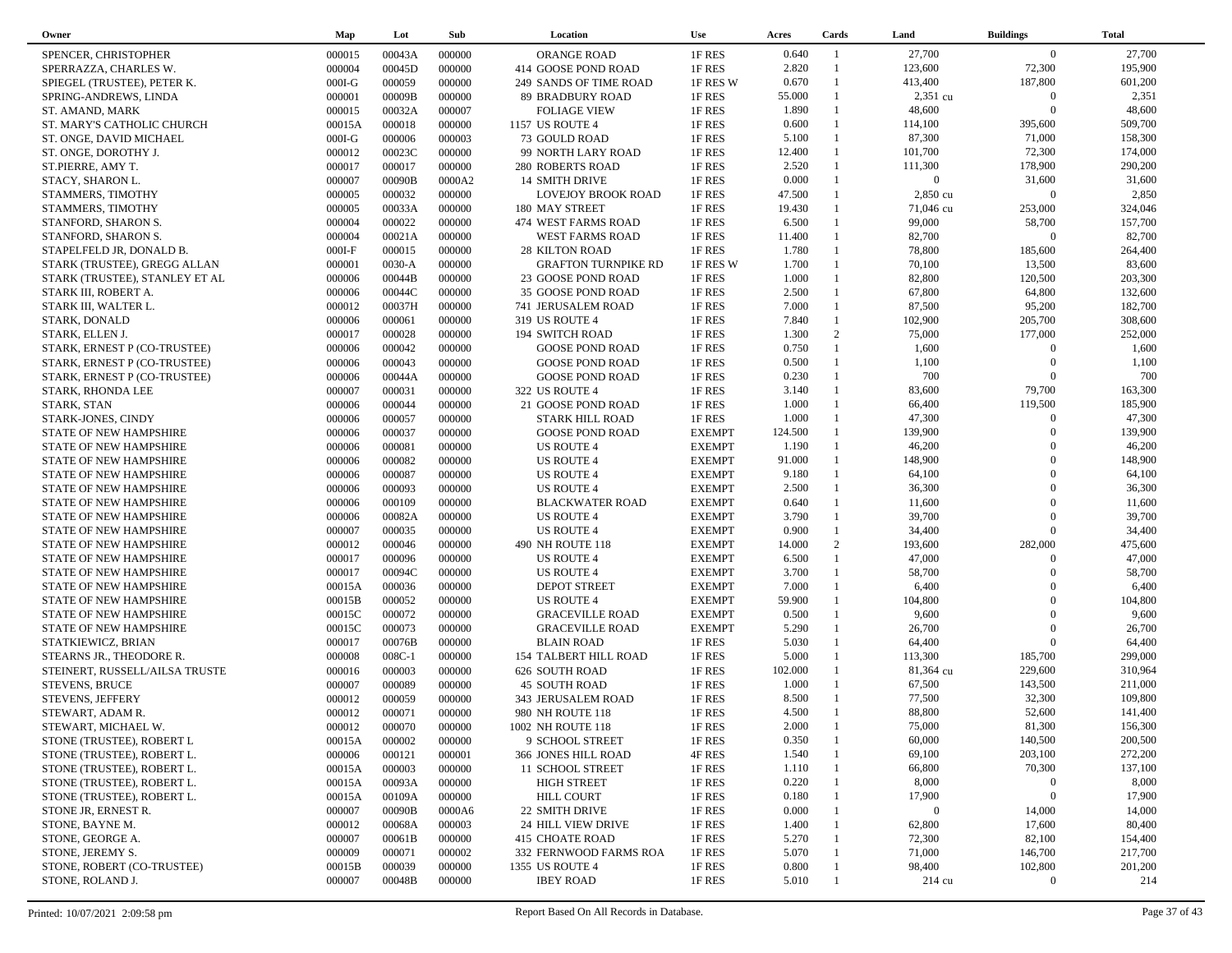| Owner                          | Map      | Lot      | Sub    | Location                     | <b>Use</b>    | Acres   | Cards          | Land             | <b>Buildings</b> | <b>Total</b> |
|--------------------------------|----------|----------|--------|------------------------------|---------------|---------|----------------|------------------|------------------|--------------|
| SPENCER. CHRISTOPHER           | 000015   | 00043A   | 000000 | <b>ORANGE ROAD</b>           | 1F RES        | 0.640   | $\overline{1}$ | 27,700           | $\overline{0}$   | 27,700       |
| SPERRAZZA, CHARLES W.          | 000004   | 00045D   | 000000 | 414 GOOSE POND ROAD          | 1F RES        | 2.820   | $\overline{1}$ | 123,600          | 72,300           | 195,900      |
| SPIEGEL (TRUSTEE), PETER K.    | $000I-G$ | 000059   | 000000 | 249 SANDS OF TIME ROAD       | 1F RES W      | 0.670   | $\overline{1}$ | 413,400          | 187,800          | 601,200      |
| SPRING-ANDREWS, LINDA          | 000001   | 00009B   | 000000 | <b>89 BRADBURY ROAD</b>      | 1F RES        | 55.000  | $\mathbf{1}$   | 2,351 cu         | $\mathbf{0}$     | 2,351        |
| ST. AMAND, MARK                | 000015   | 00032A   | 000007 | <b>FOLIAGE VIEW</b>          | 1F RES        | 1.890   | $\mathbf{1}$   | 48,600           | $\theta$         | 48,600       |
| ST. MARY'S CATHOLIC CHURCH     | 00015A   | 000018   | 000000 | 1157 US ROUTE 4              | 1F RES        | 0.600   | $\mathbf{1}$   | 114,100          | 395,600          | 509,700      |
| ST. ONGE, DAVID MICHAEL        | $000I-G$ | 000006   | 000003 | 73 GOULD ROAD                | 1F RES        | 5.100   | $\overline{1}$ | 87,300           | 71,000           | 158,300      |
| ST. ONGE, DOROTHY J.           | 000012   | 00023C   | 000000 | 99 NORTH LARY ROAD           | 1F RES        | 12.400  | $\mathbf{1}$   | 101,700          | 72,300           | 174,000      |
| ST.PIERRE, AMY T.              | 000017   | 000017   | 000000 | <b>280 ROBERTS ROAD</b>      | 1F RES        | 2.520   | $\mathbf{1}$   | 111,300          | 178,900          | 290,200      |
| STACY, SHARON L.               | 000007   | 00090B   | 0000A2 | <b>14 SMITH DRIVE</b>        | 1F RES        | 0.000   |                | $\overline{0}$   | 31,600           | 31,600       |
| STAMMERS, TIMOTHY              | 000005   | 000032   | 000000 | <b>LOVEJOY BROOK ROAD</b>    | 1F RES        | 47.500  | $\mathbf{1}$   | 2,850 cu         | $\Omega$         | 2,850        |
| STAMMERS, TIMOTHY              | 000005   | 00033A   | 000000 | 180 MAY STREET               | 1F RES        | 19.430  |                | 71,046 cu        | 253,000          | 324,046      |
| STANFORD, SHARON S.            | 000004   | 000022   | 000000 | 474 WEST FARMS ROAD          | 1F RES        | 6.500   | $\mathbf{1}$   | 99,000           | 58,700           | 157,700      |
| STANFORD, SHARON S.            | 000004   | 00021A   | 000000 | <b>WEST FARMS ROAD</b>       | 1F RES        | 11.400  |                | 82,700           | $\mathbf{0}$     | 82,700       |
|                                | $000I-F$ | 000015   | 000000 | <b>28 KILTON ROAD</b>        | 1F RES        | 1.780   | $\mathbf{1}$   | 78,800           | 185,600          | 264,400      |
| STAPELFELD JR, DONALD B.       |          |          |        |                              |               |         | $\mathbf{1}$   |                  |                  |              |
| STARK (TRUSTEE), GREGG ALLAN   | 000001   | $0030-A$ | 000000 | <b>GRAFTON TURNPIKE RD</b>   | 1F RES W      | 1.700   | $\mathbf{1}$   | 70,100           | 13,500           | 83,600       |
| STARK (TRUSTEE), STANLEY ET AL | 000006   | 00044B   | 000000 | 23 GOOSE POND ROAD           | 1F RES        | 1.000   | $\mathbf{1}$   | 82,800           | 120,500          | 203,300      |
| STARK III, ROBERT A.           | 000006   | 00044C   | 000000 | 35 GOOSE POND ROAD           | 1F RES        | 2.500   | $\mathbf{1}$   | 67,800           | 64,800           | 132,600      |
| STARK III, WALTER L.           | 000012   | 00037H   | 000000 | 741 JERUSALEM ROAD           | 1F RES        | 7.000   |                | 87,500           | 95,200           | 182,700      |
| STARK, DONALD                  | 000006   | 000061   | 000000 | 319 US ROUTE 4               | 1F RES        | 7.840   | $\mathbf{1}$   | 102,900          | 205,700          | 308,600      |
| STARK, ELLEN J.                | 000017   | 000028   | 000000 | 194 SWITCH ROAD              | 1F RES        | 1.300   | 2              | 75,000           | 177,000          | 252,000      |
| STARK, ERNEST P (CO-TRUSTEE)   | 000006   | 000042   | 000000 | <b>GOOSE POND ROAD</b>       | 1F RES        | 0.750   | $\overline{1}$ | 1,600            | $\Omega$         | 1,600        |
| STARK, ERNEST P (CO-TRUSTEE)   | 000006   | 000043   | 000000 | <b>GOOSE POND ROAD</b>       | 1F RES        | 0.500   | $\overline{1}$ | 1,100            | $\overline{0}$   | 1,100        |
| STARK, ERNEST P (CO-TRUSTEE)   | 000006   | 00044A   | 000000 | <b>GOOSE POND ROAD</b>       | 1F RES        | 0.230   |                | 700              | $\Omega$         | 700          |
| STARK, RHONDA LEE              | 000007   | 000031   | 000000 | 322 US ROUTE 4               | 1F RES        | 3.140   | $\mathbf{1}$   | 83,600           | 79,700           | 163,300      |
| STARK, STAN                    | 000006   | 000044   | 000000 | 21 GOOSE POND ROAD           | 1F RES        | 1.000   |                | 66,400           | 119,500          | 185,900      |
| STARK-JONES, CINDY             | 000006   | 000057   | 000000 | <b>STARK HILL ROAD</b>       | 1F RES        | 1.000   | $\mathbf{1}$   | 47,300           | $\Omega$         | 47,300       |
| <b>STATE OF NEW HAMPSHIRE</b>  | 000006   | 000037   | 000000 | <b>GOOSE POND ROAD</b>       | <b>EXEMPT</b> | 124.500 |                | 139,900          | $\Omega$         | 139,900      |
| STATE OF NEW HAMPSHIRE         | 000006   | 000081   | 000000 | <b>US ROUTE 4</b>            | <b>EXEMPT</b> | 1.190   | $\mathbf{1}$   | 46,200           | $\Omega$         | 46,200       |
| STATE OF NEW HAMPSHIRE         | 000006   | 000082   | 000000 | <b>US ROUTE 4</b>            | <b>EXEMPT</b> | 91.000  |                | 148,900          | $\Omega$         | 148,900      |
| STATE OF NEW HAMPSHIRE         | 000006   | 000087   | 000000 | <b>US ROUTE 4</b>            | <b>EXEMPT</b> | 9.180   | $\mathbf{1}$   | 64,100           | $\Omega$         | 64,100       |
| STATE OF NEW HAMPSHIRE         | 000006   | 000093   | 000000 | <b>US ROUTE 4</b>            | <b>EXEMPT</b> | 2.500   | $\mathbf{1}$   | 36,300           | $\Omega$         | 36,300       |
| STATE OF NEW HAMPSHIRE         | 000006   | 000109   | 000000 | <b>BLACKWATER ROAD</b>       | <b>EXEMPT</b> | 0.640   | $\mathbf{1}$   | 11,600           | $\Omega$         | 11,600       |
| STATE OF NEW HAMPSHIRE         | 000006   | 00082A   | 000000 | <b>US ROUTE 4</b>            | <b>EXEMPT</b> | 3.790   | $\mathbf{1}$   | 39,700           | $\Omega$         | 39,700       |
| STATE OF NEW HAMPSHIRE         | 000007   | 000035   | 000000 | <b>US ROUTE 4</b>            | <b>EXEMPT</b> | 0.900   | $\mathbf{1}$   | 34,400           | $\Omega$         | 34,400       |
| STATE OF NEW HAMPSHIRE         | 000012   | 000046   | 000000 | 490 NH ROUTE 118             | <b>EXEMPT</b> | 14.000  | 2              | 193,600          | 282,000          | 475,600      |
| STATE OF NEW HAMPSHIRE         | 000017   | 000096   | 000000 | <b>US ROUTE 4</b>            | <b>EXEMPT</b> | 6.500   | $\overline{1}$ | 47,000           | $\Omega$         | 47,000       |
| STATE OF NEW HAMPSHIRE         | 000017   | 00094C   | 000000 | <b>US ROUTE 4</b>            | <b>EXEMPT</b> | 3.700   | $\mathbf{1}$   | 58,700           | $\Omega$         | 58,700       |
| STATE OF NEW HAMPSHIRE         | 00015A   | 000036   | 000000 | <b>DEPOT STREET</b>          | <b>EXEMPT</b> | 7.000   | $\mathbf{1}$   | 6,400            | $\Omega$         | 6,400        |
| STATE OF NEW HAMPSHIRE         | 00015B   | 000052   | 000000 | <b>US ROUTE 4</b>            | <b>EXEMPT</b> | 59.900  |                | 104,800          | $\Omega$         | 104,800      |
| STATE OF NEW HAMPSHIRE         | 00015C   | 000072   | 000000 | <b>GRACEVILLE ROAD</b>       | <b>EXEMPT</b> | 0.500   | $\mathbf{1}$   | 9,600            | $\Omega$         | 9,600        |
| STATE OF NEW HAMPSHIRE         | 00015C   | 000073   | 000000 | <b>GRACEVILLE ROAD</b>       | <b>EXEMPT</b> | 5.290   |                | 26,700           | $\Omega$         | 26,700       |
| STATKIEWICZ, BRIAN             | 000017   | 00076B   | 000000 | <b>BLAIN ROAD</b>            | 1F RES        | 5.030   | $\mathbf{1}$   | 64,400           | $\Omega$         | 64,400       |
| STEARNS JR., THEODORE R.       | 000008   | 008C-1   | 000000 | <b>154 TALBERT HILL ROAD</b> | 1F RES        | 5.000   |                | 113,300          | 185,700          | 299,000      |
| STEINERT, RUSSELL/AILSA TRUSTE | 000016   | 000003   | 000000 | 626 SOUTH ROAD               | 1F RES        | 102.000 | $\mathbf{1}$   | 81,364 cu        | 229,600          | 310,964      |
|                                | 000007   | 000089   | 000000 | <b>45 SOUTH ROAD</b>         | 1F RES        | 1.000   |                | 67,500           | 143,500          | 211,000      |
| <b>STEVENS, BRUCE</b>          |          |          |        |                              |               | 8.500   |                |                  |                  |              |
| STEVENS, JEFFERY               | 000012   | 000059   | 000000 | 343 JERUSALEM ROAD           | 1F RES        |         |                | 77,500           | 32,300           | 109,800      |
| STEWART, ADAM R.               | 000012   | 000071   | 000000 | 980 NH ROUTE 118             | 1F RES        | 4.500   |                | 88,800           | 52,600           | 141,400      |
| STEWART, MICHAEL W.            | 000012   | 000070   | 000000 | 1002 NH ROUTE 118            | 1F RES        | 2.000   |                | 75,000           | 81,300           | 156,300      |
| STONE (TRUSTEE), ROBERT L      | 00015A   | 000002   | 000000 | 9 SCHOOL STREET              | 1F RES        | 0.350   |                | 60,000           | 140,500          | 200,500      |
| STONE (TRUSTEE), ROBERT L.     | 000006   | 000121   | 000001 | 366 JONES HILL ROAD          | 4F RES        | 1.540   |                | 69,100           | 203,100          | 272,200      |
| STONE (TRUSTEE), ROBERT L.     | 00015A   | 000003   | 000000 | 11 SCHOOL STREET             | 1F RES        | 1.110   |                | 66,800           | 70,300           | 137,100      |
| STONE (TRUSTEE), ROBERT L.     | 00015A   | 00093A   | 000000 | <b>HIGH STREET</b>           | 1F RES        | 0.220   |                | 8,000            | $\boldsymbol{0}$ | 8,000        |
| STONE (TRUSTEE), ROBERT L.     | 00015A   | 00109A   | 000000 | <b>HILL COURT</b>            | 1F RES        | 0.180   |                | 17,900           | $\boldsymbol{0}$ | 17,900       |
| STONE JR, ERNEST R.            | 000007   | 00090B   | 0000A6 | 22 SMITH DRIVE               | 1F RES        | 0.000   |                | $\overline{0}$   | 14,000           | 14,000       |
| STONE, BAYNE M.                | 000012   | 00068A   | 000003 | 24 HILL VIEW DRIVE           | 1F RES        | 1.400   |                | 62,800           | 17,600           | 80,400       |
| STONE, GEORGE A.               | 000007   | 00061B   | 000000 | <b>415 CHOATE ROAD</b>       | 1F RES        | 5.270   |                | 72,300           | 82,100           | 154,400      |
| STONE, JEREMY S.               | 000009   | 000071   | 000002 | 332 FERNWOOD FARMS ROA       | 1F RES        | 5.070   |                | 71,000           | 146,700          | 217,700      |
| STONE, ROBERT (CO-TRUSTEE)     | 00015B   | 000039   | 000000 | 1355 US ROUTE 4              | 1F RES        | 0.800   |                | 98,400           | 102,800          | 201,200      |
| STONE, ROLAND J.               | 000007   | 00048B   | 000000 | <b>IBEY ROAD</b>             | 1F RES        | 5.010   |                | $214 \text{ cu}$ | $\bf{0}$         | 214          |
|                                |          |          |        |                              |               |         |                |                  |                  |              |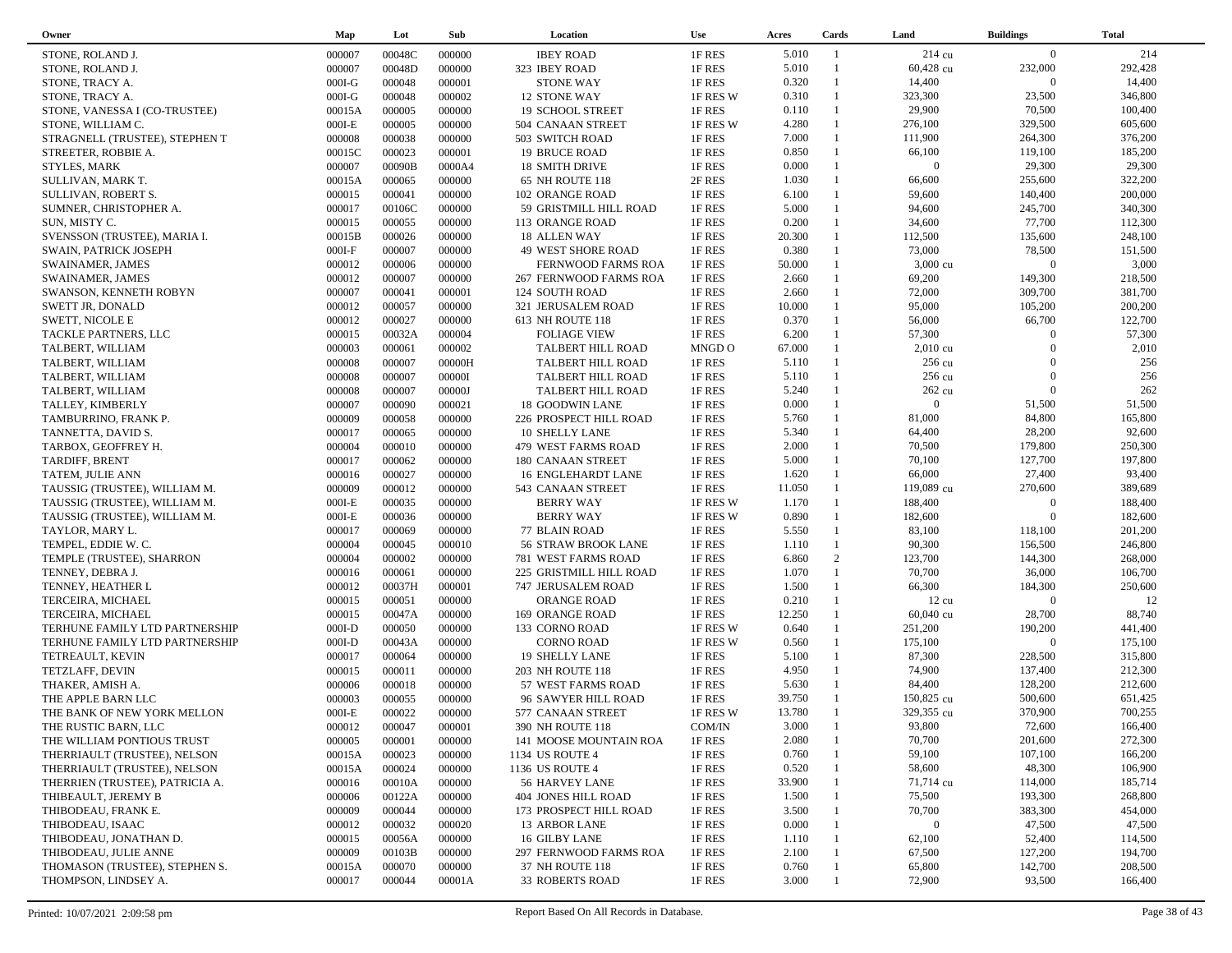| Owner                           | Map      | Lot    | Sub    | Location                  | Use      | Acres  | Cards          | Land            | <b>Buildings</b> | <b>Total</b> |
|---------------------------------|----------|--------|--------|---------------------------|----------|--------|----------------|-----------------|------------------|--------------|
| STONE, ROLAND J.                | 000007   | 00048C | 000000 | <b>IBEY ROAD</b>          | 1F RES   | 5.010  | $\overline{1}$ | 214 cu          | $\overline{0}$   | 214          |
| STONE, ROLAND J.                | 000007   | 00048D | 000000 | 323 IBEY ROAD             | 1F RES   | 5.010  | $\mathbf{1}$   | 60,428 cu       | 232,000          | 292,428      |
| STONE, TRACY A.                 | $000I-G$ | 000048 | 000001 | <b>STONE WAY</b>          | 1F RES   | 0.320  | $\mathbf{1}$   | 14,400          | $\overline{0}$   | 14,400       |
| STONE, TRACY A.                 | $000I-G$ | 000048 | 000002 | 12 STONE WAY              | 1F RES W | 0.310  | $\mathbf{1}$   | 323,300         | 23,500           | 346,800      |
| STONE, VANESSA I (CO-TRUSTEE)   | 00015A   | 000005 | 000000 | 19 SCHOOL STREET          | 1F RES   | 0.110  | $\mathbf{1}$   | 29,900          | 70,500           | 100,400      |
| STONE, WILLIAM C.               | $000I-E$ | 000005 | 000000 | 504 CANAAN STREET         | 1F RES W | 4.280  | $\mathbf{1}$   | 276,100         | 329,500          | 605,600      |
| STRAGNELL (TRUSTEE), STEPHEN T  | 000008   | 000038 | 000000 | 503 SWITCH ROAD           | 1F RES   | 7.000  | $\mathbf{1}$   | 111,900         | 264,300          | 376,200      |
| STREETER, ROBBIE A.             | 00015C   | 000023 | 000001 | 19 BRUCE ROAD             | 1F RES   | 0.850  | $\mathbf{1}$   | 66,100          | 119,100          | 185,200      |
| STYLES, MARK                    | 000007   | 00090B | 0000A4 | 18 SMITH DRIVE            | 1F RES   | 0.000  | $\mathbf{1}$   | $\overline{0}$  | 29,300           | 29,300       |
| SULLIVAN, MARK T.               | 00015A   | 000065 | 000000 | 65 NH ROUTE 118           | 2F RES   | 1.030  | $\mathbf{1}$   | 66,600          | 255,600          | 322,200      |
| SULLIVAN, ROBERT S.             | 000015   | 000041 | 000000 | 102 ORANGE ROAD           | 1F RES   | 6.100  | $\mathbf{1}$   | 59,600          | 140,400          | 200,000      |
| SUMNER, CHRISTOPHER A.          | 000017   | 00106C | 000000 | 59 GRISTMILL HILL ROAD    | 1F RES   | 5.000  | $\mathbf{1}$   | 94,600          | 245,700          | 340,300      |
| SUN, MISTY C.                   | 000015   | 000055 | 000000 | 113 ORANGE ROAD           | 1F RES   | 0.200  | $\mathbf{1}$   | 34,600          | 77,700           | 112,300      |
| SVENSSON (TRUSTEE), MARIA I.    | 00015B   | 000026 | 000000 | 18 ALLEN WAY              | 1F RES   | 20.300 | $\mathbf{1}$   | 112,500         | 135,600          | 248,100      |
| SWAIN, PATRICK JOSEPH           | $000I-F$ | 000007 | 000000 | <b>49 WEST SHORE ROAD</b> | 1F RES   | 0.380  | $\mathbf{1}$   | 73,000          | 78,500           | 151,500      |
| SWAINAMER, JAMES                | 000012   | 000006 | 000000 | FERNWOOD FARMS ROA        | 1F RES   | 50.000 | $\mathbf{1}$   | 3,000 cu        | $\overline{0}$   | 3,000        |
| <b>SWAINAMER, JAMES</b>         | 000012   | 000007 | 000000 | 267 FERNWOOD FARMS ROA    | 1F RES   | 2.660  | $\mathbf{1}$   | 69,200          | 149,300          | 218,500      |
| SWANSON, KENNETH ROBYN          | 000007   | 000041 | 000001 | 124 SOUTH ROAD            | 1F RES   | 2.660  | $\mathbf{1}$   | 72,000          | 309,700          | 381,700      |
| SWETT JR, DONALD                | 000012   | 000057 | 000000 | 321 JERUSALEM ROAD        | 1F RES   | 10.000 | $\mathbf{1}$   | 95,000          | 105,200          | 200,200      |
| <b>SWETT, NICOLE E</b>          | 000012   | 000027 | 000000 | 613 NH ROUTE 118          | 1F RES   | 0.370  | $\mathbf{1}$   | 56,000          | 66,700           | 122,700      |
| TACKLE PARTNERS, LLC            | 000015   | 00032A | 000004 | <b>FOLIAGE VIEW</b>       | 1F RES   | 6.200  | 1              | 57,300          | $\overline{0}$   | 57,300       |
| TALBERT, WILLIAM                | 000003   | 000061 | 000002 | TALBERT HILL ROAD         | MNGD O   | 67.000 | $\mathbf{1}$   | $2,010$ cu      | $\Omega$         | 2,010        |
| TALBERT, WILLIAM                | 000008   | 000007 | 00000H | TALBERT HILL ROAD         | 1F RES   | 5.110  |                | 256 cu          | $\Omega$         | 256          |
| TALBERT, WILLIAM                | 000008   | 000007 | 00000I | TALBERT HILL ROAD         | 1F RES   | 5.110  | $\mathbf{1}$   | 256 cu          | $\Omega$         | 256          |
| TALBERT, WILLIAM                | 000008   | 000007 | 00000J | TALBERT HILL ROAD         | 1F RES   | 5.240  |                | 262 cu          | $\Omega$         | 262          |
| TALLEY, KIMBERLY                | 000007   | 000090 | 000021 | <b>18 GOODWIN LANE</b>    | 1F RES   | 0.000  | $\mathbf{1}$   | $\overline{0}$  | 51,500           | 51,500       |
| TAMBURRINO, FRANK P.            | 000009   | 000058 | 000000 | 226 PROSPECT HILL ROAD    | 1F RES   | 5.760  | $\mathbf{1}$   | 81,000          | 84,800           | 165,800      |
| TANNETTA, DAVID S.              | 000017   | 000065 | 000000 | <b>10 SHELLY LANE</b>     | 1F RES   | 5.340  | $\mathbf{1}$   | 64,400          | 28,200           | 92,600       |
| TARBOX, GEOFFREY H.             | 000004   | 000010 | 000000 | 479 WEST FARMS ROAD       | 1F RES   | 2.000  | $\mathbf{1}$   | 70,500          | 179,800          | 250,300      |
| TARDIFF, BRENT                  | 000017   | 000062 | 000000 | 180 CANAAN STREET         | 1F RES   | 5.000  | $\mathbf{1}$   | 70,100          | 127,700          | 197,800      |
| TATEM, JULIE ANN                | 000016   | 000027 | 000000 | 16 ENGLEHARDT LANE        | 1F RES   | 1.620  | $\mathbf{1}$   | 66,000          | 27,400           | 93,400       |
| TAUSSIG (TRUSTEE), WILLIAM M.   | 000009   | 000012 | 000000 | 543 CANAAN STREET         | 1F RES   | 11.050 | $\mathbf{1}$   | 119,089 cu      | 270,600          | 389,689      |
| TAUSSIG (TRUSTEE), WILLIAM M.   | $000I-E$ | 000035 | 000000 | <b>BERRY WAY</b>          | 1F RES W | 1.170  | $\mathbf{1}$   | 188,400         | $\overline{0}$   | 188,400      |
| TAUSSIG (TRUSTEE), WILLIAM M.   | $000I-E$ | 000036 | 000000 | <b>BERRY WAY</b>          | 1F RES W | 0.890  | $\mathbf{1}$   | 182,600         | $\Omega$         | 182,600      |
| TAYLOR, MARY L.                 | 000017   | 000069 | 000000 | 77 BLAIN ROAD             | 1F RES   | 5.550  | $\mathbf{1}$   | 83,100          | 118,100          | 201,200      |
| TEMPEL, EDDIE W. C.             | 000004   | 000045 | 000010 | 56 STRAW BROOK LANE       | 1F RES   | 1.110  | $\mathbf{1}$   | 90,300          | 156,500          | 246,800      |
| TEMPLE (TRUSTEE), SHARRON       | 000004   | 000002 | 000000 | 781 WEST FARMS ROAD       | 1F RES   | 6.860  | 2              | 123,700         | 144,300          | 268,000      |
| TENNEY, DEBRA J.                | 000016   | 000061 | 000000 | 225 GRISTMILL HILL ROAD   | 1F RES   | 1.070  | $\mathbf{1}$   | 70,700          | 36,000           | 106,700      |
| TENNEY, HEATHER L               | 000012   | 00037H | 000001 | 747 JERUSALEM ROAD        | 1F RES   | 1.500  | $\mathbf{1}$   | 66,300          | 184,300          | 250,600      |
| TERCEIRA, MICHAEL               | 000015   | 000051 | 000000 | <b>ORANGE ROAD</b>        | 1F RES   | 0.210  | $\mathbf{1}$   | $12 \text{ cu}$ | $\overline{0}$   | 12           |
| TERCEIRA, MICHAEL               | 000015   | 00047A | 000000 | 169 ORANGE ROAD           | 1F RES   | 12.250 | $\mathbf{1}$   | 60,040 cu       | 28,700           | 88,740       |
| TERHUNE FAMILY LTD PARTNERSHIP  | $000I-D$ | 000050 | 000000 | 133 CORNO ROAD            | 1F RES W | 0.640  | $\mathbf{1}$   | 251,200         | 190,200          | 441,400      |
| TERHUNE FAMILY LTD PARTNERSHIP  | $000I-D$ | 00043A | 000000 | <b>CORNO ROAD</b>         | 1F RES W | 0.560  | $\mathbf{1}$   | 175,100         | $\Omega$         | 175,100      |
| TETREAULT, KEVIN                | 000017   | 000064 | 000000 | 19 SHELLY LANE            | 1F RES   | 5.100  | $\mathbf{1}$   | 87,300          | 228,500          | 315,800      |
| TETZLAFF, DEVIN                 | 000015   | 000011 | 000000 | 203 NH ROUTE 118          | 1F RES   | 4.950  | $\mathbf{1}$   | 74,900          | 137,400          | 212,300      |
| THAKER, AMISH A.                | 000006   | 000018 | 000000 | 57 WEST FARMS ROAD        | 1F RES   | 5.630  | $\mathbf{1}$   | 84,400          | 128,200          | 212,600      |
| THE APPLE BARN LLC              | 000003   | 000055 | 000000 | 96 SAWYER HILL ROAD       | 1F RES   | 39.750 | $\mathbf{1}$   | 150,825 cu      | 500,600          | 651,425      |
| THE BANK OF NEW YORK MELLON     | $000I-E$ | 000022 | 000000 | 577 CANAAN STREET         | 1F RES W | 13.780 | $\mathbf{1}$   | 329,355 cu      | 370,900          | 700,255      |
| THE RUSTIC BARN, LLC            | 000012   | 000047 | 000001 | 390 NH ROUTE 118          | COM/IN   | 3.000  | $\mathbf{1}$   | 93,800          | 72,600           | 166,400      |
| THE WILLIAM PONTIOUS TRUST      | 000005   | 000001 | 000000 | 141 MOOSE MOUNTAIN ROA    | 1F RES   | 2.080  |                | 70,700          | 201,600          | 272,300      |
| THERRIAULT (TRUSTEE), NELSON    | 00015A   | 000023 | 000000 | 1134 US ROUTE 4           | 1F RES   | 0.760  |                | 59,100          | 107,100          | 166,200      |
| THERRIAULT (TRUSTEE), NELSON    | 00015A   | 000024 | 000000 | 1136 US ROUTE 4           | 1F RES   | 0.520  |                | 58,600          | 48,300           | 106,900      |
| THERRIEN (TRUSTEE), PATRICIA A. | 000016   | 00010A | 000000 | 56 HARVEY LANE            | 1F RES   | 33.900 |                | 71,714 cu       | 114,000          | 185,714      |
| THIBEAULT, JEREMY B             | 000006   | 00122A | 000000 | 404 JONES HILL ROAD       | 1F RES   | 1.500  |                | 75,500          | 193,300          | 268,800      |
| THIBODEAU, FRANK E.             | 000009   | 000044 | 000000 | 173 PROSPECT HILL ROAD    | 1F RES   | 3.500  |                | 70,700          | 383,300          | 454,000      |
| THIBODEAU, ISAAC                | 000012   | 000032 | 000020 | 13 ARBOR LANE             | 1F RES   | 0.000  |                | $\bf{0}$        | 47,500           | 47,500       |
| THIBODEAU, JONATHAN D.          | 000015   | 00056A | 000000 | 16 GILBY LANE             | 1F RES   | 1.110  |                | 62,100          | 52,400           | 114,500      |
| THIBODEAU, JULIE ANNE           | 000009   | 00103B | 000000 | 297 FERNWOOD FARMS ROA    | 1F RES   | 2.100  |                | 67,500          | 127,200          | 194,700      |
| THOMASON (TRUSTEE), STEPHEN S.  | 00015A   | 000070 | 000000 | 37 NH ROUTE 118           | 1F RES   | 0.760  |                | 65,800          | 142,700          | 208,500      |
| THOMPSON, LINDSEY A.            | 000017   | 000044 | 00001A | <b>33 ROBERTS ROAD</b>    | 1F RES   | 3.000  |                | 72,900          | 93,500           | 166,400      |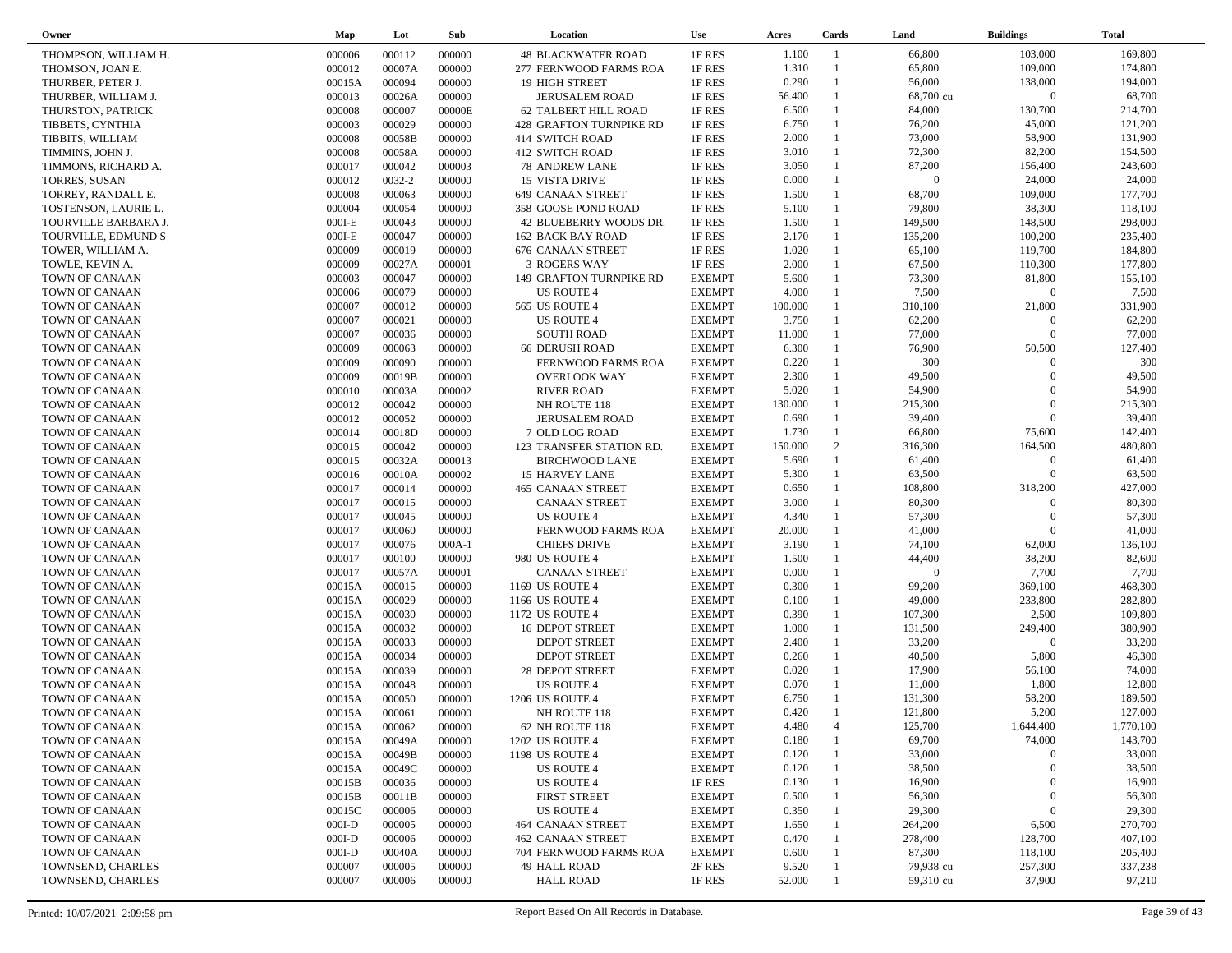| Owner                | Map      | Lot    | Sub      | Location                  | <b>Use</b>    | Acres   | Cards          | Land           | <b>Buildings</b> | <b>Total</b> |
|----------------------|----------|--------|----------|---------------------------|---------------|---------|----------------|----------------|------------------|--------------|
| THOMPSON, WILLIAM H. | 000006   | 000112 | 000000   | <b>48 BLACKWATER ROAD</b> | 1F RES        | 1.100   | $\overline{1}$ | 66,800         | 103,000          | 169,800      |
| THOMSON, JOAN E.     | 000012   | 00007A | 000000   | 277 FERNWOOD FARMS ROA    | 1F RES        | 1.310   | $\mathbf{1}$   | 65,800         | 109,000          | 174,800      |
| THURBER, PETER J.    | 00015A   | 000094 | 000000   | <b>19 HIGH STREET</b>     | 1F RES        | 0.290   | $\mathbf{1}$   | 56,000         | 138,000          | 194,000      |
| THURBER, WILLIAM J.  | 000013   | 00026A | 000000   | <b>JERUSALEM ROAD</b>     | 1F RES        | 56.400  | $\mathbf{1}$   | 68,700 cu      | $\overline{0}$   | 68,700       |
| THURSTON, PATRICK    | 000008   | 000007 | 00000E   | 62 TALBERT HILL ROAD      | 1F RES        | 6.500   | 1              | 84,000         | 130,700          | 214,700      |
| TIBBETS, CYNTHIA     | 000003   | 000029 | 000000   | 428 GRAFTON TURNPIKE RD   | 1F RES        | 6.750   | $\mathbf{1}$   | 76,200         | 45,000           | 121,200      |
| TIBBITS, WILLIAM     | 000008   | 00058B | 000000   | 414 SWITCH ROAD           | 1F RES        | 2.000   | $\mathbf{1}$   | 73,000         | 58,900           | 131,900      |
| TIMMINS, JOHN J.     | 000008   | 00058A | 000000   | 412 SWITCH ROAD           | 1F RES        | 3.010   | $\mathbf{1}$   | 72,300         | 82,200           | 154,500      |
| TIMMONS, RICHARD A.  | 000017   | 000042 | 000003   | <b>78 ANDREW LANE</b>     | 1F RES        | 3.050   | $\mathbf{1}$   | 87,200         | 156,400          | 243,600      |
| <b>TORRES, SUSAN</b> | 000012   | 0032-2 | 000000   | <b>15 VISTA DRIVE</b>     | 1F RES        | 0.000   | $\mathbf{1}$   | $\overline{0}$ | 24,000           | 24,000       |
| TORREY, RANDALL E.   | 000008   | 000063 | 000000   | 649 CANAAN STREET         | 1F RES        | 1.500   | $\mathbf{1}$   | 68,700         | 109,000          | 177,700      |
| TOSTENSON, LAURIE L. | 000004   | 000054 | 000000   | 358 GOOSE POND ROAD       | 1F RES        | 5.100   | $\mathbf{1}$   | 79,800         | 38,300           | 118,100      |
| TOURVILLE BARBARA J. | $000I-E$ | 000043 | 000000   | 42 BLUEBERRY WOODS DR.    | 1F RES        | 1.500   | $\mathbf{1}$   | 149,500        | 148,500          | 298,000      |
| TOURVILLE, EDMUND S  | $000I-E$ | 000047 | 000000   | 162 BACK BAY ROAD         | 1F RES        | 2.170   | $\mathbf{1}$   | 135,200        | 100,200          | 235,400      |
| TOWER, WILLIAM A.    | 000009   | 000019 | 000000   | 676 CANAAN STREET         | 1F RES        | 1.020   | $\mathbf{1}$   | 65,100         | 119,700          | 184,800      |
| TOWLE, KEVIN A.      | 000009   | 00027A | 000001   | <b>3 ROGERS WAY</b>       | 1F RES        | 2.000   | $\mathbf{1}$   | 67,500         | 110,300          | 177,800      |
| TOWN OF CANAAN       | 000003   | 000047 | 000000   | 149 GRAFTON TURNPIKE RD   | <b>EXEMPT</b> | 5.600   | $\mathbf{1}$   | 73,300         | 81,800           | 155,100      |
| TOWN OF CANAAN       | 000006   | 000079 | 000000   | US ROUTE 4                | <b>EXEMPT</b> | 4.000   | $\mathbf{1}$   | 7,500          | $\overline{0}$   | 7,500        |
| TOWN OF CANAAN       | 000007   | 000012 | 000000   | 565 US ROUTE 4            | <b>EXEMPT</b> | 100.000 |                | 310,100        | 21,800           | 331,900      |
| TOWN OF CANAAN       | 000007   | 000021 | 000000   | <b>US ROUTE 4</b>         | <b>EXEMPT</b> | 3.750   | $\mathbf{1}$   | 62,200         | $\Omega$         | 62,200       |
| TOWN OF CANAAN       | 000007   | 000036 | 000000   | <b>SOUTH ROAD</b>         | <b>EXEMPT</b> | 11.000  |                | 77,000         | $\Omega$         | 77,000       |
| TOWN OF CANAAN       | 000009   | 000063 | 000000   | <b>66 DERUSH ROAD</b>     | <b>EXEMPT</b> | 6.300   | $\mathbf{1}$   | 76,900         | 50,500           | 127,400      |
| TOWN OF CANAAN       | 000009   | 000090 | 000000   | <b>FERNWOOD FARMS ROA</b> | <b>EXEMPT</b> | 0.220   |                | 300            | $\Omega$         | 300          |
| TOWN OF CANAAN       | 000009   | 00019B | 000000   | <b>OVERLOOK WAY</b>       | <b>EXEMPT</b> | 2.300   | $\mathbf{1}$   | 49,500         | $\Omega$         | 49,500       |
| TOWN OF CANAAN       | 000010   | 00003A | 000002   | <b>RIVER ROAD</b>         | <b>EXEMPT</b> | 5.020   | $\mathbf{1}$   | 54,900         | $\Omega$         | 54,900       |
| TOWN OF CANAAN       | 000012   | 000042 | 000000   | NH ROUTE 118              | <b>EXEMPT</b> | 130.000 | $\mathbf{1}$   | 215,300        | $\Omega$         | 215,300      |
| TOWN OF CANAAN       | 000012   | 000052 | 000000   | <b>JERUSALEM ROAD</b>     | <b>EXEMPT</b> | 0.690   | $\mathbf{1}$   | 39,400         | $\Omega$         | 39,400       |
| TOWN OF CANAAN       | 000014   | 00018D | 000000   | 7 OLD LOG ROAD            | <b>EXEMPT</b> | 1.730   | $\mathbf{1}$   | 66,800         | 75,600           | 142,400      |
| TOWN OF CANAAN       | 000015   | 000042 | 000000   | 123 TRANSFER STATION RD.  | <b>EXEMPT</b> | 150.000 | 2              | 316,300        | 164,500          | 480,800      |
| TOWN OF CANAAN       | 000015   | 00032A | 000013   | <b>BIRCHWOOD LANE</b>     | <b>EXEMPT</b> | 5.690   | $\mathbf{1}$   | 61,400         | $\overline{0}$   | 61,400       |
| TOWN OF CANAAN       | 000016   | 00010A | 000002   | <b>15 HARVEY LANE</b>     | <b>EXEMPT</b> | 5.300   | $\mathbf{1}$   | 63,500         | $\Omega$         | 63,500       |
| TOWN OF CANAAN       | 000017   | 000014 | 000000   | 465 CANAAN STREET         | <b>EXEMPT</b> | 0.650   | $\mathbf{1}$   | 108,800        | 318,200          | 427,000      |
| TOWN OF CANAAN       | 000017   | 000015 | 000000   | <b>CANAAN STREET</b>      | <b>EXEMPT</b> | 3.000   | $\mathbf{1}$   | 80,300         | $\overline{0}$   | 80,300       |
| TOWN OF CANAAN       | 000017   | 000045 | 000000   | US ROUTE 4                | <b>EXEMPT</b> | 4.340   | $\mathbf{1}$   | 57,300         | $\overline{0}$   | 57,300       |
| TOWN OF CANAAN       | 000017   | 000060 | 000000   | FERNWOOD FARMS ROA        | <b>EXEMPT</b> | 20.000  | 1              | 41,000         | $\Omega$         | 41,000       |
| TOWN OF CANAAN       | 000017   | 000076 | $000A-1$ | <b>CHIEFS DRIVE</b>       | <b>EXEMPT</b> | 3.190   | $\mathbf{1}$   | 74,100         | 62,000           | 136,100      |
| TOWN OF CANAAN       | 000017   | 000100 | 000000   | 980 US ROUTE 4            | <b>EXEMPT</b> | 1.500   |                | 44,400         | 38,200           | 82,600       |
| TOWN OF CANAAN       | 000017   | 00057A | 000001   | <b>CANAAN STREET</b>      | <b>EXEMPT</b> | 0.000   | $\mathbf{1}$   | $\overline{0}$ | 7,700            | 7,700        |
| TOWN OF CANAAN       | 00015A   | 000015 | 000000   | 1169 US ROUTE 4           | <b>EXEMPT</b> | 0.300   |                | 99,200         | 369,100          | 468,300      |
| TOWN OF CANAAN       | 00015A   | 000029 | 000000   | 1166 US ROUTE 4           | <b>EXEMPT</b> | 0.100   | $\mathbf{1}$   | 49,000         | 233,800          | 282,800      |
| TOWN OF CANAAN       | 00015A   | 000030 | 000000   | 1172 US ROUTE 4           | <b>EXEMPT</b> | 0.390   | $\mathbf{1}$   | 107,300        | 2,500            | 109,800      |
| TOWN OF CANAAN       | 00015A   | 000032 | 000000   | 16 DEPOT STREET           | <b>EXEMPT</b> | 1.000   | $\mathbf{1}$   | 131,500        | 249,400          | 380,900      |
| TOWN OF CANAAN       | 00015A   | 000033 | 000000   | <b>DEPOT STREET</b>       | <b>EXEMPT</b> | 2.400   | $\mathbf{1}$   | 33,200         | $\Omega$         | 33,200       |
| TOWN OF CANAAN       | 00015A   | 000034 | 000000   | <b>DEPOT STREET</b>       | <b>EXEMPT</b> | 0.260   | $\mathbf{1}$   | 40,500         | 5,800            | 46,300       |
| TOWN OF CANAAN       | 00015A   | 000039 | 000000   | <b>28 DEPOT STREET</b>    | <b>EXEMPT</b> | 0.020   | $\mathbf{1}$   | 17,900         | 56,100           | 74,000       |
| TOWN OF CANAAN       | 00015A   | 000048 | 000000   | US ROUTE 4                | <b>EXEMPT</b> | 0.070   | $\mathbf{1}$   | 11,000         | 1,800            | 12,800       |
| TOWN OF CANAAN       | 00015A   | 000050 | 000000   | 1206 US ROUTE 4           | <b>EXEMPT</b> | 6.750   | $\mathbf{1}$   | 131,300        | 58,200           | 189,500      |
| TOWN OF CANAAN       | 00015A   | 000061 | 000000   | NH ROUTE 118              | <b>EXEMPT</b> | 0.420   | $\mathbf{1}$   | 121,800        | 5,200            | 127,000      |
| TOWN OF CANAAN       | 00015A   | 000062 | 000000   | 62 NH ROUTE 118           | <b>EXEMPT</b> | 4.480   | $\overline{4}$ | 125,700        | 1,644,400        | 1,770,100    |
| TOWN OF CANAAN       | 00015A   | 00049A | 000000   | 1202 US ROUTE 4           | <b>EXEMPT</b> | 0.180   |                | 69,700         | 74,000           | 143,700      |
| TOWN OF CANAAN       | 00015A   | 00049B | 000000   | 1198 US ROUTE 4           | <b>EXEMPT</b> | 0.120   |                | 33,000         | $\overline{0}$   | 33,000       |
| TOWN OF CANAAN       | 00015A   | 00049C | 000000   | US ROUTE 4                | <b>EXEMPT</b> | 0.120   |                | 38,500         | $\Omega$         | 38,500       |
| TOWN OF CANAAN       | 00015B   | 000036 | 000000   | US ROUTE 4                | 1F RES        | 0.130   |                | 16,900         | $\theta$         | 16,900       |
| TOWN OF CANAAN       | 00015B   | 00011B | 000000   | <b>FIRST STREET</b>       | <b>EXEMPT</b> | 0.500   |                | 56,300         | $\theta$         | 56,300       |
| TOWN OF CANAAN       | 00015C   | 000006 | 000000   | <b>US ROUTE 4</b>         | <b>EXEMPT</b> | 0.350   |                | 29,300         | $\theta$         | 29,300       |
| TOWN OF CANAAN       | $000I-D$ | 000005 | 000000   | 464 CANAAN STREET         | <b>EXEMPT</b> | 1.650   |                | 264,200        | 6,500            | 270,700      |
| TOWN OF CANAAN       | $000I-D$ | 000006 | 000000   | 462 CANAAN STREET         | <b>EXEMPT</b> | 0.470   |                | 278,400        | 128,700          | 407,100      |
| TOWN OF CANAAN       | $000I-D$ | 00040A | 000000   | 704 FERNWOOD FARMS ROA    | <b>EXEMPT</b> | 0.600   |                | 87,300         | 118,100          | 205,400      |
| TOWNSEND, CHARLES    | 000007   | 000005 | 000000   | 49 HALL ROAD              | 2F RES        | 9.520   |                | 79,938 cu      | 257,300          | 337,238      |
| TOWNSEND, CHARLES    | 000007   | 000006 | 000000   | <b>HALL ROAD</b>          | 1F RES        | 52.000  |                | 59,310 cu      | 37,900           | 97,210       |
|                      |          |        |          |                           |               |         |                |                |                  |              |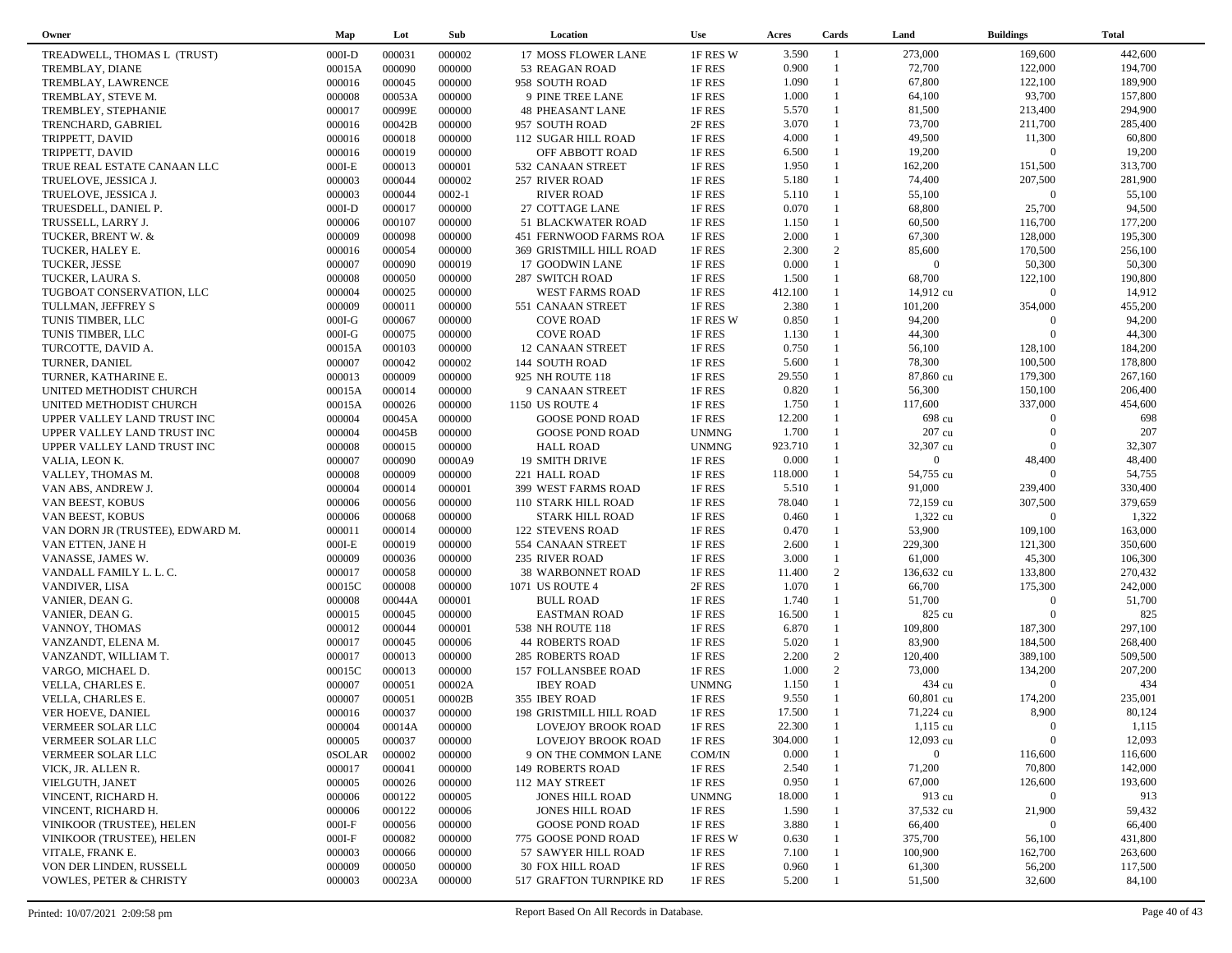| Owner                              | Map           | Lot    | Sub        | Location                   | <b>Use</b>   | Acres   | Cards          | Land           | <b>Buildings</b> | <b>Total</b> |
|------------------------------------|---------------|--------|------------|----------------------------|--------------|---------|----------------|----------------|------------------|--------------|
| TREADWELL, THOMAS L (TRUST)        | $000I-D$      | 000031 | 000002     | <b>17 MOSS FLOWER LANE</b> | 1F RES W     | 3.590   | $\mathbf{1}$   | 273,000        | 169,600          | 442,600      |
| TREMBLAY, DIANE                    | 00015A        | 000090 | 000000     | 53 REAGAN ROAD             | 1F RES       | 0.900   | $\overline{1}$ | 72,700         | 122,000          | 194,700      |
| TREMBLAY, LAWRENCE                 | 000016        | 000045 | 000000     | 958 SOUTH ROAD             | 1F RES       | 1.090   | $\mathbf{1}$   | 67,800         | 122,100          | 189,900      |
| TREMBLAY, STEVE M.                 | 000008        | 00053A | 000000     | 9 PINE TREE LANE           | 1F RES       | 1.000   | $\mathbf{1}$   | 64,100         | 93,700           | 157,800      |
| TREMBLEY, STEPHANIE                | 000017        | 00099E | 000000     | <b>48 PHEASANT LANE</b>    | 1F RES       | 5.570   | $\mathbf{1}$   | 81,500         | 213,400          | 294,900      |
|                                    |               | 00042B | 000000     |                            | 2F RES       | 3.070   | $\mathbf{1}$   | 73,700         | 211,700          | 285,400      |
| TRENCHARD, GABRIEL                 | 000016        |        |            | 957 SOUTH ROAD             |              |         | $\mathbf{1}$   |                |                  |              |
| TRIPPETT, DAVID                    | 000016        | 000018 | 000000     | <b>112 SUGAR HILL ROAD</b> | 1F RES       | 4.000   | $\mathbf{1}$   | 49,500         | 11,300           | 60,800       |
| TRIPPETT, DAVID                    | 000016        | 000019 | 000000     | OFF ABBOTT ROAD            | 1F RES       | 6.500   |                | 19,200         | $\overline{0}$   | 19,200       |
| TRUE REAL ESTATE CANAAN LLC        | $000I-E$      | 000013 | 000001     | 532 CANAAN STREET          | 1F RES       | 1.950   | $\mathbf{1}$   | 162,200        | 151,500          | 313,700      |
| TRUELOVE, JESSICA J.               | 000003        | 000044 | 000002     | 257 RIVER ROAD             | 1F RES       | 5.180   | $\mathbf{1}$   | 74,400         | 207,500          | 281,900      |
| TRUELOVE, JESSICA J.               | 000003        | 000044 | $0002 - 1$ | <b>RIVER ROAD</b>          | 1F RES       | 5.110   | $\mathbf{1}$   | 55,100         | $\overline{0}$   | 55,100       |
| TRUESDELL, DANIEL P.               | $000I-D$      | 000017 | 000000     | 27 COTTAGE LANE            | 1F RES       | 0.070   | $\mathbf{1}$   | 68,800         | 25,700           | 94,500       |
| TRUSSELL, LARRY J.                 | 000006        | 000107 | 000000     | 51 BLACKWATER ROAD         | 1F RES       | 1.150   | $\mathbf{1}$   | 60,500         | 116,700          | 177,200      |
| TUCKER, BRENT W. &                 | 000009        | 000098 | 000000     | 451 FERNWOOD FARMS ROA     | 1F RES       | 2.000   | $\mathbf{1}$   | 67,300         | 128,000          | 195,300      |
| TUCKER, HALEY E.                   | 000016        | 000054 | 000000     | 369 GRISTMILL HILL ROAD    | 1F RES       | 2.300   | 2              | 85,600         | 170,500          | 256,100      |
| TUCKER, JESSE                      | 000007        | 000090 | 000019     | 17 GOODWIN LANE            | 1F RES       | 0.000   | $\mathbf{1}$   | $\overline{0}$ | 50,300           | 50,300       |
| TUCKER, LAURA S.                   | 000008        | 000050 | 000000     | <b>287 SWITCH ROAD</b>     | 1F RES       | 1.500   | $\mathbf{1}$   | 68,700         | 122,100          | 190,800      |
| TUGBOAT CONSERVATION, LLC          | 000004        | 000025 | 000000     | WEST FARMS ROAD            | 1F RES       | 412.100 | $\mathbf{1}$   | 14,912 cu      | $\overline{0}$   | 14,912       |
| TULLMAN, JEFFREY S                 | 000009        | 000011 | 000000     | 551 CANAAN STREET          | 1F RES       | 2.380   | $\mathbf{1}$   | 101,200        | 354,000          | 455,200      |
| TUNIS TIMBER, LLC                  | $000I-G$      | 000067 | 000000     | <b>COVE ROAD</b>           | 1F RES W     | 0.850   | $\mathbf{1}$   | 94,200         | $\overline{0}$   | 94,200       |
| TUNIS TIMBER, LLC                  | $000I-G$      | 000075 | 000000     | <b>COVE ROAD</b>           | 1F RES       | 1.130   | $\mathbf{1}$   | 44,300         | $\Omega$         | 44,300       |
| TURCOTTE, DAVID A.                 | 00015A        | 000103 | 000000     | 12 CANAAN STREET           | 1F RES       | 0.750   | $\mathbf{1}$   | 56,100         | 128,100          | 184,200      |
| TURNER, DANIEL                     | 000007        | 000042 | 000002     | 144 SOUTH ROAD             | 1F RES       | 5.600   | $\mathbf{1}$   | 78,300         | 100,500          | 178,800      |
| TURNER, KATHARINE E.               | 000013        | 000009 | 000000     | 925 NH ROUTE 118           | 1F RES       | 29.550  | $\mathbf{1}$   | 87,860 cu      | 179,300          | 267,160      |
| UNITED METHODIST CHURCH            | 00015A        | 000014 | 000000     | 9 CANAAN STREET            | 1F RES       | 0.820   | $\mathbf{1}$   | 56,300         | 150,100          | 206,400      |
| UNITED METHODIST CHURCH            | 00015A        | 000026 | 000000     | 1150 US ROUTE 4            | 1F RES       | 1.750   | $\mathbf{1}$   | 117,600        | 337,000          | 454,600      |
|                                    | 000004        | 00045A | 000000     | <b>GOOSE POND ROAD</b>     | 1F RES       | 12.200  | $\mathbf{1}$   | 698 cu         | $\overline{0}$   | 698          |
| UPPER VALLEY LAND TRUST INC        | 000004        | 00045B | 000000     | <b>GOOSE POND ROAD</b>     | <b>UNMNG</b> | 1.700   | $\mathbf{1}$   | 207 cu         | $\boldsymbol{0}$ | 207          |
| UPPER VALLEY LAND TRUST INC        |               |        |            |                            |              |         | $\mathbf{1}$   |                | $\Omega$         |              |
| UPPER VALLEY LAND TRUST INC        | 000008        | 000015 | 000000     | <b>HALL ROAD</b>           | <b>UNMNG</b> | 923.710 |                | 32,307 cu      |                  | 32,307       |
| VALIA, LEON K.                     | 000007        | 000090 | 0000A9     | <b>19 SMITH DRIVE</b>      | 1F RES       | 0.000   |                | $\mathbf{0}$   | 48,400           | 48,400       |
| VALLEY, THOMAS M.                  | 000008        | 000009 | 000000     | 221 HALL ROAD              | 1F RES       | 118.000 | $\mathbf{1}$   | 54,755 cu      | $\overline{0}$   | 54,755       |
| VAN ABS, ANDREW J.                 | 000004        | 000014 | 000001     | 399 WEST FARMS ROAD        | 1F RES       | 5.510   | $\mathbf{1}$   | 91,000         | 239,400          | 330,400      |
| VAN BEEST, KOBUS                   | 000006        | 000056 | 000000     | 110 STARK HILL ROAD        | 1F RES       | 78.040  | $\mathbf{1}$   | 72,159 cu      | 307,500          | 379,659      |
| VAN BEEST, KOBUS                   | 000006        | 000068 | 000000     | <b>STARK HILL ROAD</b>     | 1F RES       | 0.460   | $\mathbf{1}$   | 1,322 cu       | $\overline{0}$   | 1,322        |
| VAN DORN JR (TRUSTEE), EDWARD M.   | 000011        | 000014 | 000000     | <b>122 STEVENS ROAD</b>    | 1F RES       | 0.470   | $\mathbf{1}$   | 53,900         | 109,100          | 163,000      |
| VAN ETTEN, JANE H                  | $000I-E$      | 000019 | 000000     | 554 CANAAN STREET          | 1F RES       | 2.600   | $\mathbf{1}$   | 229,300        | 121,300          | 350,600      |
| VANASSE, JAMES W.                  | 000009        | 000036 | 000000     | 235 RIVER ROAD             | 1F RES       | 3.000   | $\mathbf{1}$   | 61,000         | 45,300           | 106,300      |
| VANDALL FAMILY L. L. C.            | 000017        | 000058 | 000000     | <b>38 WARBONNET ROAD</b>   | 1F RES       | 11.400  | 2              | 136,632 cu     | 133,800          | 270,432      |
| VANDIVER, LISA                     | 00015C        | 000008 | 000000     | 1071 US ROUTE 4            | 2F RES       | 1.070   | $\mathbf{1}$   | 66,700         | 175,300          | 242,000      |
| VANIER, DEAN G.                    | 000008        | 00044A | 000001     | <b>BULL ROAD</b>           | 1F RES       | 1.740   | $\mathbf{1}$   | 51,700         | $\overline{0}$   | 51,700       |
| VANIER, DEAN G.                    | 000015        | 000045 | 000000     | <b>EASTMAN ROAD</b>        | 1F RES       | 16.500  | $\mathbf{1}$   | 825 cu         | $\Omega$         | 825          |
| VANNOY, THOMAS                     | 000012        | 000044 | 000001     | 538 NH ROUTE 118           | 1F RES       | 6.870   | $\mathbf{1}$   | 109,800        | 187,300          | 297,100      |
| VANZANDT, ELENA M.                 | 000017        | 000045 | 000006     | <b>44 ROBERTS ROAD</b>     | 1F RES       | 5.020   | $\mathbf{1}$   | 83,900         | 184,500          | 268,400      |
| VANZANDT, WILLIAM T.               | 000017        | 000013 | 000000     | <b>285 ROBERTS ROAD</b>    | 1F RES       | 2.200   | 2              | 120,400        | 389,100          | 509,500      |
| VARGO, MICHAEL D.                  | 00015C        | 000013 | 000000     | 157 FOLLANSBEE ROAD        | 1F RES       | 1.000   | $\overline{2}$ | 73,000         | 134,200          | 207,200      |
| VELLA, CHARLES E.                  | 000007        | 000051 | 00002A     | <b>IBEY ROAD</b>           | <b>UNMNG</b> | 1.150   | $\mathbf{1}$   | 434 cu         | $\overline{0}$   | 434          |
| VELLA, CHARLES E.                  | 000007        | 000051 | 00002B     | 355 IBEY ROAD              | 1F RES       | 9.550   | $\mathbf{1}$   | 60,801 cu      | 174,200          | 235,001      |
| VER HOEVE, DANIEL                  | 000016        | 000037 | 000000     | 198 GRISTMILL HILL ROAD    | 1F RES       | 17.500  | $\overline{1}$ | 71,224 cu      | 8,900            | 80,124       |
| VERMEER SOLAR LLC                  | 000004        | 00014A | 000000     | <b>LOVEJOY BROOK ROAD</b>  | 1F RES       | 22.300  | $\overline{1}$ | $1,115$ cu     | $\overline{0}$   | 1,115        |
| VERMEER SOLAR LLC                  | 000005        | 000037 | 000000     | <b>LOVEJOY BROOK ROAD</b>  | 1F RES       | 304.000 |                | 12,093 cu      | $\overline{0}$   | 12,093       |
| VERMEER SOLAR LLC                  | <b>OSOLAR</b> | 000002 | 000000     | 9 ON THE COMMON LANE       | COM/IN       | 0.000   |                | $\mathbf{0}$   | 116,600          | 116,600      |
| VICK, JR. ALLEN R.                 | 000017        | 000041 | 000000     | <b>149 ROBERTS ROAD</b>    | 1F RES       | 2.540   |                | 71,200         | 70,800           | 142,000      |
|                                    | 000005        | 000026 | 000000     |                            | 1F RES       | 0.950   |                | 67,000         | 126,600          | 193,600      |
| VIELGUTH, JANET                    |               |        |            | 112 MAY STREET             |              |         |                |                | $\mathbf{0}$     |              |
| VINCENT, RICHARD H.                | 000006        | 000122 | 000005     | <b>JONES HILL ROAD</b>     | <b>UNMNG</b> | 18.000  |                | 913 cu         |                  | 913          |
| VINCENT, RICHARD H.                | 000006        | 000122 | 000006     | <b>JONES HILL ROAD</b>     | 1F RES       | 1.590   |                | 37,532 cu      | 21,900           | 59,432       |
| VINIKOOR (TRUSTEE), HELEN          | $000I-F$      | 000056 | 000000     | <b>GOOSE POND ROAD</b>     | 1F RES       | 3.880   |                | 66,400         | $\mathbf{0}$     | 66,400       |
| VINIKOOR (TRUSTEE), HELEN          | $000I-F$      | 000082 | 000000     | 775 GOOSE POND ROAD        | 1F RES W     | 0.630   |                | 375,700        | 56,100           | 431,800      |
| VITALE, FRANK E.                   | 000003        | 000066 | 000000     | 57 SAWYER HILL ROAD        | 1F RES       | 7.100   |                | 100,900        | 162,700          | 263,600      |
| VON DER LINDEN, RUSSELL            | 000009        | 000050 | 000000     | 30 FOX HILL ROAD           | 1F RES       | 0.960   |                | 61,300         | 56,200           | 117,500      |
| <b>VOWLES, PETER &amp; CHRISTY</b> | 000003        | 00023A | 000000     | 517 GRAFTON TURNPIKE RD    | 1F RES       | 5.200   |                | 51,500         | 32,600           | 84,100       |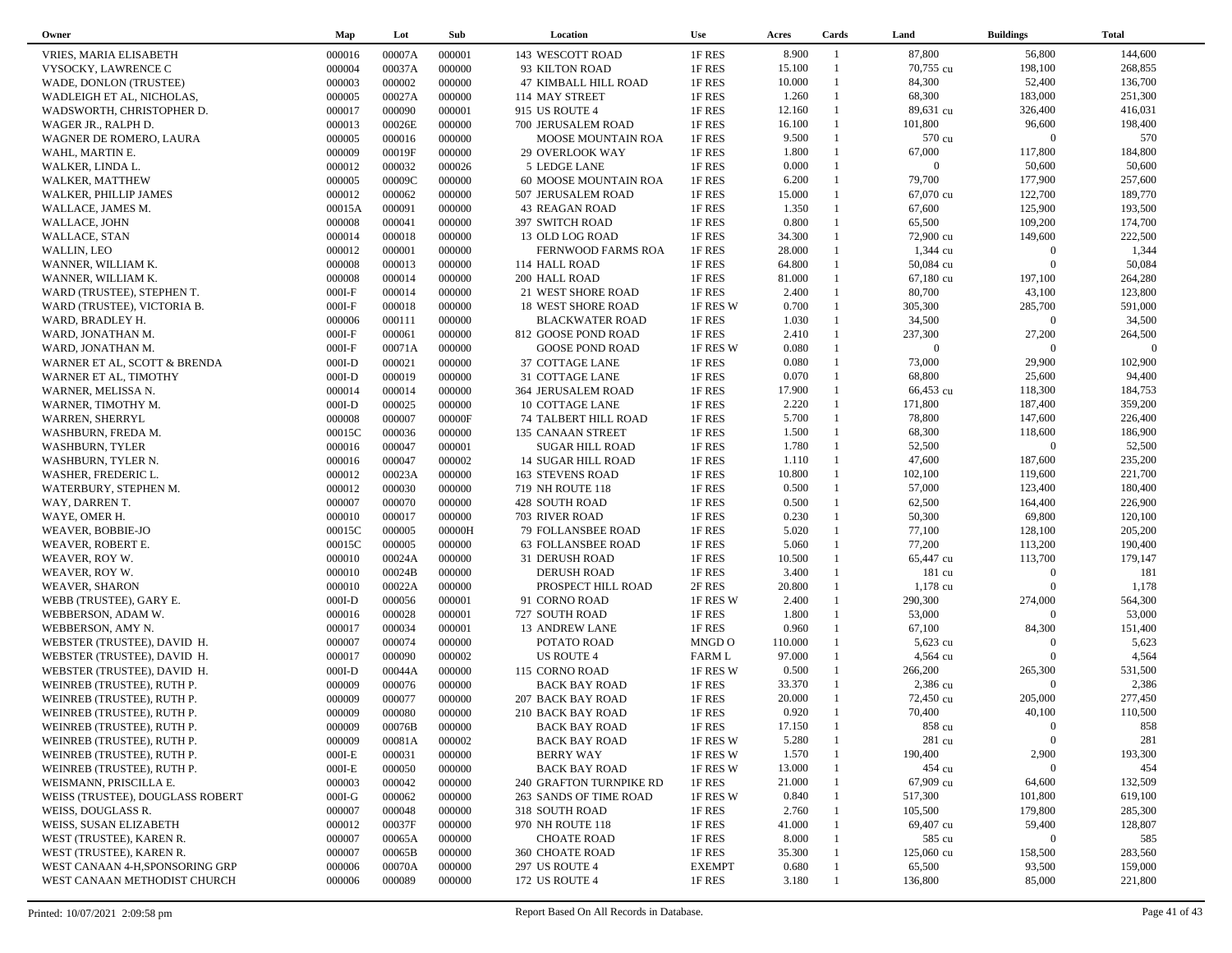| Owner                                                 | Map                | Lot              | Sub              | Location                    | <b>Use</b>    | Acres   | Cards        | Land             | <b>Buildings</b> | <b>Total</b>   |
|-------------------------------------------------------|--------------------|------------------|------------------|-----------------------------|---------------|---------|--------------|------------------|------------------|----------------|
| VRIES, MARIA ELISABETH                                | 000016             | 00007A           | 000001           | 143 WESCOTT ROAD            | 1F RES        | 8.900   | -1           | 87,800           | 56,800           | 144,600        |
| VYSOCKY, LAWRENCE C                                   | 000004             | 00037A           | 000000           | 93 KILTON ROAD              | 1F RES        | 15.100  |              | 70,755 cu        | 198,100          | 268,855        |
| WADE, DONLON (TRUSTEE)                                | 000003             | 000002           | 000000           | 47 KIMBALL HILL ROAD        | 1F RES        | 10.000  | $\mathbf{1}$ | 84,300           | 52,400           | 136,700        |
| WADLEIGH ET AL, NICHOLAS,                             | 000005             | 00027A           | 000000           | 114 MAY STREET              | 1F RES        | 1.260   |              | 68,300           | 183,000          | 251,300        |
| WADSWORTH, CHRISTOPHER D.                             | 000017             | 000090           | 000001           | 915 US ROUTE 4              | 1F RES        | 12.160  | $\mathbf{1}$ | 89,631 cu        | 326,400          | 416,031        |
| WAGER JR., RALPH D.                                   | 000013             | 00026E           | 000000           | 700 JERUSALEM ROAD          | 1F RES        | 16.100  |              | 101,800          | 96,600           | 198,400        |
| WAGNER DE ROMERO, LAURA                               | 000005             | 000016           | 000000           | <b>MOOSE MOUNTAIN ROA</b>   | 1F RES        | 9.500   | $\mathbf{1}$ | 570 cu           | $\Omega$         | 570            |
| WAHL, MARTIN E.                                       | 000009             | 00019F           | 000000           | 29 OVERLOOK WAY             | 1F RES        | 1.800   | 1            | 67,000           | 117,800          | 184,800        |
| WALKER, LINDA L.                                      | 000012             | 000032           | 000026           | 5 LEDGE LANE                | 1F RES        | 0.000   |              | $\overline{0}$   | 50,600           | 50,600         |
| WALKER, MATTHEW                                       | 000005             | 00009C           | 000000           | 60 MOOSE MOUNTAIN ROA       | 1F RES        | 6.200   | $\mathbf{1}$ | 79,700           | 177,900          | 257,600        |
| WALKER, PHILLIP JAMES                                 | 000012             | 000062           | 000000           | 507 JERUSALEM ROAD          | 1F RES        | 15.000  |              | 67,070 cu        | 122,700          | 189,770        |
| WALLACE, JAMES M.                                     | 00015A             | 000091           | 000000           | <b>43 REAGAN ROAD</b>       | 1F RES        | 1.350   | $\mathbf{1}$ | 67,600           | 125,900          | 193,500        |
| WALLACE, JOHN                                         | 000008             | 000041           | 000000           | 397 SWITCH ROAD             | 1F RES        | 0.800   | 1            | 65,500           | 109,200          | 174,700        |
| WALLACE, STAN                                         | 000014             | 000018           | 000000           | 13 OLD LOG ROAD             | 1F RES        | 34.300  | $\mathbf{1}$ | 72,900 cu        | 149,600          | 222,500        |
| WALLIN, LEO                                           | 000012             | 000001           | 000000           | FERNWOOD FARMS ROA          | 1F RES        | 28.000  |              | 1,344 cu         | $\boldsymbol{0}$ | 1,344          |
| WANNER, WILLIAM K.                                    | 000008             | 000013           | 000000           | 114 HALL ROAD               | 1F RES        | 64.800  |              | 50,084 cu        | $\mathbf{0}$     | 50,084         |
| WANNER, WILLIAM K.                                    | 000008             | 000014           | 000000           | 200 HALL ROAD               | 1F RES        | 81.000  |              | 67,180 cu        | 197,100          | 264,280        |
| WARD (TRUSTEE), STEPHEN T.                            | $000I-F$           | 000014           | 000000           | 21 WEST SHORE ROAD          | 1F RES        | 2.400   |              | 80,700           | 43,100           | 123,800        |
| WARD (TRUSTEE), VICTORIA B.                           | $000I-F$           | 000018           | 000000           | <b>18 WEST SHORE ROAD</b>   | 1F RES W      | 0.700   | $\mathbf{1}$ | 305,300          | 285,700          | 591,000        |
| WARD, BRADLEY H.                                      | 000006             | 000111           | 000000           | <b>BLACKWATER ROAD</b>      | 1F RES        | 1.030   |              | 34,500           | $\overline{0}$   | 34,500         |
| WARD, JONATHAN M.                                     | $000I-F$           | 000061           | 000000           | 812 GOOSE POND ROAD         | 1F RES        | 2.410   | $\mathbf{1}$ | 237,300          | 27,200           | 264,500        |
| WARD, JONATHAN M.                                     | $000I-F$           | 00071A           | 000000           | <b>GOOSE POND ROAD</b>      | 1F RES W      | 0.080   |              | $\overline{0}$   | $\overline{0}$   | $\overline{0}$ |
|                                                       | $000I-D$           | 000021           | 000000           | 37 COTTAGE LANE             | 1F RES        | 0.080   | $\mathbf{1}$ | 73,000           | 29,900           | 102,900        |
| WARNER ET AL, SCOTT & BRENDA<br>WARNER ET AL, TIMOTHY | $000I-D$           | 000019           | 000000           | 31 COTTAGE LANE             | 1F RES        | 0.070   | $\mathbf{1}$ | 68,800           | 25,600           | 94,400         |
| WARNER, MELISSA N.                                    | 000014             | 000014           | 000000           | 364 JERUSALEM ROAD          | 1F RES        | 17.900  | 1            | 66,453 cu        | 118,300          | 184,753        |
|                                                       |                    | 000025           | 000000           |                             |               | 2.220   | $\mathbf{1}$ | 171,800          | 187,400          | 359,200        |
| WARNER, TIMOTHY M.                                    | $000I-D$<br>000008 | 000007           | 00000F           | 10 COTTAGE LANE             | 1F RES        | 5.700   | $\mathbf{1}$ | 78,800           | 147,600          | 226,400        |
| WARREN, SHERRYL                                       |                    |                  |                  | <b>74 TALBERT HILL ROAD</b> | 1F RES        | 1.500   | $\mathbf{1}$ |                  | 118,600          | 186,900        |
| WASHBURN, FREDA M.                                    | 00015C             | 000036<br>000047 | 000000<br>000001 | 135 CANAAN STREET           | 1F RES        | 1.780   | $\mathbf{1}$ | 68,300<br>52,500 | $\mathbf{0}$     | 52,500         |
| <b>WASHBURN, TYLER</b>                                | 000016             |                  |                  | <b>SUGAR HILL ROAD</b>      | 1F RES        |         | $\mathbf{1}$ |                  |                  |                |
| WASHBURN, TYLER N.                                    | 000016             | 000047           | 000002           | <b>14 SUGAR HILL ROAD</b>   | 1F RES        | 1.110   | $\mathbf{1}$ | 47,600           | 187,600          | 235,200        |
| WASHER, FREDERIC L.                                   | 000012             | 00023A           | 000000           | <b>163 STEVENS ROAD</b>     | 1F RES        | 10.800  | $\mathbf{1}$ | 102,100          | 119,600          | 221,700        |
| WATERBURY, STEPHEN M.                                 | 000012             | 000030           | 000000           | 719 NH ROUTE 118            | 1F RES        | 0.500   | $\mathbf{1}$ | 57,000           | 123,400          | 180,400        |
| WAY, DARREN T.                                        | 000007             | 000070           | 000000           | 428 SOUTH ROAD              | 1F RES        | 0.500   | $\mathbf{1}$ | 62,500           | 164,400          | 226,900        |
| WAYE, OMER H.                                         | 000010             | 000017           | 000000           | 703 RIVER ROAD              | 1F RES        | 0.230   | $\mathbf{1}$ | 50,300           | 69,800           | 120,100        |
| WEAVER, BOBBIE-JO                                     | 00015C             | 000005           | 00000H           | 79 FOLLANSBEE ROAD          | 1F RES        | 5.020   |              | 77,100           | 128,100          | 205,200        |
| WEAVER, ROBERT E.                                     | 00015C             | 000005           | 000000           | <b>63 FOLLANSBEE ROAD</b>   | 1F RES        | 5.060   |              | 77,200           | 113,200          | 190,400        |
| WEAVER, ROY W.                                        | 000010             | 00024A           | 000000           | 31 DERUSH ROAD              | 1F RES        | 10.500  | $\mathbf{1}$ | 65,447 cu        | 113,700          | 179,147        |
| WEAVER, ROY W.                                        | 000010             | 00024B           | 000000           | <b>DERUSH ROAD</b>          | 1F RES        | 3.400   |              | 181 cu           | $\theta$         | 181            |
| <b>WEAVER, SHARON</b>                                 | 000010             | 00022A           | 000000           | PROSPECT HILL ROAD          | 2F RES        | 20.800  | 1            | 1,178 cu         | $\Omega$         | 1,178          |
| WEBB (TRUSTEE), GARY E.                               | $000I-D$           | 000056           | 000001           | 91 CORNO ROAD               | 1F RES W      | 2.400   |              | 290,300          | 274,000          | 564,300        |
| WEBBERSON, ADAM W.                                    | 000016             | 000028           | 000001           | 727 SOUTH ROAD              | 1F RES        | 1.800   | $\mathbf{1}$ | 53,000           | $\Omega$         | 53,000         |
| WEBBERSON, AMY N.                                     | 000017             | 000034           | 000001           | <b>13 ANDREW LANE</b>       | 1F RES        | 0.960   | 1            | 67,100           | 84,300           | 151,400        |
| WEBSTER (TRUSTEE), DAVID H.                           | 000007             | 000074           | 000000           | POTATO ROAD                 | MNGD O        | 110.000 |              | 5,623 cu         | $\mathbf{0}$     | 5,623          |
| WEBSTER (TRUSTEE), DAVID H.                           | 000017             | 000090           | 000002           | <b>US ROUTE 4</b>           | <b>FARM L</b> | 97.000  |              | 4,564 cu         | $\mathbf{0}$     | 4,564          |
| WEBSTER (TRUSTEE), DAVID H.                           | $000I-D$           | 00044A           | 000000           | 115 CORNO ROAD              | 1F RES W      | 0.500   | $\mathbf{1}$ | 266,200          | 265,300          | 531,500        |
| WEINREB (TRUSTEE), RUTH P.                            | 000009             | 000076           | 000000           | <b>BACK BAY ROAD</b>        | 1F RES        | 33.370  |              | 2,386 cu         | $\overline{0}$   | 2,386          |
| WEINREB (TRUSTEE), RUTH P.                            | 000009             | 000077           | 000000           | 207 BACK BAY ROAD           | 1F RES        | 20.000  |              | 72,450 cu        | 205,000          | 277,450        |
| WEINREB (TRUSTEE), RUTH P.                            | 000009             | 000080           | 000000           | 210 BACK BAY ROAD           | 1F RES        | 0.920   | $\mathbf{1}$ | 70,400           | 40,100           | 110,500        |
| WEINREB (TRUSTEE), RUTH P.                            | 000009             | 00076B           | 000000           | <b>BACK BAY ROAD</b>        | 1F RES        | 17.150  |              | 858 cu           | $\mathbf{0}$     | 858            |
| WEINREB (TRUSTEE), RUTH P.                            | 000009             | 00081A           | 000002           | <b>BACK BAY ROAD</b>        | 1F RES W      | 5.280   |              | 281 cu           | $\overline{0}$   | 281            |
| WEINREB (TRUSTEE), RUTH P.                            | $000I-E$           | 000031           | 000000           | <b>BERRY WAY</b>            | 1F RES W      | 1.570   |              | 190,400          | 2,900            | 193,300        |
| WEINREB (TRUSTEE), RUTH P.                            | $000I-E$           | 000050           | 000000           | <b>BACK BAY ROAD</b>        | 1F RES W      | 13.000  |              | 454 cu           | $\mathbf{0}$     | 454            |
| WEISMANN, PRISCILLA E.                                | 000003             | 000042           | 000000           | 240 GRAFTON TURNPIKE RD     | 1F RES        | 21.000  |              | 67,909 cu        | 64,600           | 132,509        |
| WEISS (TRUSTEE), DOUGLASS ROBERT                      | $000I-G$           | 000062           | 000000           | 263 SANDS OF TIME ROAD      | 1F RES W      | 0.840   |              | 517,300          | 101,800          | 619,100        |
| WEISS, DOUGLASS R.                                    | 000007             | 000048           | 000000           | 318 SOUTH ROAD              | 1F RES        | 2.760   |              | 105,500          | 179,800          | 285,300        |
| WEISS, SUSAN ELIZABETH                                | 000012             | 00037F           | 000000           | 970 NH ROUTE 118            | 1F RES        | 41.000  |              | 69,407 cu        | 59,400           | 128,807        |
| WEST (TRUSTEE), KAREN R.                              | 000007             | 00065A           | 000000           | <b>CHOATE ROAD</b>          | 1F RES        | 8.000   |              | 585 cu           | $\mathbf{0}$     | 585            |
| WEST (TRUSTEE), KAREN R.                              | 000007             | 00065B           | 000000           | 360 CHOATE ROAD             | 1F RES        | 35.300  |              | 125,060 cu       | 158,500          | 283,560        |
| WEST CANAAN 4-H,SPONSORING GRP                        | 000006             | 00070A           | 000000           | <b>297 US ROUTE 4</b>       | <b>EXEMPT</b> | 0.680   |              | 65,500           | 93,500           | 159,000        |
| WEST CANAAN METHODIST CHURCH                          | 000006             | 000089           | 000000           | 172 US ROUTE 4              | 1F RES        | 3.180   |              | 136,800          | 85,000           | 221,800        |
|                                                       |                    |                  |                  |                             |               |         |              |                  |                  |                |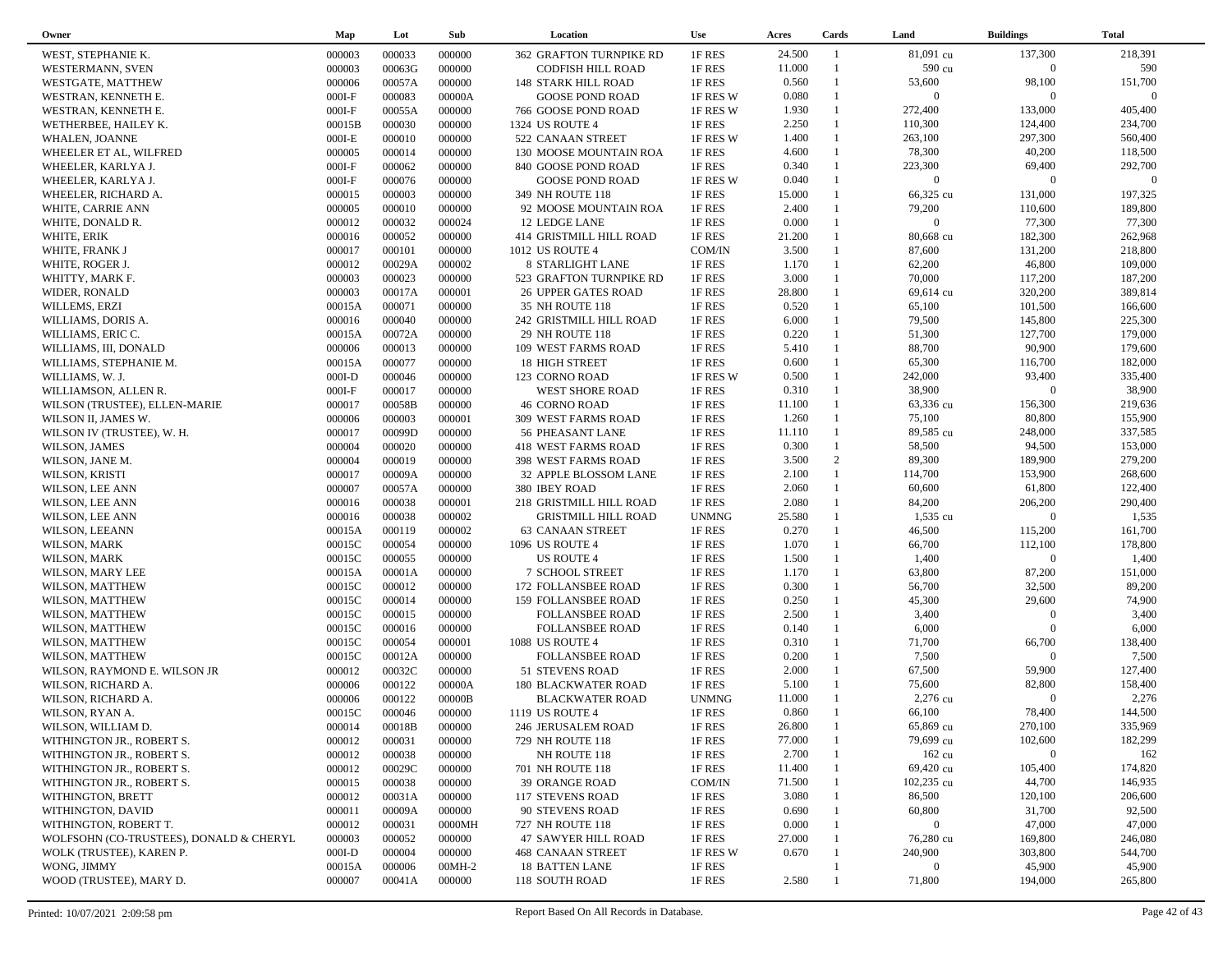| Owner                                   | Map              | Lot              | Sub    | Location                                      | <b>Use</b>       | Acres  | Cards                        | Land              | <b>Buildings</b>  | <b>Total</b>       |  |
|-----------------------------------------|------------------|------------------|--------|-----------------------------------------------|------------------|--------|------------------------------|-------------------|-------------------|--------------------|--|
| WEST, STEPHANIE K.                      | 000003           | 000033           | 000000 | 362 GRAFTON TURNPIKE RD                       | 1F RES           | 24.500 | $\overline{1}$               | 81,091 cu         | 137,300           | 218,391            |  |
| WESTERMANN, SVEN                        | 000003           | 00063G           | 000000 | CODFISH HILL ROAD                             | 1F RES           | 11.000 | $\mathbf{1}$                 | 590 cu            | $\overline{0}$    | 590                |  |
| WESTGATE, MATTHEW                       | 000006           | 00057A           | 000000 | 148 STARK HILL ROAD                           | 1F RES           | 0.560  |                              | 53,600            | 98,100            | 151,700            |  |
| WESTRAN, KENNETH E.                     | $000I-F$         | 000083           | 00000A | <b>GOOSE POND ROAD</b>                        | 1F RES W         | 0.080  | $\mathbf{1}$                 | $\overline{0}$    | $\overline{0}$    | $\Omega$           |  |
| WESTRAN, KENNETH E.                     | $000I-F$         | 00055A           | 000000 | 766 GOOSE POND ROAD                           | 1F RES W         | 1.930  | $\mathbf{1}$                 | 272,400           | 133,000           | 405,400            |  |
| WETHERBEE, HAILEY K.                    | 00015B           | 000030           | 000000 | 1324 US ROUTE 4                               | 1F RES           | 2.250  | $\mathbf{1}$                 | 110,300           | 124,400           | 234,700            |  |
| WHALEN, JOANNE                          | $000I-E$         | 000010           | 000000 | 522 CANAAN STREET                             | 1F RES W         | 1.400  | $\mathbf{1}$                 | 263,100           | 297,300           | 560,400            |  |
| WHEELER ET AL, WILFRED                  | 000005           | 000014           | 000000 | 130 MOOSE MOUNTAIN ROA                        | 1F RES           | 4.600  | $\mathbf{1}$                 | 78,300            | 40,200            | 118,500            |  |
| WHEELER, KARLYA J.                      | $000I-F$         | 000062           | 000000 | 840 GOOSE POND ROAD                           | 1F RES           | 0.340  | $\mathbf{1}$                 | 223,300           | 69,400            | 292,700            |  |
| WHEELER, KARLYA J.                      | $000I-F$         | 000076           | 000000 | <b>GOOSE POND ROAD</b>                        | 1F RES W         | 0.040  | $\mathbf{1}$                 | $\overline{0}$    | $\overline{0}$    | $\Omega$           |  |
| WHEELER, RICHARD A.                     | 000015           | 000003           | 000000 | 349 NH ROUTE 118                              | 1F RES           | 15.000 | $\mathbf{1}$                 | 66,325 cu         | 131,000           | 197,325            |  |
| WHITE, CARRIE ANN                       | 000005           | 000010           | 000000 | 92 MOOSE MOUNTAIN ROA                         | 1F RES           | 2.400  |                              | 79,200            | 110,600           | 189,800            |  |
| WHITE, DONALD R.                        | 000012           | 000032           | 000024 | 12 LEDGE LANE                                 | 1F RES           | 0.000  | $\mathbf{1}$                 | $\overline{0}$    | 77,300            | 77,300             |  |
| WHITE, ERIK                             | 000016           | 000052           | 000000 | 414 GRISTMILL HILL ROAD                       | 1F RES           | 21.200 |                              | 80,668 cu         | 182,300           | 262,968            |  |
| WHITE, FRANK J                          | 000017           | 000101           | 000000 | 1012 US ROUTE 4                               | COM/IN           | 3.500  | $\mathbf{1}$                 | 87,600            | 131,200           | 218,800            |  |
| WHITE, ROGER J.                         | 000012           | 00029A           | 000002 | 8 STARLIGHT LANE                              | 1F RES           | 1.170  | $\mathbf{1}$                 | 62,200            | 46,800            | 109,000            |  |
| WHITTY, MARK F.                         | 000003           | 000023           | 000000 | 523 GRAFTON TURNPIKE RD                       | 1F RES           | 3.000  | $\mathbf{1}$                 | 70,000            | 117,200           | 187,200            |  |
|                                         |                  | 00017A           | 000001 |                                               |                  | 28.800 | $\mathbf{1}$                 | 69,614 cu         | 320,200           | 389,814            |  |
| WIDER, RONALD                           | 000003<br>00015A | 000071           | 000000 | <b>26 UPPER GATES ROAD</b><br>35 NH ROUTE 118 | 1F RES<br>1F RES | 0.520  | 1                            | 65,100            | 101,500           | 166,600            |  |
| WILLEMS, ERZI                           |                  | 000040           | 000000 |                                               |                  | 6.000  | $\mathbf{1}$                 | 79,500            | 145,800           | 225,300            |  |
| WILLIAMS, DORIS A.                      | 000016           |                  |        | 242 GRISTMILL HILL ROAD<br>29 NH ROUTE 118    | 1F RES           | 0.220  | 1                            |                   | 127,700           | 179,000            |  |
| WILLIAMS, ERIC C.                       | 00015A           | 00072A<br>000013 | 000000 |                                               | 1F RES           | 5.410  | $\mathbf{1}$                 | 51,300<br>88,700  | 90,900            | 179,600            |  |
| WILLIAMS, III, DONALD                   | 000006           |                  | 000000 | 109 WEST FARMS ROAD                           | 1F RES           | 0.600  | $\mathbf{1}$                 |                   |                   |                    |  |
| WILLIAMS, STEPHANIE M.                  | 00015A           | 000077           | 000000 | <b>18 HIGH STREET</b>                         | 1F RES           | 0.500  | $\mathbf{1}$                 | 65,300<br>242,000 | 116,700<br>93,400 | 182,000<br>335,400 |  |
| WILLIAMS, W. J.                         | $000I-D$         | 000046           | 000000 | 123 CORNO ROAD                                | 1F RES W         |        |                              |                   |                   |                    |  |
| WILLIAMSON, ALLEN R.                    | $000I-F$         | 000017           | 000000 | <b>WEST SHORE ROAD</b>                        | 1F RES           | 0.310  | $\mathbf{1}$<br>$\mathbf{1}$ | 38,900            | $\Omega$          | 38,900             |  |
| WILSON (TRUSTEE), ELLEN-MARIE           | 000017           | 00058B           | 000000 | <b>46 CORNO ROAD</b>                          | 1F RES           | 11.100 |                              | 63,336 cu         | 156,300           | 219,636            |  |
| WILSON II, JAMES W.                     | 000006           | 000003           | 000001 | 309 WEST FARMS ROAD                           | 1F RES           | 1.260  | $\mathbf{1}$                 | 75,100            | 80,800            | 155,900            |  |
| WILSON IV (TRUSTEE), W. H.              | 000017           | 00099D           | 000000 | 56 PHEASANT LANE                              | 1F RES           | 11.110 | $\mathbf{1}$                 | 89,585 cu         | 248,000           | 337,585            |  |
| WILSON, JAMES                           | 000004           | 000020           | 000000 | 418 WEST FARMS ROAD                           | 1F RES           | 0.300  | $\mathbf{1}$                 | 58,500            | 94,500            | 153,000            |  |
| WILSON, JANE M.                         | 000004           | 000019           | 000000 | 398 WEST FARMS ROAD                           | 1F RES           | 3.500  | 2                            | 89,300            | 189,900           | 279,200            |  |
| WILSON, KRISTI                          | 000017           | 00009A           | 000000 | 32 APPLE BLOSSOM LANE                         | 1F RES           | 2.100  | $\mathbf{1}$                 | 114,700           | 153,900           | 268,600            |  |
| WILSON, LEE ANN                         | 000007           | 00057A           | 000000 | 380 IBEY ROAD                                 | 1F RES           | 2.060  | $\mathbf{1}$                 | 60,600            | 61,800            | 122,400            |  |
| WILSON, LEE ANN                         | 000016           | 000038           | 000001 | 218 GRISTMILL HILL ROAD                       | 1F RES           | 2.080  | $\mathbf{1}$                 | 84,200            | 206,200           | 290,400            |  |
| WILSON, LEE ANN                         | 000016           | 000038           | 000002 | <b>GRISTMILL HILL ROAD</b>                    | <b>UNMNG</b>     | 25.580 | $\mathbf{1}$                 | 1,535 cu          | $\overline{0}$    | 1,535              |  |
| WILSON, LEEANN                          | 00015A           | 000119           | 000002 | <b>63 CANAAN STREET</b>                       | 1F RES           | 0.270  | $\mathbf{1}$                 | 46,500            | 115,200           | 161,700            |  |
| WILSON, MARK                            | 00015C           | 000054           | 000000 | 1096 US ROUTE 4                               | 1F RES           | 1.070  | $\mathbf{1}$                 | 66,700            | 112,100           | 178,800            |  |
| WILSON, MARK                            | 00015C           | 000055           | 000000 | <b>US ROUTE 4</b>                             | 1F RES           | 1.500  | $\mathbf{1}$                 | 1,400             | $\overline{0}$    | 1,400              |  |
| WILSON, MARY LEE                        | 00015A           | 00001A           | 000000 | <b>7 SCHOOL STREET</b>                        | 1F RES           | 1.170  | $\mathbf{1}$                 | 63,800            | 87,200            | 151,000            |  |
| WILSON, MATTHEW                         | 00015C           | 000012           | 000000 | 172 FOLLANSBEE ROAD                           | 1F RES           | 0.300  | $\mathbf{1}$                 | 56,700            | 32,500            | 89,200             |  |
| WILSON, MATTHEW                         | 00015C           | 000014           | 000000 | 159 FOLLANSBEE ROAD                           | 1F RES           | 0.250  | $\mathbf{1}$                 | 45,300            | 29,600            | 74,900             |  |
| WILSON, MATTHEW                         | 00015C           | 000015           | 000000 | <b>FOLLANSBEE ROAD</b>                        | 1F RES           | 2.500  | $\mathbf{1}$                 | 3,400             | $\Omega$          | 3,400              |  |
| WILSON, MATTHEW                         | 00015C           | 000016           | 000000 | <b>FOLLANSBEE ROAD</b>                        | 1F RES           | 0.140  | $\mathbf{1}$                 | 6,000             | $\overline{0}$    | 6,000              |  |
| WILSON, MATTHEW                         | 00015C           | 000054           | 000001 | 1088 US ROUTE 4                               | 1F RES           | 0.310  | $\mathbf{1}$                 | 71,700            | 66,700            | 138,400            |  |
| WILSON, MATTHEW                         | 00015C           | 00012A           | 000000 | <b>FOLLANSBEE ROAD</b>                        | 1F RES           | 0.200  | $\mathbf{1}$                 | 7,500             | $\overline{0}$    | 7,500              |  |
| WILSON, RAYMOND E. WILSON JR            | 000012           | 00032C           | 000000 | 51 STEVENS ROAD                               | 1F RES           | 2.000  | $\mathbf{1}$                 | 67,500            | 59,900            | 127,400            |  |
| WILSON, RICHARD A.                      | 000006           | 000122           | 00000A | <b>180 BLACKWATER ROAD</b>                    | 1F RES           | 5.100  |                              | 75,600            | 82,800            | 158,400            |  |
| WILSON, RICHARD A.                      | 000006           | 000122           | 00000B | <b>BLACKWATER ROAD</b>                        | <b>UNMNG</b>     | 11.000 |                              | 2,276 cu          | $\Omega$          | 2,276              |  |
| WILSON, RYAN A.                         | 00015C           | 000046           | 000000 | 1119 US ROUTE 4                               | 1F RES           | 0.860  | $\mathbf{1}$                 | 66,100            | 78,400            | 144,500            |  |
| WILSON, WILLIAM D.                      | 000014           | 00018B           | 000000 | 246 JERUSALEM ROAD                            | 1F RES           | 26.800 |                              | 65,869 cu         | 270,100           | 335,969            |  |
| WITHINGTON JR., ROBERT S.               | 000012           | 000031           | 000000 | 729 NH ROUTE 118                              | 1F RES           | 77.000 |                              | 79,699 cu         | 102,600           | 182,299            |  |
| WITHINGTON JR., ROBERT S.               | 000012           | 000038           | 000000 | NH ROUTE 118                                  | 1F RES           | 2.700  |                              | $162 \text{ cu}$  | $\Omega$          | 162                |  |
| WITHINGTON JR., ROBERT S.               | 000012           | 00029C           | 000000 | 701 NH ROUTE 118                              | 1F RES           | 11.400 |                              | 69,420 cu         | 105,400           | 174,820            |  |
| WITHINGTON JR., ROBERT S.               | 000015           | 000038           | 000000 | <b>39 ORANGE ROAD</b>                         | COM/IN           | 71.500 |                              | 102,235 cu        | 44,700            | 146,935            |  |
| WITHINGTON, BRETT                       | 000012           | 00031A           | 000000 | <b>117 STEVENS ROAD</b>                       | 1F RES           | 3.080  |                              | 86,500            | 120,100           | 206,600            |  |
| WITHINGTON, DAVID                       | 000011           | 00009A           | 000000 | 90 STEVENS ROAD                               | 1F RES           | 0.690  |                              | 60,800            | 31,700            | 92,500             |  |
| WITHINGTON, ROBERT T.                   | 000012           | 000031           | 0000MH | 727 NH ROUTE 118                              | 1F RES           | 0.000  |                              | $\overline{0}$    | 47,000            | 47,000             |  |
| WOLFSOHN (CO-TRUSTEES), DONALD & CHERYL | 000003           | 000052           | 000000 | 47 SAWYER HILL ROAD                           | 1F RES           | 27.000 |                              | 76,280 cu         | 169,800           | 246,080            |  |
| WOLK (TRUSTEE), KAREN P.                | $000I-D$         | 000004           | 000000 | 468 CANAAN STREET                             | 1F RES W         | 0.670  |                              | 240,900           | 303,800           | 544,700            |  |
| WONG, JIMMY                             | 00015A           | 000006           | 00MH-2 | <b>18 BATTEN LANE</b>                         | 1F RES           |        |                              | $\Omega$          | 45,900            | 45,900             |  |
| WOOD (TRUSTEE), MARY D.                 | 000007           | 00041A           | 000000 | 118 SOUTH ROAD                                | 1F RES           | 2.580  |                              | 71,800            | 194,000           | 265,800            |  |
|                                         |                  |                  |        |                                               |                  |        |                              |                   |                   |                    |  |